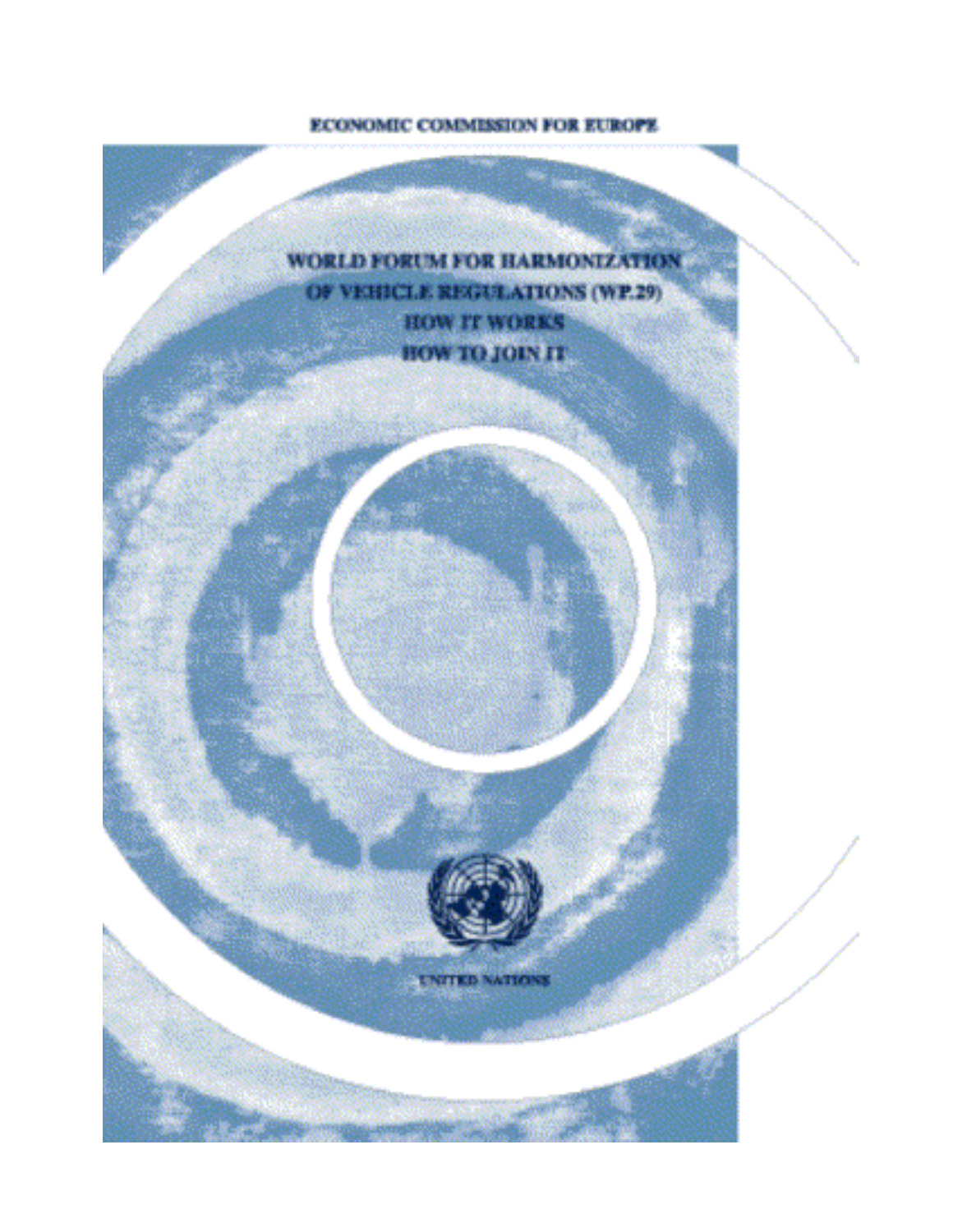# ECONOMIC COMMISSION FOR EUROPE

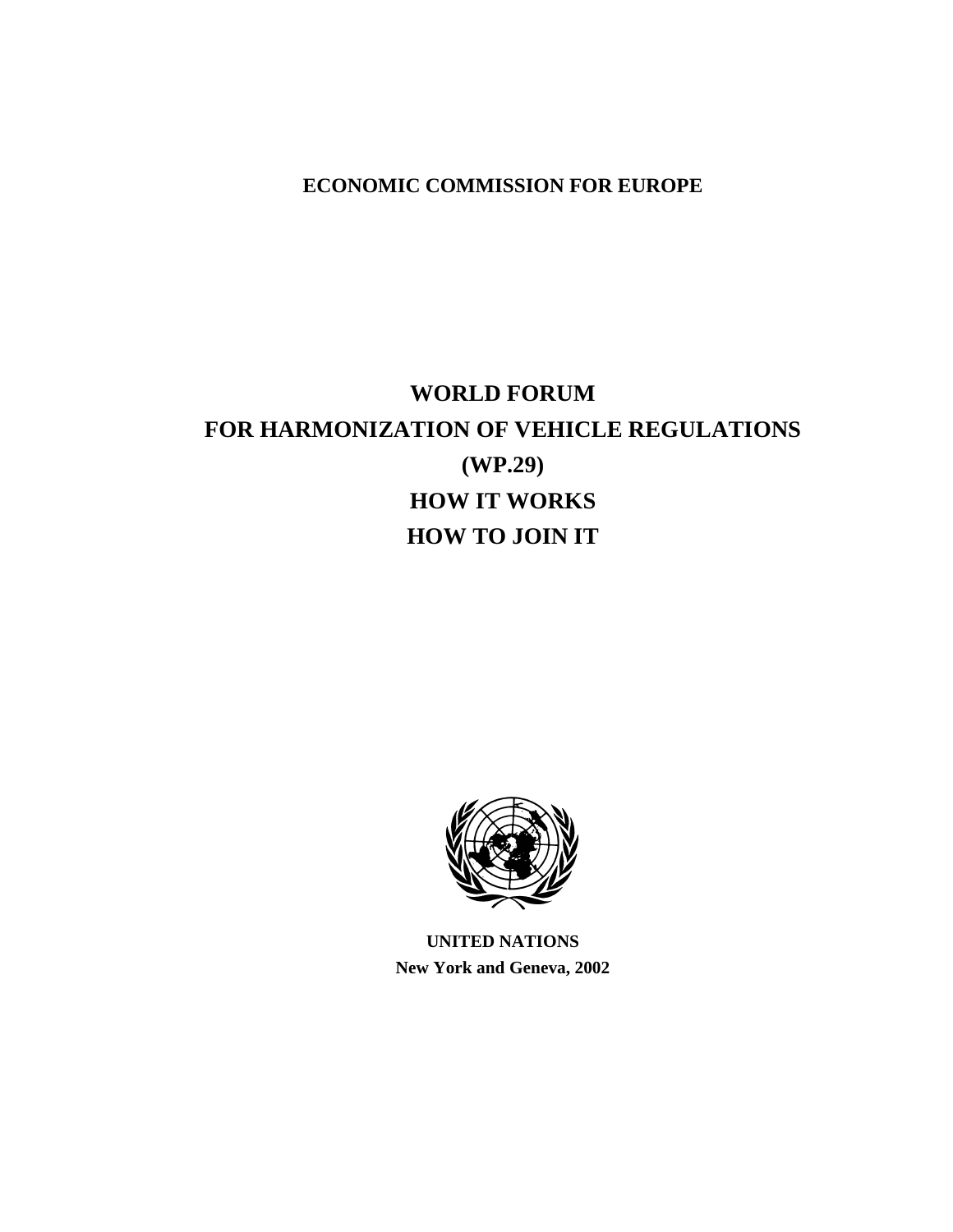# **ECONOMIC COMMISSION FOR EUROPE**

# **WORLD FORUM FOR HARMONIZATION OF VEHICLE REGULATIONS (WP.29) HOW IT WORKS HOW TO JOIN IT**



**UNITED NATIONS New York and Geneva, 2002**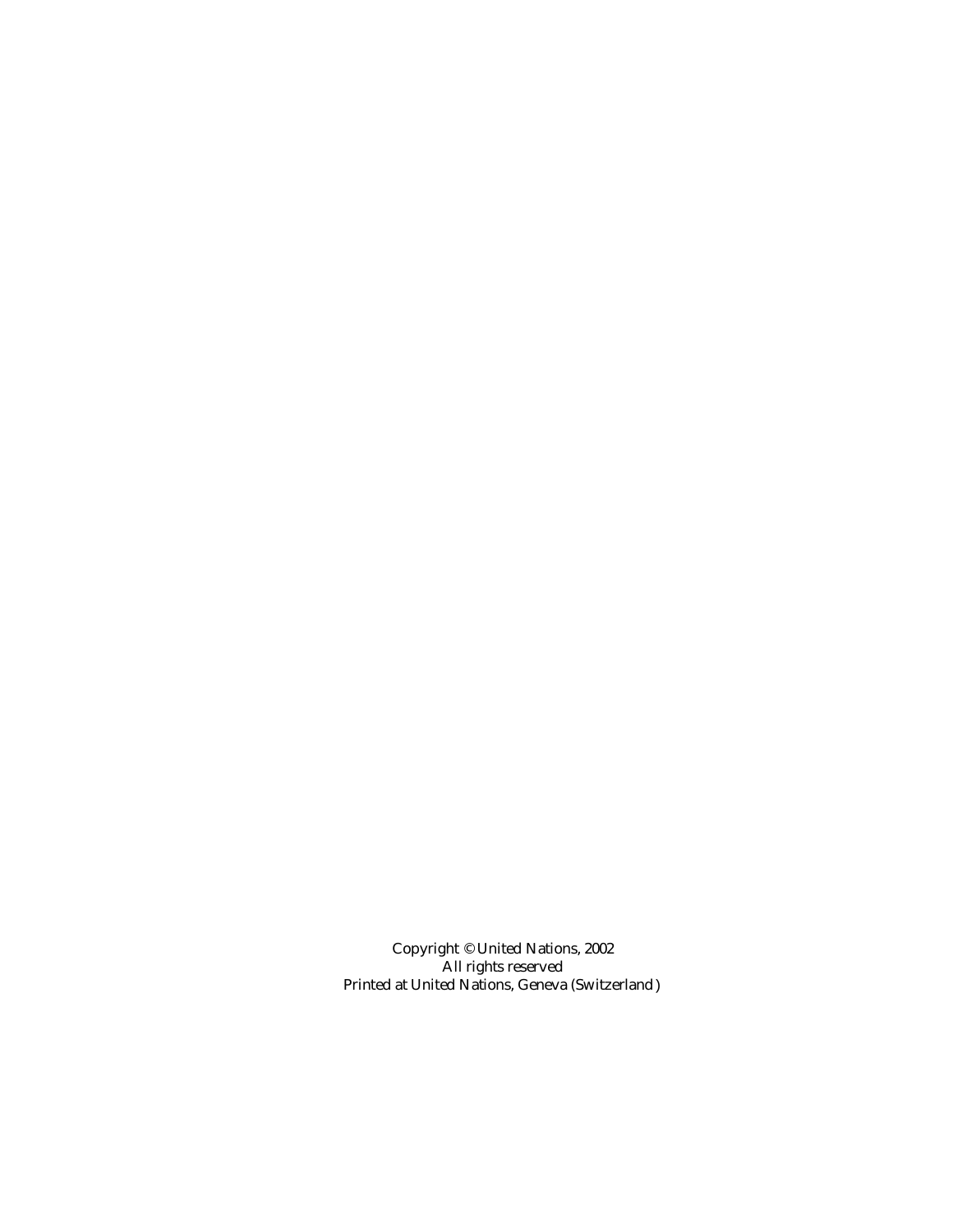Copyright © United Nations, 2002 All rights reserved Printed at United Nations, Geneva (Switzerland)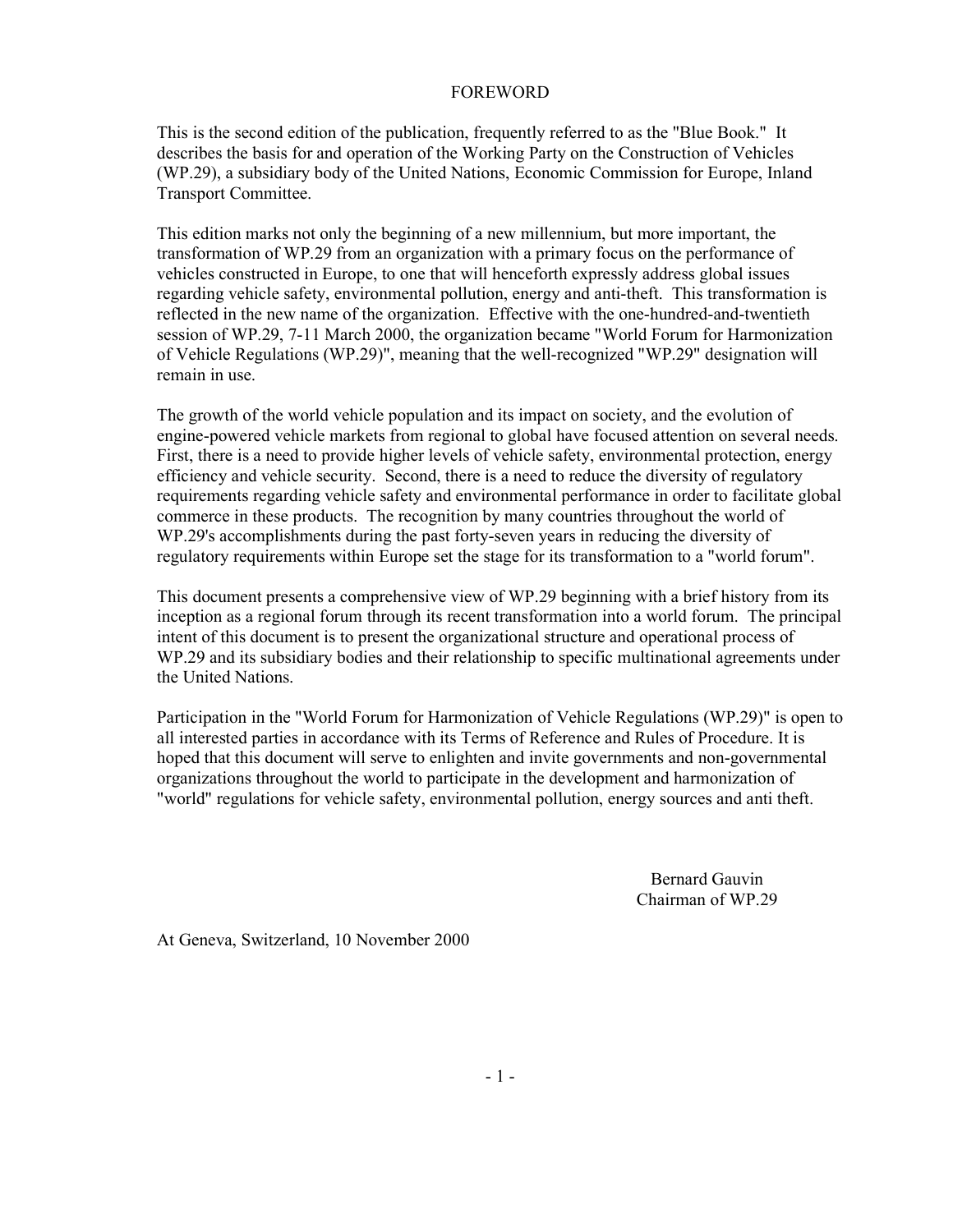### FOREWORD

This is the second edition of the publication, frequently referred to as the "Blue Book." It describes the basis for and operation of the Working Party on the Construction of Vehicles (WP.29), a subsidiary body of the United Nations, Economic Commission for Europe, Inland Transport Committee.

This edition marks not only the beginning of a new millennium, but more important, the transformation of WP.29 from an organization with a primary focus on the performance of vehicles constructed in Europe, to one that will henceforth expressly address global issues regarding vehicle safety, environmental pollution, energy and anti-theft. This transformation is reflected in the new name of the organization. Effective with the one-hundred-and-twentieth session of WP.29, 7-11 March 2000, the organization became "World Forum for Harmonization of Vehicle Regulations (WP.29)", meaning that the well-recognized "WP.29" designation will remain in use.

The growth of the world vehicle population and its impact on society, and the evolution of engine-powered vehicle markets from regional to global have focused attention on several needs. First, there is a need to provide higher levels of vehicle safety, environmental protection, energy efficiency and vehicle security. Second, there is a need to reduce the diversity of regulatory requirements regarding vehicle safety and environmental performance in order to facilitate global commerce in these products. The recognition by many countries throughout the world of WP.29's accomplishments during the past forty-seven years in reducing the diversity of regulatory requirements within Europe set the stage for its transformation to a "world forum".

This document presents a comprehensive view of WP.29 beginning with a brief history from its inception as a regional forum through its recent transformation into a world forum. The principal intent of this document is to present the organizational structure and operational process of WP.29 and its subsidiary bodies and their relationship to specific multinational agreements under the United Nations.

Participation in the "World Forum for Harmonization of Vehicle Regulations (WP.29)" is open to all interested parties in accordance with its Terms of Reference and Rules of Procedure. It is hoped that this document will serve to enlighten and invite governments and non-governmental organizations throughout the world to participate in the development and harmonization of "world" regulations for vehicle safety, environmental pollution, energy sources and anti theft.

> Bernard Gauvin Chairman of WP.29

At Geneva, Switzerland, 10 November 2000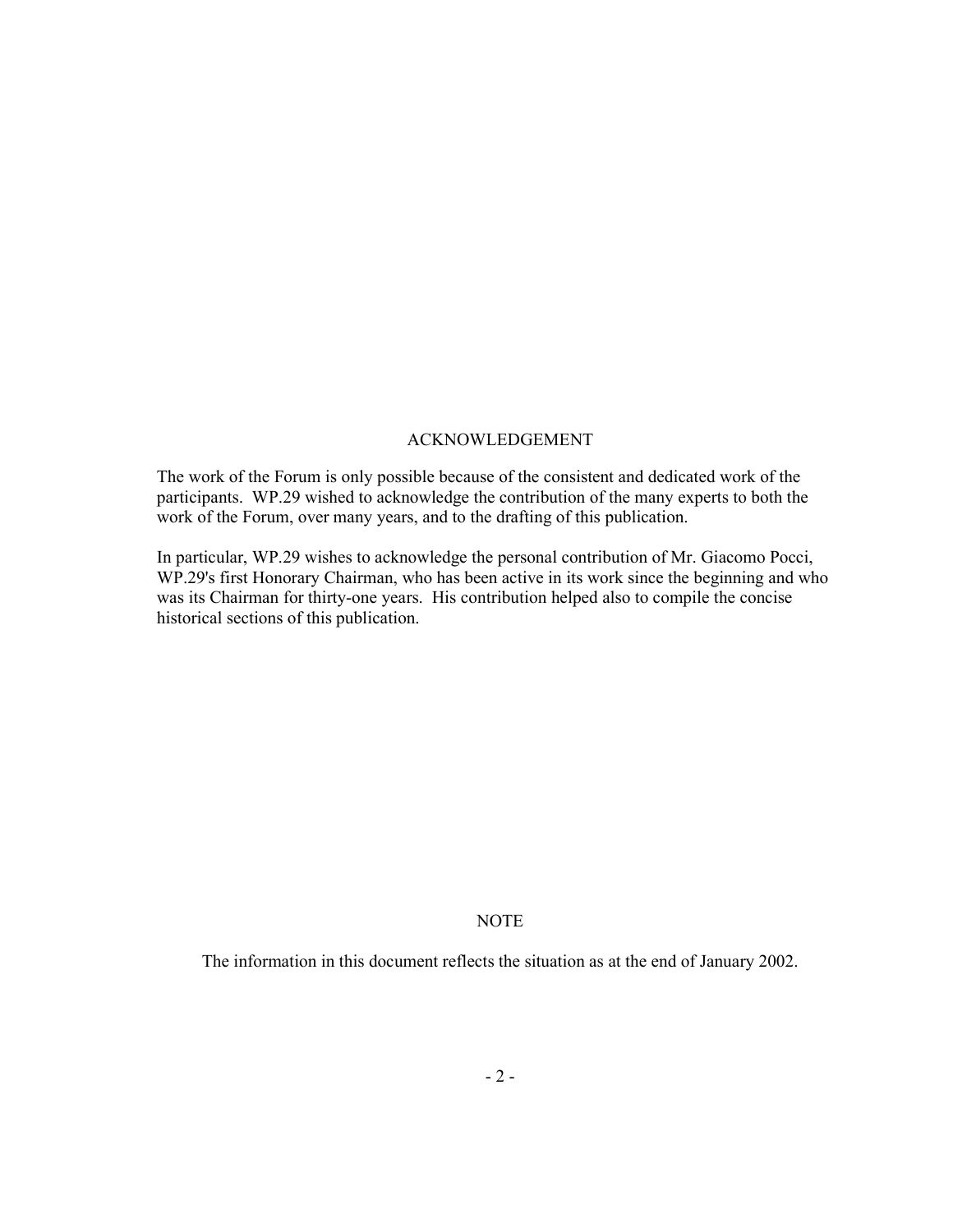# ACKNOWLEDGEMENT

The work of the Forum is only possible because of the consistent and dedicated work of the participants. WP.29 wished to acknowledge the contribution of the many experts to both the work of the Forum, over many years, and to the drafting of this publication.

In particular, WP.29 wishes to acknowledge the personal contribution of Mr. Giacomo Pocci, WP.29's first Honorary Chairman, who has been active in its work since the beginning and who was its Chairman for thirty-one years. His contribution helped also to compile the concise historical sections of this publication.

# NOTE

The information in this document reflects the situation as at the end of January 2002.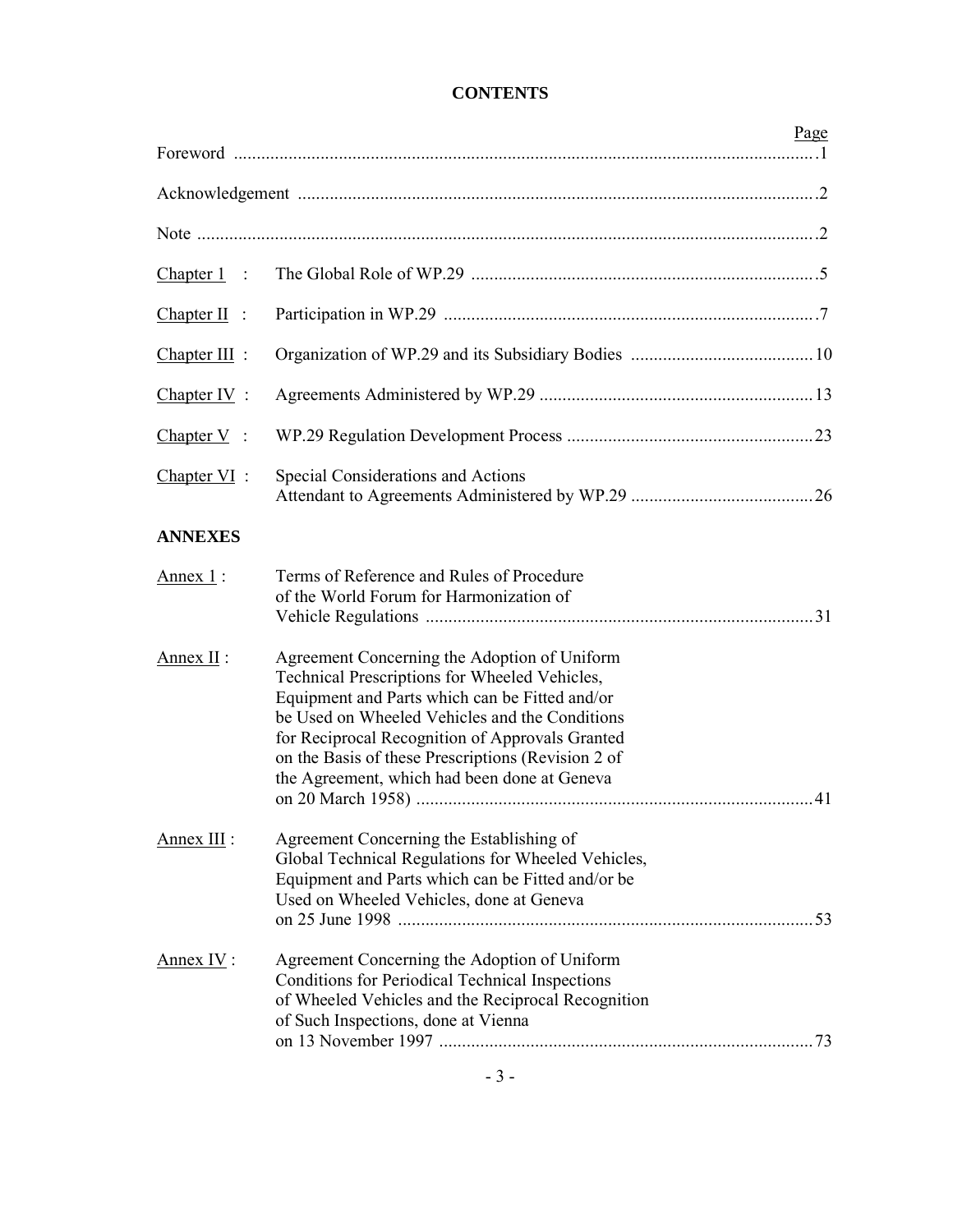|                 |                                                                                                                                                                                                                                                                                                                                                            | Page |
|-----------------|------------------------------------------------------------------------------------------------------------------------------------------------------------------------------------------------------------------------------------------------------------------------------------------------------------------------------------------------------------|------|
|                 |                                                                                                                                                                                                                                                                                                                                                            |      |
|                 |                                                                                                                                                                                                                                                                                                                                                            |      |
| $Chapter 1$ :   |                                                                                                                                                                                                                                                                                                                                                            |      |
| $Chapter II$ :  |                                                                                                                                                                                                                                                                                                                                                            |      |
| $Chapter III$ : |                                                                                                                                                                                                                                                                                                                                                            |      |
| $Chapter IV$ :  |                                                                                                                                                                                                                                                                                                                                                            |      |
| Chapter $V$ :   |                                                                                                                                                                                                                                                                                                                                                            |      |
| $Chapter VI$ :  | Special Considerations and Actions                                                                                                                                                                                                                                                                                                                         |      |
| <b>ANNEXES</b>  |                                                                                                                                                                                                                                                                                                                                                            |      |
| Annex $1$ :     | Terms of Reference and Rules of Procedure<br>of the World Forum for Harmonization of                                                                                                                                                                                                                                                                       |      |
| Annex $II$ :    | Agreement Concerning the Adoption of Uniform<br>Technical Prescriptions for Wheeled Vehicles,<br>Equipment and Parts which can be Fitted and/or<br>be Used on Wheeled Vehicles and the Conditions<br>for Reciprocal Recognition of Approvals Granted<br>on the Basis of these Prescriptions (Revision 2 of<br>the Agreement, which had been done at Geneva |      |
| Annex III :     | Agreement Concerning the Establishing of<br>Global Technical Regulations for Wheeled Vehicles,<br>Equipment and Parts which can be Fitted and/or be<br>Used on Wheeled Vehicles, done at Geneva                                                                                                                                                            |      |
| Annex IV:       | Agreement Concerning the Adoption of Uniform<br><b>Conditions for Periodical Technical Inspections</b><br>of Wheeled Vehicles and the Reciprocal Recognition<br>of Such Inspections, done at Vienna                                                                                                                                                        |      |

# **CONTENTS**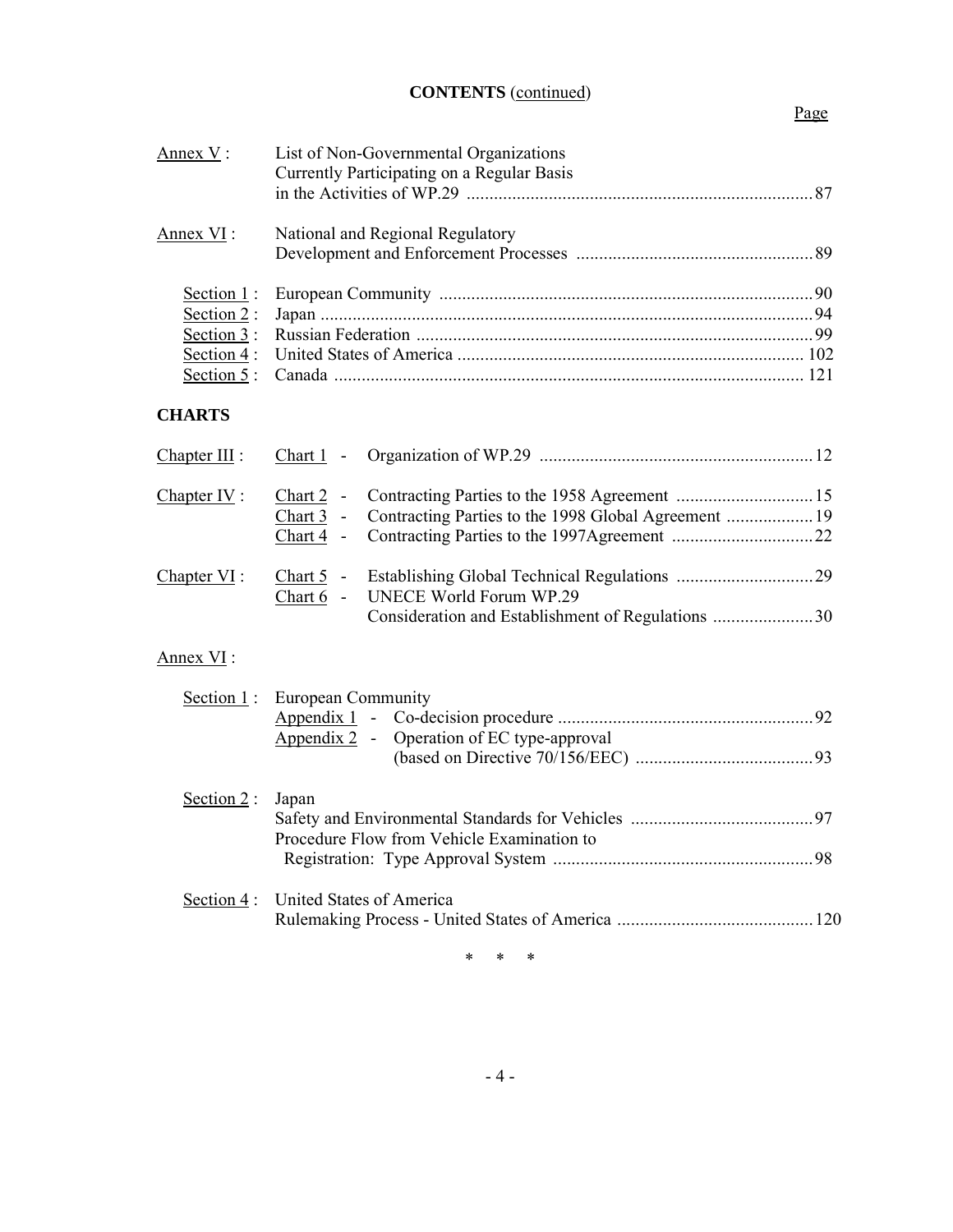# **CONTENTS** (continued)

# Page

| Annex V:                                                                  | List of Non-Governmental Organizations                                                      |  |  |
|---------------------------------------------------------------------------|---------------------------------------------------------------------------------------------|--|--|
|                                                                           | Currently Participating on a Regular Basis                                                  |  |  |
| Annex VI:                                                                 | National and Regional Regulatory                                                            |  |  |
| Section 1:<br>Section $2$ :<br>Section $3$ :<br>Section 4 :<br>Section 5: |                                                                                             |  |  |
| <b>CHARTS</b>                                                             |                                                                                             |  |  |
| Chapter III :                                                             | $Char1$ -                                                                                   |  |  |
| Chapter $IV$ :                                                            | Chart 2 -<br>Contracting Parties to the 1998 Global Agreement  19<br>Chart 3 -<br>Chart 4 - |  |  |
| Chapter $VI$ :                                                            | Chart 5 -<br>UNECE World Forum WP.29<br>Chart 6 -                                           |  |  |
| Annex VI:                                                                 |                                                                                             |  |  |
| Section $1$ :                                                             | <b>European Community</b><br>Operation of EC type-approval<br>Appendix $2 -$                |  |  |
| Section 2:                                                                | Japan<br>Procedure Flow from Vehicle Examination to                                         |  |  |
| Section 4:                                                                | United States of America                                                                    |  |  |

\* \* \*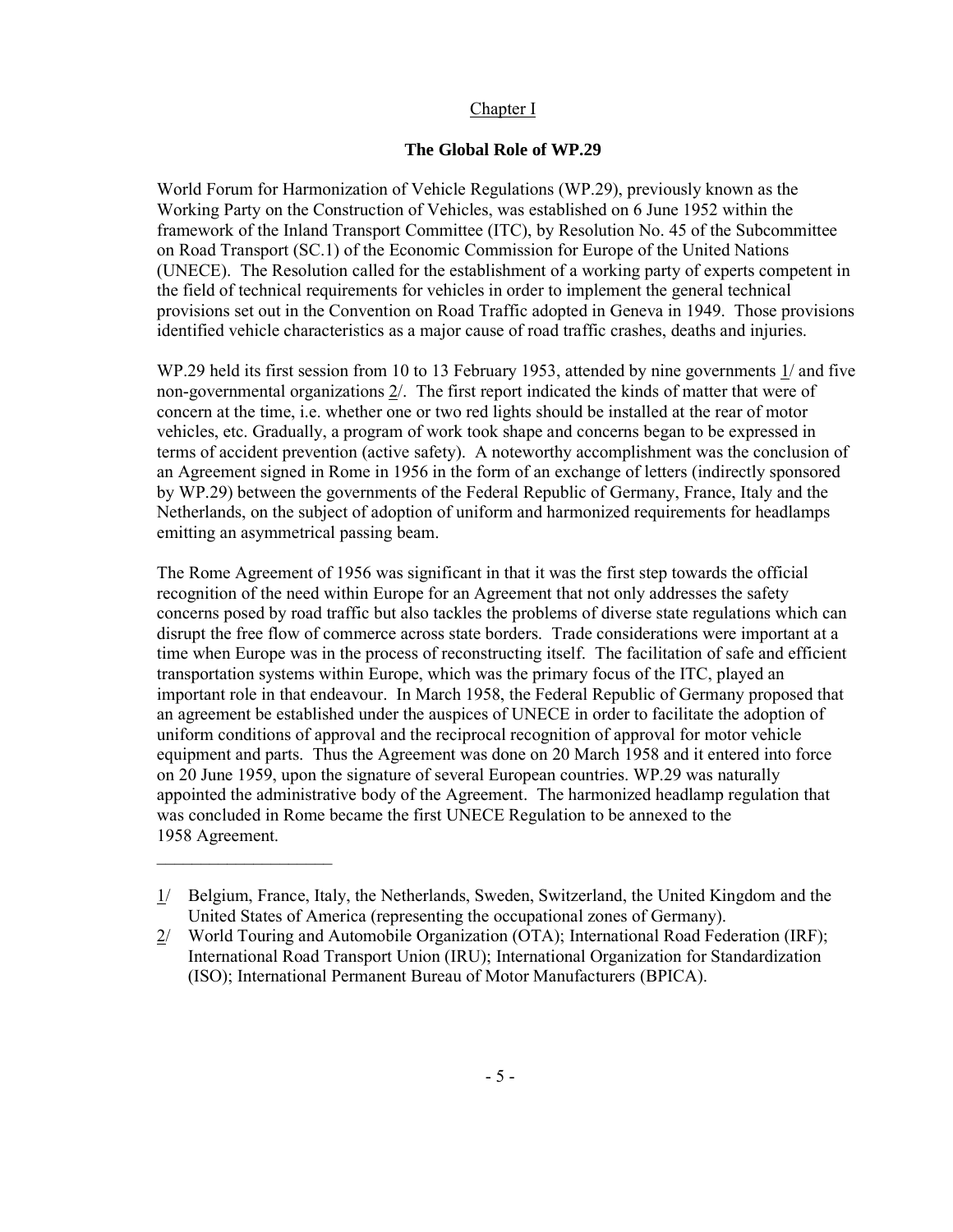# Chapter I

# **The Global Role of WP.29**

World Forum for Harmonization of Vehicle Regulations (WP.29), previously known as the Working Party on the Construction of Vehicles, was established on 6 June 1952 within the framework of the Inland Transport Committee (ITC), by Resolution No. 45 of the Subcommittee on Road Transport (SC.1) of the Economic Commission for Europe of the United Nations (UNECE). The Resolution called for the establishment of a working party of experts competent in the field of technical requirements for vehicles in order to implement the general technical provisions set out in the Convention on Road Traffic adopted in Geneva in 1949. Those provisions identified vehicle characteristics as a major cause of road traffic crashes, deaths and injuries.

WP.29 held its first session from 10 to 13 February 1953, attended by nine governments 1/ and five non-governmental organizations 2/. The first report indicated the kinds of matter that were of concern at the time, i.e. whether one or two red lights should be installed at the rear of motor vehicles, etc. Gradually, a program of work took shape and concerns began to be expressed in terms of accident prevention (active safety). A noteworthy accomplishment was the conclusion of an Agreement signed in Rome in 1956 in the form of an exchange of letters (indirectly sponsored by WP.29) between the governments of the Federal Republic of Germany, France, Italy and the Netherlands, on the subject of adoption of uniform and harmonized requirements for headlamps emitting an asymmetrical passing beam.

The Rome Agreement of 1956 was significant in that it was the first step towards the official recognition of the need within Europe for an Agreement that not only addresses the safety concerns posed by road traffic but also tackles the problems of diverse state regulations which can disrupt the free flow of commerce across state borders. Trade considerations were important at a time when Europe was in the process of reconstructing itself. The facilitation of safe and efficient transportation systems within Europe, which was the primary focus of the ITC, played an important role in that endeavour. In March 1958, the Federal Republic of Germany proposed that an agreement be established under the auspices of UNECE in order to facilitate the adoption of uniform conditions of approval and the reciprocal recognition of approval for motor vehicle equipment and parts. Thus the Agreement was done on 20 March 1958 and it entered into force on 20 June 1959, upon the signature of several European countries. WP.29 was naturally appointed the administrative body of the Agreement. The harmonized headlamp regulation that was concluded in Rome became the first UNECE Regulation to be annexed to the 1958 Agreement.

 $\_$ 

<sup>1/</sup> Belgium, France, Italy, the Netherlands, Sweden, Switzerland, the United Kingdom and the United States of America (representing the occupational zones of Germany).

<sup>2/</sup> World Touring and Automobile Organization (OTA); International Road Federation (IRF); International Road Transport Union (IRU); International Organization for Standardization (ISO); International Permanent Bureau of Motor Manufacturers (BPICA).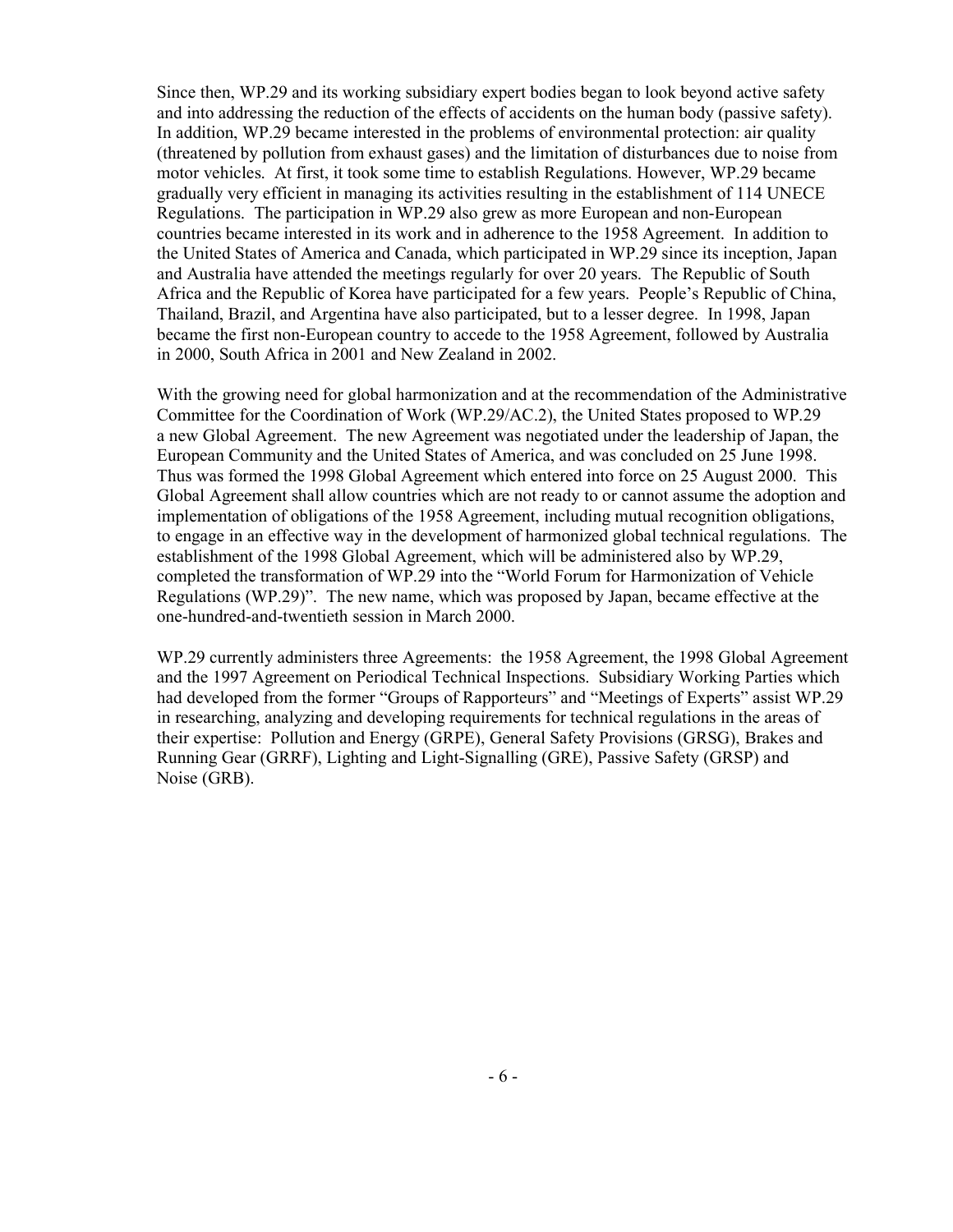Since then, WP.29 and its working subsidiary expert bodies began to look beyond active safety and into addressing the reduction of the effects of accidents on the human body (passive safety). In addition, WP.29 became interested in the problems of environmental protection: air quality (threatened by pollution from exhaust gases) and the limitation of disturbances due to noise from motor vehicles. At first, it took some time to establish Regulations. However, WP.29 became gradually very efficient in managing its activities resulting in the establishment of 114 UNECE Regulations. The participation in WP.29 also grew as more European and non-European countries became interested in its work and in adherence to the 1958 Agreement. In addition to the United States of America and Canada, which participated in WP.29 since its inception, Japan and Australia have attended the meetings regularly for over 20 years. The Republic of South Africa and the Republic of Korea have participated for a few years. People's Republic of China, Thailand, Brazil, and Argentina have also participated, but to a lesser degree. In 1998, Japan became the first non-European country to accede to the 1958 Agreement, followed by Australia in 2000, South Africa in 2001 and New Zealand in 2002.

With the growing need for global harmonization and at the recommendation of the Administrative Committee for the Coordination of Work (WP.29/AC.2), the United States proposed to WP.29 a new Global Agreement. The new Agreement was negotiated under the leadership of Japan, the European Community and the United States of America, and was concluded on 25 June 1998. Thus was formed the 1998 Global Agreement which entered into force on 25 August 2000. This Global Agreement shall allow countries which are not ready to or cannot assume the adoption and implementation of obligations of the 1958 Agreement, including mutual recognition obligations, to engage in an effective way in the development of harmonized global technical regulations. The establishment of the 1998 Global Agreement, which will be administered also by WP.29, completed the transformation of WP.29 into the "World Forum for Harmonization of Vehicle Regulations (WP.29)". The new name, which was proposed by Japan, became effective at the one-hundred-and-twentieth session in March 2000.

WP.29 currently administers three Agreements: the 1958 Agreement, the 1998 Global Agreement and the 1997 Agreement on Periodical Technical Inspections. Subsidiary Working Parties which had developed from the former "Groups of Rapporteurs" and "Meetings of Experts" assist WP.29 in researching, analyzing and developing requirements for technical regulations in the areas of their expertise: Pollution and Energy (GRPE), General Safety Provisions (GRSG), Brakes and Running Gear (GRRF), Lighting and Light-Signalling (GRE), Passive Safety (GRSP) and Noise (GRB).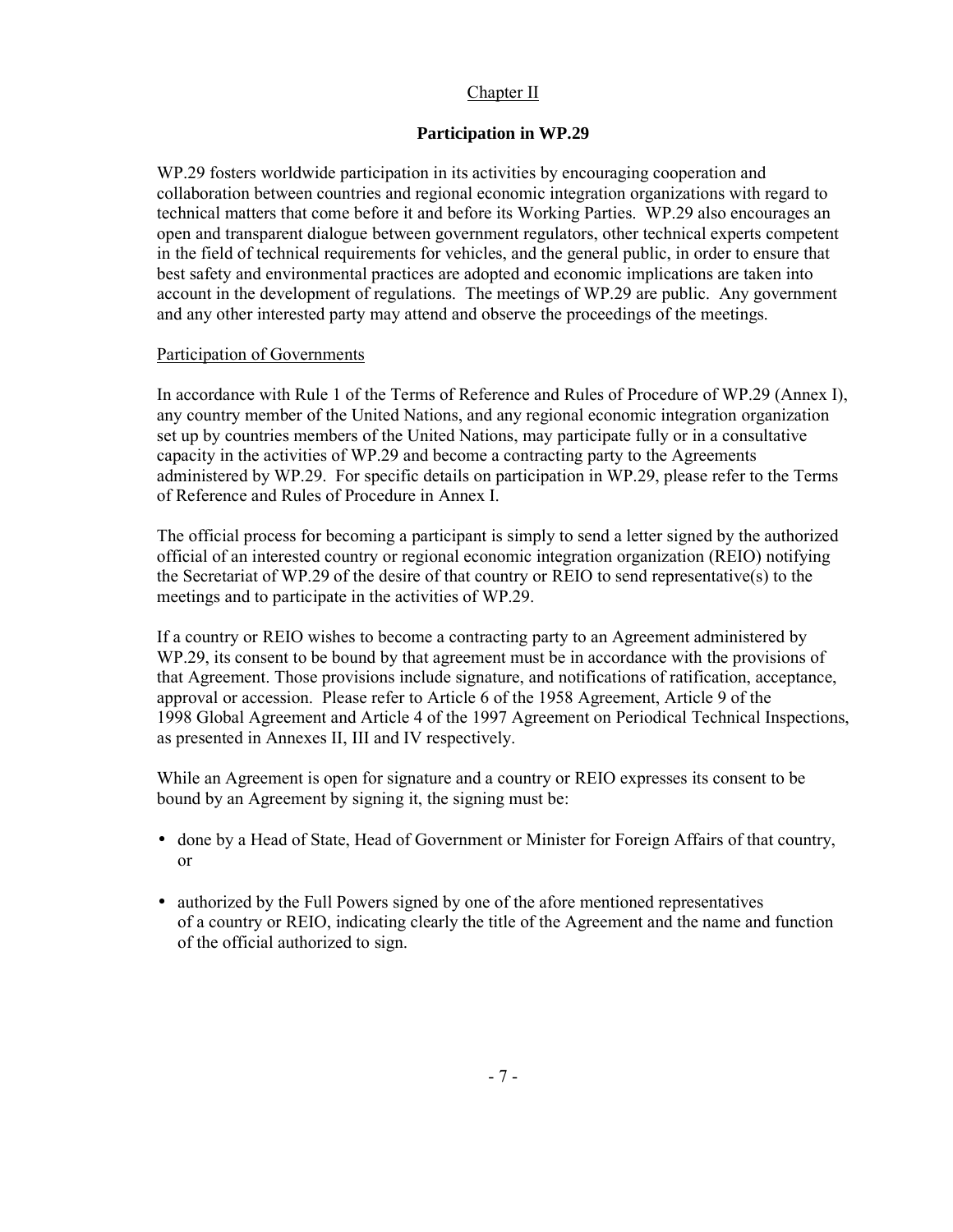# Chapter II

# **Participation in WP.29**

WP.29 fosters worldwide participation in its activities by encouraging cooperation and collaboration between countries and regional economic integration organizations with regard to technical matters that come before it and before its Working Parties. WP.29 also encourages an open and transparent dialogue between government regulators, other technical experts competent in the field of technical requirements for vehicles, and the general public, in order to ensure that best safety and environmental practices are adopted and economic implications are taken into account in the development of regulations. The meetings of WP.29 are public. Any government and any other interested party may attend and observe the proceedings of the meetings.

# Participation of Governments

In accordance with Rule 1 of the Terms of Reference and Rules of Procedure of WP.29 (Annex I), any country member of the United Nations, and any regional economic integration organization set up by countries members of the United Nations, may participate fully or in a consultative capacity in the activities of WP.29 and become a contracting party to the Agreements administered by WP.29. For specific details on participation in WP.29, please refer to the Terms of Reference and Rules of Procedure in Annex I.

The official process for becoming a participant is simply to send a letter signed by the authorized official of an interested country or regional economic integration organization (REIO) notifying the Secretariat of WP.29 of the desire of that country or REIO to send representative(s) to the meetings and to participate in the activities of WP.29.

If a country or REIO wishes to become a contracting party to an Agreement administered by WP.29, its consent to be bound by that agreement must be in accordance with the provisions of that Agreement. Those provisions include signature, and notifications of ratification, acceptance, approval or accession. Please refer to Article 6 of the 1958 Agreement, Article 9 of the 1998 Global Agreement and Article 4 of the 1997 Agreement on Periodical Technical Inspections, as presented in Annexes II, III and IV respectively.

While an Agreement is open for signature and a country or REIO expresses its consent to be bound by an Agreement by signing it, the signing must be:

- done by a Head of State, Head of Government or Minister for Foreign Affairs of that country, or
- authorized by the Full Powers signed by one of the afore mentioned representatives of a country or REIO, indicating clearly the title of the Agreement and the name and function of the official authorized to sign.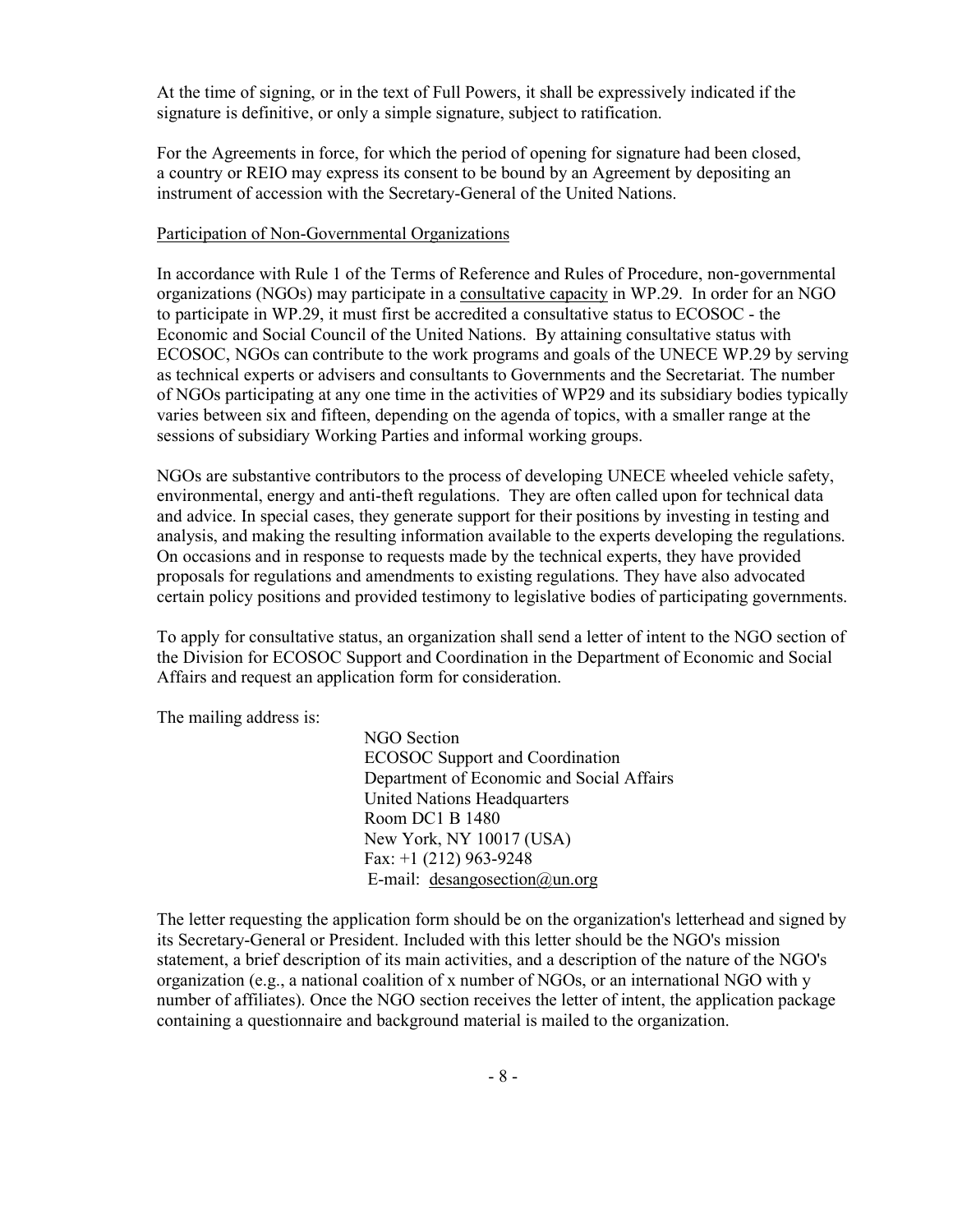At the time of signing, or in the text of Full Powers, it shall be expressively indicated if the signature is definitive, or only a simple signature, subject to ratification.

For the Agreements in force, for which the period of opening for signature had been closed, a country or REIO may express its consent to be bound by an Agreement by depositing an instrument of accession with the Secretary-General of the United Nations.

### Participation of Non-Governmental Organizations

In accordance with Rule 1 of the Terms of Reference and Rules of Procedure, non-governmental organizations (NGOs) may participate in a consultative capacity in WP.29. In order for an NGO to participate in WP.29, it must first be accredited a consultative status to ECOSOC - the Economic and Social Council of the United Nations. By attaining consultative status with ECOSOC, NGOs can contribute to the work programs and goals of the UNECE WP.29 by serving as technical experts or advisers and consultants to Governments and the Secretariat. The number of NGOs participating at any one time in the activities of WP29 and its subsidiary bodies typically varies between six and fifteen, depending on the agenda of topics, with a smaller range at the sessions of subsidiary Working Parties and informal working groups.

NGOs are substantive contributors to the process of developing UNECE wheeled vehicle safety, environmental, energy and anti-theft regulations. They are often called upon for technical data and advice. In special cases, they generate support for their positions by investing in testing and analysis, and making the resulting information available to the experts developing the regulations. On occasions and in response to requests made by the technical experts, they have provided proposals for regulations and amendments to existing regulations. They have also advocated certain policy positions and provided testimony to legislative bodies of participating governments.

To apply for consultative status, an organization shall send a letter of intent to the NGO section of the Division for ECOSOC Support and Coordination in the Department of Economic and Social Affairs and request an application form for consideration.

The mailing address is:

NGO Section ECOSOC Support and Coordination Department of Economic and Social Affairs United Nations Headquarters Room DC1 B 1480 New York, NY 10017 (USA) Fax: +1 (212) 963-9248 E-mail: desangosection@un.org

The letter requesting the application form should be on the organization's letterhead and signed by its Secretary-General or President. Included with this letter should be the NGO's mission statement, a brief description of its main activities, and a description of the nature of the NGO's organization (e.g., a national coalition of x number of NGOs, or an international NGO with y number of affiliates). Once the NGO section receives the letter of intent, the application package containing a questionnaire and background material is mailed to the organization.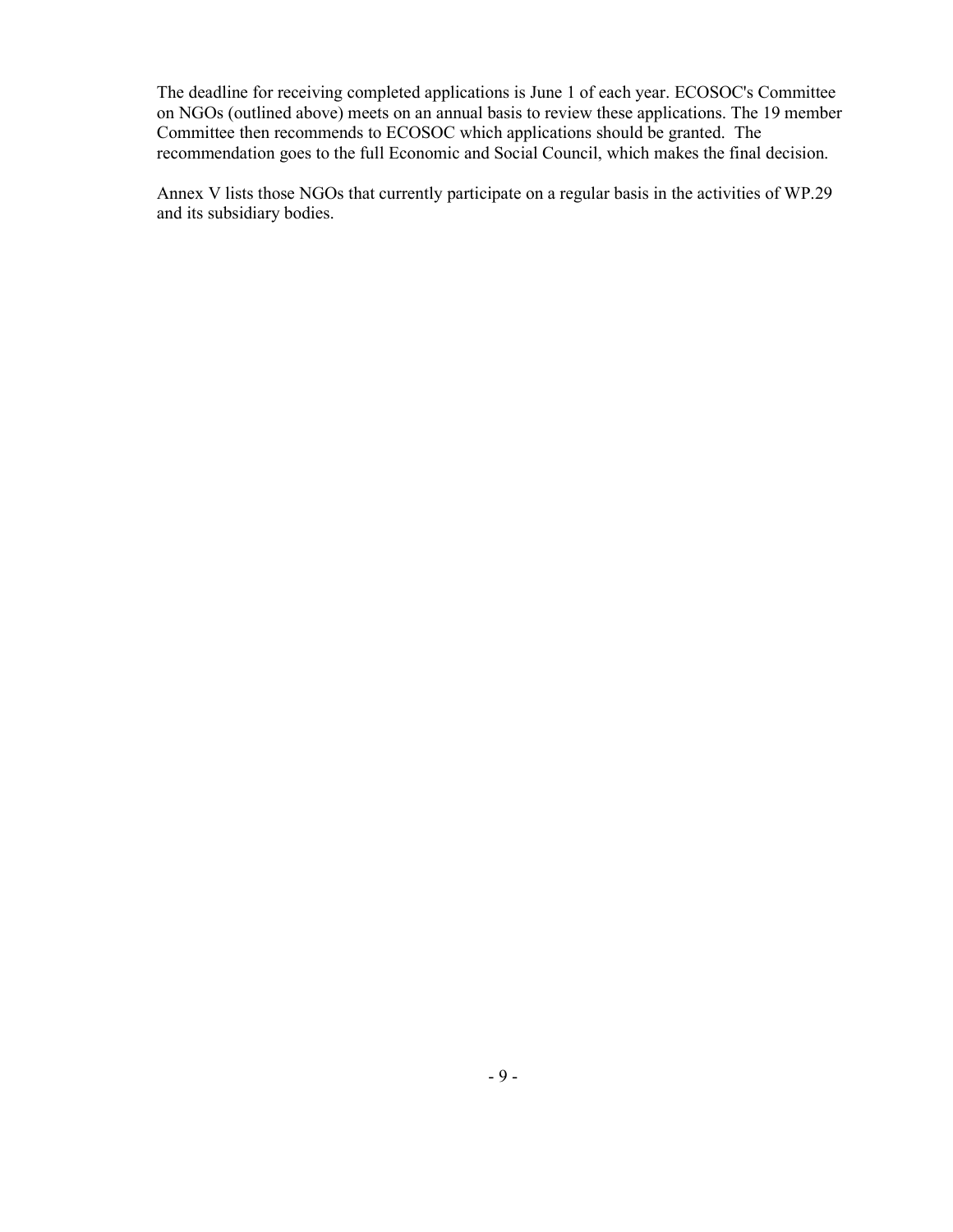The deadline for receiving completed applications is June 1 of each year. ECOSOC's Committee on NGOs (outlined above) meets on an annual basis to review these applications. The 19 member Committee then recommends to ECOSOC which applications should be granted. The recommendation goes to the full Economic and Social Council, which makes the final decision.

Annex V lists those NGOs that currently participate on a regular basis in the activities of WP.29 and its subsidiary bodies.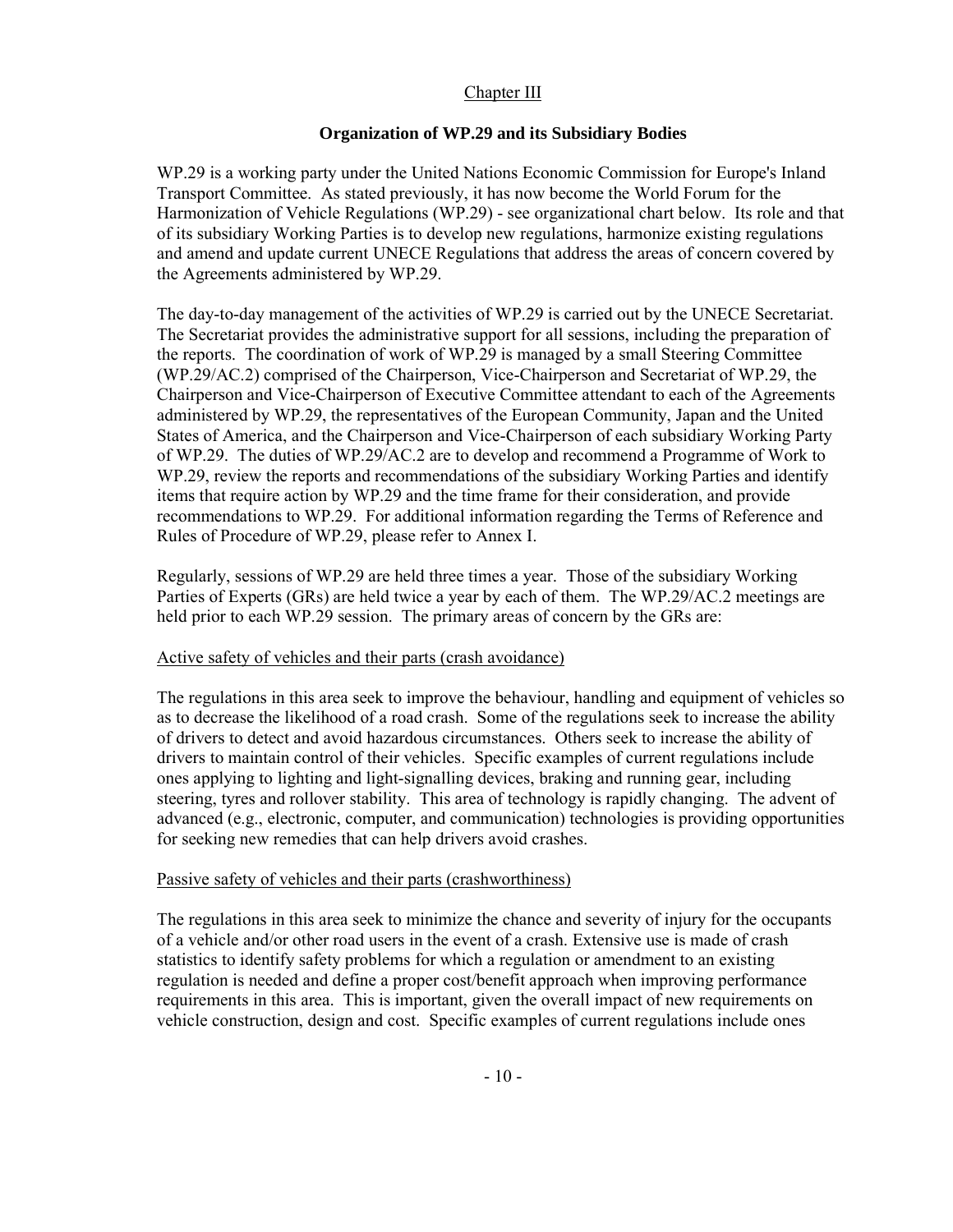# Chapter III

# **Organization of WP.29 and its Subsidiary Bodies**

WP.29 is a working party under the United Nations Economic Commission for Europe's Inland Transport Committee. As stated previously, it has now become the World Forum for the Harmonization of Vehicle Regulations (WP.29) - see organizational chart below. Its role and that of its subsidiary Working Parties is to develop new regulations, harmonize existing regulations and amend and update current UNECE Regulations that address the areas of concern covered by the Agreements administered by WP.29.

The day-to-day management of the activities of WP.29 is carried out by the UNECE Secretariat. The Secretariat provides the administrative support for all sessions, including the preparation of the reports. The coordination of work of WP.29 is managed by a small Steering Committee (WP.29/AC.2) comprised of the Chairperson, Vice-Chairperson and Secretariat of WP.29, the Chairperson and Vice-Chairperson of Executive Committee attendant to each of the Agreements administered by WP.29, the representatives of the European Community, Japan and the United States of America, and the Chairperson and Vice-Chairperson of each subsidiary Working Party of WP.29. The duties of WP.29/AC.2 are to develop and recommend a Programme of Work to WP.29, review the reports and recommendations of the subsidiary Working Parties and identify items that require action by WP.29 and the time frame for their consideration, and provide recommendations to WP.29. For additional information regarding the Terms of Reference and Rules of Procedure of WP.29, please refer to Annex I.

Regularly, sessions of WP.29 are held three times a year. Those of the subsidiary Working Parties of Experts (GRs) are held twice a year by each of them. The WP.29/AC.2 meetings are held prior to each WP.29 session. The primary areas of concern by the GRs are:

# Active safety of vehicles and their parts (crash avoidance)

The regulations in this area seek to improve the behaviour, handling and equipment of vehicles so as to decrease the likelihood of a road crash. Some of the regulations seek to increase the ability of drivers to detect and avoid hazardous circumstances. Others seek to increase the ability of drivers to maintain control of their vehicles. Specific examples of current regulations include ones applying to lighting and light-signalling devices, braking and running gear, including steering, tyres and rollover stability. This area of technology is rapidly changing. The advent of advanced (e.g., electronic, computer, and communication) technologies is providing opportunities for seeking new remedies that can help drivers avoid crashes.

# Passive safety of vehicles and their parts (crashworthiness)

The regulations in this area seek to minimize the chance and severity of injury for the occupants of a vehicle and/or other road users in the event of a crash. Extensive use is made of crash statistics to identify safety problems for which a regulation or amendment to an existing regulation is needed and define a proper cost/benefit approach when improving performance requirements in this area. This is important, given the overall impact of new requirements on vehicle construction, design and cost. Specific examples of current regulations include ones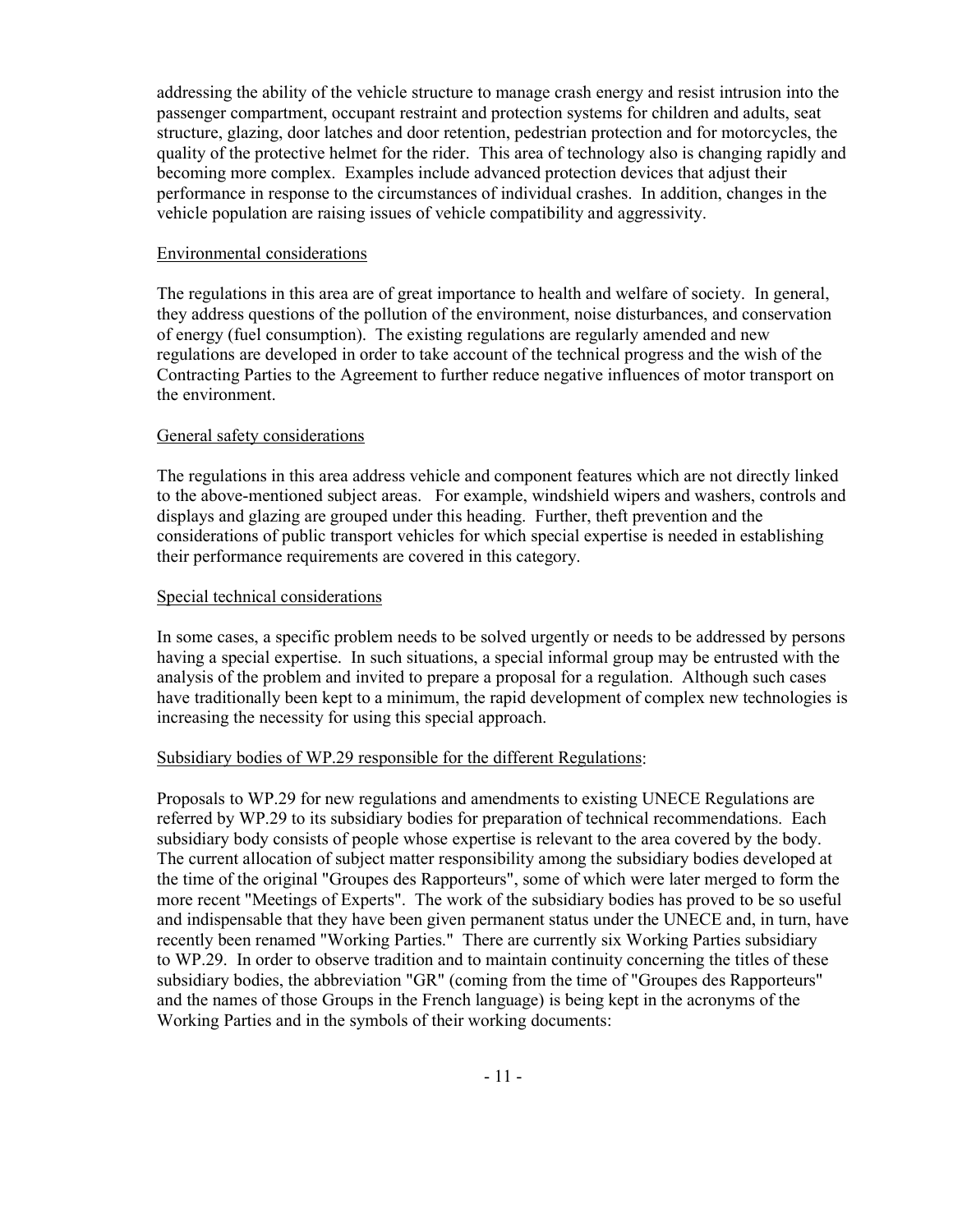addressing the ability of the vehicle structure to manage crash energy and resist intrusion into the passenger compartment, occupant restraint and protection systems for children and adults, seat structure, glazing, door latches and door retention, pedestrian protection and for motorcycles, the quality of the protective helmet for the rider. This area of technology also is changing rapidly and becoming more complex. Examples include advanced protection devices that adjust their performance in response to the circumstances of individual crashes. In addition, changes in the vehicle population are raising issues of vehicle compatibility and aggressivity.

# Environmental considerations

The regulations in this area are of great importance to health and welfare of society. In general, they address questions of the pollution of the environment, noise disturbances, and conservation of energy (fuel consumption). The existing regulations are regularly amended and new regulations are developed in order to take account of the technical progress and the wish of the Contracting Parties to the Agreement to further reduce negative influences of motor transport on the environment.

# General safety considerations

The regulations in this area address vehicle and component features which are not directly linked to the above-mentioned subject areas. For example, windshield wipers and washers, controls and displays and glazing are grouped under this heading. Further, theft prevention and the considerations of public transport vehicles for which special expertise is needed in establishing their performance requirements are covered in this category.

# Special technical considerations

In some cases, a specific problem needs to be solved urgently or needs to be addressed by persons having a special expertise. In such situations, a special informal group may be entrusted with the analysis of the problem and invited to prepare a proposal for a regulation. Although such cases have traditionally been kept to a minimum, the rapid development of complex new technologies is increasing the necessity for using this special approach.

### Subsidiary bodies of WP.29 responsible for the different Regulations:

Proposals to WP.29 for new regulations and amendments to existing UNECE Regulations are referred by WP.29 to its subsidiary bodies for preparation of technical recommendations. Each subsidiary body consists of people whose expertise is relevant to the area covered by the body. The current allocation of subject matter responsibility among the subsidiary bodies developed at the time of the original "Groupes des Rapporteurs", some of which were later merged to form the more recent "Meetings of Experts". The work of the subsidiary bodies has proved to be so useful and indispensable that they have been given permanent status under the UNECE and, in turn, have recently been renamed "Working Parties." There are currently six Working Parties subsidiary to WP.29. In order to observe tradition and to maintain continuity concerning the titles of these subsidiary bodies, the abbreviation "GR" (coming from the time of "Groupes des Rapporteurs" and the names of those Groups in the French language) is being kept in the acronyms of the Working Parties and in the symbols of their working documents: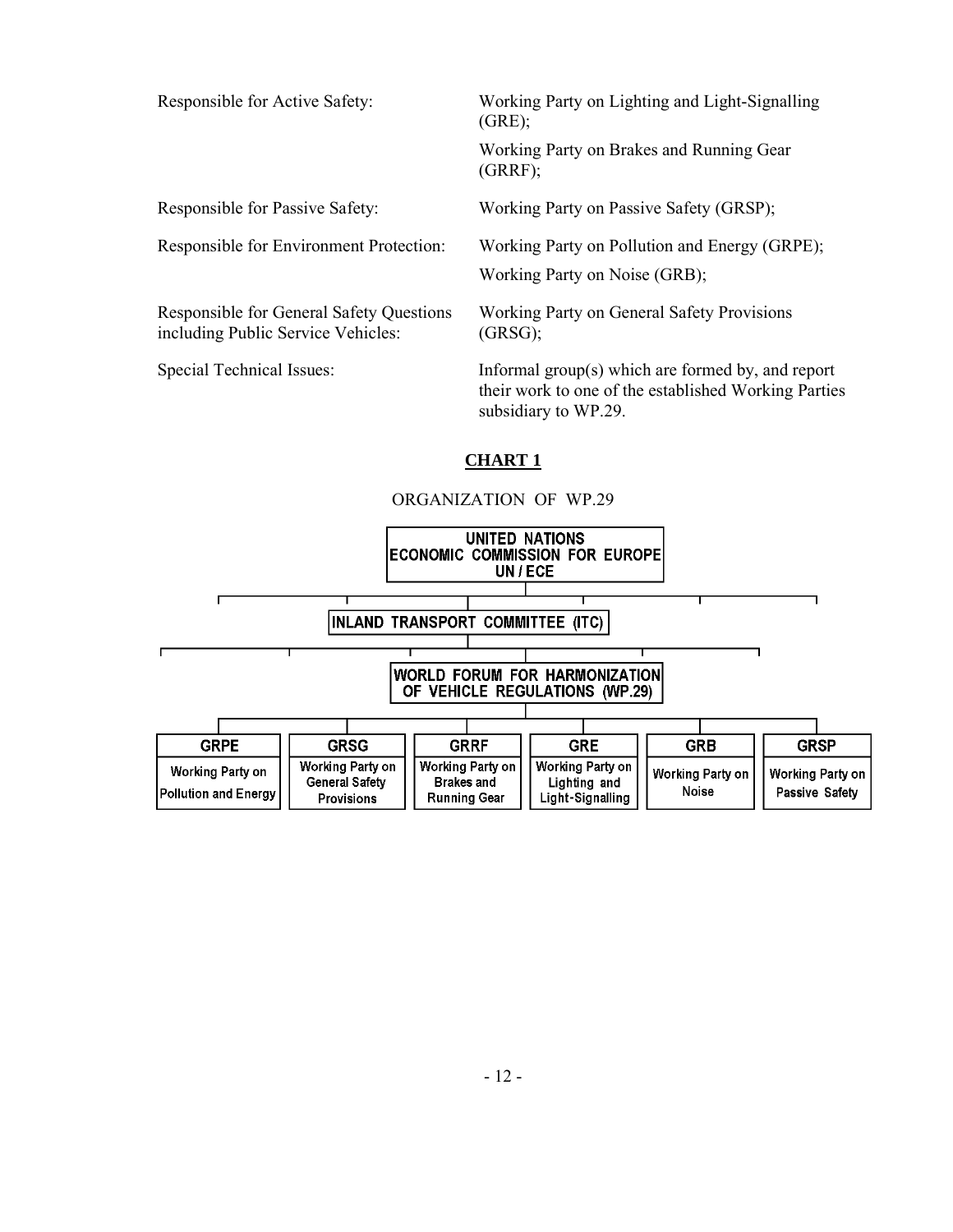Responsible for Active Safety: Working Party on Lighting and Light-Signalling

 $(GRE)$ ;

Working Party on Brakes and Running Gear (GRRF);

Responsible for General Safety Questions including Public Service Vehicles:

Responsible for Passive Safety: Working Party on Passive Safety (GRSP);

Responsible for Environment Protection: Working Party on Pollution and Energy (GRPE);

Working Party on Noise (GRB);

Working Party on General Safety Provisions (GRSG);

Special Technical Issues: Informal group(s) which are formed by, and report their work to one of the established Working Parties subsidiary to WP.29.

# **CHART 1**

# ORGANIZATION OF WP.29

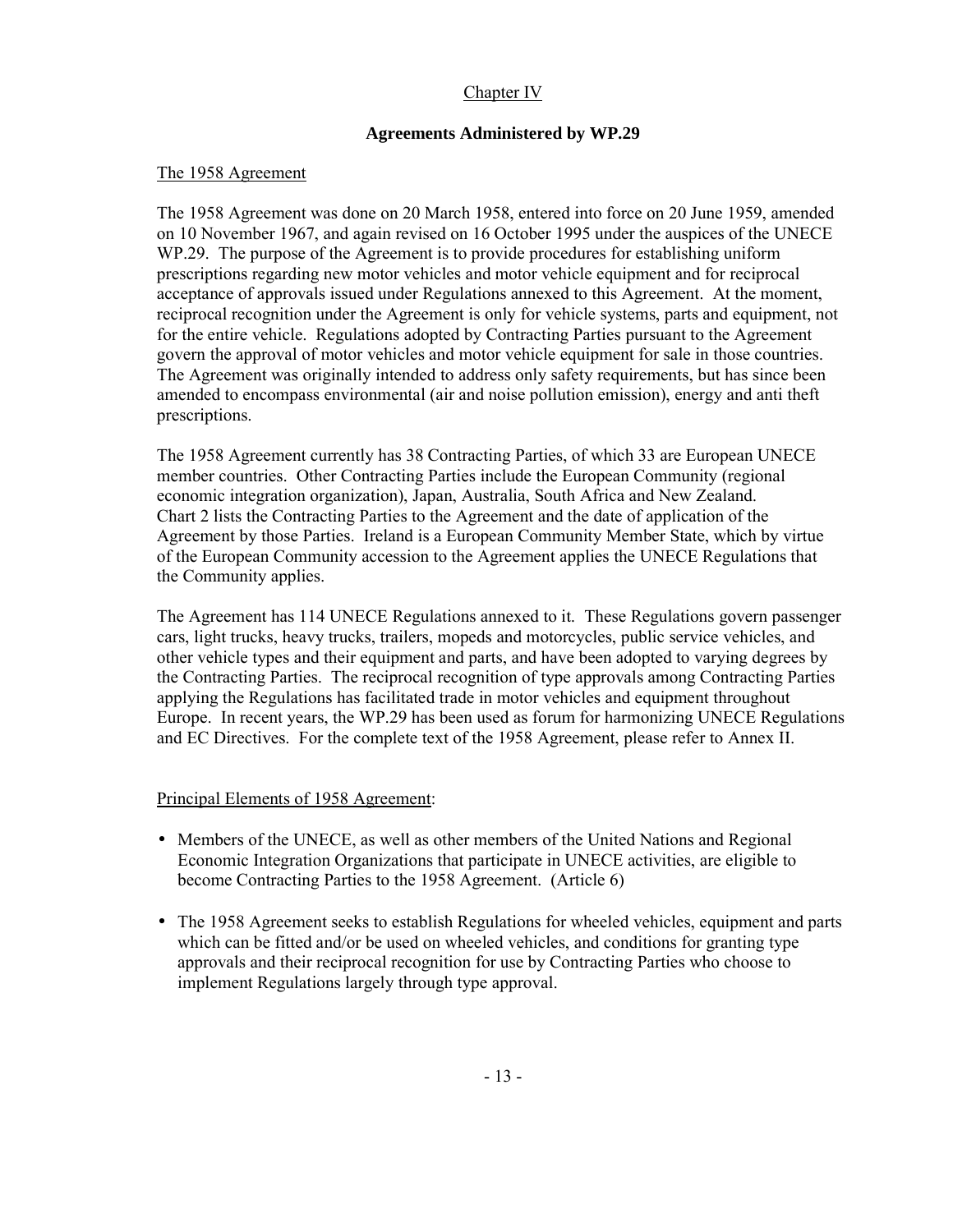# Chapter IV

# **Agreements Administered by WP.29**

# The 1958 Agreement

The 1958 Agreement was done on 20 March 1958, entered into force on 20 June 1959, amended on 10 November 1967, and again revised on 16 October 1995 under the auspices of the UNECE WP.29. The purpose of the Agreement is to provide procedures for establishing uniform prescriptions regarding new motor vehicles and motor vehicle equipment and for reciprocal acceptance of approvals issued under Regulations annexed to this Agreement. At the moment, reciprocal recognition under the Agreement is only for vehicle systems, parts and equipment, not for the entire vehicle. Regulations adopted by Contracting Parties pursuant to the Agreement govern the approval of motor vehicles and motor vehicle equipment for sale in those countries. The Agreement was originally intended to address only safety requirements, but has since been amended to encompass environmental (air and noise pollution emission), energy and anti theft prescriptions.

The 1958 Agreement currently has 38 Contracting Parties, of which 33 are European UNECE member countries. Other Contracting Parties include the European Community (regional economic integration organization), Japan, Australia, South Africa and New Zealand. Chart 2 lists the Contracting Parties to the Agreement and the date of application of the Agreement by those Parties. Ireland is a European Community Member State, which by virtue of the European Community accession to the Agreement applies the UNECE Regulations that the Community applies.

The Agreement has 114 UNECE Regulations annexed to it. These Regulations govern passenger cars, light trucks, heavy trucks, trailers, mopeds and motorcycles, public service vehicles, and other vehicle types and their equipment and parts, and have been adopted to varying degrees by the Contracting Parties. The reciprocal recognition of type approvals among Contracting Parties applying the Regulations has facilitated trade in motor vehicles and equipment throughout Europe. In recent years, the WP.29 has been used as forum for harmonizing UNECE Regulations and EC Directives. For the complete text of the 1958 Agreement, please refer to Annex II.

# Principal Elements of 1958 Agreement:

- Members of the UNECE, as well as other members of the United Nations and Regional Economic Integration Organizations that participate in UNECE activities, are eligible to become Contracting Parties to the 1958 Agreement. (Article 6)
- The 1958 Agreement seeks to establish Regulations for wheeled vehicles, equipment and parts which can be fitted and/or be used on wheeled vehicles, and conditions for granting type approvals and their reciprocal recognition for use by Contracting Parties who choose to implement Regulations largely through type approval.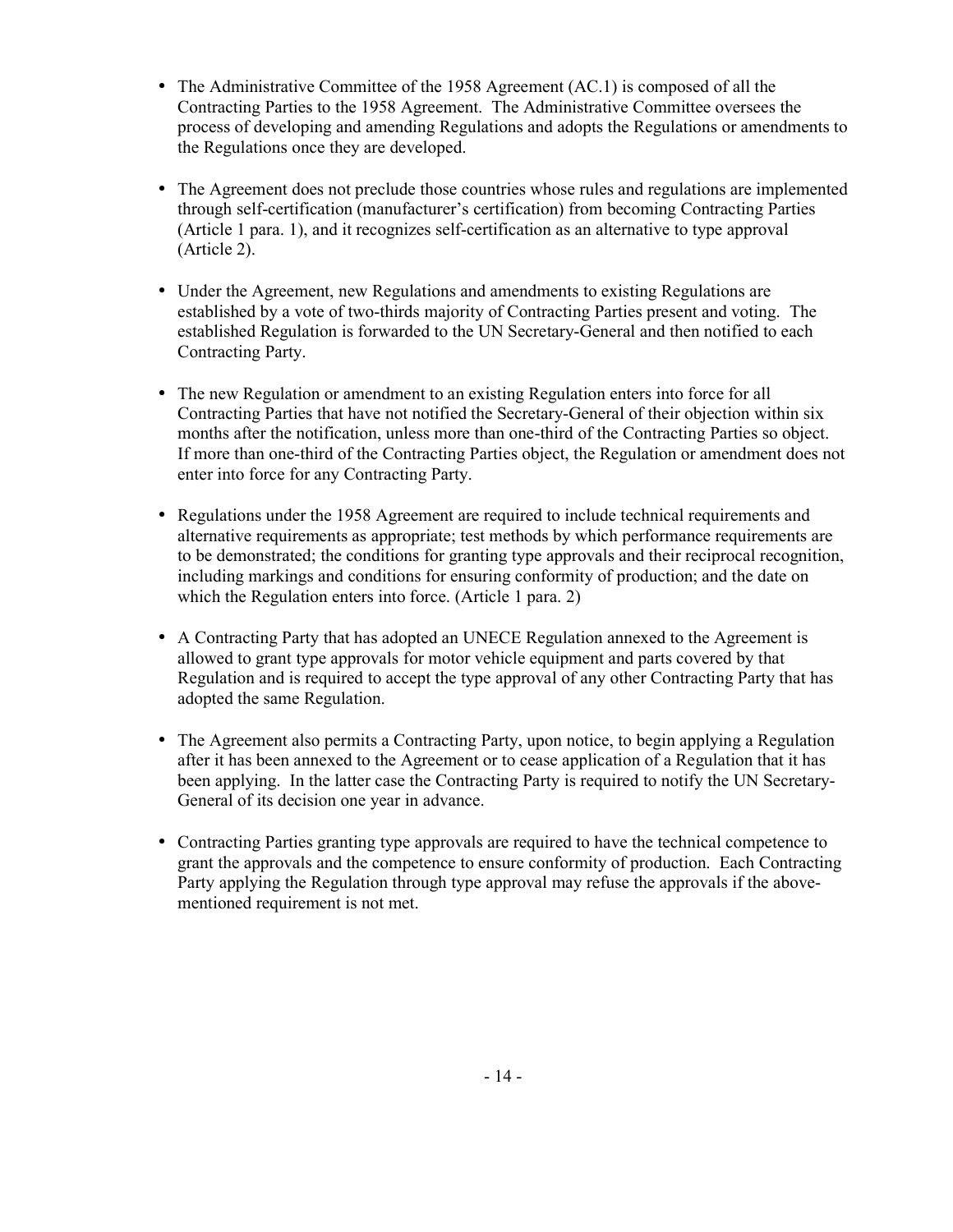- The Administrative Committee of the 1958 Agreement (AC.1) is composed of all the Contracting Parties to the 1958 Agreement. The Administrative Committee oversees the process of developing and amending Regulations and adopts the Regulations or amendments to the Regulations once they are developed.
- The Agreement does not preclude those countries whose rules and regulations are implemented through self-certification (manufacturer's certification) from becoming Contracting Parties (Article 1 para. 1), and it recognizes self-certification as an alternative to type approval (Article 2).
- Under the Agreement, new Regulations and amendments to existing Regulations are established by a vote of two-thirds majority of Contracting Parties present and voting. The established Regulation is forwarded to the UN Secretary-General and then notified to each Contracting Party.
- The new Regulation or amendment to an existing Regulation enters into force for all Contracting Parties that have not notified the Secretary-General of their objection within six months after the notification, unless more than one-third of the Contracting Parties so object. If more than one-third of the Contracting Parties object, the Regulation or amendment does not enter into force for any Contracting Party.
- Regulations under the 1958 Agreement are required to include technical requirements and alternative requirements as appropriate; test methods by which performance requirements are to be demonstrated; the conditions for granting type approvals and their reciprocal recognition, including markings and conditions for ensuring conformity of production; and the date on which the Regulation enters into force. (Article 1 para. 2)
- A Contracting Party that has adopted an UNECE Regulation annexed to the Agreement is allowed to grant type approvals for motor vehicle equipment and parts covered by that Regulation and is required to accept the type approval of any other Contracting Party that has adopted the same Regulation.
- The Agreement also permits a Contracting Party, upon notice, to begin applying a Regulation after it has been annexed to the Agreement or to cease application of a Regulation that it has been applying. In the latter case the Contracting Party is required to notify the UN Secretary-General of its decision one year in advance.
- Contracting Parties granting type approvals are required to have the technical competence to grant the approvals and the competence to ensure conformity of production. Each Contracting Party applying the Regulation through type approval may refuse the approvals if the abovementioned requirement is not met.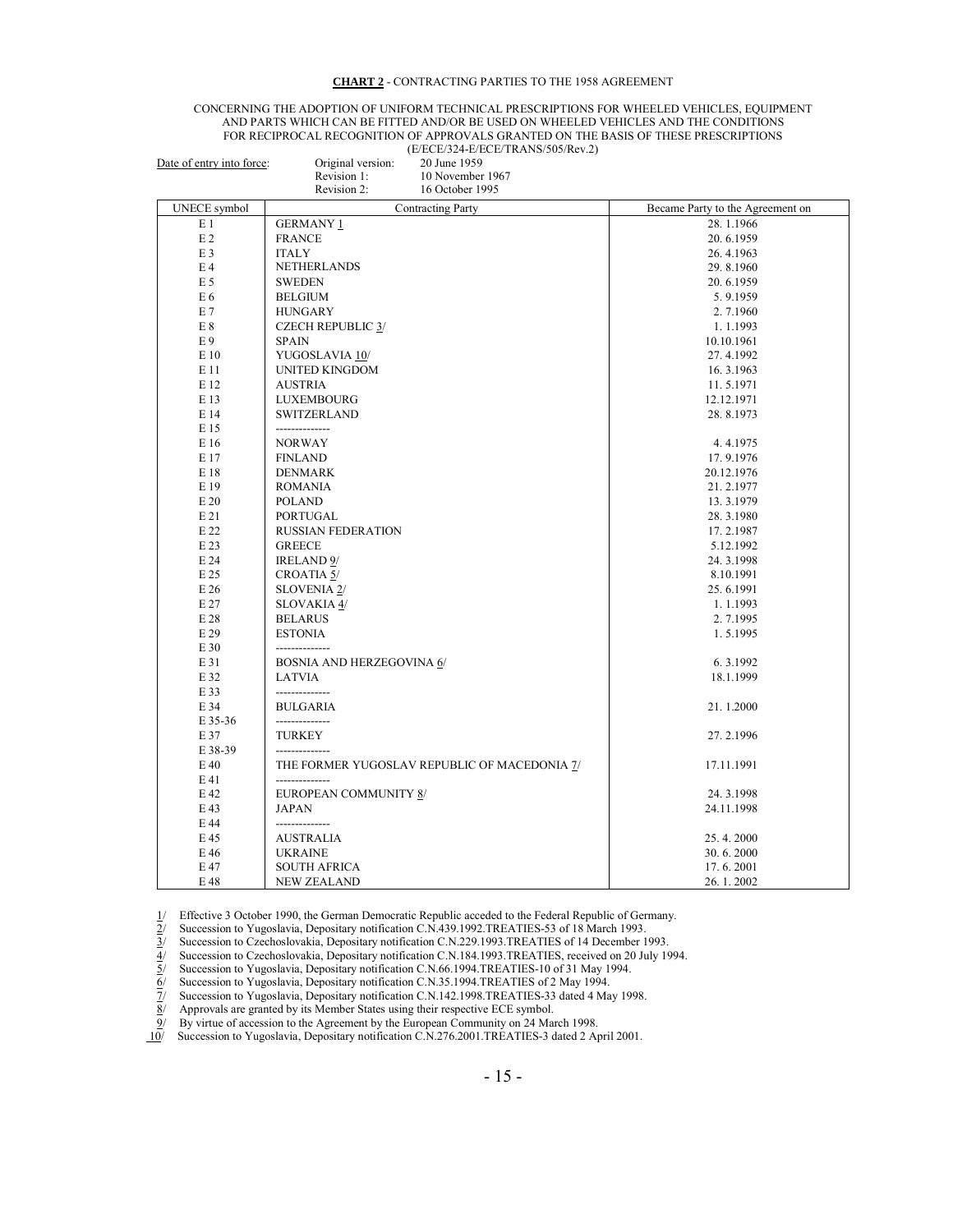#### **CHART 2** - CONTRACTING PARTIES TO THE 1958 AGREEMENT

#### CONCERNING THE ADOPTION OF UNIFORM TECHNICAL PRESCRIPTIONS FOR WHEELED VEHICLES, EQUIPMENT AND PARTS WHICH CAN BE FITTED AND/OR BE USED ON WHEELED VEHICLES AND THE CONDITIONS FOR RECIPROCAL RECOGNITION OF APPROVALS GRANTED ON THE BASIS OF THESE PRESCRIPTIONS (E/ECE/324-E/ECE/TRANS/505/Rev.2)

| Date of entry into force: | Original version:<br>20 June 1959            |                                  |
|---------------------------|----------------------------------------------|----------------------------------|
|                           | Revision 1:<br>10 November 1967              |                                  |
|                           | Revision 2:<br>16 October 1995               |                                  |
| <b>UNECE</b> symbol       | <b>Contracting Party</b>                     | Became Party to the Agreement on |
| E 1                       | <b>GERMANY 1</b>                             | 28.1.1966                        |
| E <sub>2</sub>            | <b>FRANCE</b>                                | 20.6.1959                        |
| E <sub>3</sub>            | <b>ITALY</b>                                 | 26.4.1963                        |
| E <sub>4</sub>            | <b>NETHERLANDS</b>                           | 29.8.1960                        |
| $E$ 5                     | <b>SWEDEN</b>                                | 20.6.1959                        |
| E6                        | <b>BELGIUM</b>                               | 5.9.1959                         |
| E 7                       | <b>HUNGARY</b>                               | 2.7.1960                         |
| E8                        | <b>CZECH REPUBLIC 3/</b>                     | 1.1.1993                         |
| E9                        | SPAIN                                        | 10.10.1961                       |
| E 10                      | YUGOSLAVIA 10/                               | 27.4.1992                        |
| E 11                      | <b>UNITED KINGDOM</b>                        | 16.3.1963                        |
| E 12                      | <b>AUSTRIA</b>                               | 11.5.1971                        |
| E 13                      | <b>LUXEMBOURG</b>                            | 12.12.1971                       |
| E 14                      | <b>SWITZERLAND</b>                           | 28.8.1973                        |
| E 15                      | --------------                               |                                  |
| E 16                      | <b>NORWAY</b>                                | 4.4.1975                         |
| E 17                      | <b>FINLAND</b>                               | 17.9.1976                        |
| E 18                      | <b>DENMARK</b>                               | 20.12.1976                       |
| E 19                      | <b>ROMANIA</b>                               | 21.2.1977                        |
| E 20                      | <b>POLAND</b>                                | 13.3.1979                        |
| E 21                      | PORTUGAL                                     | 28.3.1980                        |
| E 22                      | <b>RUSSIAN FEDERATION</b>                    | 17.2.1987                        |
| E 23                      | <b>GREECE</b>                                | 5.12.1992                        |
| E 24                      | <b>IRELAND 9/</b>                            | 24.3.1998                        |
| E 25                      | <b>CROATIA 5/</b>                            | 8.10.1991                        |
| E 26                      | <b>SLOVENIA 2/</b>                           | 25.6.1991                        |
| E 27                      | <b>SLOVAKIA 4/</b>                           | 1.1.1993                         |
| E 28                      | <b>BELARUS</b>                               | 2.7.1995                         |
| E 29                      | <b>ESTONIA</b>                               | 1.5.1995                         |
| E 30                      |                                              |                                  |
| E 31                      | <b>BOSNIA AND HERZEGOVINA 6/</b>             | 6.3.1992                         |
| E 32                      | <b>LATVIA</b>                                | 18.1.1999                        |
| E 33                      | --------------                               |                                  |
| E 34                      | <b>BULGARIA</b>                              | 21.1.2000                        |
| E 35-36                   | --------------                               |                                  |
| E 37                      | <b>TURKEY</b>                                | 27.2.1996                        |
| E 38-39                   |                                              |                                  |
| E 40                      | THE FORMER YUGOSLAV REPUBLIC OF MACEDONIA 7/ | 17.11.1991                       |
| E 41                      |                                              |                                  |
| E 42                      | EUROPEAN COMMUNITY 8/                        | 24.3.1998                        |
| E 43                      | <b>JAPAN</b>                                 | 24.11.1998                       |
| E 44                      |                                              |                                  |
| E 45                      | <b>AUSTRALIA</b>                             | 25.4.2000                        |
| E 46                      | <b>UKRAINE</b>                               | 30.6.2000                        |
| E 47                      | <b>SOUTH AFRICA</b>                          | 17.6.2001                        |
| E 48                      | <b>NEW ZEALAND</b>                           | 26.1.2002                        |

3/ Succession to Czechoslovakia, Depositary notification C.N.229.1993.TREATIES of 14 December 1993.

1/ Effective 3 October 1990, the German Democratic Republic acceded to the Federal Republic of Germany.<br>
2/ Succession to Yugoslavia, Depositary notification C.N.439.1992.TREATIES -53 of 18 March 1993.<br>
3/ Succession to C 4/ Succession to Czechoslovakia, Depositary notification C.N.184.1993.TREATIES, received on 20 July 1994.

 $\frac{7}{2}$  Succession to Yugoslavia, Depositary notification C.N.142.1998.TREATIES-33 dated 4 May 1998.<br>
8/ Approvals are granted by its Member States using their respective ECE symbol.

 $\frac{8}{9}$  Approvals are granted by its Member States using their respective ECE symbol.<br>9/ By virtue of accession to the Agreement by the European Community on 24 Mai

9/ By virtue of accession to the Agreement by the European Community on 24 March 1998.<br>10/ Succession to Yugoslavia, Depositary notification C.N.276.2001.TREATIES-3 dated 2 A Succession to Yugoslavia, Depositary notification C.N.276.2001.TREATIES-3 dated 2 April 2001.

Succession to Yugoslavia, Depositary notification C.N.439.1992.TREATIES-53 of 18 March 1993.

Succession to Yugoslavia, Depositary notification C.N.66.1994.TREATIES-10 of 31 May 1994.

Succession to Yugoslavia, Depositary notification C.N.35.1994.TREATIES of 2 May 1994.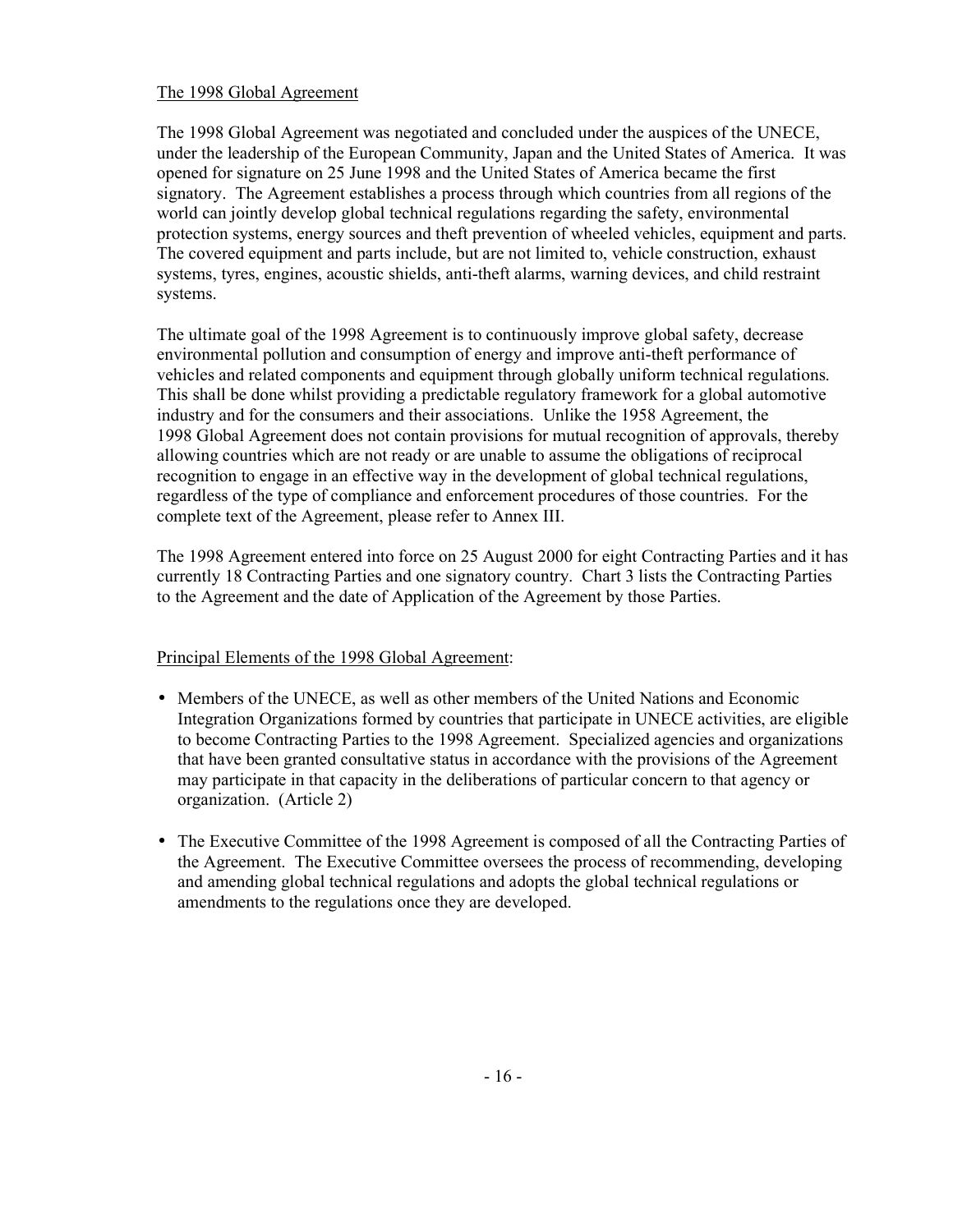# The 1998 Global Agreement

The 1998 Global Agreement was negotiated and concluded under the auspices of the UNECE, under the leadership of the European Community, Japan and the United States of America. It was opened for signature on 25 June 1998 and the United States of America became the first signatory. The Agreement establishes a process through which countries from all regions of the world can jointly develop global technical regulations regarding the safety, environmental protection systems, energy sources and theft prevention of wheeled vehicles, equipment and parts. The covered equipment and parts include, but are not limited to, vehicle construction, exhaust systems, tyres, engines, acoustic shields, anti-theft alarms, warning devices, and child restraint systems.

The ultimate goal of the 1998 Agreement is to continuously improve global safety, decrease environmental pollution and consumption of energy and improve anti-theft performance of vehicles and related components and equipment through globally uniform technical regulations. This shall be done whilst providing a predictable regulatory framework for a global automotive industry and for the consumers and their associations. Unlike the 1958 Agreement, the 1998 Global Agreement does not contain provisions for mutual recognition of approvals, thereby allowing countries which are not ready or are unable to assume the obligations of reciprocal recognition to engage in an effective way in the development of global technical regulations, regardless of the type of compliance and enforcement procedures of those countries. For the complete text of the Agreement, please refer to Annex III.

The 1998 Agreement entered into force on 25 August 2000 for eight Contracting Parties and it has currently 18 Contracting Parties and one signatory country. Chart 3 lists the Contracting Parties to the Agreement and the date of Application of the Agreement by those Parties.

# Principal Elements of the 1998 Global Agreement:

- Members of the UNECE, as well as other members of the United Nations and Economic Integration Organizations formed by countries that participate in UNECE activities, are eligible to become Contracting Parties to the 1998 Agreement. Specialized agencies and organizations that have been granted consultative status in accordance with the provisions of the Agreement may participate in that capacity in the deliberations of particular concern to that agency or organization. (Article 2)
- The Executive Committee of the 1998 Agreement is composed of all the Contracting Parties of the Agreement. The Executive Committee oversees the process of recommending, developing and amending global technical regulations and adopts the global technical regulations or amendments to the regulations once they are developed.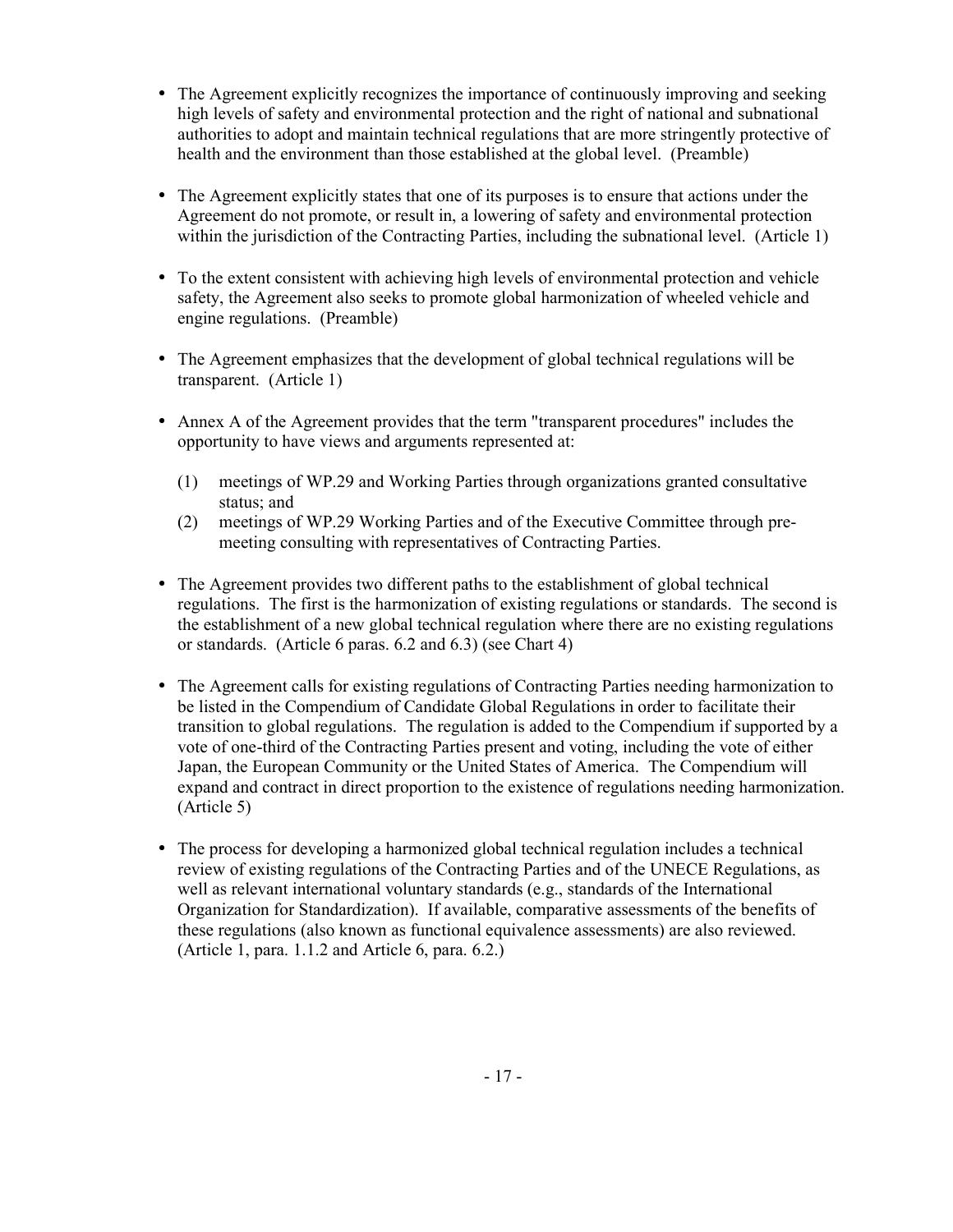- The Agreement explicitly recognizes the importance of continuously improving and seeking high levels of safety and environmental protection and the right of national and subnational authorities to adopt and maintain technical regulations that are more stringently protective of health and the environment than those established at the global level. (Preamble)
- The Agreement explicitly states that one of its purposes is to ensure that actions under the Agreement do not promote, or result in, a lowering of safety and environmental protection within the jurisdiction of the Contracting Parties, including the subnational level. (Article 1)
- To the extent consistent with achieving high levels of environmental protection and vehicle safety, the Agreement also seeks to promote global harmonization of wheeled vehicle and engine regulations. (Preamble)
- The Agreement emphasizes that the development of global technical regulations will be transparent. (Article 1)
- Annex A of the Agreement provides that the term "transparent procedures" includes the opportunity to have views and arguments represented at:
	- (1) meetings of WP.29 and Working Parties through organizations granted consultative status; and
	- (2) meetings of WP.29 Working Parties and of the Executive Committee through premeeting consulting with representatives of Contracting Parties.
- The Agreement provides two different paths to the establishment of global technical regulations. The first is the harmonization of existing regulations or standards. The second is the establishment of a new global technical regulation where there are no existing regulations or standards. (Article 6 paras. 6.2 and 6.3) (see Chart 4)
- The Agreement calls for existing regulations of Contracting Parties needing harmonization to be listed in the Compendium of Candidate Global Regulations in order to facilitate their transition to global regulations. The regulation is added to the Compendium if supported by a vote of one-third of the Contracting Parties present and voting, including the vote of either Japan, the European Community or the United States of America. The Compendium will expand and contract in direct proportion to the existence of regulations needing harmonization. (Article 5)
- The process for developing a harmonized global technical regulation includes a technical review of existing regulations of the Contracting Parties and of the UNECE Regulations, as well as relevant international voluntary standards (e.g., standards of the International Organization for Standardization). If available, comparative assessments of the benefits of these regulations (also known as functional equivalence assessments) are also reviewed. (Article 1, para. 1.1.2 and Article 6, para. 6.2.)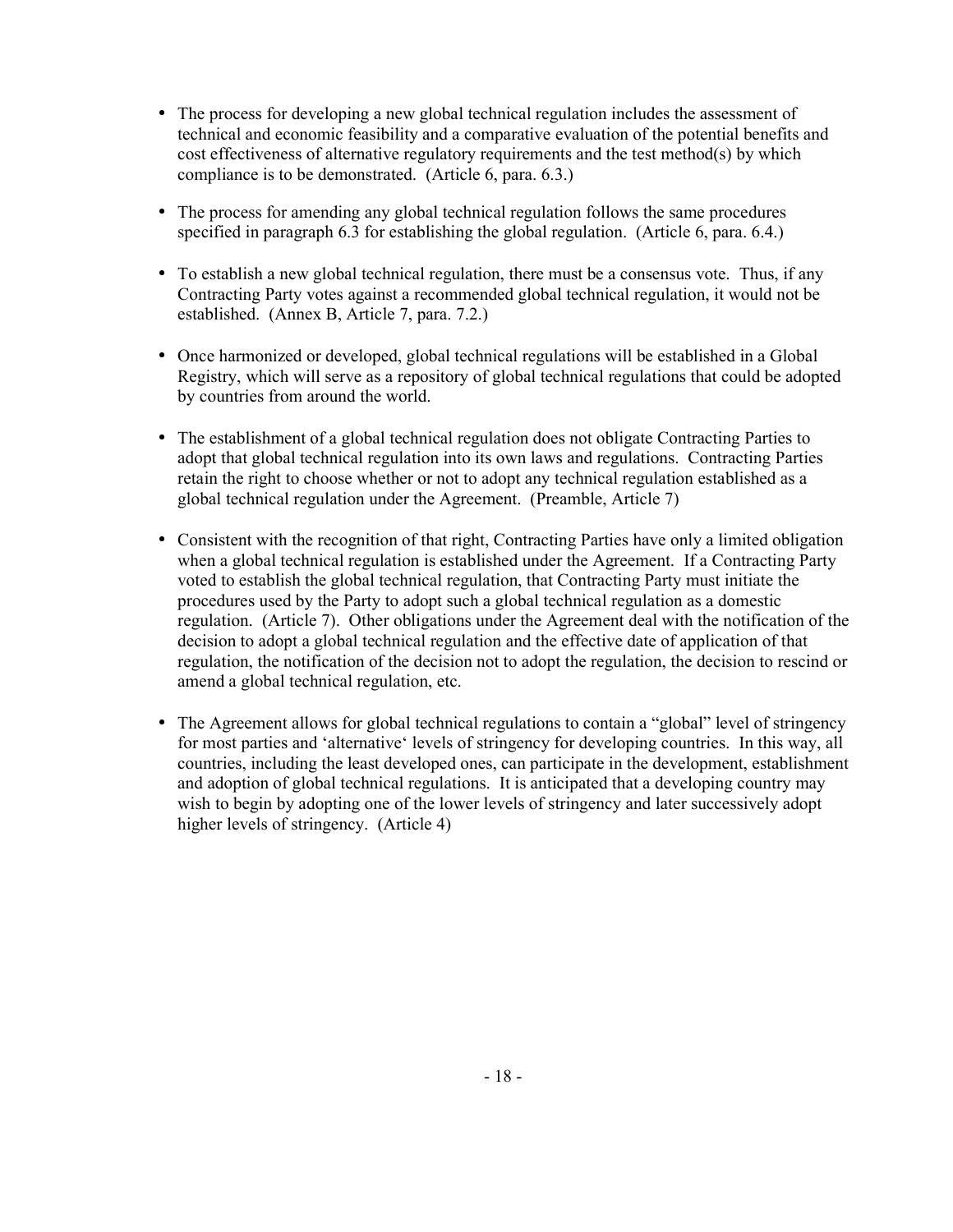- The process for developing a new global technical regulation includes the assessment of technical and economic feasibility and a comparative evaluation of the potential benefits and cost effectiveness of alternative regulatory requirements and the test method(s) by which compliance is to be demonstrated. (Article 6, para. 6.3.)
- The process for amending any global technical regulation follows the same procedures specified in paragraph 6.3 for establishing the global regulation. (Article 6, para. 6.4.)
- To establish a new global technical regulation, there must be a consensus vote. Thus, if any Contracting Party votes against a recommended global technical regulation, it would not be established. (Annex B, Article 7, para. 7.2.)
- Once harmonized or developed, global technical regulations will be established in a Global Registry, which will serve as a repository of global technical regulations that could be adopted by countries from around the world.
- The establishment of a global technical regulation does not obligate Contracting Parties to adopt that global technical regulation into its own laws and regulations. Contracting Parties retain the right to choose whether or not to adopt any technical regulation established as a global technical regulation under the Agreement. (Preamble, Article 7)
- Consistent with the recognition of that right, Contracting Parties have only a limited obligation when a global technical regulation is established under the Agreement. If a Contracting Party voted to establish the global technical regulation, that Contracting Party must initiate the procedures used by the Party to adopt such a global technical regulation as a domestic regulation. (Article 7). Other obligations under the Agreement deal with the notification of the decision to adopt a global technical regulation and the effective date of application of that regulation, the notification of the decision not to adopt the regulation, the decision to rescind or amend a global technical regulation, etc.
- The Agreement allows for global technical regulations to contain a "global" level of stringency for most parties and 'alternative' levels of stringency for developing countries. In this way, all countries, including the least developed ones, can participate in the development, establishment and adoption of global technical regulations. It is anticipated that a developing country may wish to begin by adopting one of the lower levels of stringency and later successively adopt higher levels of stringency. (Article 4)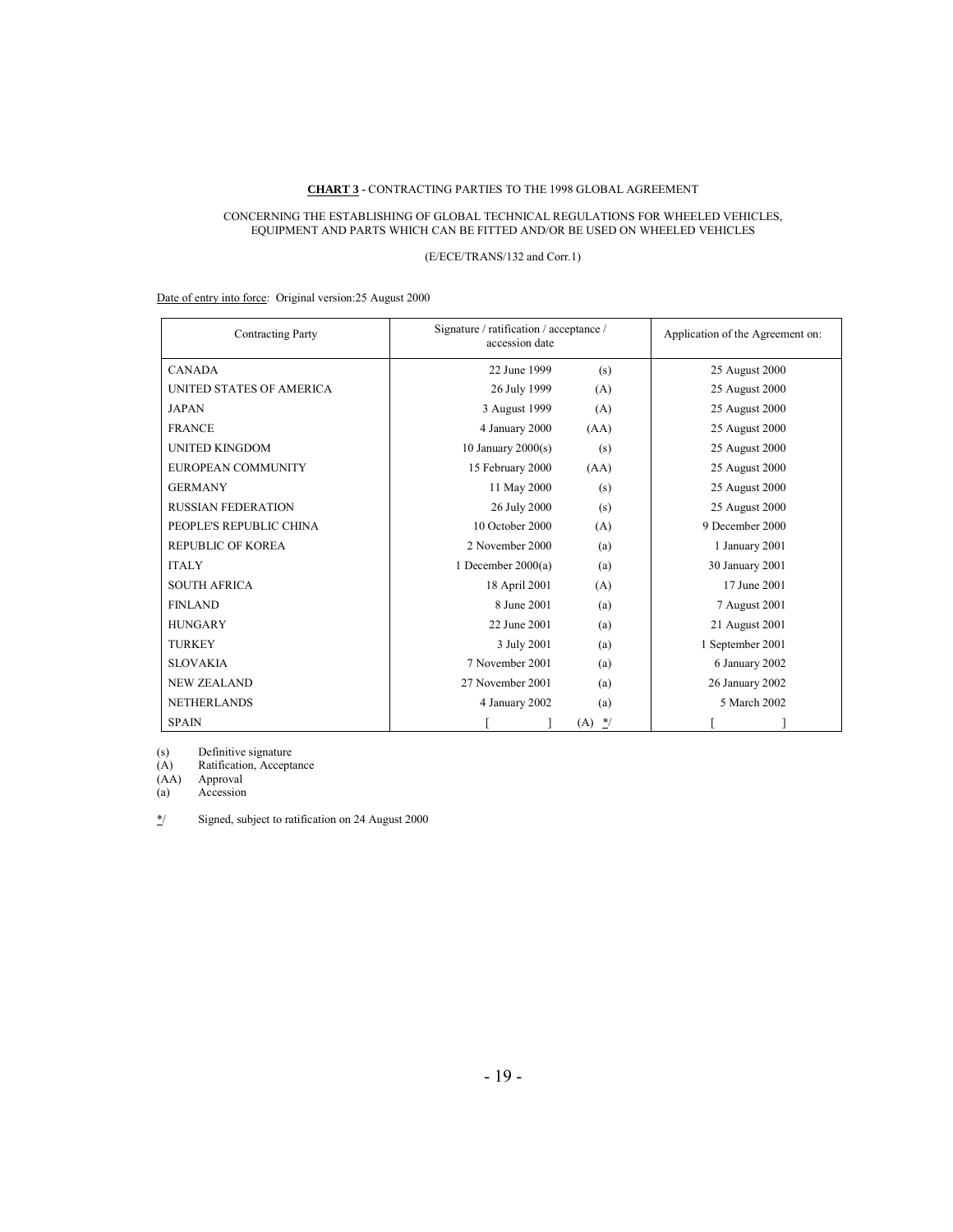#### **CHART 3 -** CONTRACTING PARTIES TO THE 1998 GLOBAL AGREEMENT

#### CONCERNING THE ESTABLISHING OF GLOBAL TECHNICAL REGULATIONS FOR WHEELED VEHICLES, EQUIPMENT AND PARTS WHICH CAN BE FITTED AND/OR BE USED ON WHEELED VEHICLES

### (E/ECE/TRANS/132 and Corr.1)

Date of entry into force: Original version:25 August 2000

| <b>Contracting Party</b>  | Signature / ratification / acceptance /<br>accession date |            | Application of the Agreement on: |
|---------------------------|-----------------------------------------------------------|------------|----------------------------------|
| <b>CANADA</b>             | 22 June 1999                                              | (s)        | 25 August 2000                   |
| UNITED STATES OF AMERICA  | 26 July 1999                                              | (A)        | 25 August 2000                   |
| <b>JAPAN</b>              | 3 August 1999                                             | (A)        | 25 August 2000                   |
| <b>FRANCE</b>             | 4 January 2000                                            | (AA)       | 25 August 2000                   |
| <b>UNITED KINGDOM</b>     | 10 January $2000(s)$                                      | (s)        | 25 August 2000                   |
| EUROPEAN COMMUNITY        | 15 February 2000                                          | (AA)       | 25 August 2000                   |
| <b>GERMANY</b>            | 11 May 2000                                               | (s)        | 25 August 2000                   |
| <b>RUSSIAN FEDERATION</b> | 26 July 2000                                              | (s)        | 25 August 2000                   |
| PEOPLE'S REPUBLIC CHINA   | 10 October 2000                                           | (A)        | 9 December 2000                  |
| <b>REPUBLIC OF KOREA</b>  | 2 November 2000                                           | (a)        | 1 January 2001                   |
| <b>ITALY</b>              | 1 December $2000(a)$                                      | (a)        | 30 January 2001                  |
| <b>SOUTH AFRICA</b>       | 18 April 2001                                             | (A)        | 17 June 2001                     |
| <b>FINLAND</b>            | 8 June 2001                                               | (a)        | 7 August 2001                    |
| <b>HUNGARY</b>            | 22 June 2001                                              | (a)        | 21 August 2001                   |
| <b>TURKEY</b>             | 3 July 2001                                               | (a)        | 1 September 2001                 |
| <b>SLOVAKIA</b>           | 7 November 2001                                           | (a)        | 6 January 2002                   |
| <b>NEW ZEALAND</b>        | 27 November 2001                                          | (a)        | 26 January 2002                  |
| <b>NETHERLANDS</b>        | 4 January 2002                                            | (a)        | 5 March 2002                     |
| <b>SPAIN</b>              |                                                           | $*$<br>(A) |                                  |

(s) Definitive signature

(A) Ratification, Acceptance

(A) Ratification<br>(AA) Approval<br>(a) Accession

Accession

\*/ Signed, subject to ratification on 24 August 2000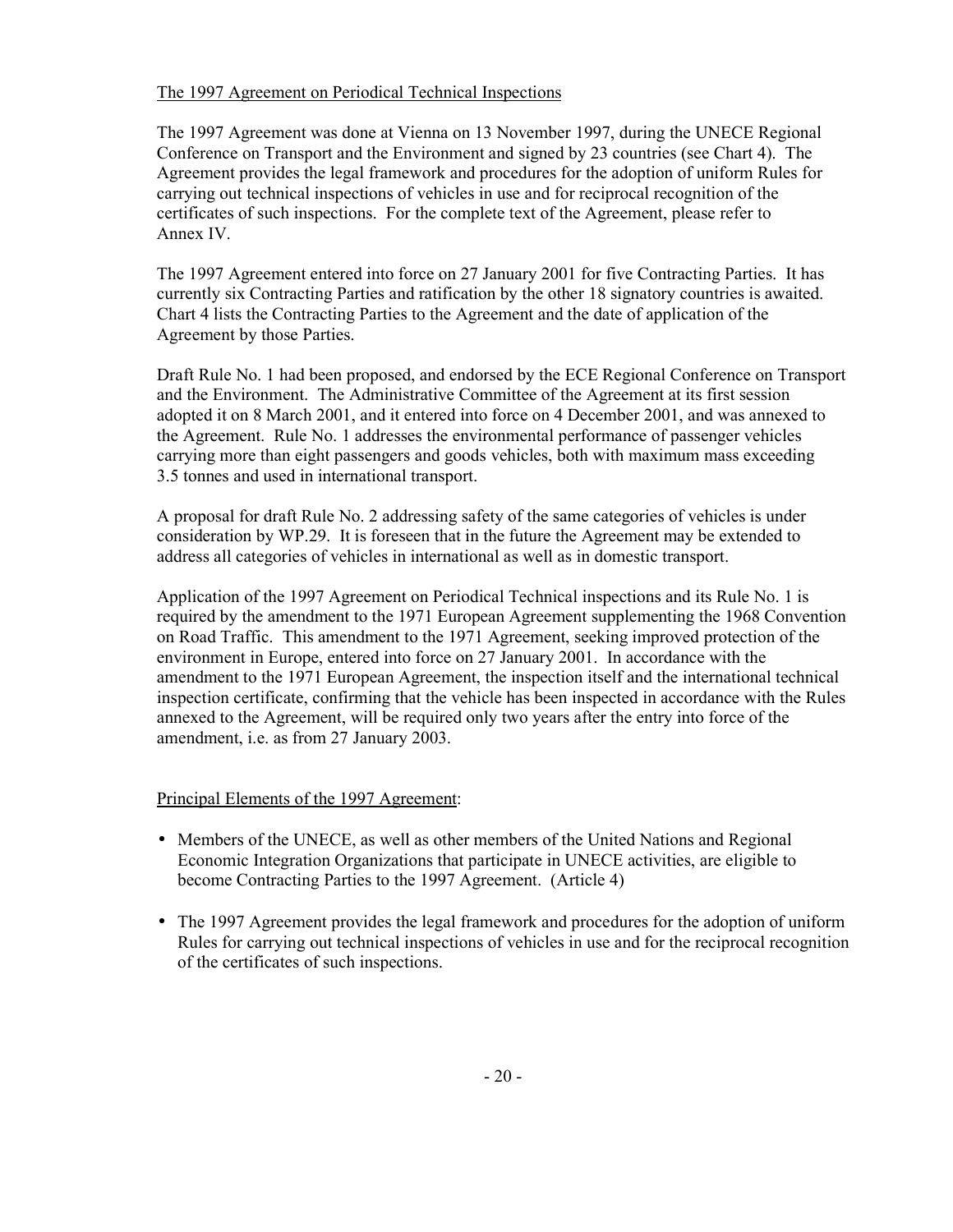# The 1997 Agreement on Periodical Technical Inspections

The 1997 Agreement was done at Vienna on 13 November 1997, during the UNECE Regional Conference on Transport and the Environment and signed by 23 countries (see Chart 4). The Agreement provides the legal framework and procedures for the adoption of uniform Rules for carrying out technical inspections of vehicles in use and for reciprocal recognition of the certificates of such inspections. For the complete text of the Agreement, please refer to Annex IV.

The 1997 Agreement entered into force on 27 January 2001 for five Contracting Parties. It has currently six Contracting Parties and ratification by the other 18 signatory countries is awaited. Chart 4 lists the Contracting Parties to the Agreement and the date of application of the Agreement by those Parties.

Draft Rule No. 1 had been proposed, and endorsed by the ECE Regional Conference on Transport and the Environment. The Administrative Committee of the Agreement at its first session adopted it on 8 March 2001, and it entered into force on 4 December 2001, and was annexed to the Agreement. Rule No. 1 addresses the environmental performance of passenger vehicles carrying more than eight passengers and goods vehicles, both with maximum mass exceeding 3.5 tonnes and used in international transport.

A proposal for draft Rule No. 2 addressing safety of the same categories of vehicles is under consideration by WP.29. It is foreseen that in the future the Agreement may be extended to address all categories of vehicles in international as well as in domestic transport.

Application of the 1997 Agreement on Periodical Technical inspections and its Rule No. 1 is required by the amendment to the 1971 European Agreement supplementing the 1968 Convention on Road Traffic. This amendment to the 1971 Agreement, seeking improved protection of the environment in Europe, entered into force on 27 January 2001. In accordance with the amendment to the 1971 European Agreement, the inspection itself and the international technical inspection certificate, confirming that the vehicle has been inspected in accordance with the Rules annexed to the Agreement, will be required only two years after the entry into force of the amendment, i.e. as from 27 January 2003.

# Principal Elements of the 1997 Agreement:

- Members of the UNECE, as well as other members of the United Nations and Regional Economic Integration Organizations that participate in UNECE activities, are eligible to become Contracting Parties to the 1997 Agreement. (Article 4)
- The 1997 Agreement provides the legal framework and procedures for the adoption of uniform Rules for carrying out technical inspections of vehicles in use and for the reciprocal recognition of the certificates of such inspections.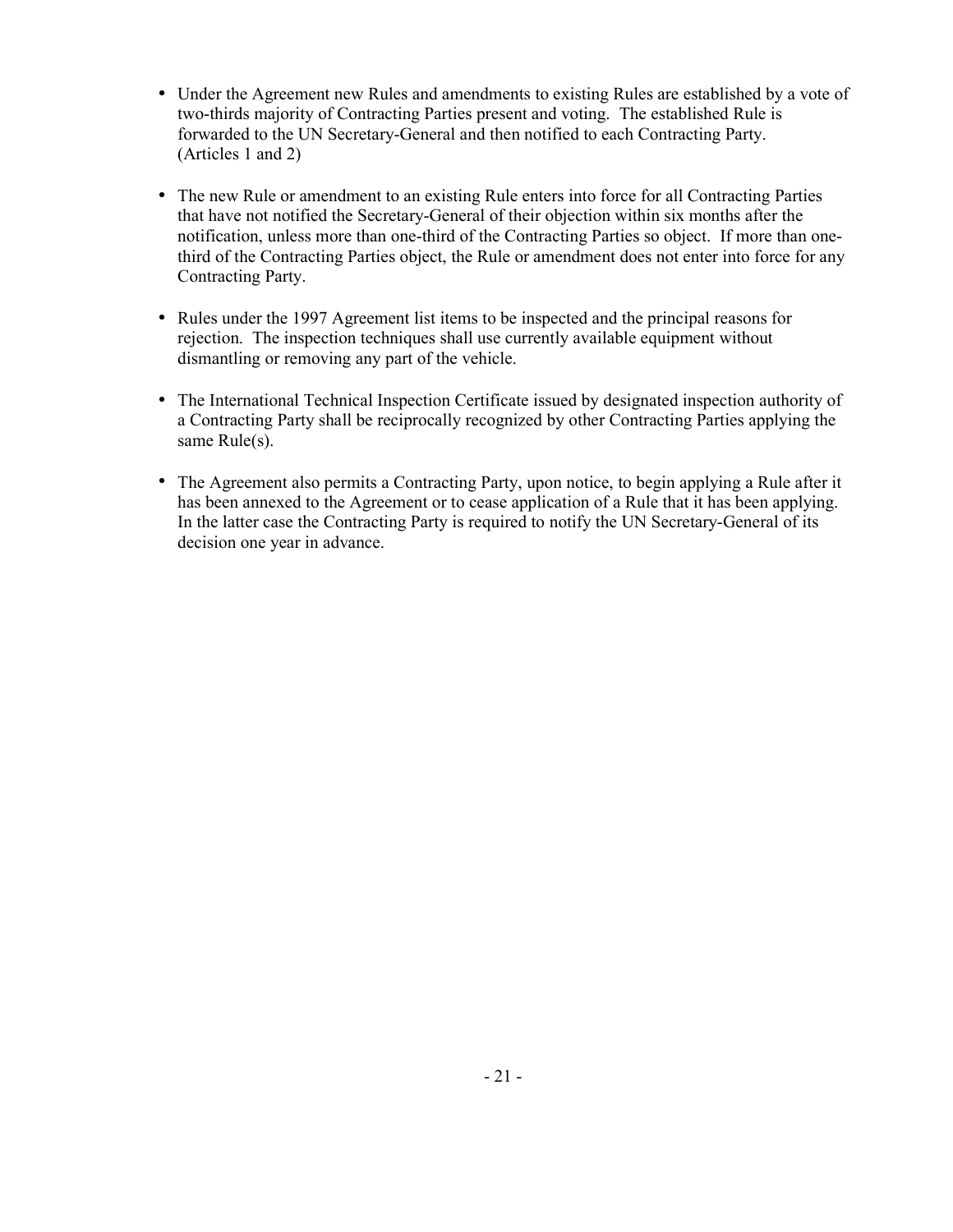- Under the Agreement new Rules and amendments to existing Rules are established by a vote of two-thirds majority of Contracting Parties present and voting. The established Rule is forwarded to the UN Secretary-General and then notified to each Contracting Party. (Articles 1 and 2)
- The new Rule or amendment to an existing Rule enters into force for all Contracting Parties that have not notified the Secretary-General of their objection within six months after the notification, unless more than one-third of the Contracting Parties so object. If more than onethird of the Contracting Parties object, the Rule or amendment does not enter into force for any Contracting Party.
- Rules under the 1997 Agreement list items to be inspected and the principal reasons for rejection. The inspection techniques shall use currently available equipment without dismantling or removing any part of the vehicle.
- The International Technical Inspection Certificate issued by designated inspection authority of a Contracting Party shall be reciprocally recognized by other Contracting Parties applying the same Rule(s).
- The Agreement also permits a Contracting Party, upon notice, to begin applying a Rule after it has been annexed to the Agreement or to cease application of a Rule that it has been applying. In the latter case the Contracting Party is required to notify the UN Secretary-General of its decision one year in advance.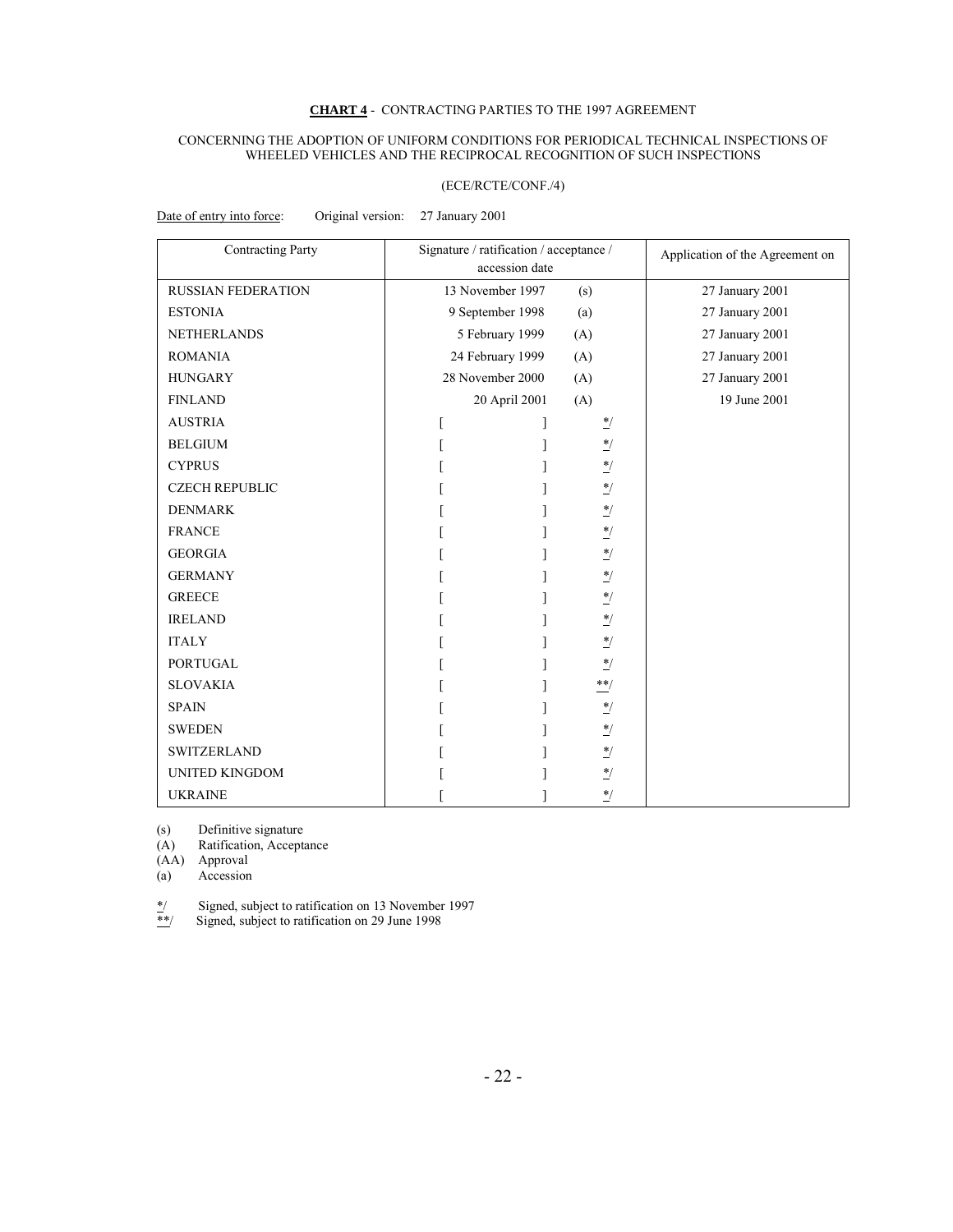### **CHART 4** - CONTRACTING PARTIES TO THE 1997 AGREEMENT

#### CONCERNING THE ADOPTION OF UNIFORM CONDITIONS FOR PERIODICAL TECHNICAL INSPECTIONS OF WHEELED VEHICLES AND THE RECIPROCAL RECOGNITION OF SUCH INSPECTIONS

#### (ECE/RCTE/CONF./4)

Date of entry into force: Original version: 27 January 2001

| <b>Contracting Party</b>  | Signature / ratification / acceptance /<br>accession date |                  | Application of the Agreement on |                 |
|---------------------------|-----------------------------------------------------------|------------------|---------------------------------|-----------------|
| <b>RUSSIAN FEDERATION</b> |                                                           | 13 November 1997 | (s)                             | 27 January 2001 |
| <b>ESTONIA</b>            | 9 September 1998                                          |                  | (a)                             | 27 January 2001 |
| <b>NETHERLANDS</b>        | 5 February 1999                                           |                  | (A)                             | 27 January 2001 |
| <b>ROMANIA</b>            | 24 February 1999                                          |                  | (A)                             | 27 January 2001 |
| <b>HUNGARY</b>            | 28 November 2000                                          |                  | (A)                             | 27 January 2001 |
| <b>FINLAND</b>            | 20 April 2001                                             |                  | (A)                             | 19 June 2001    |
| <b>AUSTRIA</b>            |                                                           |                  | $\frac{*}{\cdot}$               |                 |
| <b>BELGIUM</b>            |                                                           |                  | $^*/$                           |                 |
| <b>CYPRUS</b>             |                                                           |                  | $\frac{*}{\cdot}$               |                 |
| <b>CZECH REPUBLIC</b>     |                                                           |                  | $^*/$                           |                 |
| <b>DENMARK</b>            |                                                           |                  | $\frac{*}{\sqrt{2}}$            |                 |
| <b>FRANCE</b>             |                                                           |                  | $^*/$                           |                 |
| <b>GEORGIA</b>            |                                                           |                  | $^*/$                           |                 |
| <b>GERMANY</b>            |                                                           |                  | $^{\ast}/$                      |                 |
| <b>GREECE</b>             |                                                           |                  | $\frac{*}{\sqrt{2}}$            |                 |
| <b>IRELAND</b>            |                                                           |                  | $^*/$                           |                 |
| <b>ITALY</b>              |                                                           |                  | $^*/$                           |                 |
| <b>PORTUGAL</b>           |                                                           |                  | $^*/$                           |                 |
| <b>SLOVAKIA</b>           |                                                           |                  | $\ast\ast/$                     |                 |
| <b>SPAIN</b>              |                                                           |                  | $^\ast/$                        |                 |
| <b>SWEDEN</b>             |                                                           |                  | $\frac{*}{\sqrt{2}}$            |                 |
| <b>SWITZERLAND</b>        |                                                           |                  | $^{\ast}/$                      |                 |
| <b>UNITED KINGDOM</b>     |                                                           |                  | $^*/$                           |                 |
| <b>UKRAINE</b>            |                                                           |                  | $^*/$                           |                 |

(s) Definitive signature

(A) Ratification, Acceptance

 $(AA)$  Approval<br>
(a) Accession

Accession

 $*$ / Signed, subject to ratification on 13 November 1997<br>
Signed, subject to ratification on 29 June 1998

Signed, subject to ratification on 29 June 1998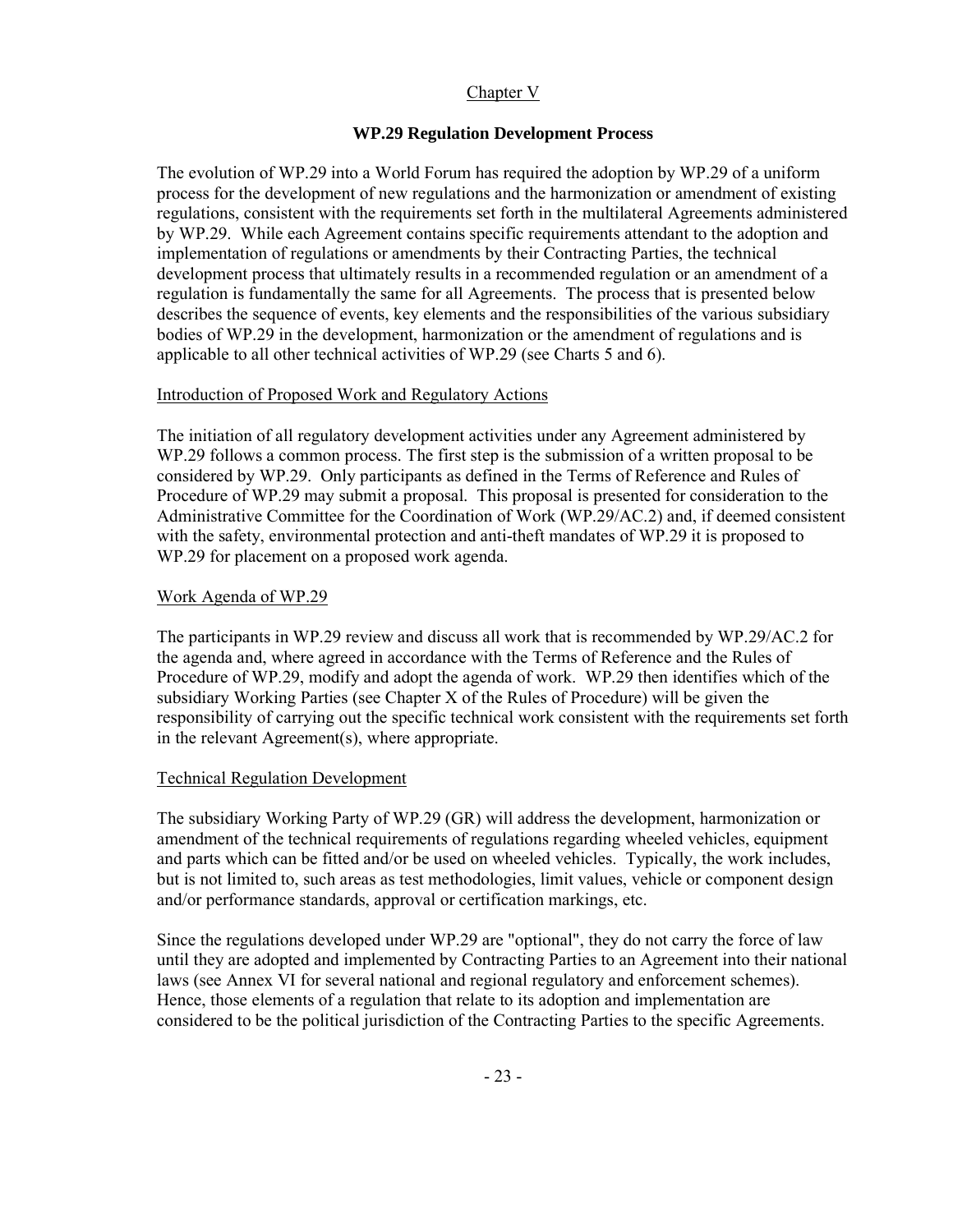# Chapter V

# **WP.29 Regulation Development Process**

The evolution of WP.29 into a World Forum has required the adoption by WP.29 of a uniform process for the development of new regulations and the harmonization or amendment of existing regulations, consistent with the requirements set forth in the multilateral Agreements administered by WP.29. While each Agreement contains specific requirements attendant to the adoption and implementation of regulations or amendments by their Contracting Parties, the technical development process that ultimately results in a recommended regulation or an amendment of a regulation is fundamentally the same for all Agreements. The process that is presented below describes the sequence of events, key elements and the responsibilities of the various subsidiary bodies of WP.29 in the development, harmonization or the amendment of regulations and is applicable to all other technical activities of WP.29 (see Charts 5 and 6).

# Introduction of Proposed Work and Regulatory Actions

The initiation of all regulatory development activities under any Agreement administered by WP.29 follows a common process. The first step is the submission of a written proposal to be considered by WP.29. Only participants as defined in the Terms of Reference and Rules of Procedure of WP.29 may submit a proposal. This proposal is presented for consideration to the Administrative Committee for the Coordination of Work (WP.29/AC.2) and, if deemed consistent with the safety, environmental protection and anti-theft mandates of WP.29 it is proposed to WP.29 for placement on a proposed work agenda.

# Work Agenda of WP.29

The participants in WP.29 review and discuss all work that is recommended by WP.29/AC.2 for the agenda and, where agreed in accordance with the Terms of Reference and the Rules of Procedure of WP.29, modify and adopt the agenda of work. WP.29 then identifies which of the subsidiary Working Parties (see Chapter X of the Rules of Procedure) will be given the responsibility of carrying out the specific technical work consistent with the requirements set forth in the relevant Agreement(s), where appropriate.

# Technical Regulation Development

The subsidiary Working Party of WP.29 (GR) will address the development, harmonization or amendment of the technical requirements of regulations regarding wheeled vehicles, equipment and parts which can be fitted and/or be used on wheeled vehicles. Typically, the work includes, but is not limited to, such areas as test methodologies, limit values, vehicle or component design and/or performance standards, approval or certification markings, etc.

Since the regulations developed under WP.29 are "optional", they do not carry the force of law until they are adopted and implemented by Contracting Parties to an Agreement into their national laws (see Annex VI for several national and regional regulatory and enforcement schemes). Hence, those elements of a regulation that relate to its adoption and implementation are considered to be the political jurisdiction of the Contracting Parties to the specific Agreements.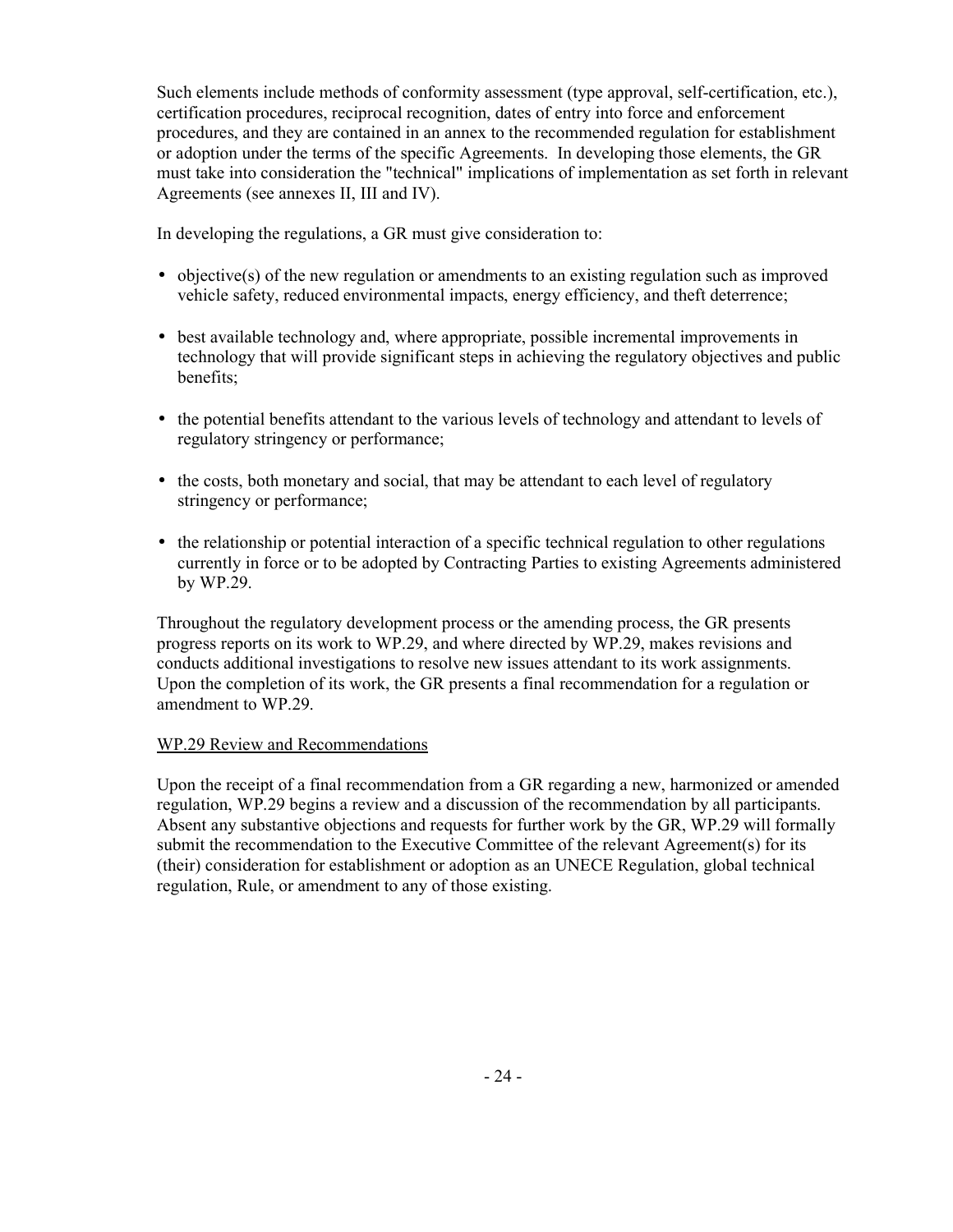Such elements include methods of conformity assessment (type approval, self-certification, etc.), certification procedures, reciprocal recognition, dates of entry into force and enforcement procedures, and they are contained in an annex to the recommended regulation for establishment or adoption under the terms of the specific Agreements. In developing those elements, the GR must take into consideration the "technical" implications of implementation as set forth in relevant Agreements (see annexes II, III and IV).

In developing the regulations, a GR must give consideration to:

- objective(s) of the new regulation or amendments to an existing regulation such as improved vehicle safety, reduced environmental impacts, energy efficiency, and theft deterrence;
- best available technology and, where appropriate, possible incremental improvements in technology that will provide significant steps in achieving the regulatory objectives and public benefits;
- the potential benefits attendant to the various levels of technology and attendant to levels of regulatory stringency or performance;
- the costs, both monetary and social, that may be attendant to each level of regulatory stringency or performance;
- the relationship or potential interaction of a specific technical regulation to other regulations currently in force or to be adopted by Contracting Parties to existing Agreements administered by WP.29.

Throughout the regulatory development process or the amending process, the GR presents progress reports on its work to WP.29, and where directed by WP.29, makes revisions and conducts additional investigations to resolve new issues attendant to its work assignments. Upon the completion of its work, the GR presents a final recommendation for a regulation or amendment to WP.29.

# WP.29 Review and Recommendations

Upon the receipt of a final recommendation from a GR regarding a new, harmonized or amended regulation, WP.29 begins a review and a discussion of the recommendation by all participants. Absent any substantive objections and requests for further work by the GR, WP.29 will formally submit the recommendation to the Executive Committee of the relevant Agreement(s) for its (their) consideration for establishment or adoption as an UNECE Regulation, global technical regulation, Rule, or amendment to any of those existing.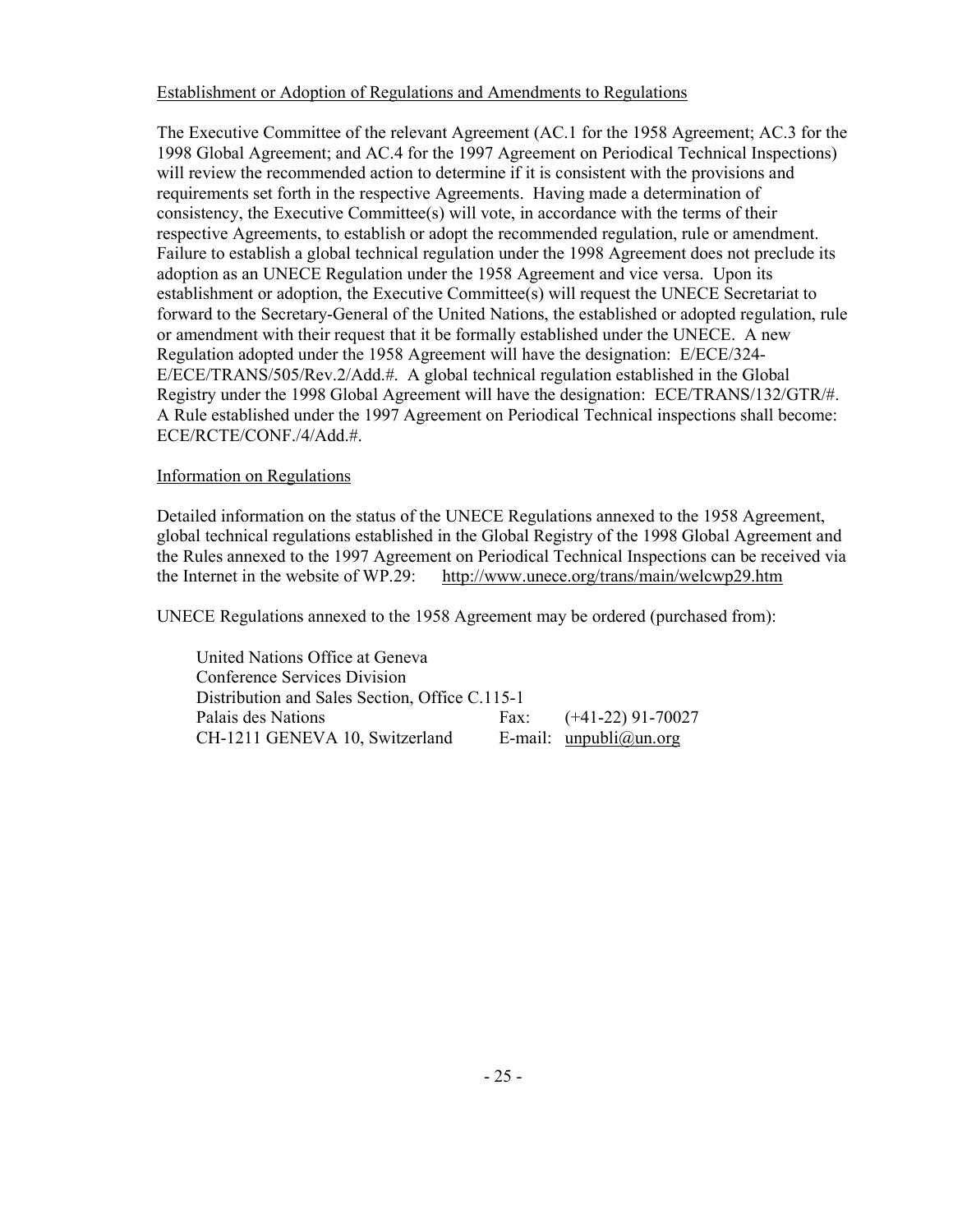# Establishment or Adoption of Regulations and Amendments to Regulations

The Executive Committee of the relevant Agreement (AC.1 for the 1958 Agreement; AC.3 for the 1998 Global Agreement; and AC.4 for the 1997 Agreement on Periodical Technical Inspections) will review the recommended action to determine if it is consistent with the provisions and requirements set forth in the respective Agreements. Having made a determination of consistency, the Executive Committee(s) will vote, in accordance with the terms of their respective Agreements, to establish or adopt the recommended regulation, rule or amendment. Failure to establish a global technical regulation under the 1998 Agreement does not preclude its adoption as an UNECE Regulation under the 1958 Agreement and vice versa. Upon its establishment or adoption, the Executive Committee(s) will request the UNECE Secretariat to forward to the Secretary-General of the United Nations, the established or adopted regulation, rule or amendment with their request that it be formally established under the UNECE. A new Regulation adopted under the 1958 Agreement will have the designation: E/ECE/324- E/ECE/TRANS/505/Rev.2/Add.#. A global technical regulation established in the Global Registry under the 1998 Global Agreement will have the designation: ECE/TRANS/132/GTR/#. A Rule established under the 1997 Agreement on Periodical Technical inspections shall become: ECE/RCTE/CONF./4/Add.#.

# Information on Regulations

Detailed information on the status of the UNECE Regulations annexed to the 1958 Agreement, global technical regulations established in the Global Registry of the 1998 Global Agreement and the Rules annexed to the 1997 Agreement on Periodical Technical Inspections can be received via the Internet in the website of WP.29: http://www.unece.org/trans/main/welcwp29.htm

UNECE Regulations annexed to the 1958 Agreement may be ordered (purchased from):

 United Nations Office at Geneva Conference Services Division Distribution and Sales Section, Office C.115-1 Palais des Nations Fax: (+41-22) 91-70027  $CH-1211$  GENEVA 10, Switzerland E-mail: unpubli@un.org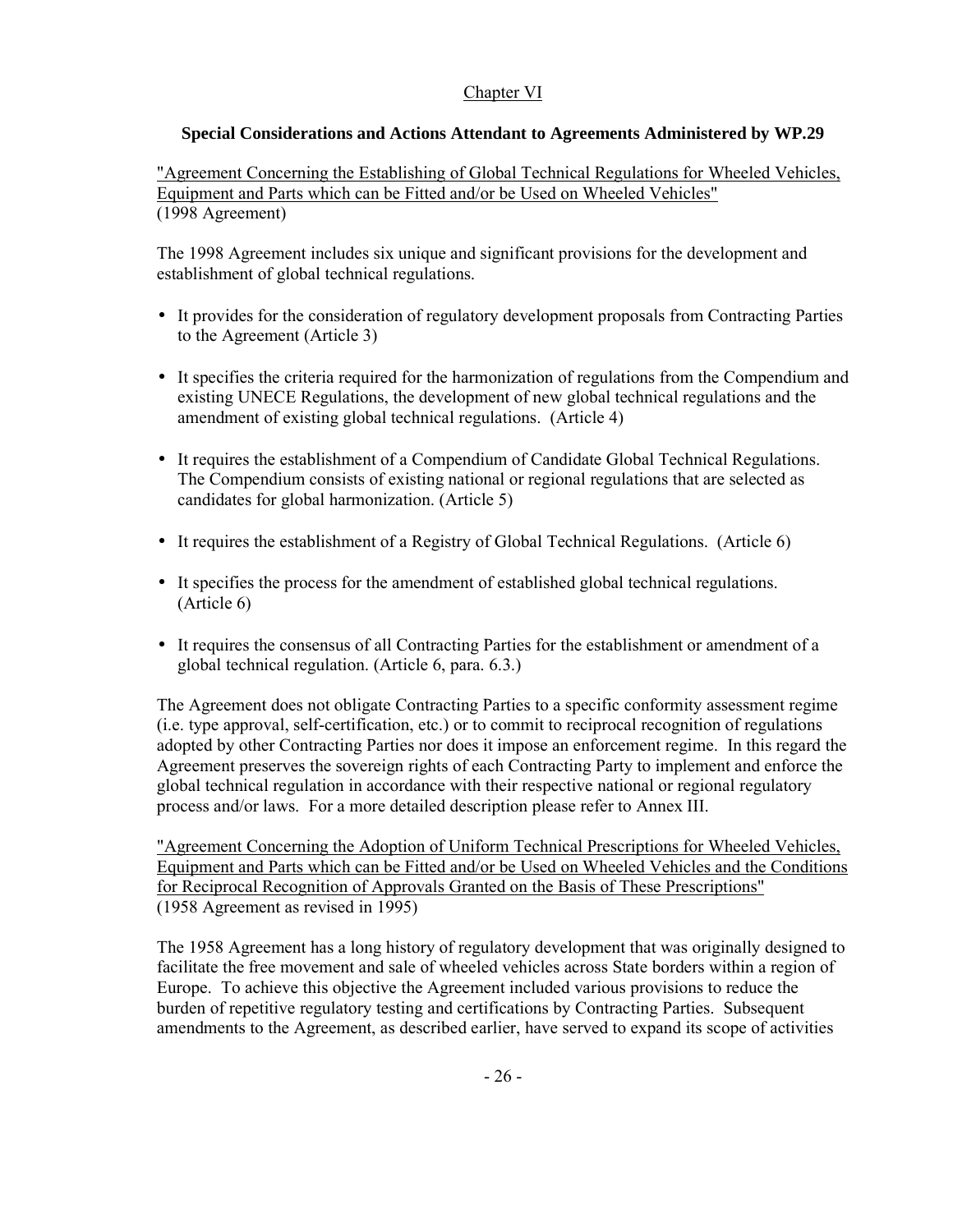# Chapter VI

# **Special Considerations and Actions Attendant to Agreements Administered by WP.29**

"Agreement Concerning the Establishing of Global Technical Regulations for Wheeled Vehicles, Equipment and Parts which can be Fitted and/or be Used on Wheeled Vehicles" (1998 Agreement)

The 1998 Agreement includes six unique and significant provisions for the development and establishment of global technical regulations.

- It provides for the consideration of regulatory development proposals from Contracting Parties to the Agreement (Article 3)
- It specifies the criteria required for the harmonization of regulations from the Compendium and existing UNECE Regulations, the development of new global technical regulations and the amendment of existing global technical regulations. (Article 4)
- It requires the establishment of a Compendium of Candidate Global Technical Regulations. The Compendium consists of existing national or regional regulations that are selected as candidates for global harmonization. (Article 5)
- It requires the establishment of a Registry of Global Technical Regulations. (Article 6)
- It specifies the process for the amendment of established global technical regulations. (Article 6)
- It requires the consensus of all Contracting Parties for the establishment or amendment of a global technical regulation. (Article 6, para. 6.3.)

The Agreement does not obligate Contracting Parties to a specific conformity assessment regime (i.e. type approval, self-certification, etc.) or to commit to reciprocal recognition of regulations adopted by other Contracting Parties nor does it impose an enforcement regime. In this regard the Agreement preserves the sovereign rights of each Contracting Party to implement and enforce the global technical regulation in accordance with their respective national or regional regulatory process and/or laws. For a more detailed description please refer to Annex III.

"Agreement Concerning the Adoption of Uniform Technical Prescriptions for Wheeled Vehicles, Equipment and Parts which can be Fitted and/or be Used on Wheeled Vehicles and the Conditions for Reciprocal Recognition of Approvals Granted on the Basis of These Prescriptions" (1958 Agreement as revised in 1995)

The 1958 Agreement has a long history of regulatory development that was originally designed to facilitate the free movement and sale of wheeled vehicles across State borders within a region of Europe. To achieve this objective the Agreement included various provisions to reduce the burden of repetitive regulatory testing and certifications by Contracting Parties. Subsequent amendments to the Agreement, as described earlier, have served to expand its scope of activities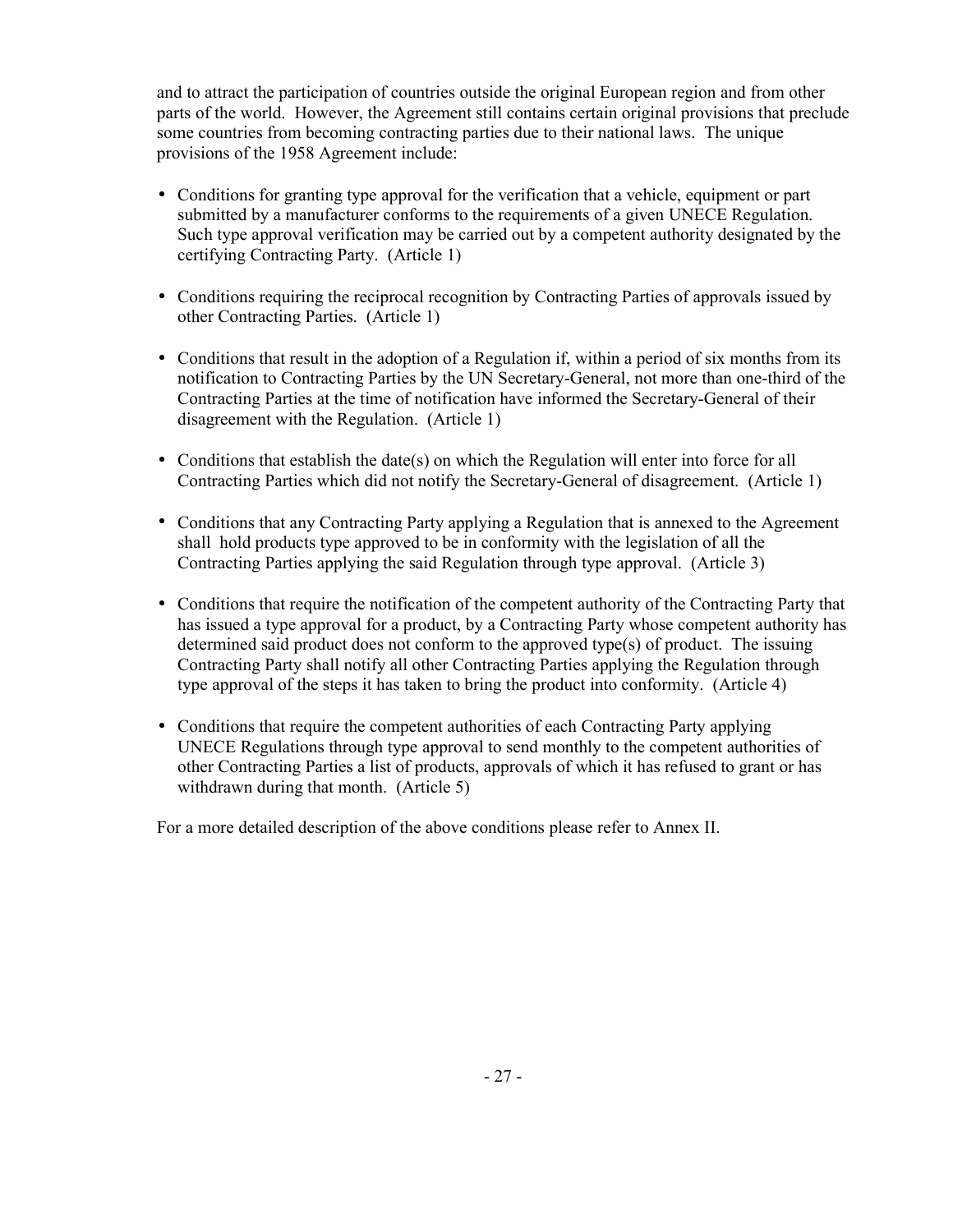and to attract the participation of countries outside the original European region and from other parts of the world. However, the Agreement still contains certain original provisions that preclude some countries from becoming contracting parties due to their national laws. The unique provisions of the 1958 Agreement include:

- Conditions for granting type approval for the verification that a vehicle, equipment or part submitted by a manufacturer conforms to the requirements of a given UNECE Regulation. Such type approval verification may be carried out by a competent authority designated by the certifying Contracting Party. (Article 1)
- Conditions requiring the reciprocal recognition by Contracting Parties of approvals issued by other Contracting Parties. (Article 1)
- Conditions that result in the adoption of a Regulation if, within a period of six months from its notification to Contracting Parties by the UN Secretary-General, not more than one-third of the Contracting Parties at the time of notification have informed the Secretary-General of their disagreement with the Regulation. (Article 1)
- Conditions that establish the date(s) on which the Regulation will enter into force for all Contracting Parties which did not notify the Secretary-General of disagreement. (Article 1)
- Conditions that any Contracting Party applying a Regulation that is annexed to the Agreement shall hold products type approved to be in conformity with the legislation of all the Contracting Parties applying the said Regulation through type approval. (Article 3)
- Conditions that require the notification of the competent authority of the Contracting Party that has issued a type approval for a product, by a Contracting Party whose competent authority has determined said product does not conform to the approved type(s) of product. The issuing Contracting Party shall notify all other Contracting Parties applying the Regulation through type approval of the steps it has taken to bring the product into conformity. (Article 4)
- Conditions that require the competent authorities of each Contracting Party applying UNECE Regulations through type approval to send monthly to the competent authorities of other Contracting Parties a list of products, approvals of which it has refused to grant or has withdrawn during that month. (Article 5)

For a more detailed description of the above conditions please refer to Annex II.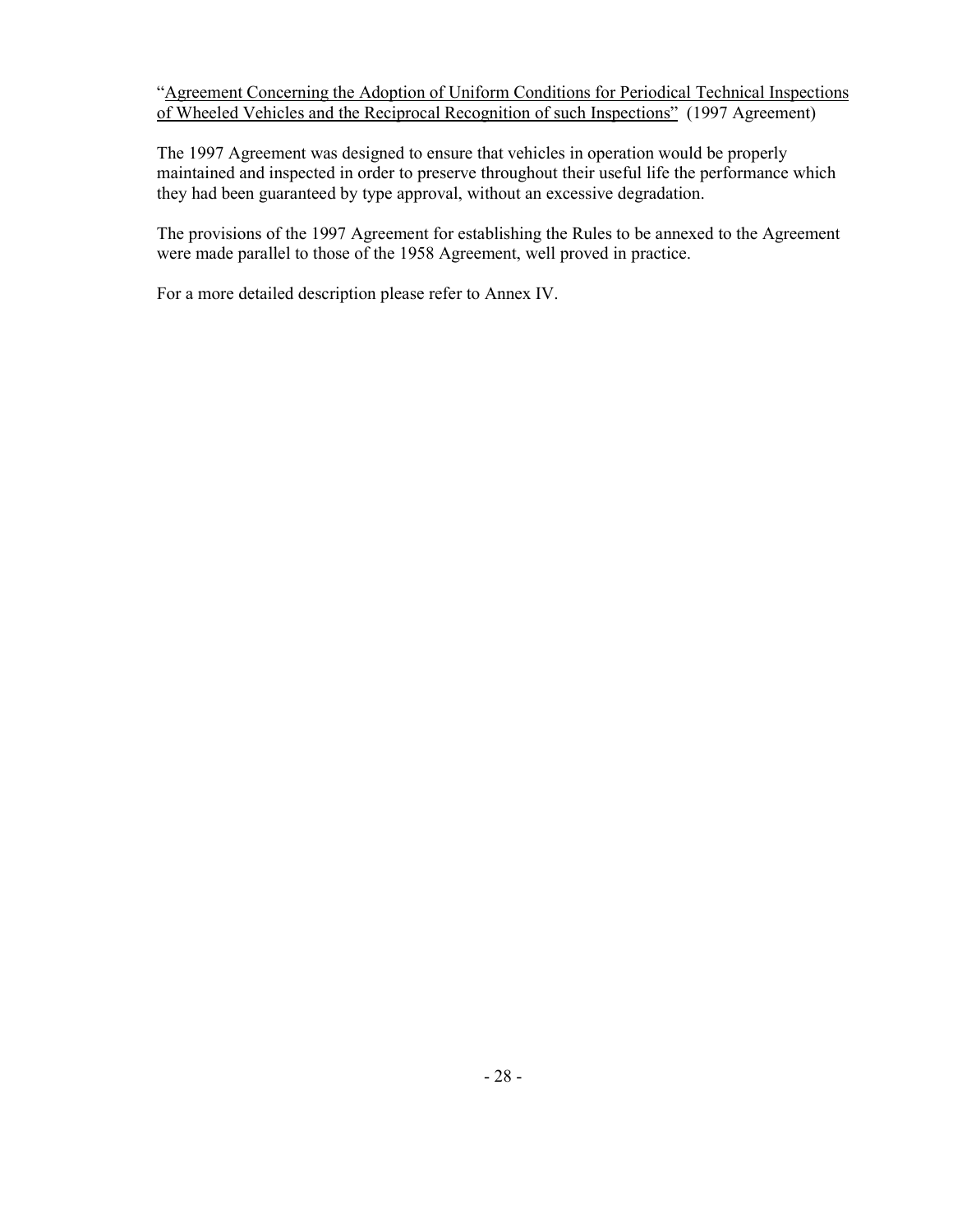"Agreement Concerning the Adoption of Uniform Conditions for Periodical Technical Inspections of Wheeled Vehicles and the Reciprocal Recognition of such Inspections" (1997 Agreement)

The 1997 Agreement was designed to ensure that vehicles in operation would be properly maintained and inspected in order to preserve throughout their useful life the performance which they had been guaranteed by type approval, without an excessive degradation.

The provisions of the 1997 Agreement for establishing the Rules to be annexed to the Agreement were made parallel to those of the 1958 Agreement, well proved in practice.

For a more detailed description please refer to Annex IV.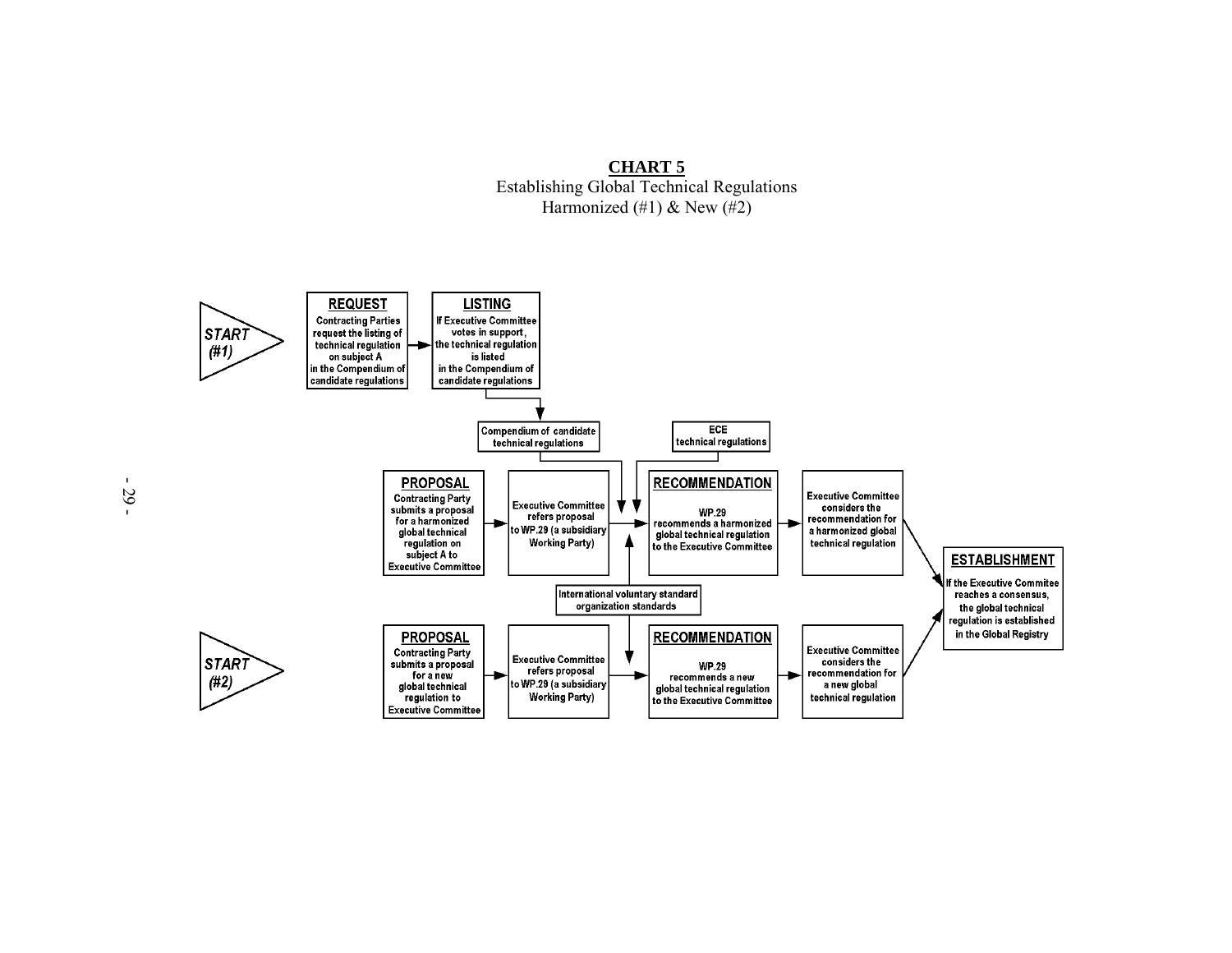

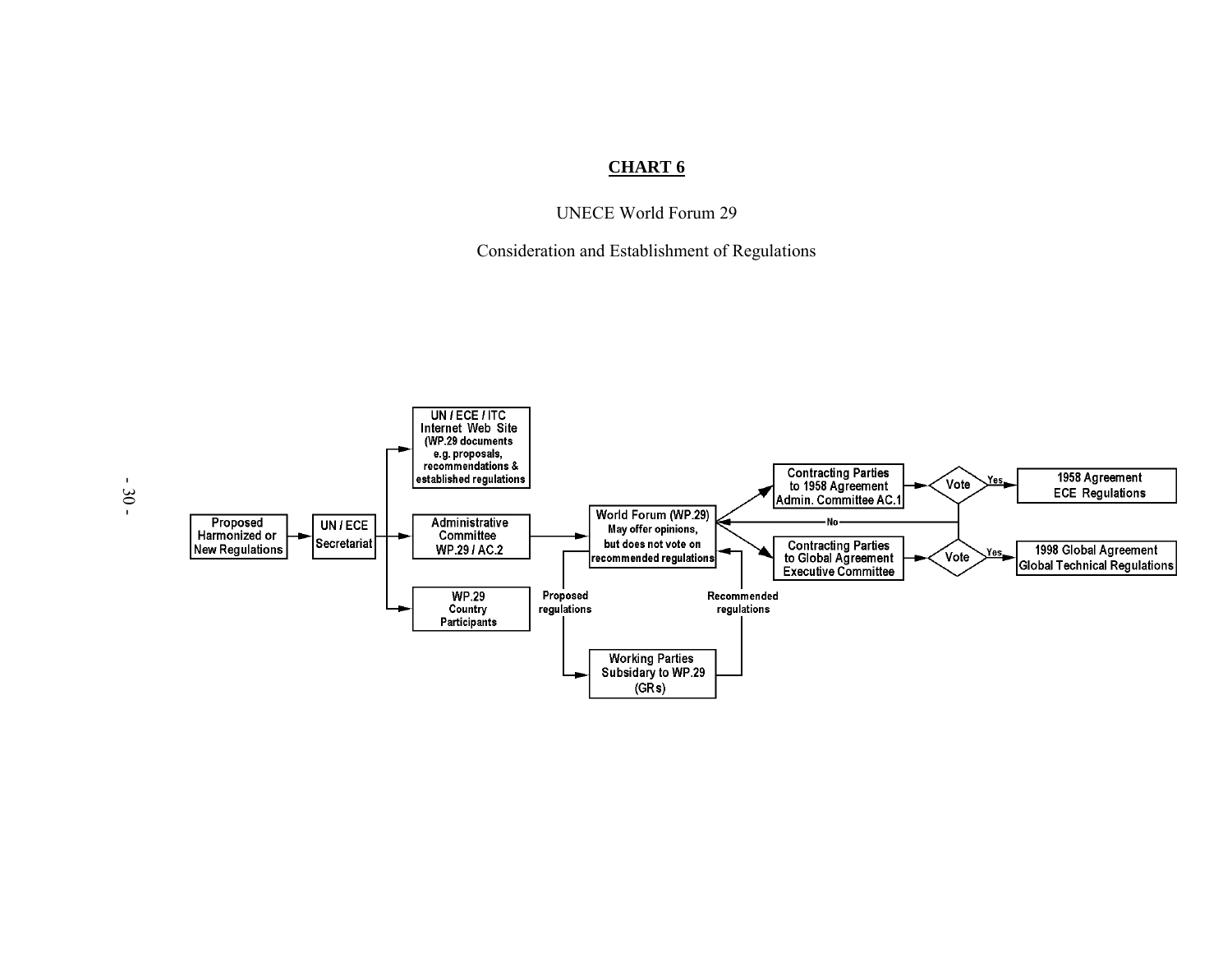# **CHART 6**

UNECE World Forum 29

Consideration and Establishment of Regulations

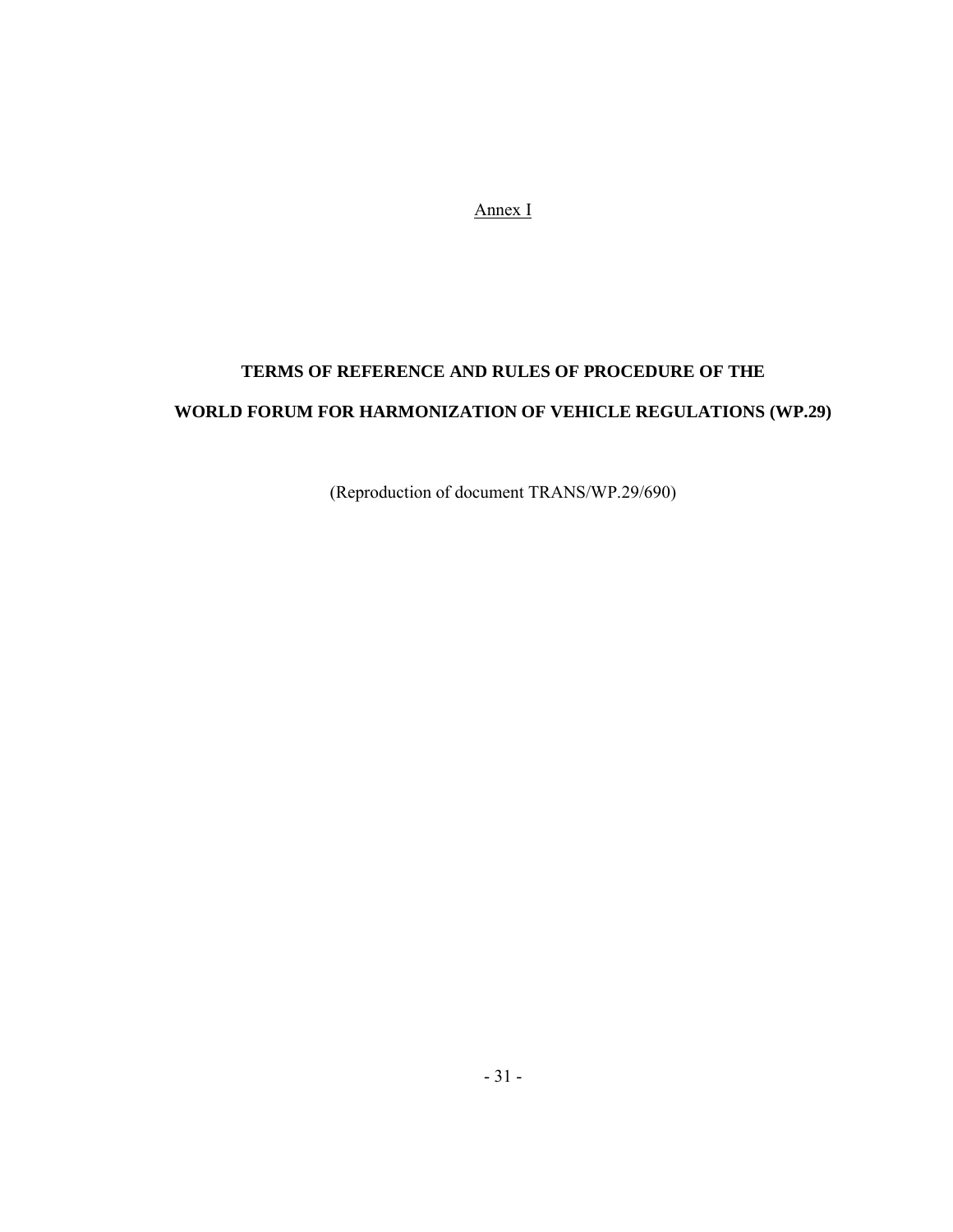Annex I

# **TERMS OF REFERENCE AND RULES OF PROCEDURE OF THE WORLD FORUM FOR HARMONIZATION OF VEHICLE REGULATIONS (WP.29)**

(Reproduction of document TRANS/WP.29/690)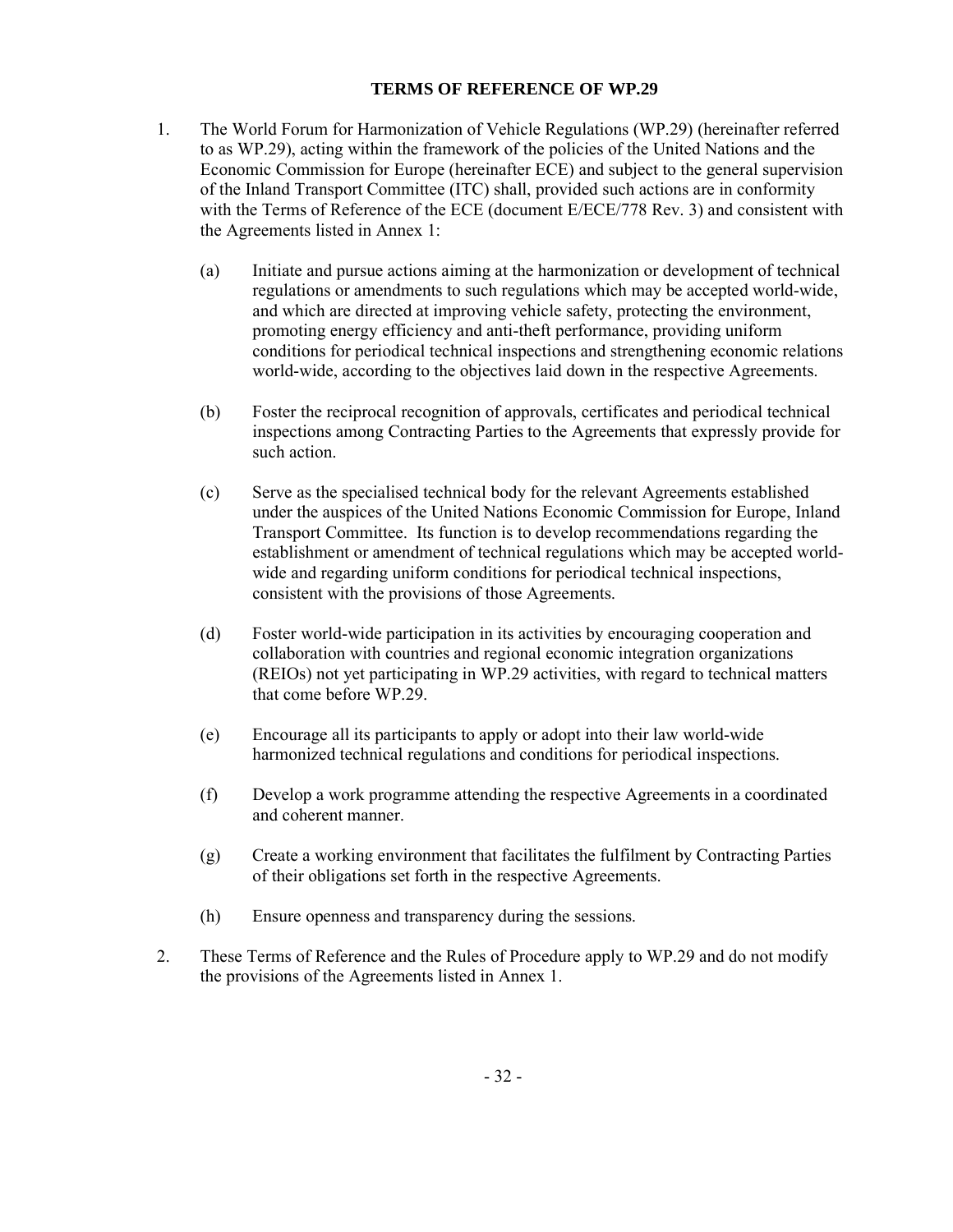# **TERMS OF REFERENCE OF WP.29**

- 1. The World Forum for Harmonization of Vehicle Regulations (WP.29) (hereinafter referred to as WP.29), acting within the framework of the policies of the United Nations and the Economic Commission for Europe (hereinafter ECE) and subject to the general supervision of the Inland Transport Committee (ITC) shall, provided such actions are in conformity with the Terms of Reference of the ECE (document E/ECE/778 Rev. 3) and consistent with the Agreements listed in Annex 1:
	- (a) Initiate and pursue actions aiming at the harmonization or development of technical regulations or amendments to such regulations which may be accepted world-wide, and which are directed at improving vehicle safety, protecting the environment, promoting energy efficiency and anti-theft performance, providing uniform conditions for periodical technical inspections and strengthening economic relations world-wide, according to the objectives laid down in the respective Agreements.
	- (b) Foster the reciprocal recognition of approvals, certificates and periodical technical inspections among Contracting Parties to the Agreements that expressly provide for such action.
	- (c) Serve as the specialised technical body for the relevant Agreements established under the auspices of the United Nations Economic Commission for Europe, Inland Transport Committee. Its function is to develop recommendations regarding the establishment or amendment of technical regulations which may be accepted worldwide and regarding uniform conditions for periodical technical inspections, consistent with the provisions of those Agreements.
	- (d) Foster world-wide participation in its activities by encouraging cooperation and collaboration with countries and regional economic integration organizations (REIOs) not yet participating in WP.29 activities, with regard to technical matters that come before WP.29.
	- (e) Encourage all its participants to apply or adopt into their law world-wide harmonized technical regulations and conditions for periodical inspections.
	- (f) Develop a work programme attending the respective Agreements in a coordinated and coherent manner.
	- (g) Create a working environment that facilitates the fulfilment by Contracting Parties of their obligations set forth in the respective Agreements.
	- (h) Ensure openness and transparency during the sessions.
- 2. These Terms of Reference and the Rules of Procedure apply to WP.29 and do not modify the provisions of the Agreements listed in Annex 1.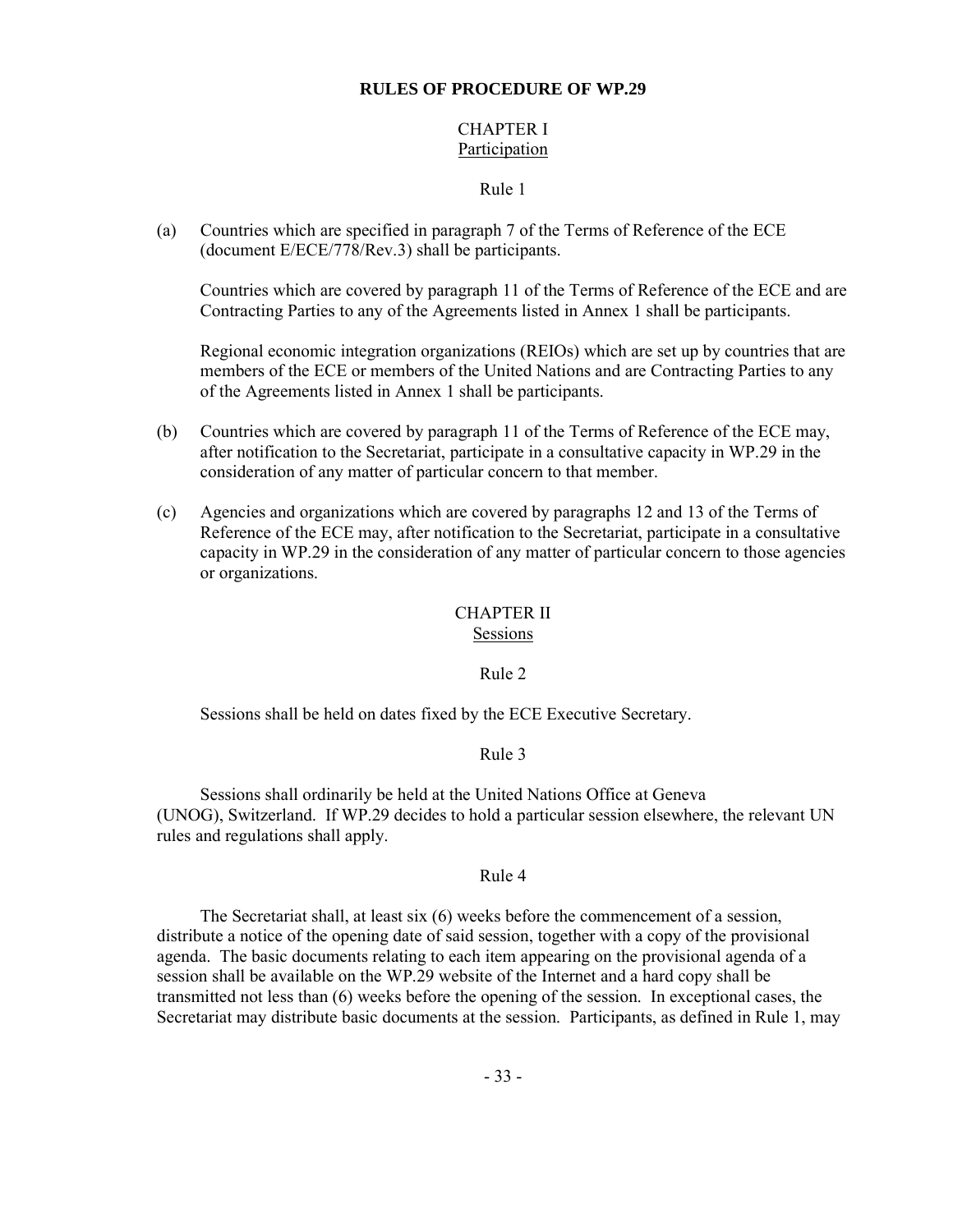# **RULES OF PROCEDURE OF WP.29**

# CHAPTER I Participation

### Rule 1

(a) Countries which are specified in paragraph 7 of the Terms of Reference of the ECE (document E/ECE/778/Rev.3) shall be participants.

Countries which are covered by paragraph 11 of the Terms of Reference of the ECE and are Contracting Parties to any of the Agreements listed in Annex 1 shall be participants.

Regional economic integration organizations (REIOs) which are set up by countries that are members of the ECE or members of the United Nations and are Contracting Parties to any of the Agreements listed in Annex 1 shall be participants.

- (b) Countries which are covered by paragraph 11 of the Terms of Reference of the ECE may, after notification to the Secretariat, participate in a consultative capacity in WP.29 in the consideration of any matter of particular concern to that member.
- (c) Agencies and organizations which are covered by paragraphs 12 and 13 of the Terms of Reference of the ECE may, after notification to the Secretariat, participate in a consultative capacity in WP.29 in the consideration of any matter of particular concern to those agencies or organizations.

# CHAPTER II

### Sessions

#### Rule 2

Sessions shall be held on dates fixed by the ECE Executive Secretary.

# Rule 3

Sessions shall ordinarily be held at the United Nations Office at Geneva (UNOG), Switzerland. If WP.29 decides to hold a particular session elsewhere, the relevant UN rules and regulations shall apply.

# Rule 4

The Secretariat shall, at least six (6) weeks before the commencement of a session, distribute a notice of the opening date of said session, together with a copy of the provisional agenda. The basic documents relating to each item appearing on the provisional agenda of a session shall be available on the WP.29 website of the Internet and a hard copy shall be transmitted not less than (6) weeks before the opening of the session. In exceptional cases, the Secretariat may distribute basic documents at the session. Participants, as defined in Rule 1, may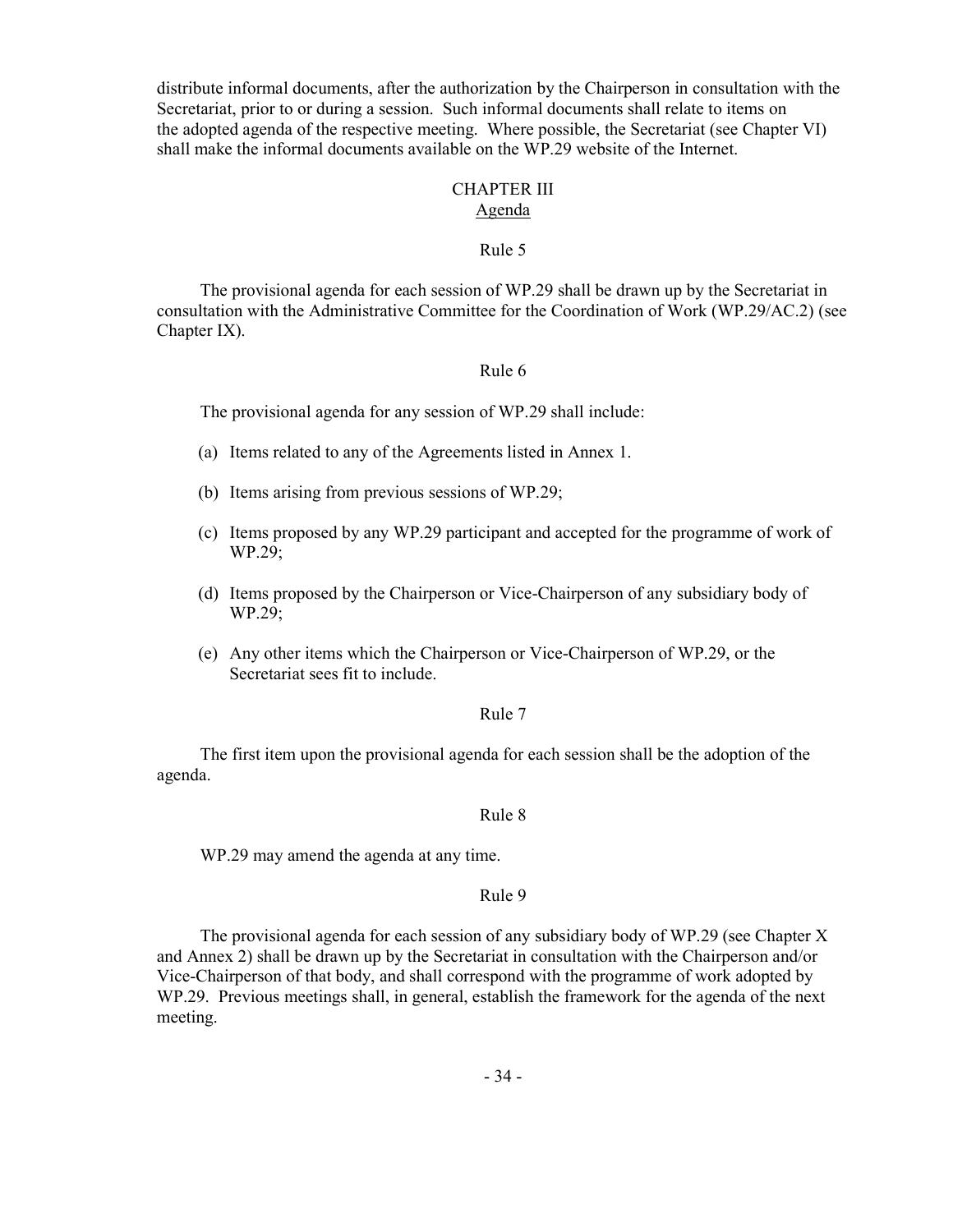distribute informal documents, after the authorization by the Chairperson in consultation with the Secretariat, prior to or during a session. Such informal documents shall relate to items on the adopted agenda of the respective meeting. Where possible, the Secretariat (see Chapter VI) shall make the informal documents available on the WP.29 website of the Internet.

#### CHAPTER III Agenda

#### Rule 5

The provisional agenda for each session of WP.29 shall be drawn up by the Secretariat in consultation with the Administrative Committee for the Coordination of Work (WP.29/AC.2) (see Chapter IX).

## Rule 6

The provisional agenda for any session of WP.29 shall include:

- (a) Items related to any of the Agreements listed in Annex 1.
- (b) Items arising from previous sessions of WP.29;
- (c) Items proposed by any WP.29 participant and accepted for the programme of work of WP.29;
- (d) Items proposed by the Chairperson or Vice-Chairperson of any subsidiary body of WP.29;
- (e) Any other items which the Chairperson or Vice-Chairperson of WP.29, or the Secretariat sees fit to include.

#### Rule 7

The first item upon the provisional agenda for each session shall be the adoption of the agenda.

#### Rule 8

WP.29 may amend the agenda at any time.

#### Rule 9

The provisional agenda for each session of any subsidiary body of WP.29 (see Chapter X and Annex 2) shall be drawn up by the Secretariat in consultation with the Chairperson and/or Vice-Chairperson of that body, and shall correspond with the programme of work adopted by WP.29. Previous meetings shall, in general, establish the framework for the agenda of the next meeting.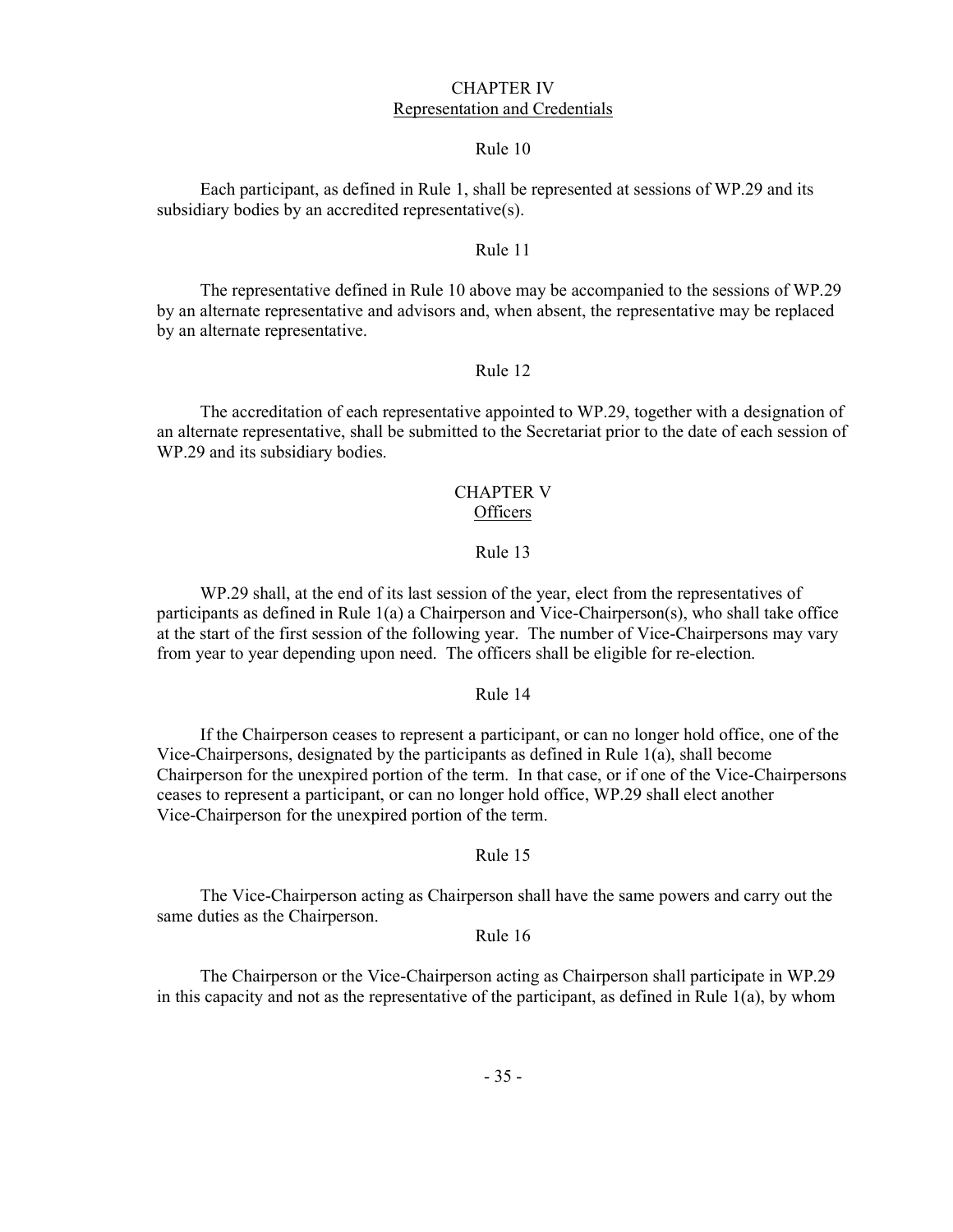#### CHAPTER IV Representation and Credentials

#### Rule 10

Each participant, as defined in Rule 1, shall be represented at sessions of WP.29 and its subsidiary bodies by an accredited representative(s).

#### Rule 11

The representative defined in Rule 10 above may be accompanied to the sessions of WP.29 by an alternate representative and advisors and, when absent, the representative may be replaced by an alternate representative.

#### Rule 12

The accreditation of each representative appointed to WP.29, together with a designation of an alternate representative, shall be submitted to the Secretariat prior to the date of each session of WP.29 and its subsidiary bodies.

#### CHAPTER V **Officers**

#### Rule 13

WP.29 shall, at the end of its last session of the year, elect from the representatives of participants as defined in Rule 1(a) a Chairperson and Vice-Chairperson(s), who shall take office at the start of the first session of the following year. The number of Vice-Chairpersons may vary from year to year depending upon need. The officers shall be eligible for re-election.

#### Rule 14

If the Chairperson ceases to represent a participant, or can no longer hold office, one of the Vice-Chairpersons, designated by the participants as defined in Rule 1(a), shall become Chairperson for the unexpired portion of the term. In that case, or if one of the Vice-Chairpersons ceases to represent a participant, or can no longer hold office, WP.29 shall elect another Vice-Chairperson for the unexpired portion of the term.

#### Rule 15

The Vice-Chairperson acting as Chairperson shall have the same powers and carry out the same duties as the Chairperson.

#### Rule 16

The Chairperson or the Vice-Chairperson acting as Chairperson shall participate in WP.29 in this capacity and not as the representative of the participant, as defined in Rule 1(a), by whom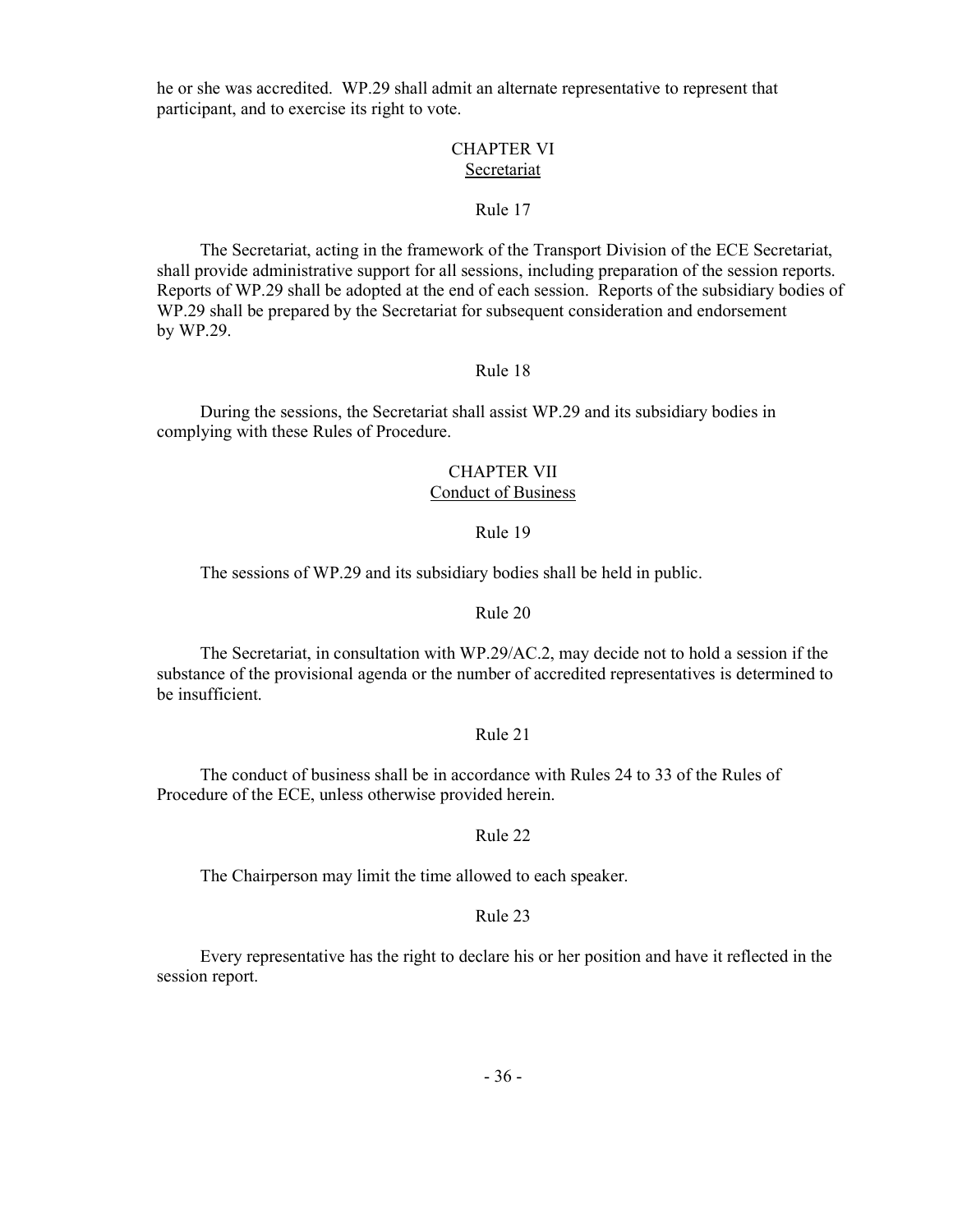he or she was accredited. WP.29 shall admit an alternate representative to represent that participant, and to exercise its right to vote.

#### CHAPTER VI **Secretariat**

#### Rule 17

The Secretariat, acting in the framework of the Transport Division of the ECE Secretariat, shall provide administrative support for all sessions, including preparation of the session reports. Reports of WP.29 shall be adopted at the end of each session. Reports of the subsidiary bodies of WP.29 shall be prepared by the Secretariat for subsequent consideration and endorsement by WP.29.

## Rule 18

During the sessions, the Secretariat shall assist WP.29 and its subsidiary bodies in complying with these Rules of Procedure.

#### CHAPTER VII Conduct of Business

#### Rule 19

The sessions of WP.29 and its subsidiary bodies shall be held in public.

#### Rule 20

The Secretariat, in consultation with WP.29/AC.2, may decide not to hold a session if the substance of the provisional agenda or the number of accredited representatives is determined to be insufficient.

#### Rule 21

The conduct of business shall be in accordance with Rules 24 to 33 of the Rules of Procedure of the ECE, unless otherwise provided herein.

#### Rule 22

The Chairperson may limit the time allowed to each speaker.

#### Rule 23

Every representative has the right to declare his or her position and have it reflected in the session report.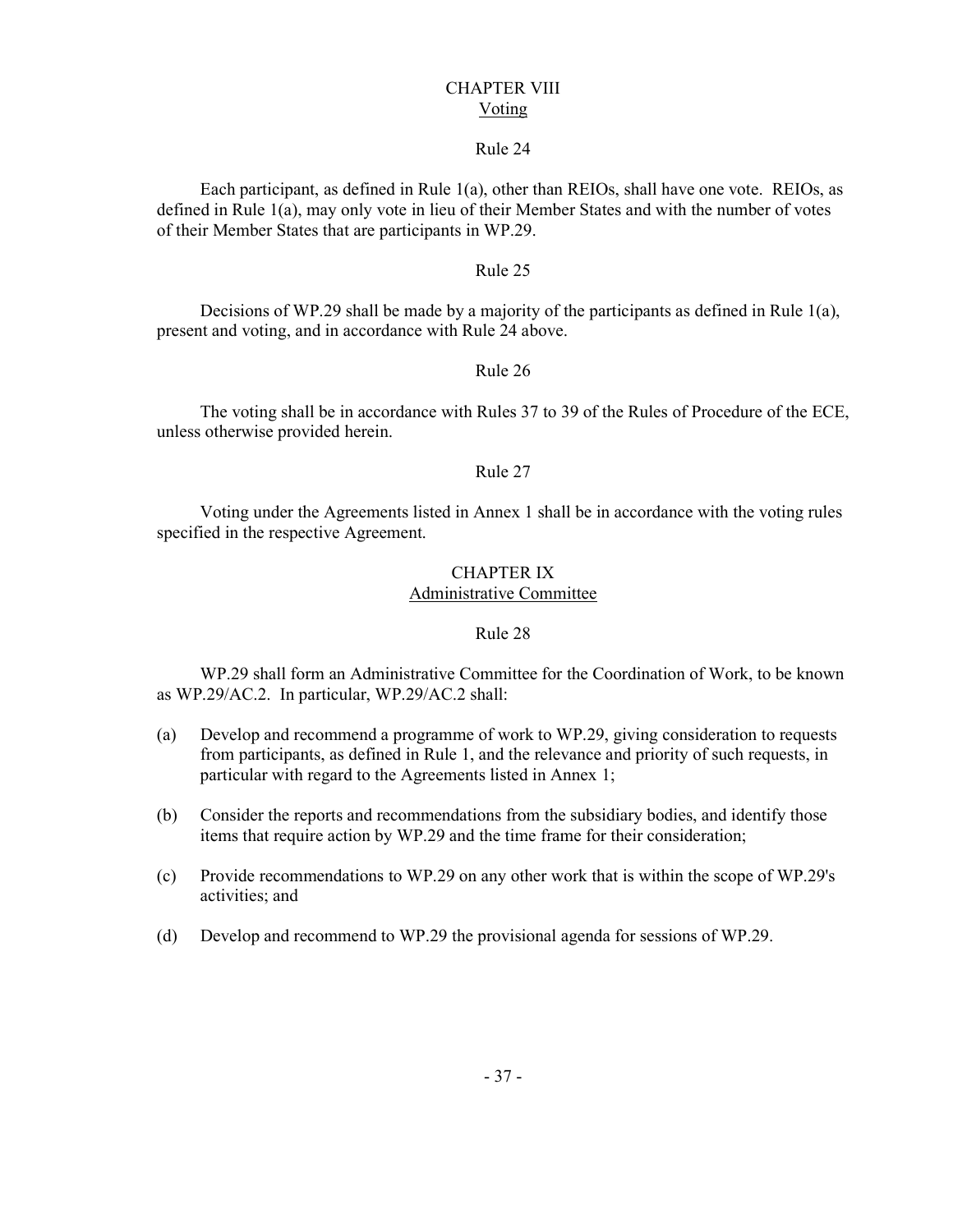#### CHAPTER VIII Voting

#### Rule 24

Each participant, as defined in Rule 1(a), other than REIOs, shall have one vote. REIOs, as defined in Rule 1(a), may only vote in lieu of their Member States and with the number of votes of their Member States that are participants in WP.29.

#### Rule 25

Decisions of WP.29 shall be made by a majority of the participants as defined in Rule  $1(a)$ , present and voting, and in accordance with Rule 24 above.

#### Rule 26

The voting shall be in accordance with Rules 37 to 39 of the Rules of Procedure of the ECE, unless otherwise provided herein.

#### Rule 27

Voting under the Agreements listed in Annex 1 shall be in accordance with the voting rules specified in the respective Agreement.

## CHAPTER IX

## Administrative Committee

#### Rule 28

WP.29 shall form an Administrative Committee for the Coordination of Work, to be known as WP.29/AC.2. In particular, WP.29/AC.2 shall:

- (a) Develop and recommend a programme of work to WP.29, giving consideration to requests from participants, as defined in Rule 1, and the relevance and priority of such requests, in particular with regard to the Agreements listed in Annex 1;
- (b) Consider the reports and recommendations from the subsidiary bodies, and identify those items that require action by WP.29 and the time frame for their consideration;
- (c) Provide recommendations to WP.29 on any other work that is within the scope of WP.29's activities; and
- (d) Develop and recommend to WP.29 the provisional agenda for sessions of WP.29.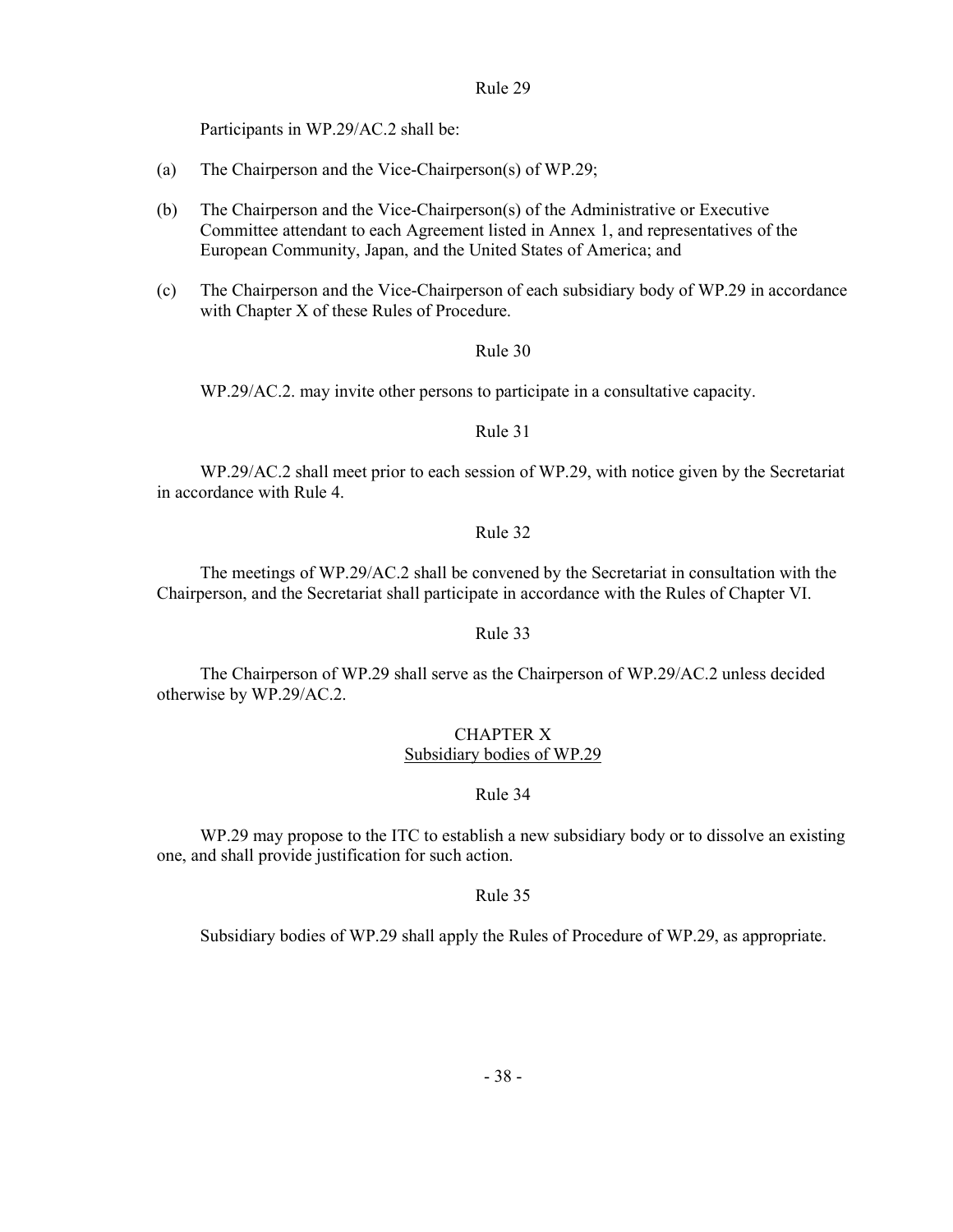Participants in WP.29/AC.2 shall be:

- (a) The Chairperson and the Vice-Chairperson(s) of WP.29;
- (b) The Chairperson and the Vice-Chairperson(s) of the Administrative or Executive Committee attendant to each Agreement listed in Annex 1, and representatives of the European Community, Japan, and the United States of America; and
- (c) The Chairperson and the Vice-Chairperson of each subsidiary body of WP.29 in accordance with Chapter X of these Rules of Procedure.

#### Rule 30

WP.29/AC.2. may invite other persons to participate in a consultative capacity.

#### Rule 31

WP.29/AC.2 shall meet prior to each session of WP.29, with notice given by the Secretariat in accordance with Rule 4.

#### Rule 32

The meetings of WP.29/AC.2 shall be convened by the Secretariat in consultation with the Chairperson, and the Secretariat shall participate in accordance with the Rules of Chapter VI.

#### Rule 33

The Chairperson of WP.29 shall serve as the Chairperson of WP.29/AC.2 unless decided otherwise by WP.29/AC.2.

#### CHAPTER X Subsidiary bodies of WP.29

#### Rule 34

WP.29 may propose to the ITC to establish a new subsidiary body or to dissolve an existing one, and shall provide justification for such action.

#### Rule 35

Subsidiary bodies of WP.29 shall apply the Rules of Procedure of WP.29, as appropriate.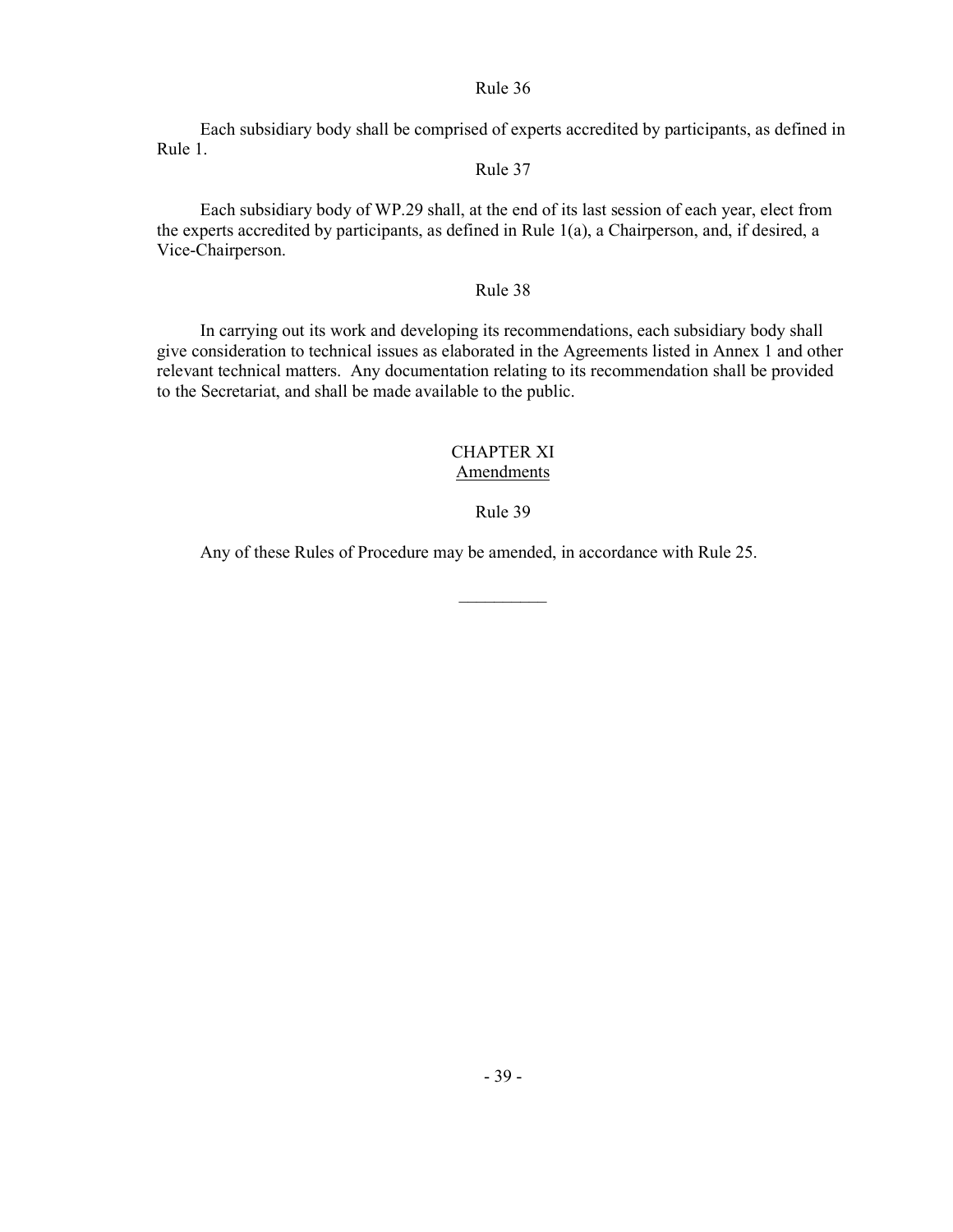Rule 36

Each subsidiary body shall be comprised of experts accredited by participants, as defined in Rule 1.

## Rule 37

Each subsidiary body of WP.29 shall, at the end of its last session of each year, elect from the experts accredited by participants, as defined in Rule 1(a), a Chairperson, and, if desired, a Vice-Chairperson.

## Rule 38

In carrying out its work and developing its recommendations, each subsidiary body shall give consideration to technical issues as elaborated in the Agreements listed in Annex 1 and other relevant technical matters. Any documentation relating to its recommendation shall be provided to the Secretariat, and shall be made available to the public.

## CHAPTER XI Amendments

## Rule 39

 $\mathcal{L}_\text{max}$ 

Any of these Rules of Procedure may be amended, in accordance with Rule 25.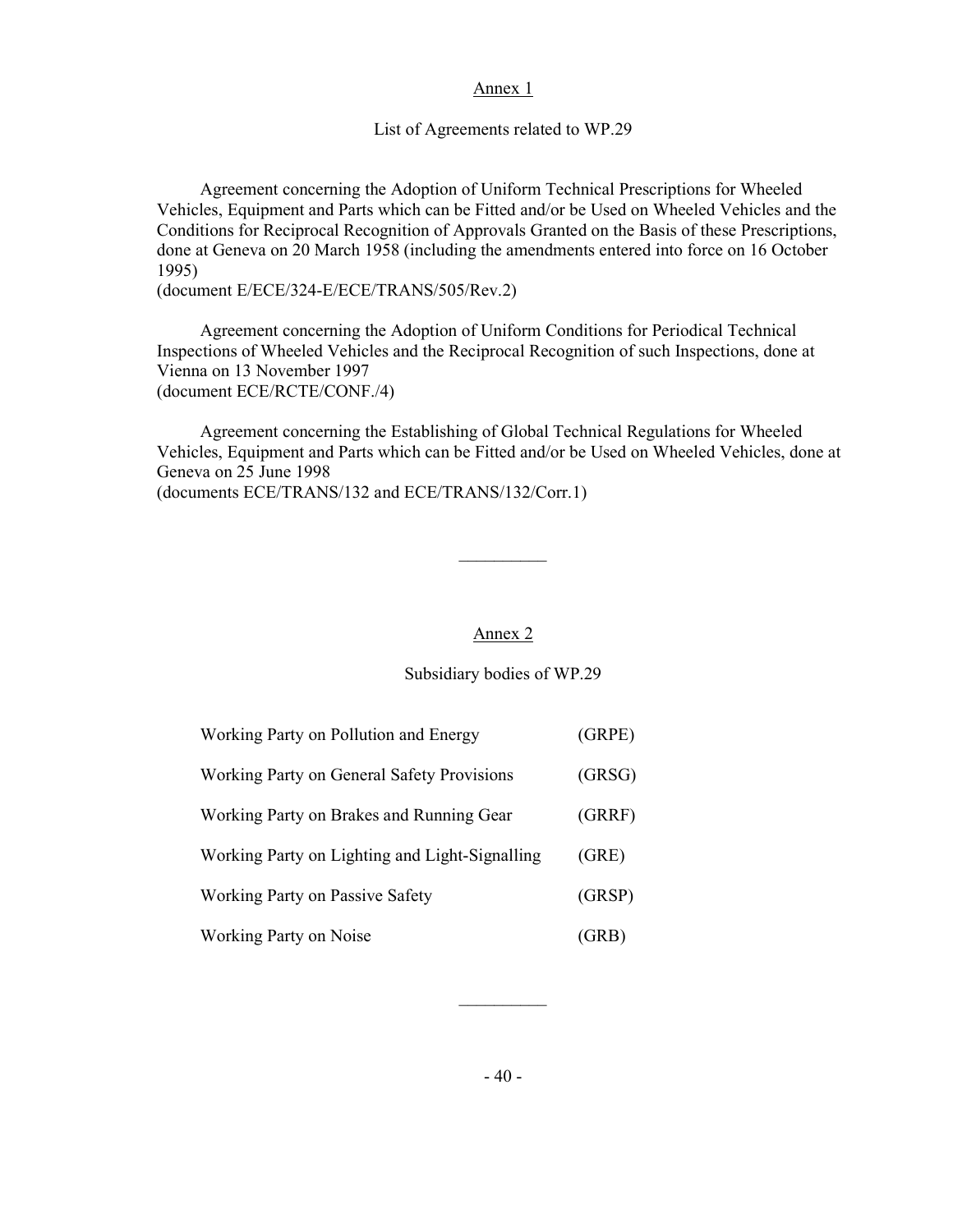#### Annex 1

List of Agreements related to WP.29

Agreement concerning the Adoption of Uniform Technical Prescriptions for Wheeled Vehicles, Equipment and Parts which can be Fitted and/or be Used on Wheeled Vehicles and the Conditions for Reciprocal Recognition of Approvals Granted on the Basis of these Prescriptions, done at Geneva on 20 March 1958 (including the amendments entered into force on 16 October 1995)

(document E/ECE/324-E/ECE/TRANS/505/Rev.2)

Agreement concerning the Adoption of Uniform Conditions for Periodical Technical Inspections of Wheeled Vehicles and the Reciprocal Recognition of such Inspections, done at Vienna on 13 November 1997 (document ECE/RCTE/CONF./4)

Agreement concerning the Establishing of Global Technical Regulations for Wheeled Vehicles, Equipment and Parts which can be Fitted and/or be Used on Wheeled Vehicles, done at Geneva on 25 June 1998

(documents ECE/TRANS/132 and ECE/TRANS/132/Corr.1)

 $\mathcal{L}_\text{max}$  and  $\mathcal{L}_\text{max}$  are the set of the set of the set of the set of the set of the set of the set of the set of the set of the set of the set of the set of the set of the set of the set of the set of the set o

#### Annex 2

#### Subsidiary bodies of WP.29

| Working Party on Pollution and Energy             | (GRPE) |
|---------------------------------------------------|--------|
| <b>Working Party on General Safety Provisions</b> | (GRSG) |
| Working Party on Brakes and Running Gear          | (GRRF) |
| Working Party on Lighting and Light-Signalling    | (GRE)  |
| <b>Working Party on Passive Safety</b>            | (GRSP) |
| Working Party on Noise                            | (GRB)  |

 $\mathcal{L}_\text{max}$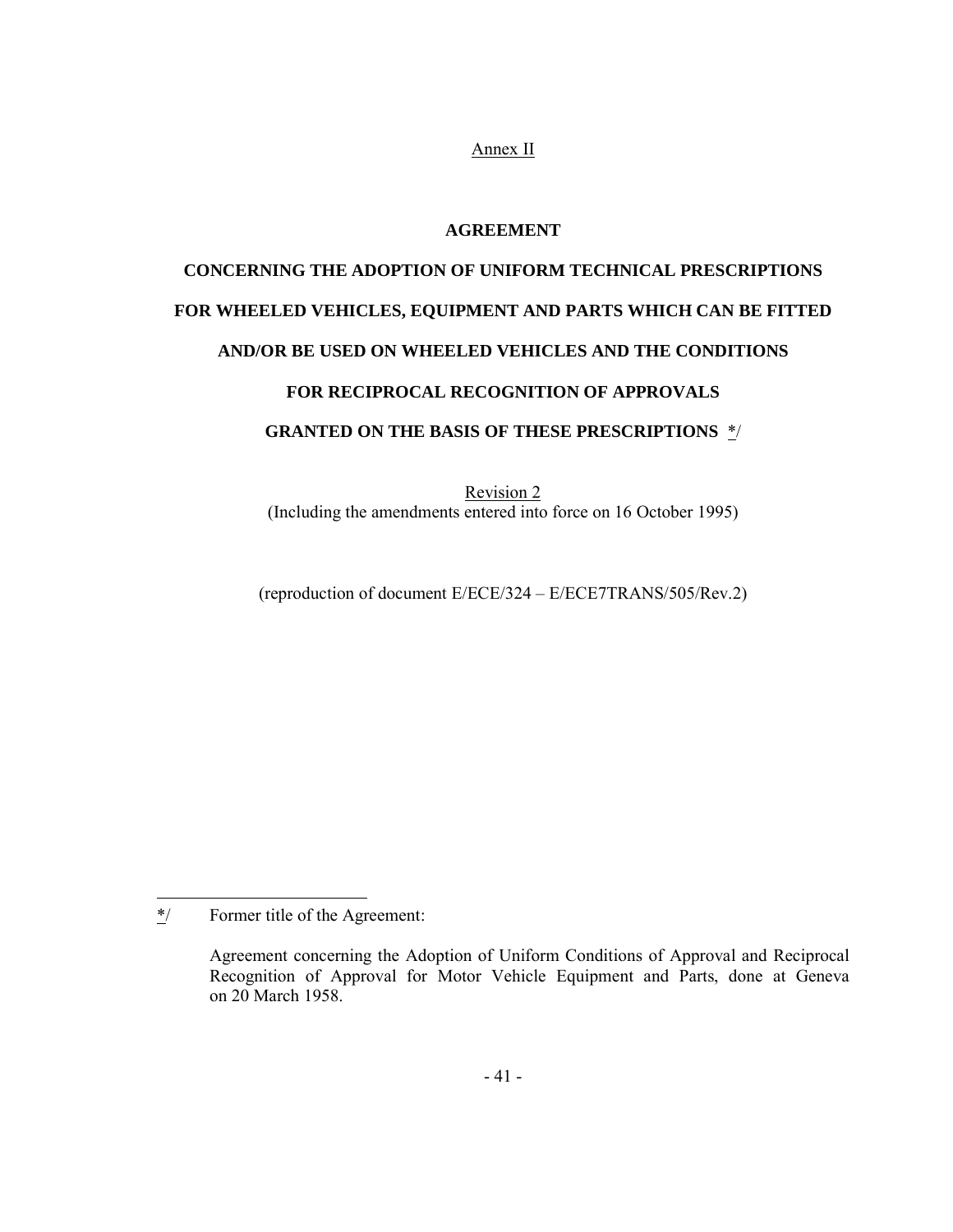Annex II

## **AGREEMENT**

## **CONCERNING THE ADOPTION OF UNIFORM TECHNICAL PRESCRIPTIONS FOR WHEELED VEHICLES, EQUIPMENT AND PARTS WHICH CAN BE FITTED AND/OR BE USED ON WHEELED VEHICLES AND THE CONDITIONS FOR RECIPROCAL RECOGNITION OF APPROVALS GRANTED ON THE BASIS OF THESE PRESCRIPTIONS** \*/

Revision 2 (Including the amendments entered into force on 16 October 1995)

(reproduction of document E/ECE/324 – E/ECE7TRANS/505/Rev.2)

 $*$ / Former title of the Agreement:

Agreement concerning the Adoption of Uniform Conditions of Approval and Reciprocal Recognition of Approval for Motor Vehicle Equipment and Parts, done at Geneva on 20 March 1958.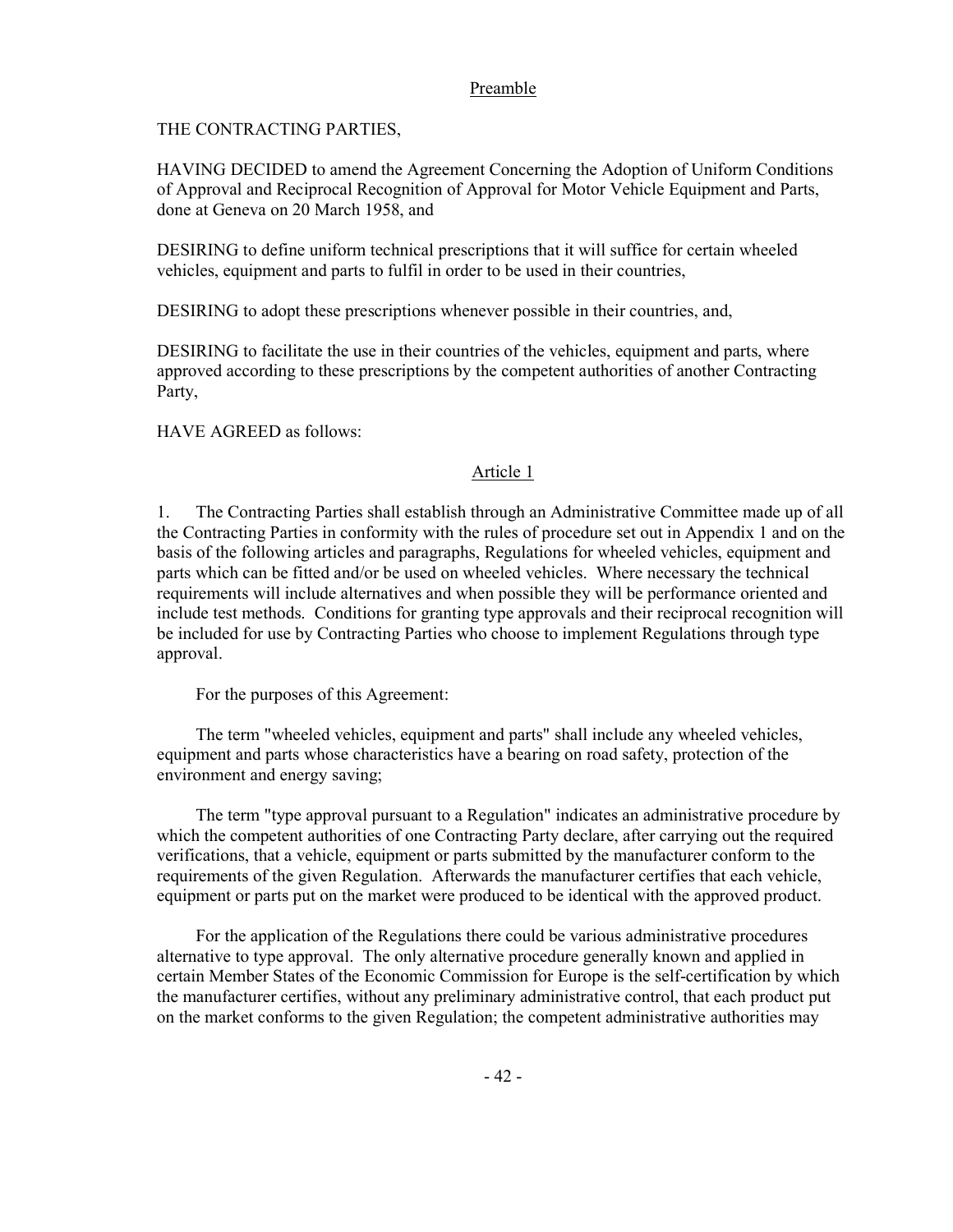## Preamble

THE CONTRACTING PARTIES,

HAVING DECIDED to amend the Agreement Concerning the Adoption of Uniform Conditions of Approval and Reciprocal Recognition of Approval for Motor Vehicle Equipment and Parts, done at Geneva on 20 March 1958, and

DESIRING to define uniform technical prescriptions that it will suffice for certain wheeled vehicles, equipment and parts to fulfil in order to be used in their countries,

DESIRING to adopt these prescriptions whenever possible in their countries, and,

DESIRING to facilitate the use in their countries of the vehicles, equipment and parts, where approved according to these prescriptions by the competent authorities of another Contracting Party,

HAVE AGREED as follows:

## Article 1

1. The Contracting Parties shall establish through an Administrative Committee made up of all the Contracting Parties in conformity with the rules of procedure set out in Appendix 1 and on the basis of the following articles and paragraphs, Regulations for wheeled vehicles, equipment and parts which can be fitted and/or be used on wheeled vehicles. Where necessary the technical requirements will include alternatives and when possible they will be performance oriented and include test methods. Conditions for granting type approvals and their reciprocal recognition will be included for use by Contracting Parties who choose to implement Regulations through type approval.

For the purposes of this Agreement:

 The term "wheeled vehicles, equipment and parts" shall include any wheeled vehicles, equipment and parts whose characteristics have a bearing on road safety, protection of the environment and energy saving;

 The term "type approval pursuant to a Regulation" indicates an administrative procedure by which the competent authorities of one Contracting Party declare, after carrying out the required verifications, that a vehicle, equipment or parts submitted by the manufacturer conform to the requirements of the given Regulation. Afterwards the manufacturer certifies that each vehicle, equipment or parts put on the market were produced to be identical with the approved product.

 For the application of the Regulations there could be various administrative procedures alternative to type approval. The only alternative procedure generally known and applied in certain Member States of the Economic Commission for Europe is the self-certification by which the manufacturer certifies, without any preliminary administrative control, that each product put on the market conforms to the given Regulation; the competent administrative authorities may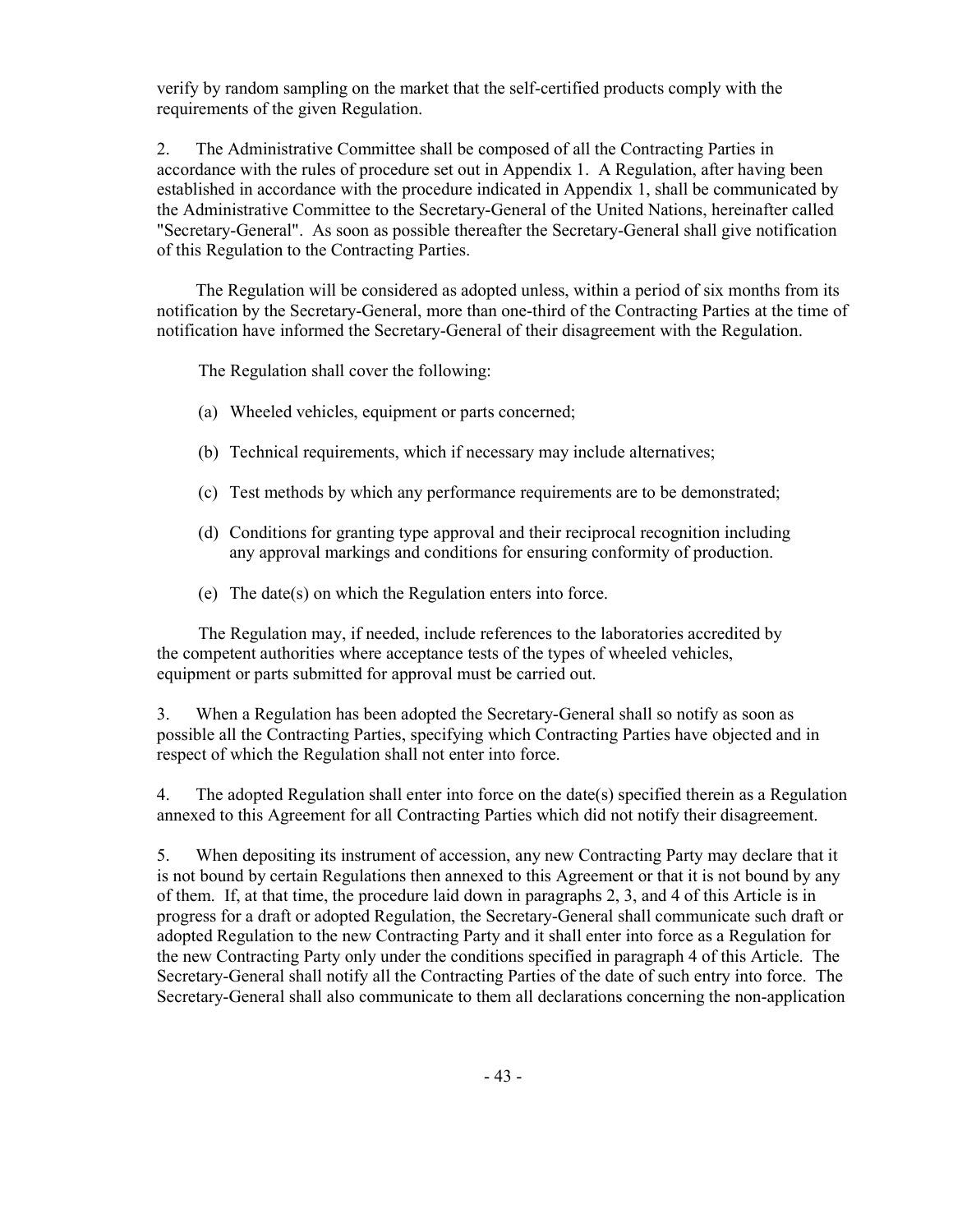verify by random sampling on the market that the self-certified products comply with the requirements of the given Regulation.

2. The Administrative Committee shall be composed of all the Contracting Parties in accordance with the rules of procedure set out in Appendix 1. A Regulation, after having been established in accordance with the procedure indicated in Appendix 1, shall be communicated by the Administrative Committee to the Secretary-General of the United Nations, hereinafter called "Secretary-General". As soon as possible thereafter the Secretary-General shall give notification of this Regulation to the Contracting Parties.

 The Regulation will be considered as adopted unless, within a period of six months from its notification by the Secretary-General, more than one-third of the Contracting Parties at the time of notification have informed the Secretary-General of their disagreement with the Regulation.

The Regulation shall cover the following:

- (a) Wheeled vehicles, equipment or parts concerned;
- (b) Technical requirements, which if necessary may include alternatives;
- (c) Test methods by which any performance requirements are to be demonstrated;
- (d) Conditions for granting type approval and their reciprocal recognition including any approval markings and conditions for ensuring conformity of production.
- (e) The date(s) on which the Regulation enters into force.

 The Regulation may, if needed, include references to the laboratories accredited by the competent authorities where acceptance tests of the types of wheeled vehicles, equipment or parts submitted for approval must be carried out.

3. When a Regulation has been adopted the Secretary-General shall so notify as soon as possible all the Contracting Parties, specifying which Contracting Parties have objected and in respect of which the Regulation shall not enter into force.

4. The adopted Regulation shall enter into force on the date(s) specified therein as a Regulation annexed to this Agreement for all Contracting Parties which did not notify their disagreement.

5. When depositing its instrument of accession, any new Contracting Party may declare that it is not bound by certain Regulations then annexed to this Agreement or that it is not bound by any of them. If, at that time, the procedure laid down in paragraphs 2, 3, and 4 of this Article is in progress for a draft or adopted Regulation, the Secretary-General shall communicate such draft or adopted Regulation to the new Contracting Party and it shall enter into force as a Regulation for the new Contracting Party only under the conditions specified in paragraph 4 of this Article. The Secretary-General shall notify all the Contracting Parties of the date of such entry into force. The Secretary-General shall also communicate to them all declarations concerning the non-application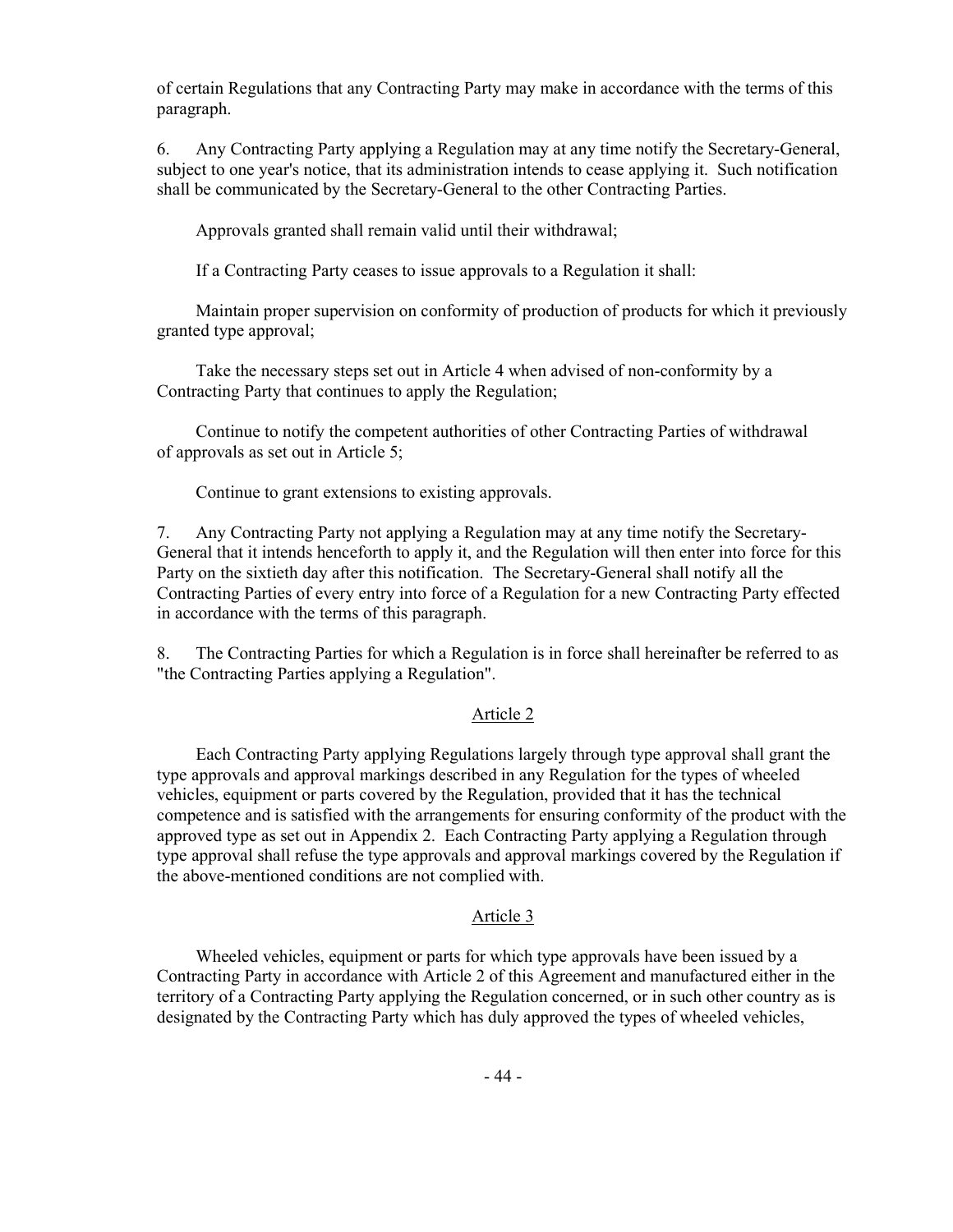of certain Regulations that any Contracting Party may make in accordance with the terms of this paragraph.

6. Any Contracting Party applying a Regulation may at any time notify the Secretary-General, subject to one year's notice, that its administration intends to cease applying it. Such notification shall be communicated by the Secretary-General to the other Contracting Parties.

Approvals granted shall remain valid until their withdrawal;

If a Contracting Party ceases to issue approvals to a Regulation it shall:

 Maintain proper supervision on conformity of production of products for which it previously granted type approval;

 Take the necessary steps set out in Article 4 when advised of non-conformity by a Contracting Party that continues to apply the Regulation;

 Continue to notify the competent authorities of other Contracting Parties of withdrawal of approvals as set out in Article 5;

Continue to grant extensions to existing approvals.

7. Any Contracting Party not applying a Regulation may at any time notify the Secretary-General that it intends henceforth to apply it, and the Regulation will then enter into force for this Party on the sixtieth day after this notification. The Secretary-General shall notify all the Contracting Parties of every entry into force of a Regulation for a new Contracting Party effected in accordance with the terms of this paragraph.

8. The Contracting Parties for which a Regulation is in force shall hereinafter be referred to as "the Contracting Parties applying a Regulation".

#### Article 2

 Each Contracting Party applying Regulations largely through type approval shall grant the type approvals and approval markings described in any Regulation for the types of wheeled vehicles, equipment or parts covered by the Regulation, provided that it has the technical competence and is satisfied with the arrangements for ensuring conformity of the product with the approved type as set out in Appendix 2. Each Contracting Party applying a Regulation through type approval shall refuse the type approvals and approval markings covered by the Regulation if the above-mentioned conditions are not complied with.

#### Article 3

 Wheeled vehicles, equipment or parts for which type approvals have been issued by a Contracting Party in accordance with Article 2 of this Agreement and manufactured either in the territory of a Contracting Party applying the Regulation concerned, or in such other country as is designated by the Contracting Party which has duly approved the types of wheeled vehicles,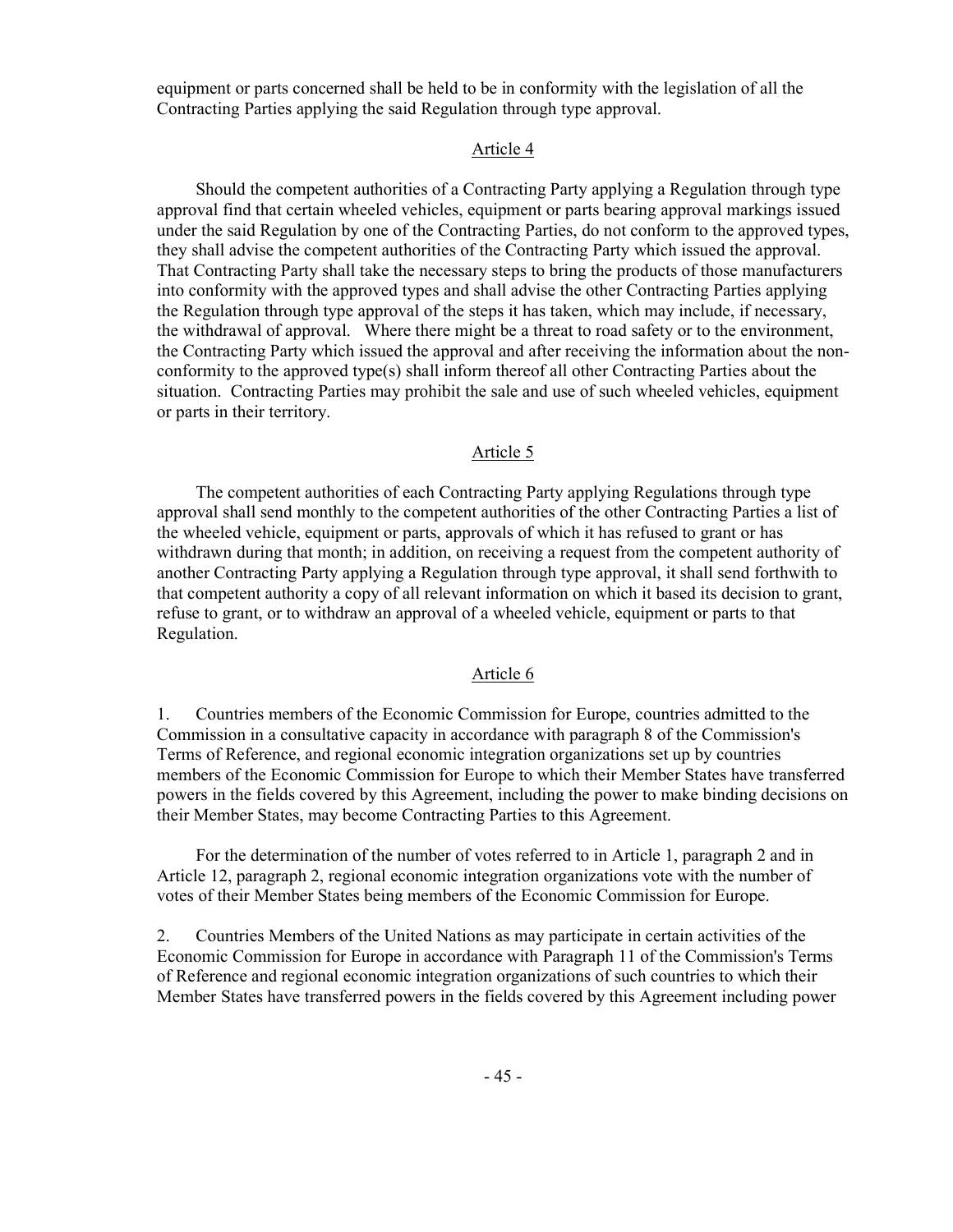equipment or parts concerned shall be held to be in conformity with the legislation of all the Contracting Parties applying the said Regulation through type approval.

#### Article 4

 Should the competent authorities of a Contracting Party applying a Regulation through type approval find that certain wheeled vehicles, equipment or parts bearing approval markings issued under the said Regulation by one of the Contracting Parties, do not conform to the approved types, they shall advise the competent authorities of the Contracting Party which issued the approval. That Contracting Party shall take the necessary steps to bring the products of those manufacturers into conformity with the approved types and shall advise the other Contracting Parties applying the Regulation through type approval of the steps it has taken, which may include, if necessary, the withdrawal of approval. Where there might be a threat to road safety or to the environment, the Contracting Party which issued the approval and after receiving the information about the nonconformity to the approved type(s) shall inform thereof all other Contracting Parties about the situation. Contracting Parties may prohibit the sale and use of such wheeled vehicles, equipment or parts in their territory.

#### Article 5

 The competent authorities of each Contracting Party applying Regulations through type approval shall send monthly to the competent authorities of the other Contracting Parties a list of the wheeled vehicle, equipment or parts, approvals of which it has refused to grant or has withdrawn during that month; in addition, on receiving a request from the competent authority of another Contracting Party applying a Regulation through type approval, it shall send forthwith to that competent authority a copy of all relevant information on which it based its decision to grant, refuse to grant, or to withdraw an approval of a wheeled vehicle, equipment or parts to that Regulation.

#### Article 6

1. Countries members of the Economic Commission for Europe, countries admitted to the Commission in a consultative capacity in accordance with paragraph 8 of the Commission's Terms of Reference, and regional economic integration organizations set up by countries members of the Economic Commission for Europe to which their Member States have transferred powers in the fields covered by this Agreement, including the power to make binding decisions on their Member States, may become Contracting Parties to this Agreement.

 For the determination of the number of votes referred to in Article 1, paragraph 2 and in Article 12, paragraph 2, regional economic integration organizations vote with the number of votes of their Member States being members of the Economic Commission for Europe.

2. Countries Members of the United Nations as may participate in certain activities of the Economic Commission for Europe in accordance with Paragraph 11 of the Commission's Terms of Reference and regional economic integration organizations of such countries to which their Member States have transferred powers in the fields covered by this Agreement including power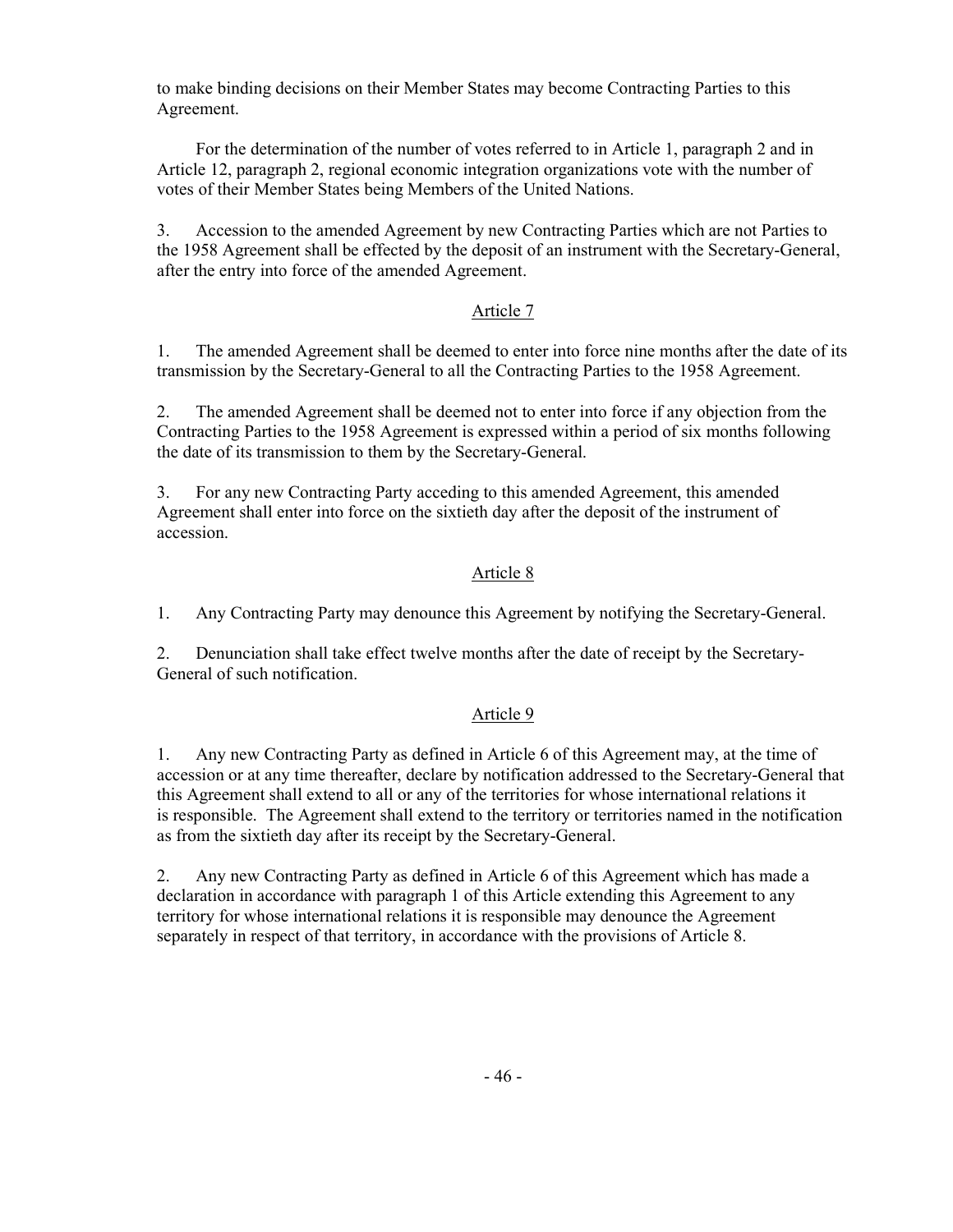to make binding decisions on their Member States may become Contracting Parties to this Agreement.

 For the determination of the number of votes referred to in Article 1, paragraph 2 and in Article 12, paragraph 2, regional economic integration organizations vote with the number of votes of their Member States being Members of the United Nations.

3. Accession to the amended Agreement by new Contracting Parties which are not Parties to the 1958 Agreement shall be effected by the deposit of an instrument with the Secretary-General, after the entry into force of the amended Agreement.

#### Article 7

1. The amended Agreement shall be deemed to enter into force nine months after the date of its transmission by the Secretary-General to all the Contracting Parties to the 1958 Agreement.

2. The amended Agreement shall be deemed not to enter into force if any objection from the Contracting Parties to the 1958 Agreement is expressed within a period of six months following the date of its transmission to them by the Secretary-General.

3. For any new Contracting Party acceding to this amended Agreement, this amended Agreement shall enter into force on the sixtieth day after the deposit of the instrument of accession.

## Article 8

1. Any Contracting Party may denounce this Agreement by notifying the Secretary-General.

2. Denunciation shall take effect twelve months after the date of receipt by the Secretary-General of such notification.

#### Article 9

1. Any new Contracting Party as defined in Article 6 of this Agreement may, at the time of accession or at any time thereafter, declare by notification addressed to the Secretary-General that this Agreement shall extend to all or any of the territories for whose international relations it is responsible. The Agreement shall extend to the territory or territories named in the notification as from the sixtieth day after its receipt by the Secretary-General.

2. Any new Contracting Party as defined in Article 6 of this Agreement which has made a declaration in accordance with paragraph 1 of this Article extending this Agreement to any territory for whose international relations it is responsible may denounce the Agreement separately in respect of that territory, in accordance with the provisions of Article 8.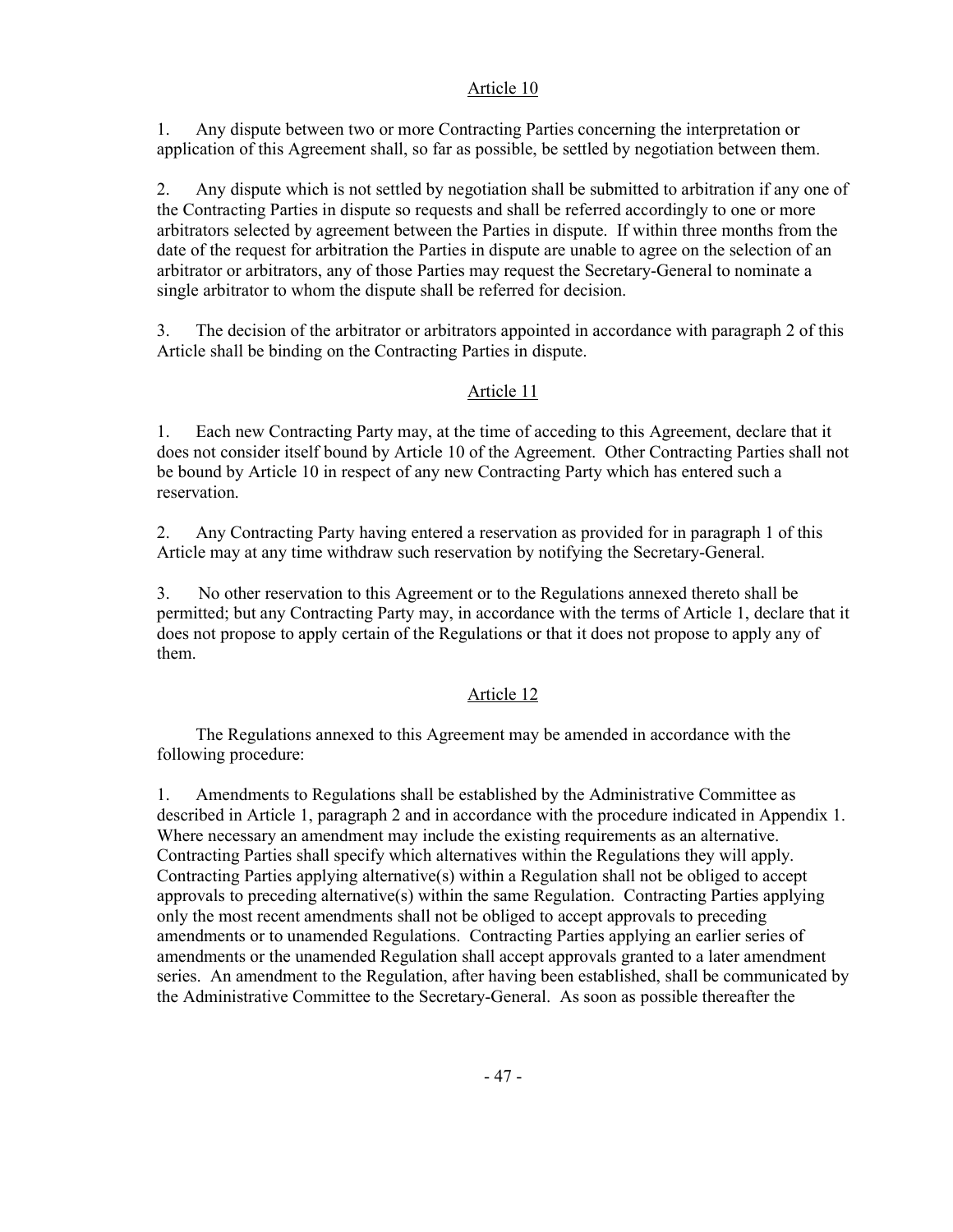## Article 10

1. Any dispute between two or more Contracting Parties concerning the interpretation or application of this Agreement shall, so far as possible, be settled by negotiation between them.

2. Any dispute which is not settled by negotiation shall be submitted to arbitration if any one of the Contracting Parties in dispute so requests and shall be referred accordingly to one or more arbitrators selected by agreement between the Parties in dispute. If within three months from the date of the request for arbitration the Parties in dispute are unable to agree on the selection of an arbitrator or arbitrators, any of those Parties may request the Secretary-General to nominate a single arbitrator to whom the dispute shall be referred for decision.

3. The decision of the arbitrator or arbitrators appointed in accordance with paragraph 2 of this Article shall be binding on the Contracting Parties in dispute.

## Article 11

1. Each new Contracting Party may, at the time of acceding to this Agreement, declare that it does not consider itself bound by Article 10 of the Agreement. Other Contracting Parties shall not be bound by Article 10 in respect of any new Contracting Party which has entered such a reservation.

2. Any Contracting Party having entered a reservation as provided for in paragraph 1 of this Article may at any time withdraw such reservation by notifying the Secretary-General.

3. No other reservation to this Agreement or to the Regulations annexed thereto shall be permitted; but any Contracting Party may, in accordance with the terms of Article 1, declare that it does not propose to apply certain of the Regulations or that it does not propose to apply any of them.

## Article 12

 The Regulations annexed to this Agreement may be amended in accordance with the following procedure:

1. Amendments to Regulations shall be established by the Administrative Committee as described in Article 1, paragraph 2 and in accordance with the procedure indicated in Appendix 1. Where necessary an amendment may include the existing requirements as an alternative. Contracting Parties shall specify which alternatives within the Regulations they will apply. Contracting Parties applying alternative(s) within a Regulation shall not be obliged to accept approvals to preceding alternative(s) within the same Regulation. Contracting Parties applying only the most recent amendments shall not be obliged to accept approvals to preceding amendments or to unamended Regulations. Contracting Parties applying an earlier series of amendments or the unamended Regulation shall accept approvals granted to a later amendment series. An amendment to the Regulation, after having been established, shall be communicated by the Administrative Committee to the Secretary-General. As soon as possible thereafter the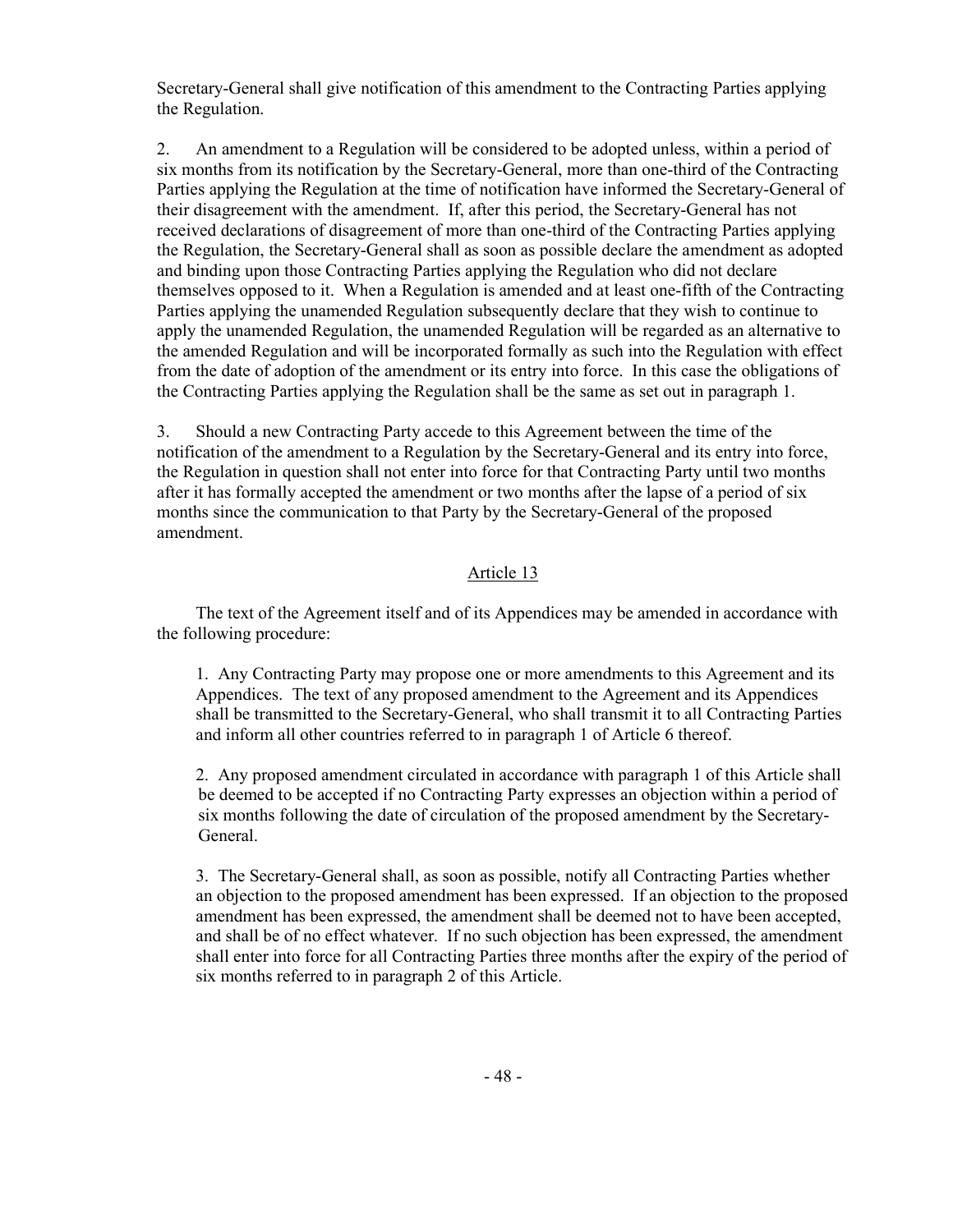Secretary-General shall give notification of this amendment to the Contracting Parties applying the Regulation.

2. An amendment to a Regulation will be considered to be adopted unless, within a period of six months from its notification by the Secretary-General, more than one-third of the Contracting Parties applying the Regulation at the time of notification have informed the Secretary-General of their disagreement with the amendment. If, after this period, the Secretary-General has not received declarations of disagreement of more than one-third of the Contracting Parties applying the Regulation, the Secretary-General shall as soon as possible declare the amendment as adopted and binding upon those Contracting Parties applying the Regulation who did not declare themselves opposed to it. When a Regulation is amended and at least one-fifth of the Contracting Parties applying the unamended Regulation subsequently declare that they wish to continue to apply the unamended Regulation, the unamended Regulation will be regarded as an alternative to the amended Regulation and will be incorporated formally as such into the Regulation with effect from the date of adoption of the amendment or its entry into force. In this case the obligations of the Contracting Parties applying the Regulation shall be the same as set out in paragraph 1.

3. Should a new Contracting Party accede to this Agreement between the time of the notification of the amendment to a Regulation by the Secretary-General and its entry into force, the Regulation in question shall not enter into force for that Contracting Party until two months after it has formally accepted the amendment or two months after the lapse of a period of six months since the communication to that Party by the Secretary-General of the proposed amendment.

## Article 13

 The text of the Agreement itself and of its Appendices may be amended in accordance with the following procedure:

 1. Any Contracting Party may propose one or more amendments to this Agreement and its Appendices. The text of any proposed amendment to the Agreement and its Appendices shall be transmitted to the Secretary-General, who shall transmit it to all Contracting Parties and inform all other countries referred to in paragraph 1 of Article 6 thereof.

 2. Any proposed amendment circulated in accordance with paragraph 1 of this Article shall be deemed to be accepted if no Contracting Party expresses an objection within a period of six months following the date of circulation of the proposed amendment by the Secretary-General.

 3. The Secretary-General shall, as soon as possible, notify all Contracting Parties whether an objection to the proposed amendment has been expressed. If an objection to the proposed amendment has been expressed, the amendment shall be deemed not to have been accepted, and shall be of no effect whatever. If no such objection has been expressed, the amendment shall enter into force for all Contracting Parties three months after the expiry of the period of six months referred to in paragraph 2 of this Article.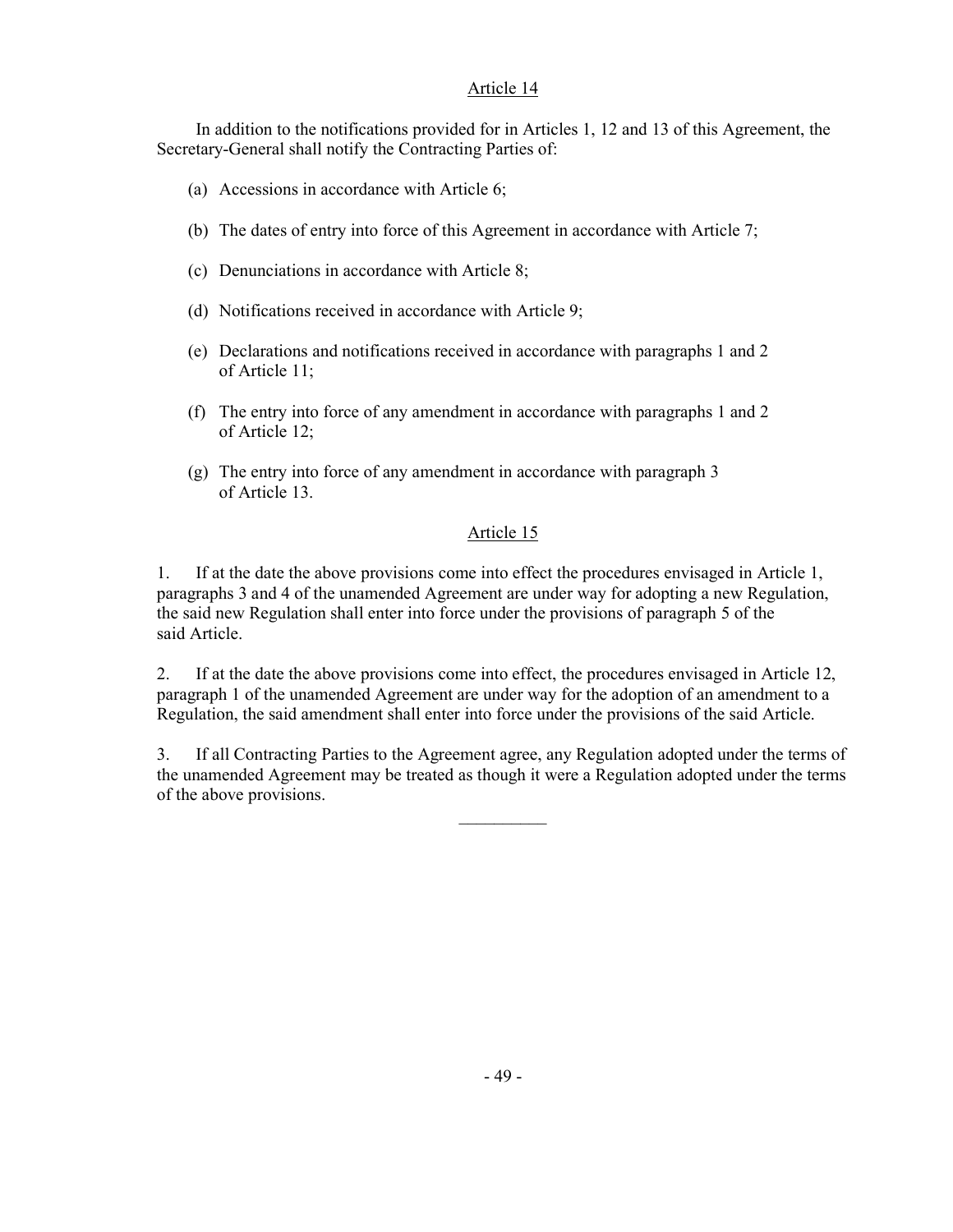## Article 14

 In addition to the notifications provided for in Articles 1, 12 and 13 of this Agreement, the Secretary-General shall notify the Contracting Parties of:

- (a) Accessions in accordance with Article 6;
- (b) The dates of entry into force of this Agreement in accordance with Article 7;
- (c) Denunciations in accordance with Article 8;

 $\mathcal{L}_\text{max}$  and  $\mathcal{L}_\text{max}$  are the set of the set of the set of the set of the set of the set of the set of the set of the set of the set of the set of the set of the set of the set of the set of the set of the set o

- (d) Notifications received in accordance with Article 9;
- (e) Declarations and notifications received in accordance with paragraphs 1 and 2 of Article 11;
- (f) The entry into force of any amendment in accordance with paragraphs 1 and 2 of Article 12;
- (g) The entry into force of any amendment in accordance with paragraph 3 of Article 13.

## Article 15

1. If at the date the above provisions come into effect the procedures envisaged in Article 1, paragraphs 3 and 4 of the unamended Agreement are under way for adopting a new Regulation, the said new Regulation shall enter into force under the provisions of paragraph 5 of the said Article.

2. If at the date the above provisions come into effect, the procedures envisaged in Article 12, paragraph 1 of the unamended Agreement are under way for the adoption of an amendment to a Regulation, the said amendment shall enter into force under the provisions of the said Article.

3. If all Contracting Parties to the Agreement agree, any Regulation adopted under the terms of the unamended Agreement may be treated as though it were a Regulation adopted under the terms of the above provisions.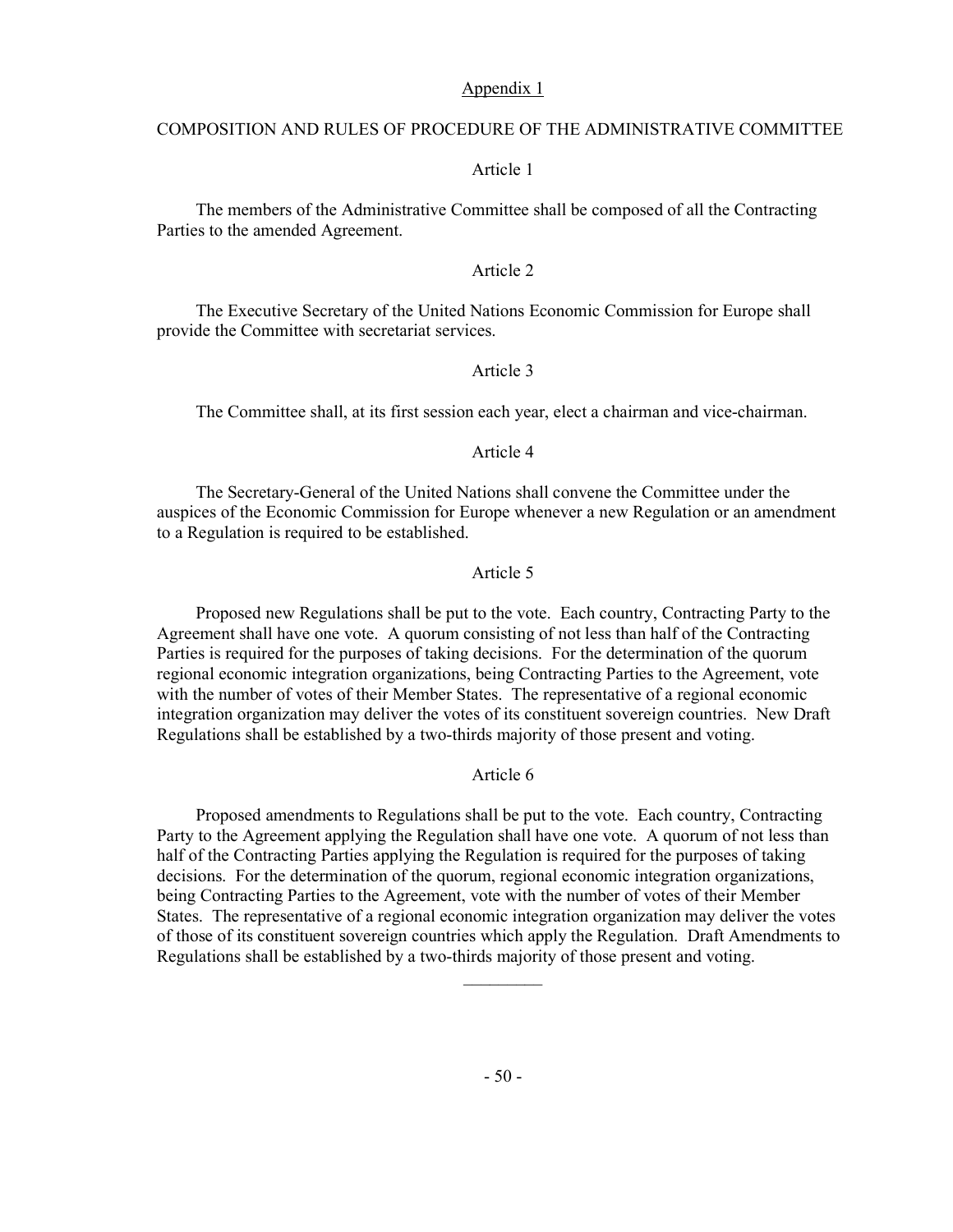#### Appendix 1

#### COMPOSITION AND RULES OF PROCEDURE OF THE ADMINISTRATIVE COMMITTEE

#### Article 1

 The members of the Administrative Committee shall be composed of all the Contracting Parties to the amended Agreement.

#### Article 2

 The Executive Secretary of the United Nations Economic Commission for Europe shall provide the Committee with secretariat services.

#### Article 3

The Committee shall, at its first session each year, elect a chairman and vice-chairman.

#### Article 4

 The Secretary-General of the United Nations shall convene the Committee under the auspices of the Economic Commission for Europe whenever a new Regulation or an amendment to a Regulation is required to be established.

## Article 5

 Proposed new Regulations shall be put to the vote. Each country, Contracting Party to the Agreement shall have one vote. A quorum consisting of not less than half of the Contracting Parties is required for the purposes of taking decisions. For the determination of the quorum regional economic integration organizations, being Contracting Parties to the Agreement, vote with the number of votes of their Member States. The representative of a regional economic integration organization may deliver the votes of its constituent sovereign countries. New Draft Regulations shall be established by a two-thirds majority of those present and voting.

#### Article 6

 Proposed amendments to Regulations shall be put to the vote. Each country, Contracting Party to the Agreement applying the Regulation shall have one vote. A quorum of not less than half of the Contracting Parties applying the Regulation is required for the purposes of taking decisions. For the determination of the quorum, regional economic integration organizations, being Contracting Parties to the Agreement, vote with the number of votes of their Member States. The representative of a regional economic integration organization may deliver the votes of those of its constituent sovereign countries which apply the Regulation. Draft Amendments to Regulations shall be established by a two-thirds majority of those present and voting.

 $\mathcal{L}_\text{max}$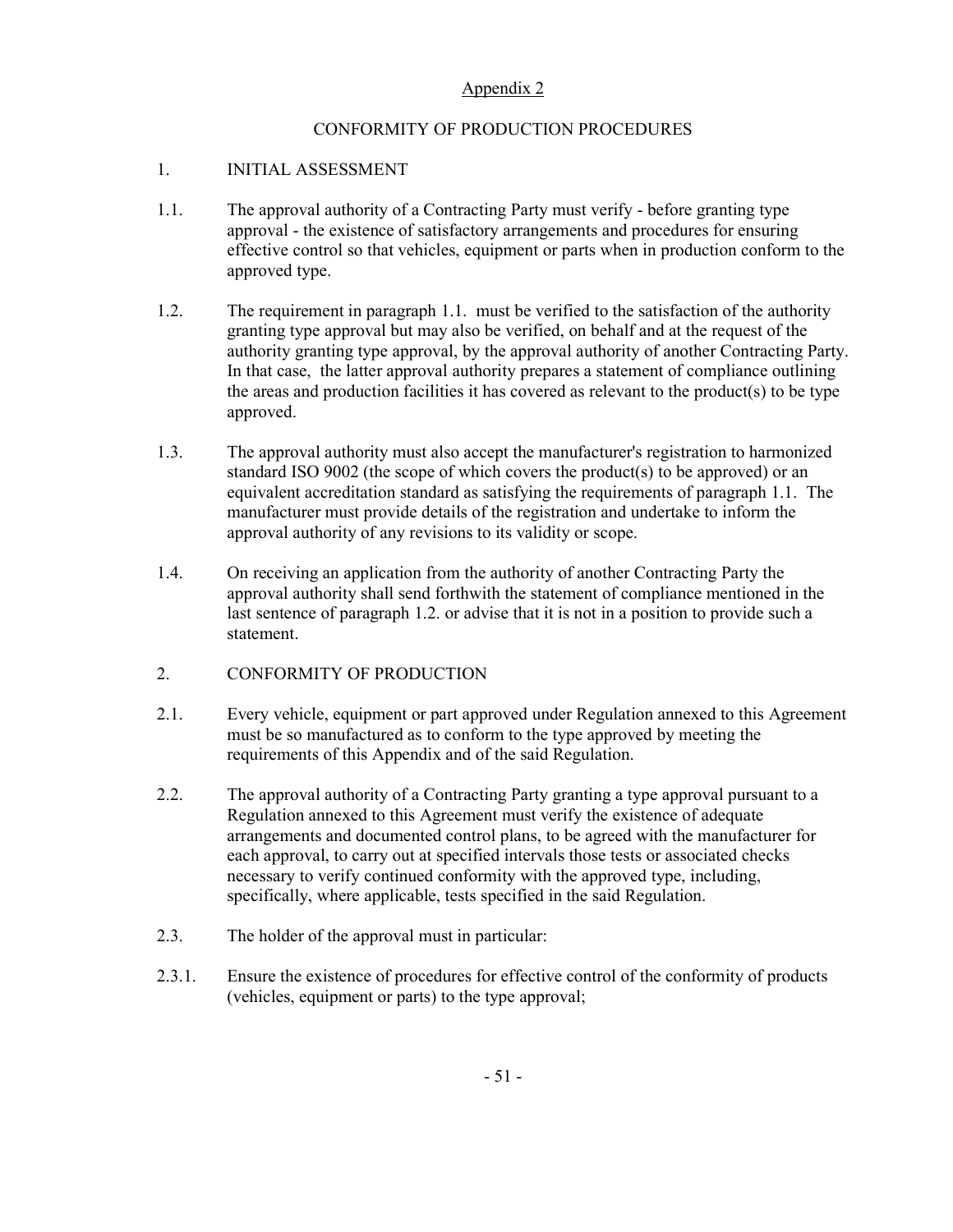## Appendix 2

## CONFORMITY OF PRODUCTION PROCEDURES

## 1. INITIAL ASSESSMENT

- 1.1. The approval authority of a Contracting Party must verify before granting type approval - the existence of satisfactory arrangements and procedures for ensuring effective control so that vehicles, equipment or parts when in production conform to the approved type.
- 1.2. The requirement in paragraph 1.1. must be verified to the satisfaction of the authority granting type approval but may also be verified, on behalf and at the request of the authority granting type approval, by the approval authority of another Contracting Party. In that case, the latter approval authority prepares a statement of compliance outlining the areas and production facilities it has covered as relevant to the product(s) to be type approved.
- 1.3. The approval authority must also accept the manufacturer's registration to harmonized standard ISO 9002 (the scope of which covers the product(s) to be approved) or an equivalent accreditation standard as satisfying the requirements of paragraph 1.1. The manufacturer must provide details of the registration and undertake to inform the approval authority of any revisions to its validity or scope.
- 1.4. On receiving an application from the authority of another Contracting Party the approval authority shall send forthwith the statement of compliance mentioned in the last sentence of paragraph 1.2. or advise that it is not in a position to provide such a statement.
- 2. CONFORMITY OF PRODUCTION
- 2.1. Every vehicle, equipment or part approved under Regulation annexed to this Agreement must be so manufactured as to conform to the type approved by meeting the requirements of this Appendix and of the said Regulation.
- 2.2. The approval authority of a Contracting Party granting a type approval pursuant to a Regulation annexed to this Agreement must verify the existence of adequate arrangements and documented control plans, to be agreed with the manufacturer for each approval, to carry out at specified intervals those tests or associated checks necessary to verify continued conformity with the approved type, including, specifically, where applicable, tests specified in the said Regulation.
- 2.3. The holder of the approval must in particular:
- 2.3.1. Ensure the existence of procedures for effective control of the conformity of products (vehicles, equipment or parts) to the type approval;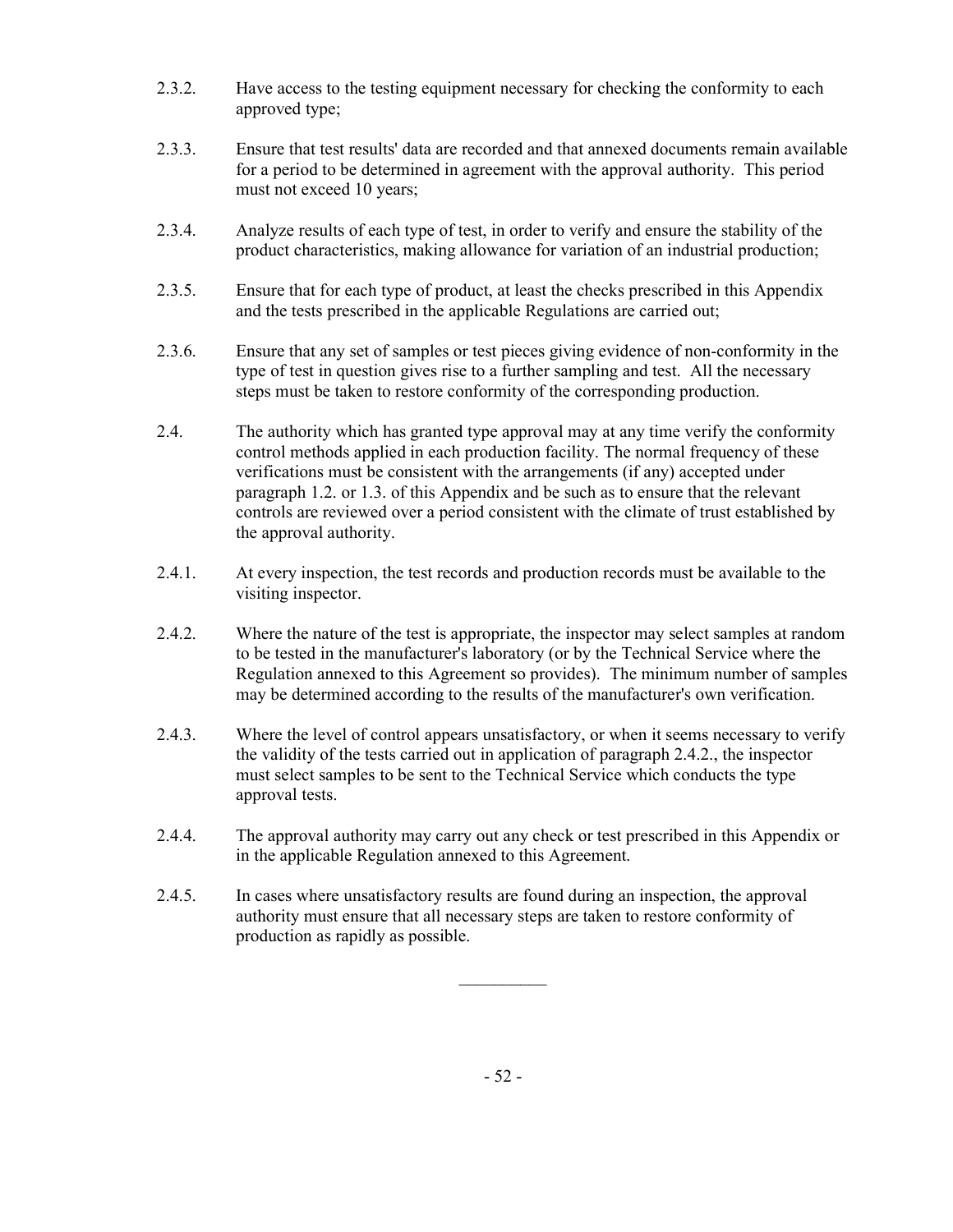- 2.3.2. Have access to the testing equipment necessary for checking the conformity to each approved type;
- 2.3.3. Ensure that test results' data are recorded and that annexed documents remain available for a period to be determined in agreement with the approval authority. This period must not exceed 10 years;
- 2.3.4. Analyze results of each type of test, in order to verify and ensure the stability of the product characteristics, making allowance for variation of an industrial production;
- 2.3.5. Ensure that for each type of product, at least the checks prescribed in this Appendix and the tests prescribed in the applicable Regulations are carried out;
- 2.3.6. Ensure that any set of samples or test pieces giving evidence of non-conformity in the type of test in question gives rise to a further sampling and test. All the necessary steps must be taken to restore conformity of the corresponding production.
- 2.4. The authority which has granted type approval may at any time verify the conformity control methods applied in each production facility. The normal frequency of these verifications must be consistent with the arrangements (if any) accepted under paragraph 1.2. or 1.3. of this Appendix and be such as to ensure that the relevant controls are reviewed over a period consistent with the climate of trust established by the approval authority.
- 2.4.1. At every inspection, the test records and production records must be available to the visiting inspector.
- 2.4.2. Where the nature of the test is appropriate, the inspector may select samples at random to be tested in the manufacturer's laboratory (or by the Technical Service where the Regulation annexed to this Agreement so provides). The minimum number of samples may be determined according to the results of the manufacturer's own verification.
- 2.4.3. Where the level of control appears unsatisfactory, or when it seems necessary to verify the validity of the tests carried out in application of paragraph 2.4.2., the inspector must select samples to be sent to the Technical Service which conducts the type approval tests.
- 2.4.4. The approval authority may carry out any check or test prescribed in this Appendix or in the applicable Regulation annexed to this Agreement.
- 2.4.5. In cases where unsatisfactory results are found during an inspection, the approval authority must ensure that all necessary steps are taken to restore conformity of production as rapidly as possible.

 $\mathcal{L}_\text{max}$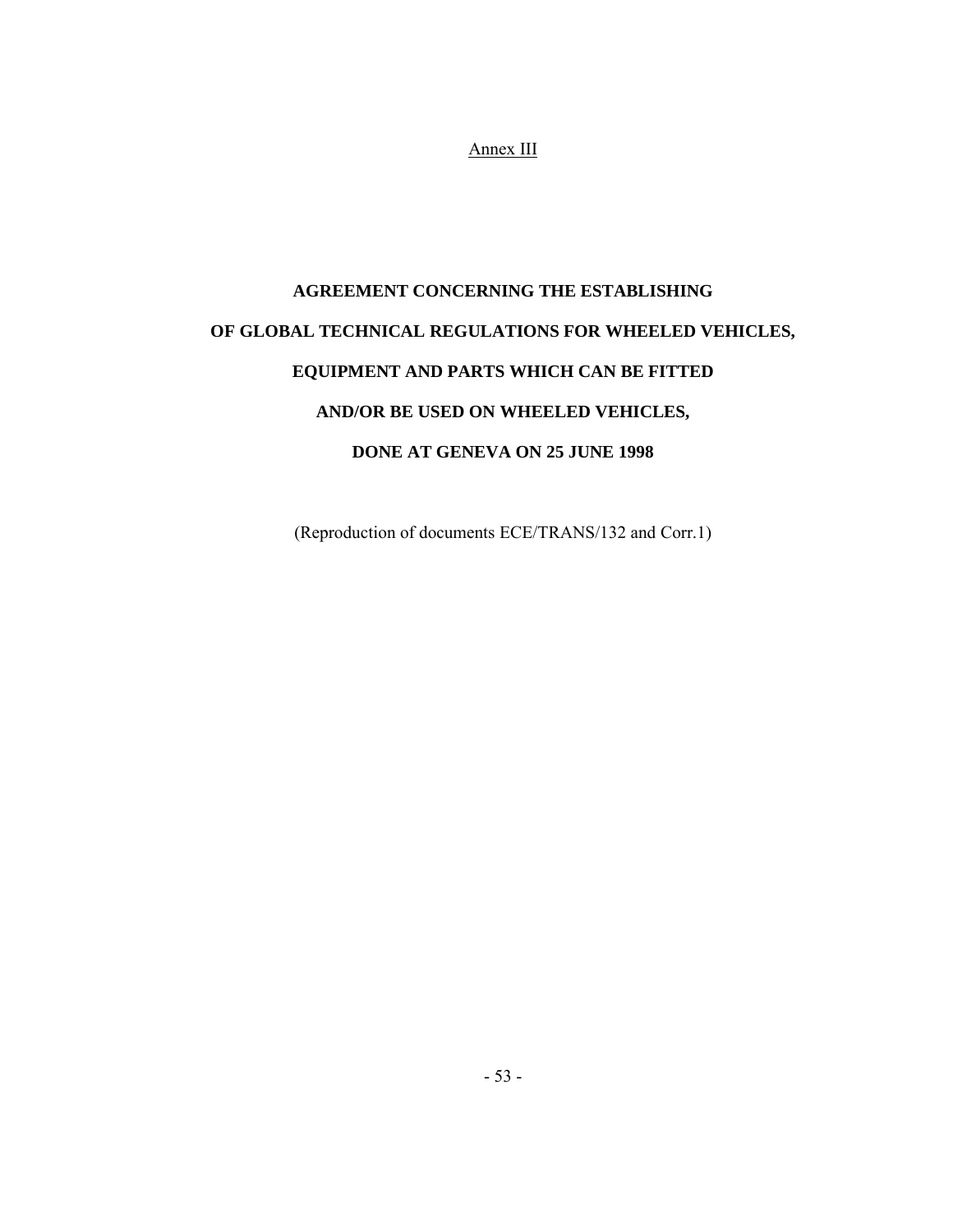Annex III

# **AGREEMENT CONCERNING THE ESTABLISHING OF GLOBAL TECHNICAL REGULATIONS FOR WHEELED VEHICLES, EQUIPMENT AND PARTS WHICH CAN BE FITTED AND/OR BE USED ON WHEELED VEHICLES, DONE AT GENEVA ON 25 JUNE 1998**

(Reproduction of documents ECE/TRANS/132 and Corr.1)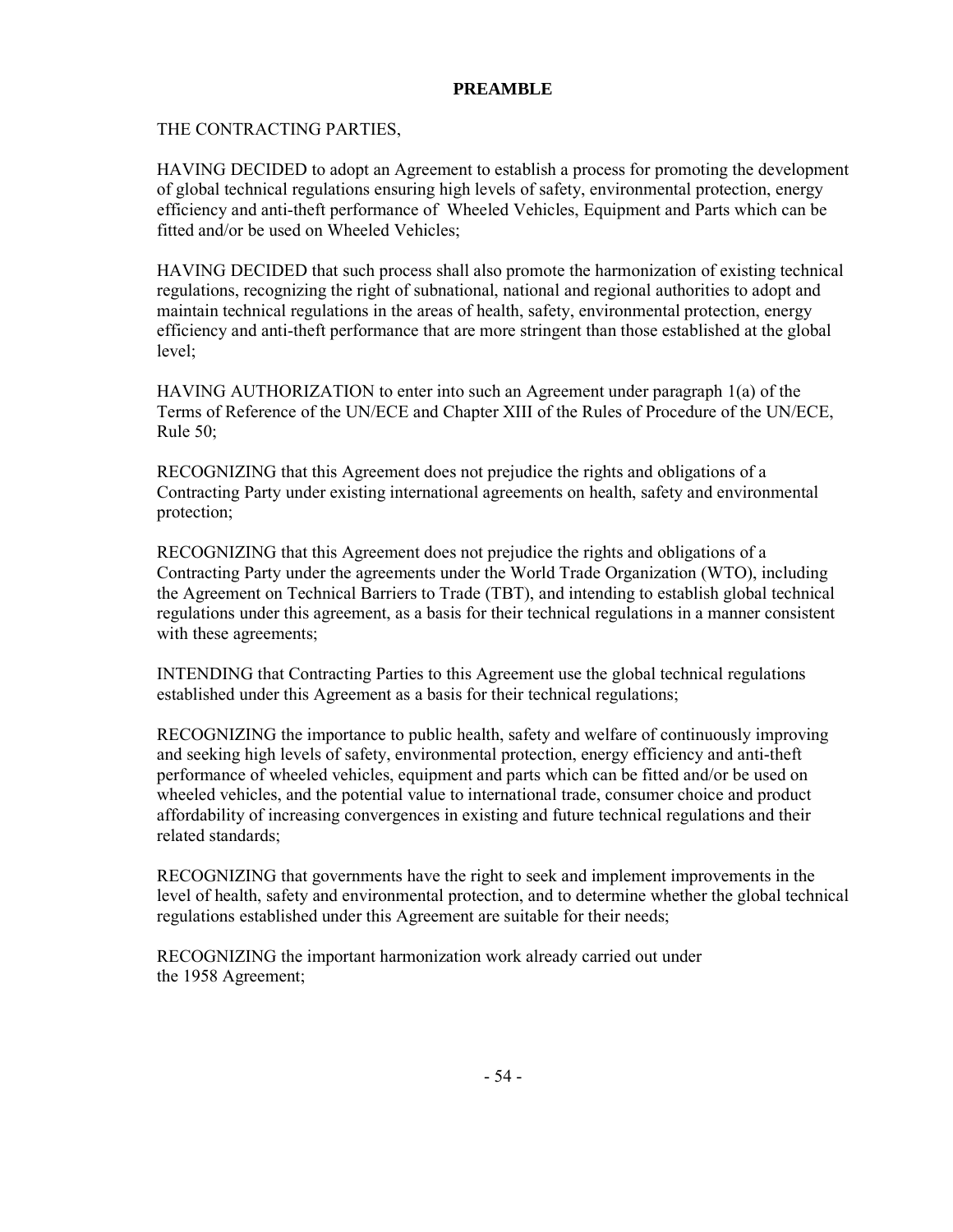## **PREAMBLE**

THE CONTRACTING PARTIES,

HAVING DECIDED to adopt an Agreement to establish a process for promoting the development of global technical regulations ensuring high levels of safety, environmental protection, energy efficiency and anti-theft performance of Wheeled Vehicles, Equipment and Parts which can be fitted and/or be used on Wheeled Vehicles;

HAVING DECIDED that such process shall also promote the harmonization of existing technical regulations, recognizing the right of subnational, national and regional authorities to adopt and maintain technical regulations in the areas of health, safety, environmental protection, energy efficiency and anti-theft performance that are more stringent than those established at the global level;

HAVING AUTHORIZATION to enter into such an Agreement under paragraph 1(a) of the Terms of Reference of the UN/ECE and Chapter XIII of the Rules of Procedure of the UN/ECE, Rule 50;

RECOGNIZING that this Agreement does not prejudice the rights and obligations of a Contracting Party under existing international agreements on health, safety and environmental protection;

RECOGNIZING that this Agreement does not prejudice the rights and obligations of a Contracting Party under the agreements under the World Trade Organization (WTO), including the Agreement on Technical Barriers to Trade (TBT), and intending to establish global technical regulations under this agreement, as a basis for their technical regulations in a manner consistent with these agreements;

INTENDING that Contracting Parties to this Agreement use the global technical regulations established under this Agreement as a basis for their technical regulations;

RECOGNIZING the importance to public health, safety and welfare of continuously improving and seeking high levels of safety, environmental protection, energy efficiency and anti-theft performance of wheeled vehicles, equipment and parts which can be fitted and/or be used on wheeled vehicles, and the potential value to international trade, consumer choice and product affordability of increasing convergences in existing and future technical regulations and their related standards;

RECOGNIZING that governments have the right to seek and implement improvements in the level of health, safety and environmental protection, and to determine whether the global technical regulations established under this Agreement are suitable for their needs;

RECOGNIZING the important harmonization work already carried out under the 1958 Agreement;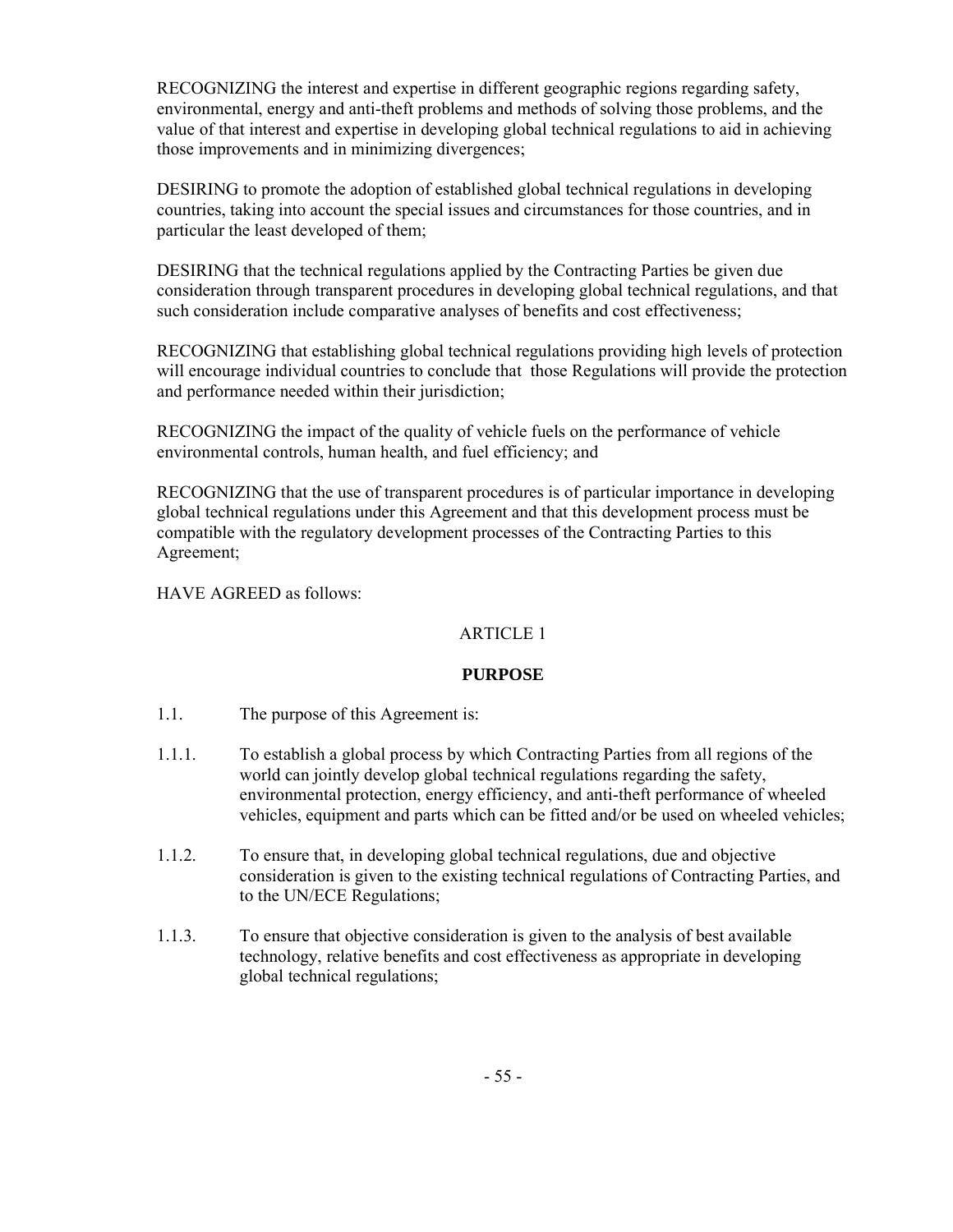RECOGNIZING the interest and expertise in different geographic regions regarding safety, environmental, energy and anti-theft problems and methods of solving those problems, and the value of that interest and expertise in developing global technical regulations to aid in achieving those improvements and in minimizing divergences;

DESIRING to promote the adoption of established global technical regulations in developing countries, taking into account the special issues and circumstances for those countries, and in particular the least developed of them;

DESIRING that the technical regulations applied by the Contracting Parties be given due consideration through transparent procedures in developing global technical regulations, and that such consideration include comparative analyses of benefits and cost effectiveness;

RECOGNIZING that establishing global technical regulations providing high levels of protection will encourage individual countries to conclude that those Regulations will provide the protection and performance needed within their jurisdiction;

RECOGNIZING the impact of the quality of vehicle fuels on the performance of vehicle environmental controls, human health, and fuel efficiency; and

RECOGNIZING that the use of transparent procedures is of particular importance in developing global technical regulations under this Agreement and that this development process must be compatible with the regulatory development processes of the Contracting Parties to this Agreement;

HAVE AGREED as follows:

## ARTICLE 1

## **PURPOSE**

- 1.1. The purpose of this Agreement is:
- 1.1.1. To establish a global process by which Contracting Parties from all regions of the world can jointly develop global technical regulations regarding the safety, environmental protection, energy efficiency, and anti-theft performance of wheeled vehicles, equipment and parts which can be fitted and/or be used on wheeled vehicles;
- 1.1.2. To ensure that, in developing global technical regulations, due and objective consideration is given to the existing technical regulations of Contracting Parties, and to the UN/ECE Regulations;
- 1.1.3. To ensure that objective consideration is given to the analysis of best available technology, relative benefits and cost effectiveness as appropriate in developing global technical regulations;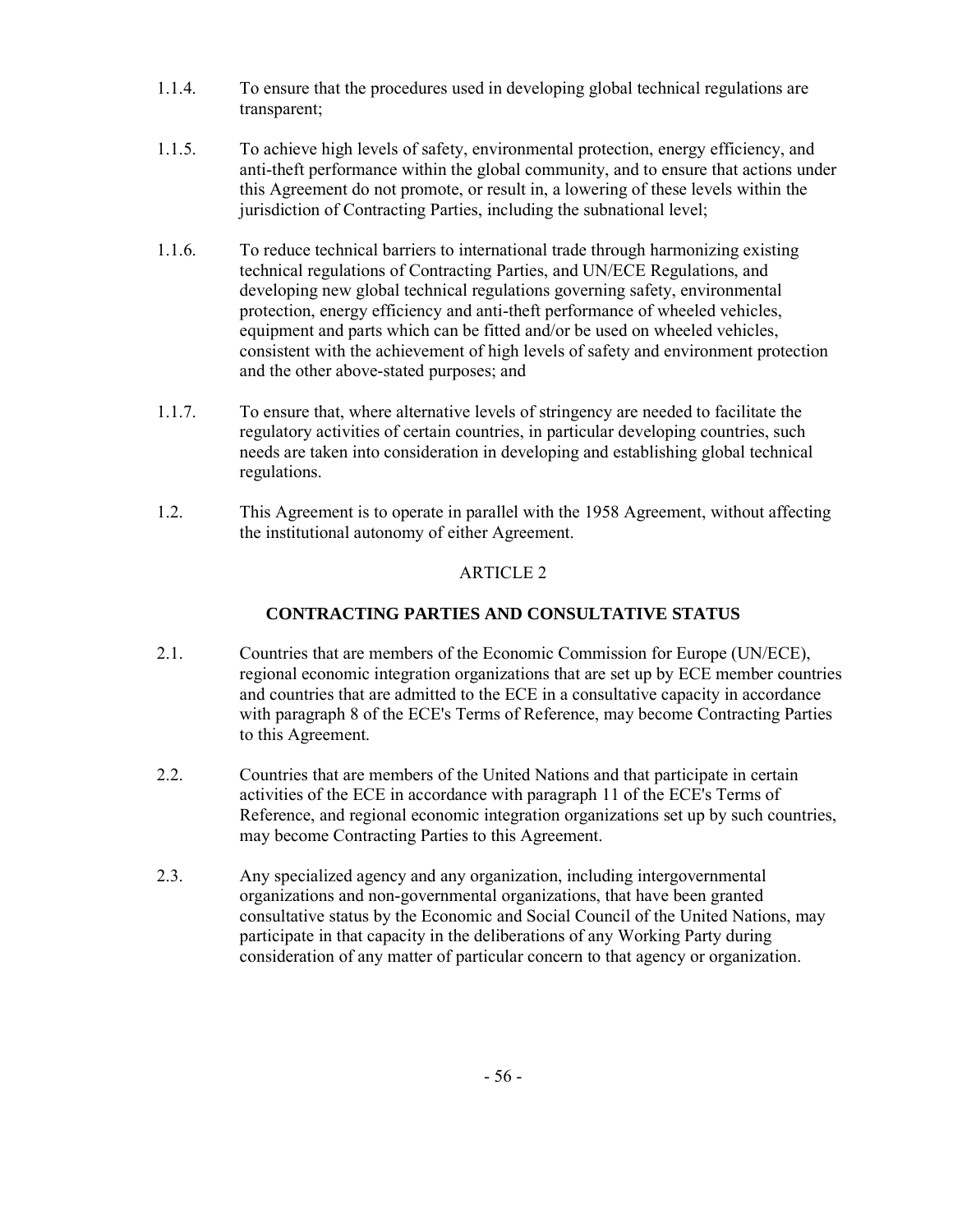- 1.1.4. To ensure that the procedures used in developing global technical regulations are transparent;
- 1.1.5. To achieve high levels of safety, environmental protection, energy efficiency, and anti-theft performance within the global community, and to ensure that actions under this Agreement do not promote, or result in, a lowering of these levels within the jurisdiction of Contracting Parties, including the subnational level;
- 1.1.6. To reduce technical barriers to international trade through harmonizing existing technical regulations of Contracting Parties, and UN/ECE Regulations, and developing new global technical regulations governing safety, environmental protection, energy efficiency and anti-theft performance of wheeled vehicles, equipment and parts which can be fitted and/or be used on wheeled vehicles, consistent with the achievement of high levels of safety and environment protection and the other above-stated purposes; and
- 1.1.7. To ensure that, where alternative levels of stringency are needed to facilitate the regulatory activities of certain countries, in particular developing countries, such needs are taken into consideration in developing and establishing global technical regulations.
- 1.2. This Agreement is to operate in parallel with the 1958 Agreement, without affecting the institutional autonomy of either Agreement.

## **CONTRACTING PARTIES AND CONSULTATIVE STATUS**

- 2.1. Countries that are members of the Economic Commission for Europe (UN/ECE), regional economic integration organizations that are set up by ECE member countries and countries that are admitted to the ECE in a consultative capacity in accordance with paragraph 8 of the ECE's Terms of Reference, may become Contracting Parties to this Agreement.
- 2.2. Countries that are members of the United Nations and that participate in certain activities of the ECE in accordance with paragraph 11 of the ECE's Terms of Reference, and regional economic integration organizations set up by such countries, may become Contracting Parties to this Agreement.
- 2.3. Any specialized agency and any organization, including intergovernmental organizations and non-governmental organizations, that have been granted consultative status by the Economic and Social Council of the United Nations, may participate in that capacity in the deliberations of any Working Party during consideration of any matter of particular concern to that agency or organization.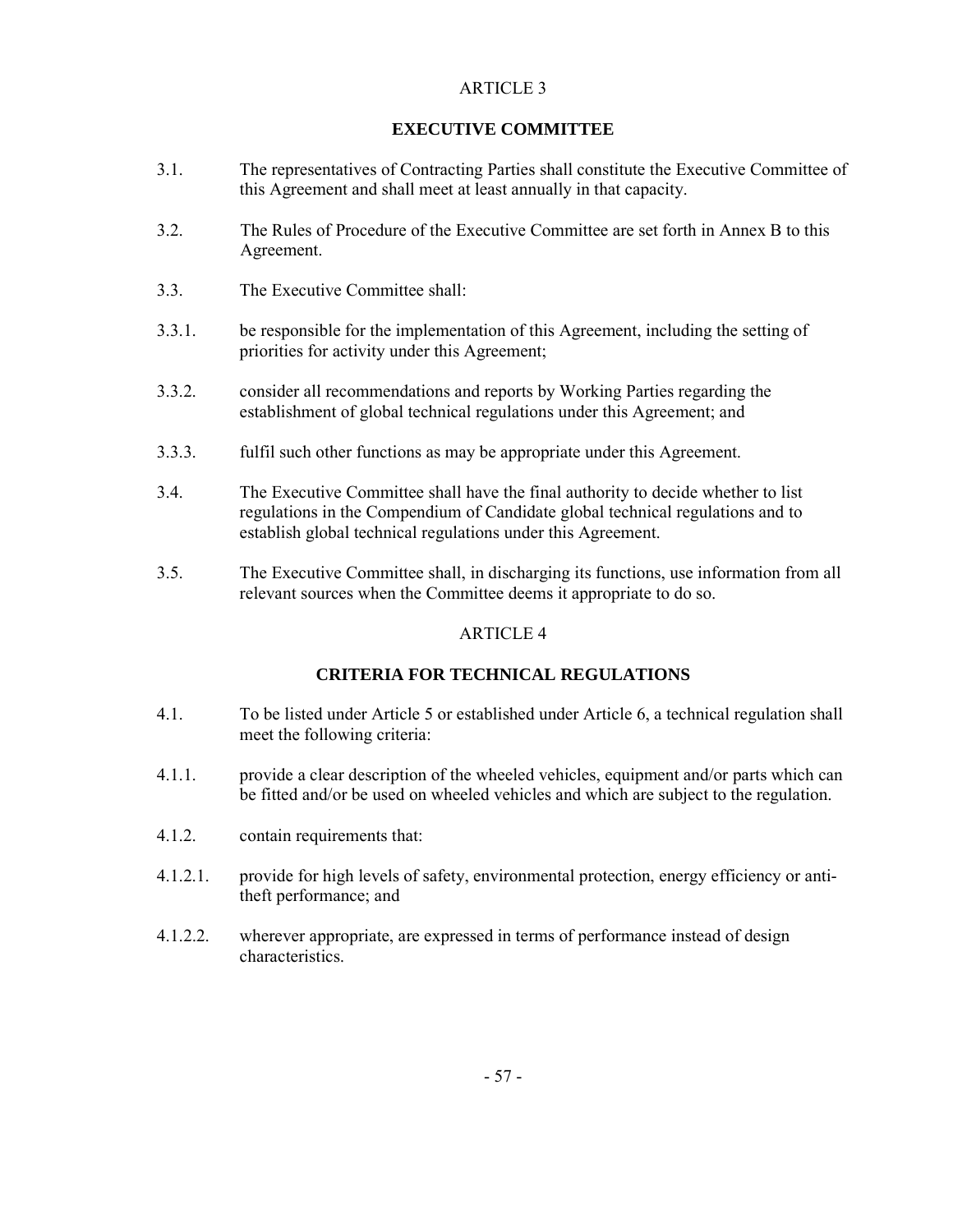## **EXECUTIVE COMMITTEE**

- 3.1. The representatives of Contracting Parties shall constitute the Executive Committee of this Agreement and shall meet at least annually in that capacity.
- 3.2. The Rules of Procedure of the Executive Committee are set forth in Annex B to this Agreement.
- 3.3. The Executive Committee shall:
- 3.3.1. be responsible for the implementation of this Agreement, including the setting of priorities for activity under this Agreement;
- 3.3.2. consider all recommendations and reports by Working Parties regarding the establishment of global technical regulations under this Agreement; and
- 3.3.3. fulfil such other functions as may be appropriate under this Agreement.
- 3.4. The Executive Committee shall have the final authority to decide whether to list regulations in the Compendium of Candidate global technical regulations and to establish global technical regulations under this Agreement.
- 3.5. The Executive Committee shall, in discharging its functions, use information from all relevant sources when the Committee deems it appropriate to do so.

## ARTICLE 4

## **CRITERIA FOR TECHNICAL REGULATIONS**

- 4.1. To be listed under Article 5 or established under Article 6, a technical regulation shall meet the following criteria:
- 4.1.1. provide a clear description of the wheeled vehicles, equipment and/or parts which can be fitted and/or be used on wheeled vehicles and which are subject to the regulation.
- 4.1.2. contain requirements that:
- 4.1.2.1. provide for high levels of safety, environmental protection, energy efficiency or antitheft performance; and
- 4.1.2.2. wherever appropriate, are expressed in terms of performance instead of design characteristics.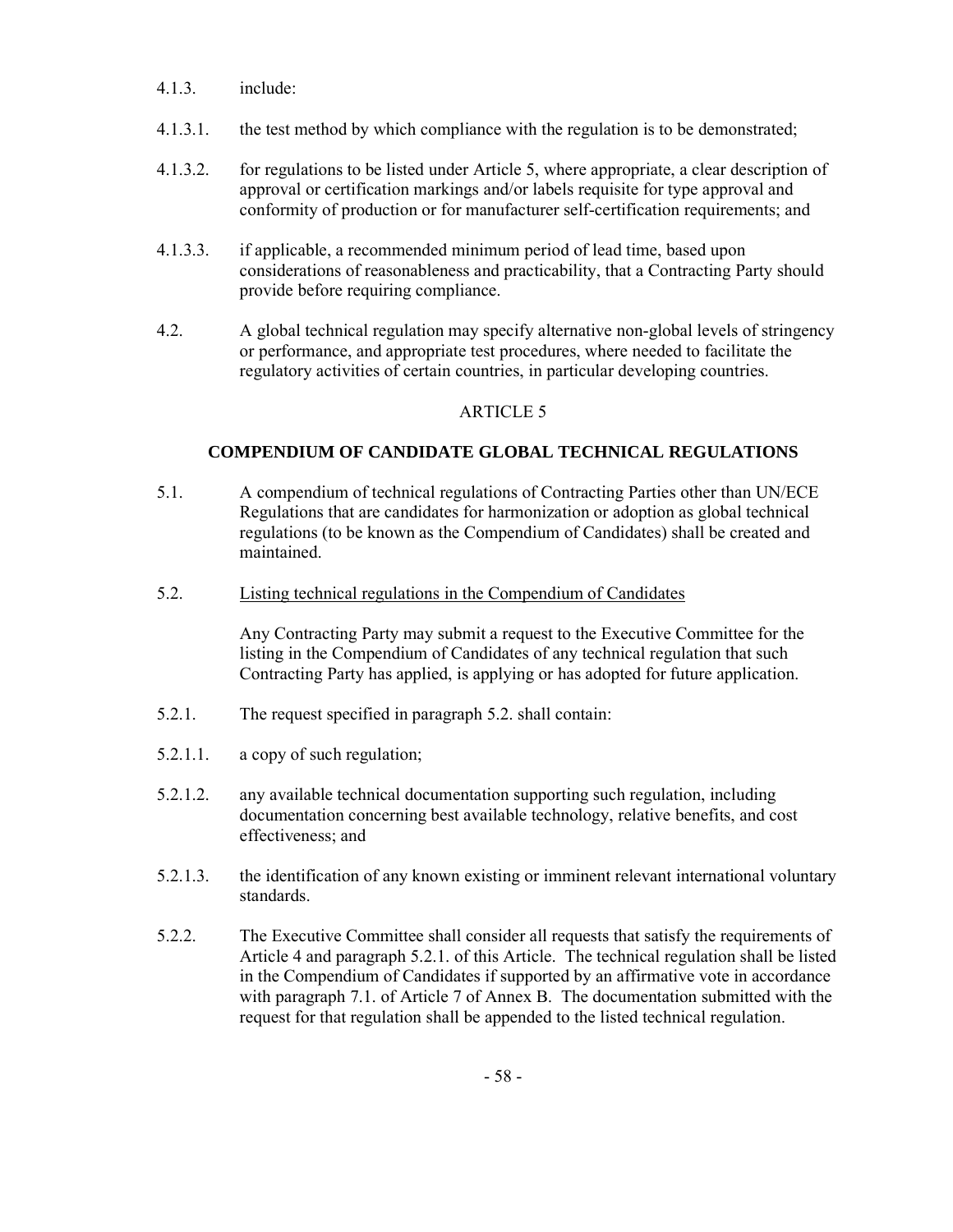- 4.1.3. include:
- 4.1.3.1. the test method by which compliance with the regulation is to be demonstrated;
- 4.1.3.2. for regulations to be listed under Article 5, where appropriate, a clear description of approval or certification markings and/or labels requisite for type approval and conformity of production or for manufacturer self-certification requirements; and
- 4.1.3.3. if applicable, a recommended minimum period of lead time, based upon considerations of reasonableness and practicability, that a Contracting Party should provide before requiring compliance.
- 4.2. A global technical regulation may specify alternative non-global levels of stringency or performance, and appropriate test procedures, where needed to facilitate the regulatory activities of certain countries, in particular developing countries.

## **COMPENDIUM OF CANDIDATE GLOBAL TECHNICAL REGULATIONS**

- 5.1. A compendium of technical regulations of Contracting Parties other than UN/ECE Regulations that are candidates for harmonization or adoption as global technical regulations (to be known as the Compendium of Candidates) shall be created and maintained.
- 5.2. Listing technical regulations in the Compendium of Candidates

 Any Contracting Party may submit a request to the Executive Committee for the listing in the Compendium of Candidates of any technical regulation that such Contracting Party has applied, is applying or has adopted for future application.

- 5.2.1. The request specified in paragraph 5.2. shall contain:
- 5.2.1.1. a copy of such regulation;
- 5.2.1.2. any available technical documentation supporting such regulation, including documentation concerning best available technology, relative benefits, and cost effectiveness; and
- 5.2.1.3. the identification of any known existing or imminent relevant international voluntary standards.
- 5.2.2. The Executive Committee shall consider all requests that satisfy the requirements of Article 4 and paragraph 5.2.1. of this Article. The technical regulation shall be listed in the Compendium of Candidates if supported by an affirmative vote in accordance with paragraph 7.1. of Article 7 of Annex B. The documentation submitted with the request for that regulation shall be appended to the listed technical regulation.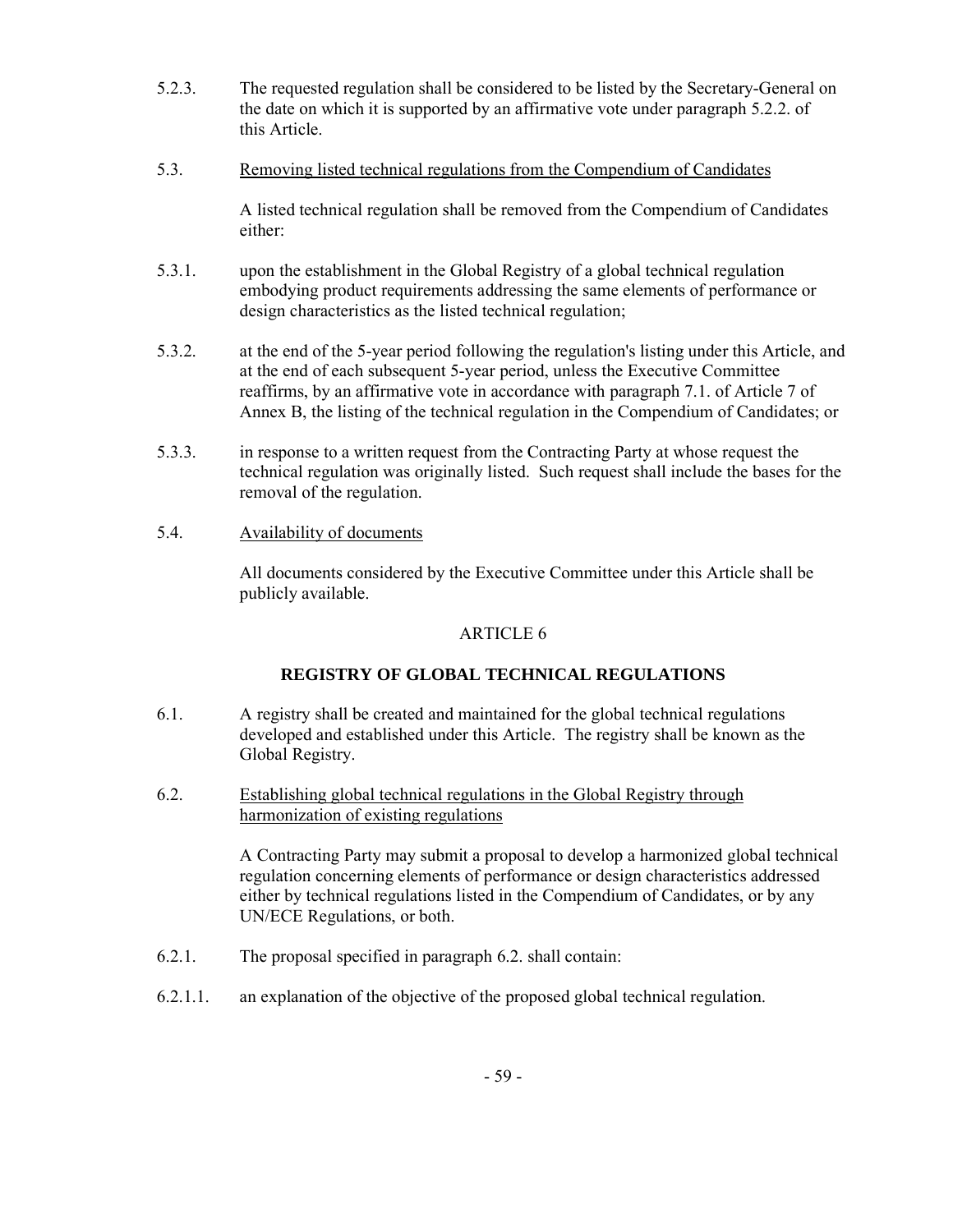- 5.2.3. The requested regulation shall be considered to be listed by the Secretary-General on the date on which it is supported by an affirmative vote under paragraph 5.2.2. of this Article.
- 5.3. Removing listed technical regulations from the Compendium of Candidates

 A listed technical regulation shall be removed from the Compendium of Candidates either:

- 5.3.1. upon the establishment in the Global Registry of a global technical regulation embodying product requirements addressing the same elements of performance or design characteristics as the listed technical regulation;
- 5.3.2. at the end of the 5-year period following the regulation's listing under this Article, and at the end of each subsequent 5-year period, unless the Executive Committee reaffirms, by an affirmative vote in accordance with paragraph 7.1. of Article 7 of Annex B, the listing of the technical regulation in the Compendium of Candidates; or
- 5.3.3. in response to a written request from the Contracting Party at whose request the technical regulation was originally listed. Such request shall include the bases for the removal of the regulation.
- 5.4. Availability of documents

 All documents considered by the Executive Committee under this Article shall be publicly available.

## ARTICLE 6

## **REGISTRY OF GLOBAL TECHNICAL REGULATIONS**

- 6.1. A registry shall be created and maintained for the global technical regulations developed and established under this Article. The registry shall be known as the Global Registry.
- 6.2. Establishing global technical regulations in the Global Registry through harmonization of existing regulations

 A Contracting Party may submit a proposal to develop a harmonized global technical regulation concerning elements of performance or design characteristics addressed either by technical regulations listed in the Compendium of Candidates, or by any UN/ECE Regulations, or both.

- 6.2.1. The proposal specified in paragraph 6.2. shall contain:
- 6.2.1.1. an explanation of the objective of the proposed global technical regulation.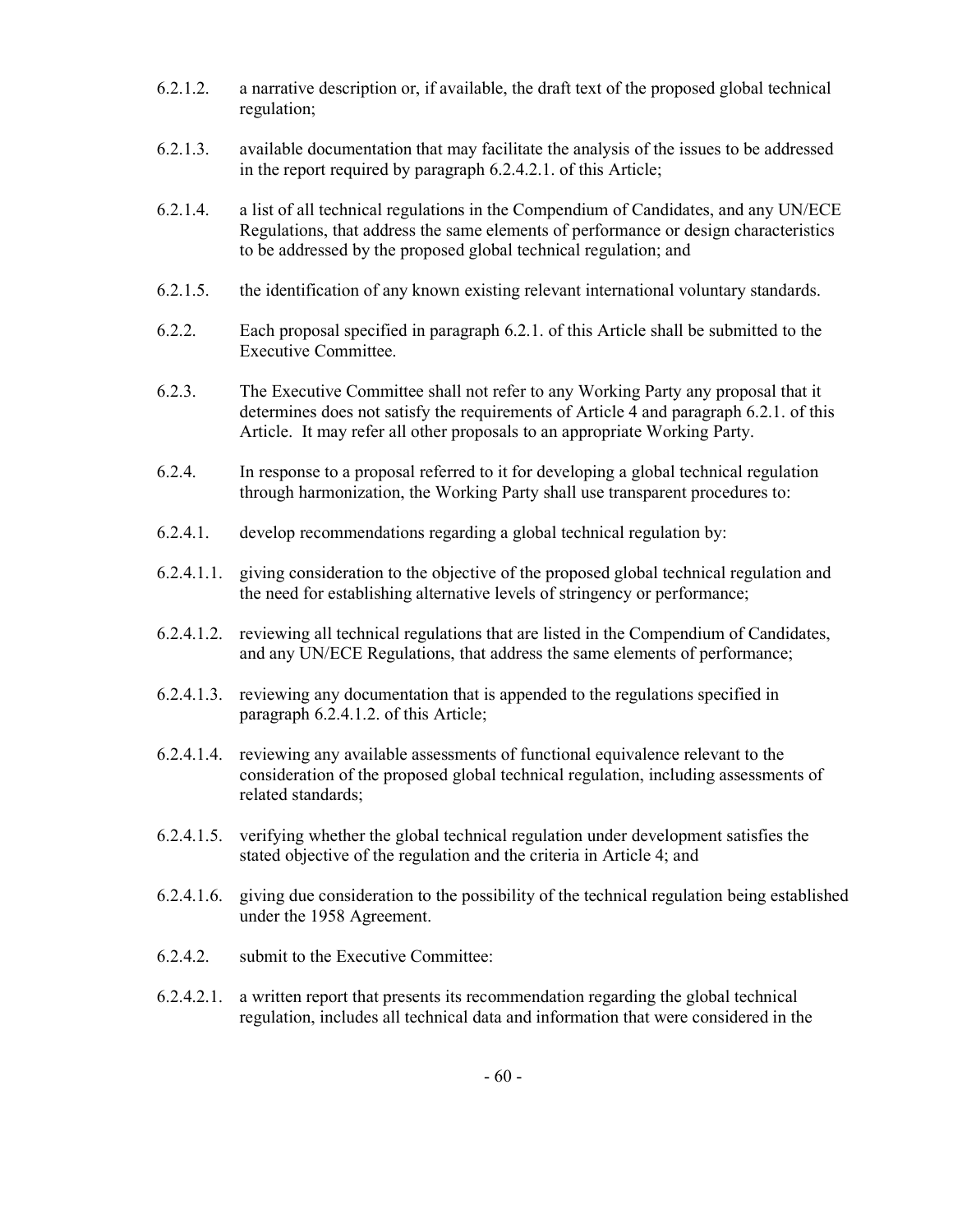- 6.2.1.2. a narrative description or, if available, the draft text of the proposed global technical regulation;
- 6.2.1.3. available documentation that may facilitate the analysis of the issues to be addressed in the report required by paragraph 6.2.4.2.1. of this Article;
- 6.2.1.4. a list of all technical regulations in the Compendium of Candidates, and any UN/ECE Regulations, that address the same elements of performance or design characteristics to be addressed by the proposed global technical regulation; and
- 6.2.1.5. the identification of any known existing relevant international voluntary standards.
- 6.2.2. Each proposal specified in paragraph 6.2.1. of this Article shall be submitted to the Executive Committee.
- 6.2.3. The Executive Committee shall not refer to any Working Party any proposal that it determines does not satisfy the requirements of Article 4 and paragraph 6.2.1. of this Article. It may refer all other proposals to an appropriate Working Party.
- 6.2.4. In response to a proposal referred to it for developing a global technical regulation through harmonization, the Working Party shall use transparent procedures to:
- 6.2.4.1. develop recommendations regarding a global technical regulation by:
- 6.2.4.1.1. giving consideration to the objective of the proposed global technical regulation and the need for establishing alternative levels of stringency or performance;
- 6.2.4.1.2. reviewing all technical regulations that are listed in the Compendium of Candidates, and any UN/ECE Regulations, that address the same elements of performance;
- 6.2.4.1.3. reviewing any documentation that is appended to the regulations specified in paragraph 6.2.4.1.2. of this Article;
- 6.2.4.1.4. reviewing any available assessments of functional equivalence relevant to the consideration of the proposed global technical regulation, including assessments of related standards;
- 6.2.4.1.5. verifying whether the global technical regulation under development satisfies the stated objective of the regulation and the criteria in Article 4; and
- 6.2.4.1.6. giving due consideration to the possibility of the technical regulation being established under the 1958 Agreement.
- 6.2.4.2. submit to the Executive Committee:
- 6.2.4.2.1. a written report that presents its recommendation regarding the global technical regulation, includes all technical data and information that were considered in the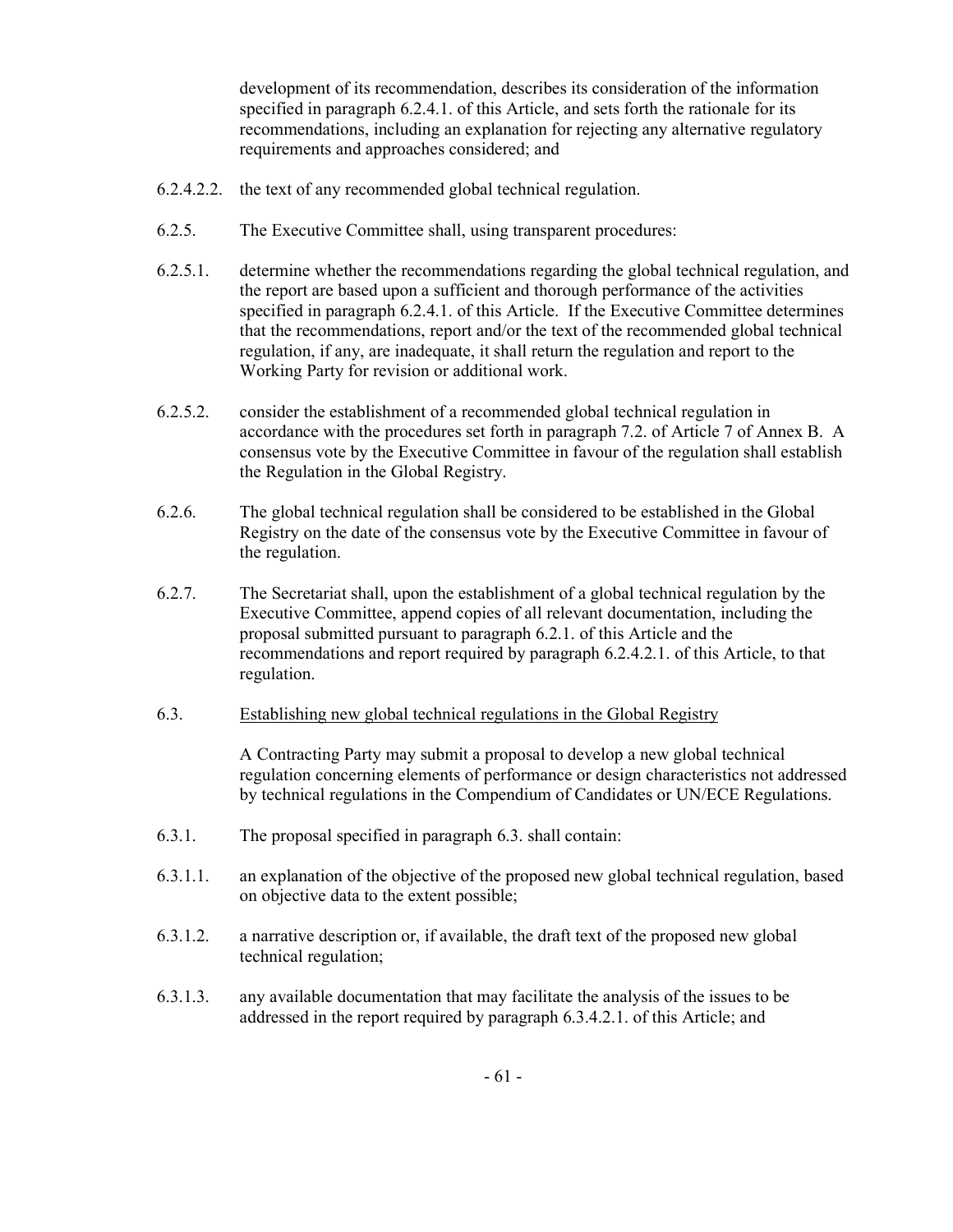development of its recommendation, describes its consideration of the information specified in paragraph 6.2.4.1. of this Article, and sets forth the rationale for its recommendations, including an explanation for rejecting any alternative regulatory requirements and approaches considered; and

- 6.2.4.2.2. the text of any recommended global technical regulation.
- 6.2.5. The Executive Committee shall, using transparent procedures:
- 6.2.5.1. determine whether the recommendations regarding the global technical regulation, and the report are based upon a sufficient and thorough performance of the activities specified in paragraph 6.2.4.1. of this Article. If the Executive Committee determines that the recommendations, report and/or the text of the recommended global technical regulation, if any, are inadequate, it shall return the regulation and report to the Working Party for revision or additional work.
- 6.2.5.2. consider the establishment of a recommended global technical regulation in accordance with the procedures set forth in paragraph 7.2. of Article 7 of Annex B. A consensus vote by the Executive Committee in favour of the regulation shall establish the Regulation in the Global Registry.
- 6.2.6. The global technical regulation shall be considered to be established in the Global Registry on the date of the consensus vote by the Executive Committee in favour of the regulation.
- 6.2.7. The Secretariat shall, upon the establishment of a global technical regulation by the Executive Committee, append copies of all relevant documentation, including the proposal submitted pursuant to paragraph 6.2.1. of this Article and the recommendations and report required by paragraph 6.2.4.2.1. of this Article, to that regulation.
- 6.3. Establishing new global technical regulations in the Global Registry

 A Contracting Party may submit a proposal to develop a new global technical regulation concerning elements of performance or design characteristics not addressed by technical regulations in the Compendium of Candidates or UN/ECE Regulations.

- 6.3.1. The proposal specified in paragraph 6.3. shall contain:
- 6.3.1.1. an explanation of the objective of the proposed new global technical regulation, based on objective data to the extent possible;
- 6.3.1.2. a narrative description or, if available, the draft text of the proposed new global technical regulation;
- 6.3.1.3. any available documentation that may facilitate the analysis of the issues to be addressed in the report required by paragraph 6.3.4.2.1. of this Article; and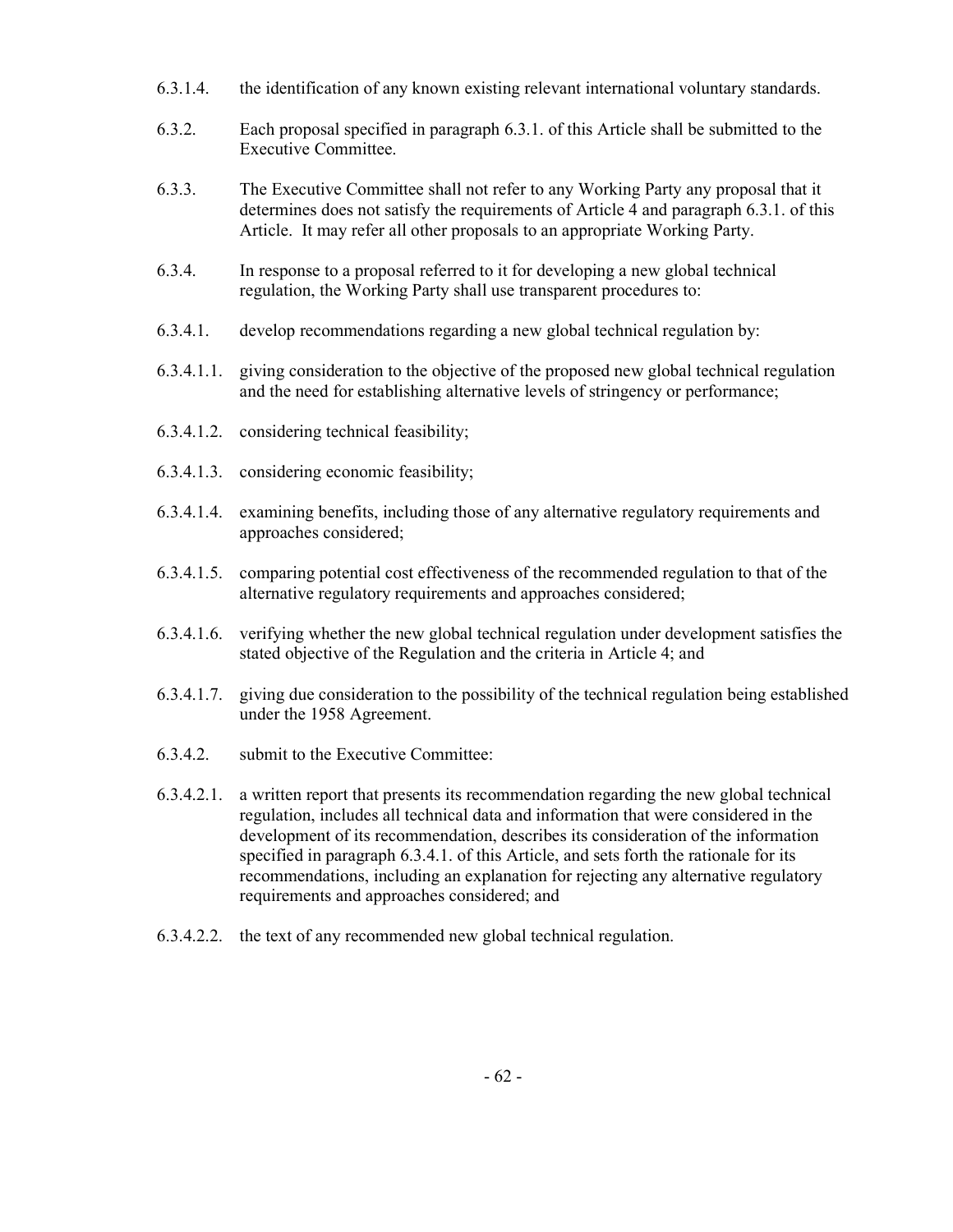- 6.3.1.4. the identification of any known existing relevant international voluntary standards.
- 6.3.2. Each proposal specified in paragraph 6.3.1. of this Article shall be submitted to the Executive Committee.
- 6.3.3. The Executive Committee shall not refer to any Working Party any proposal that it determines does not satisfy the requirements of Article 4 and paragraph 6.3.1. of this Article. It may refer all other proposals to an appropriate Working Party.
- 6.3.4. In response to a proposal referred to it for developing a new global technical regulation, the Working Party shall use transparent procedures to:
- 6.3.4.1. develop recommendations regarding a new global technical regulation by:
- 6.3.4.1.1. giving consideration to the objective of the proposed new global technical regulation and the need for establishing alternative levels of stringency or performance;
- 6.3.4.1.2. considering technical feasibility;
- 6.3.4.1.3. considering economic feasibility;
- 6.3.4.1.4. examining benefits, including those of any alternative regulatory requirements and approaches considered;
- 6.3.4.1.5. comparing potential cost effectiveness of the recommended regulation to that of the alternative regulatory requirements and approaches considered;
- 6.3.4.1.6. verifying whether the new global technical regulation under development satisfies the stated objective of the Regulation and the criteria in Article 4; and
- 6.3.4.1.7. giving due consideration to the possibility of the technical regulation being established under the 1958 Agreement.
- 6.3.4.2. submit to the Executive Committee:
- 6.3.4.2.1. a written report that presents its recommendation regarding the new global technical regulation, includes all technical data and information that were considered in the development of its recommendation, describes its consideration of the information specified in paragraph 6.3.4.1. of this Article, and sets forth the rationale for its recommendations, including an explanation for rejecting any alternative regulatory requirements and approaches considered; and
- 6.3.4.2.2. the text of any recommended new global technical regulation.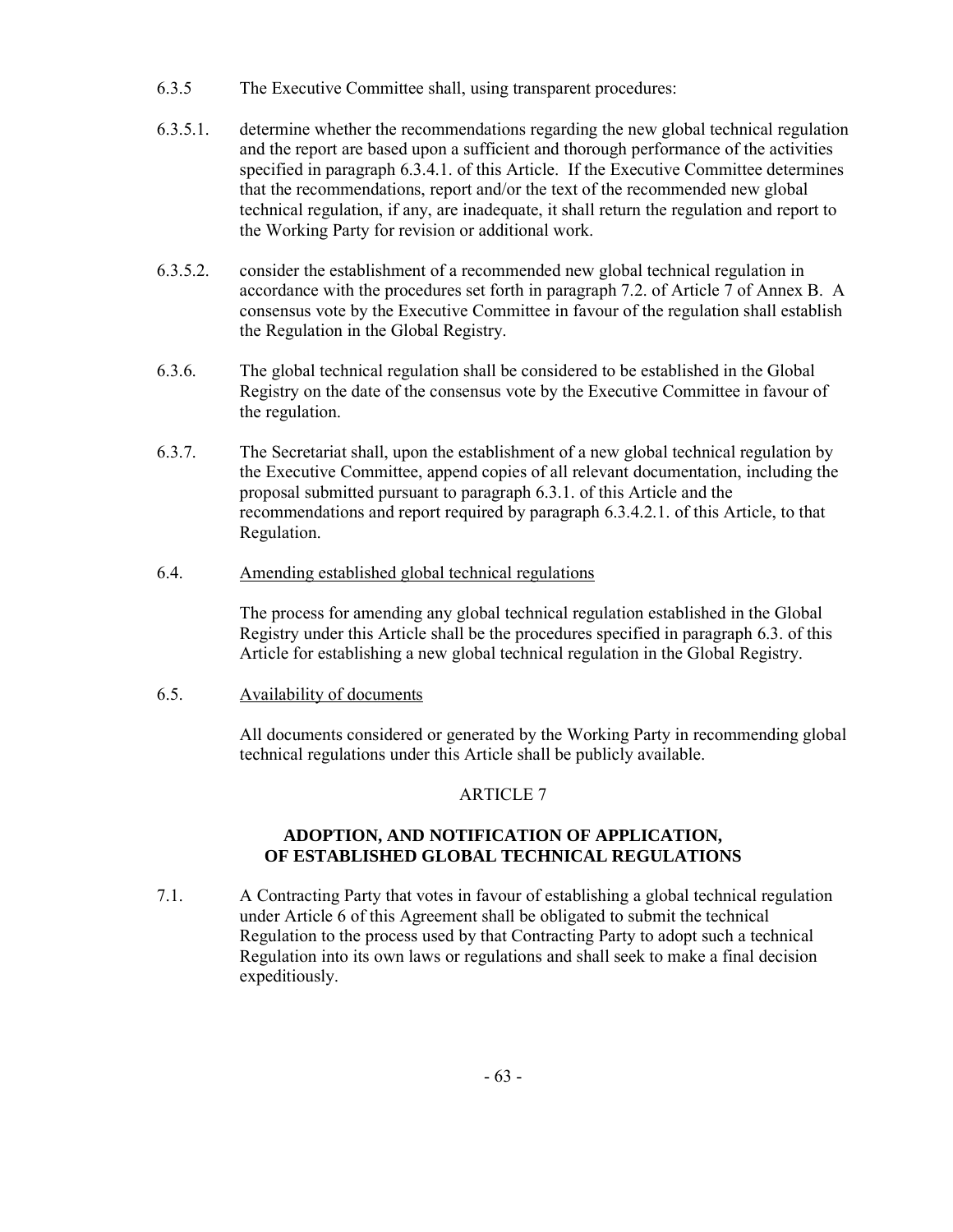- 6.3.5 The Executive Committee shall, using transparent procedures:
- 6.3.5.1. determine whether the recommendations regarding the new global technical regulation and the report are based upon a sufficient and thorough performance of the activities specified in paragraph 6.3.4.1. of this Article. If the Executive Committee determines that the recommendations, report and/or the text of the recommended new global technical regulation, if any, are inadequate, it shall return the regulation and report to the Working Party for revision or additional work.
- 6.3.5.2. consider the establishment of a recommended new global technical regulation in accordance with the procedures set forth in paragraph 7.2. of Article 7 of Annex B. A consensus vote by the Executive Committee in favour of the regulation shall establish the Regulation in the Global Registry.
- 6.3.6. The global technical regulation shall be considered to be established in the Global Registry on the date of the consensus vote by the Executive Committee in favour of the regulation.
- 6.3.7. The Secretariat shall, upon the establishment of a new global technical regulation by the Executive Committee, append copies of all relevant documentation, including the proposal submitted pursuant to paragraph 6.3.1. of this Article and the recommendations and report required by paragraph 6.3.4.2.1. of this Article, to that Regulation.

## 6.4. Amending established global technical regulations

 The process for amending any global technical regulation established in the Global Registry under this Article shall be the procedures specified in paragraph 6.3. of this Article for establishing a new global technical regulation in the Global Registry.

## 6.5. Availability of documents

 All documents considered or generated by the Working Party in recommending global technical regulations under this Article shall be publicly available.

## ARTICLE 7

## **ADOPTION, AND NOTIFICATION OF APPLICATION, OF ESTABLISHED GLOBAL TECHNICAL REGULATIONS**

7.1. A Contracting Party that votes in favour of establishing a global technical regulation under Article 6 of this Agreement shall be obligated to submit the technical Regulation to the process used by that Contracting Party to adopt such a technical Regulation into its own laws or regulations and shall seek to make a final decision expeditiously.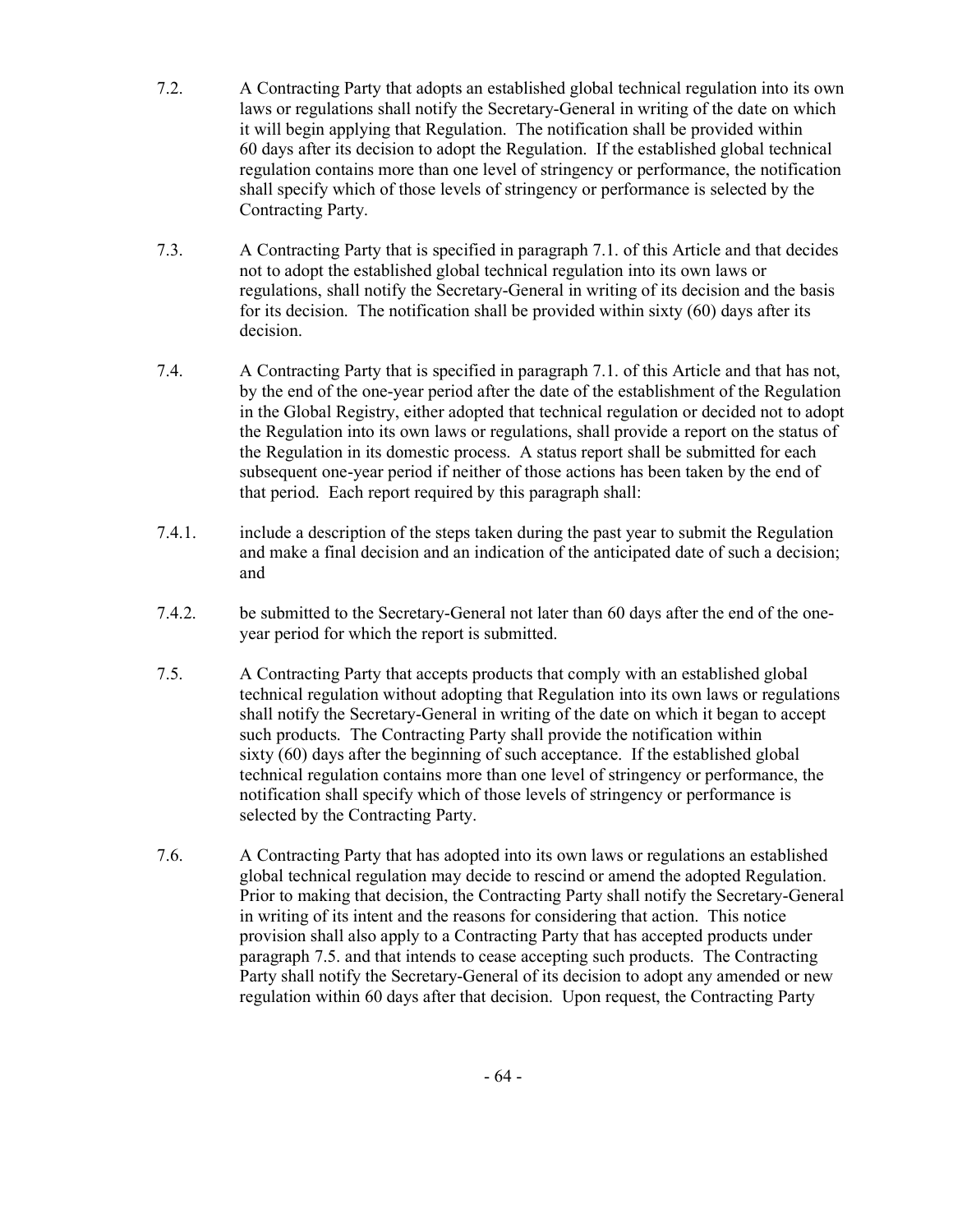- 7.2. A Contracting Party that adopts an established global technical regulation into its own laws or regulations shall notify the Secretary-General in writing of the date on which it will begin applying that Regulation. The notification shall be provided within 60 days after its decision to adopt the Regulation. If the established global technical regulation contains more than one level of stringency or performance, the notification shall specify which of those levels of stringency or performance is selected by the Contracting Party.
- 7.3. A Contracting Party that is specified in paragraph 7.1. of this Article and that decides not to adopt the established global technical regulation into its own laws or regulations, shall notify the Secretary-General in writing of its decision and the basis for its decision. The notification shall be provided within sixty (60) days after its decision.
- 7.4. A Contracting Party that is specified in paragraph 7.1. of this Article and that has not, by the end of the one-year period after the date of the establishment of the Regulation in the Global Registry, either adopted that technical regulation or decided not to adopt the Regulation into its own laws or regulations, shall provide a report on the status of the Regulation in its domestic process. A status report shall be submitted for each subsequent one-year period if neither of those actions has been taken by the end of that period. Each report required by this paragraph shall:
- 7.4.1. include a description of the steps taken during the past year to submit the Regulation and make a final decision and an indication of the anticipated date of such a decision; and
- 7.4.2. be submitted to the Secretary-General not later than 60 days after the end of the oneyear period for which the report is submitted.
- 7.5. A Contracting Party that accepts products that comply with an established global technical regulation without adopting that Regulation into its own laws or regulations shall notify the Secretary-General in writing of the date on which it began to accept such products. The Contracting Party shall provide the notification within sixty (60) days after the beginning of such acceptance. If the established global technical regulation contains more than one level of stringency or performance, the notification shall specify which of those levels of stringency or performance is selected by the Contracting Party.
- 7.6. A Contracting Party that has adopted into its own laws or regulations an established global technical regulation may decide to rescind or amend the adopted Regulation. Prior to making that decision, the Contracting Party shall notify the Secretary-General in writing of its intent and the reasons for considering that action. This notice provision shall also apply to a Contracting Party that has accepted products under paragraph 7.5. and that intends to cease accepting such products. The Contracting Party shall notify the Secretary-General of its decision to adopt any amended or new regulation within 60 days after that decision. Upon request, the Contracting Party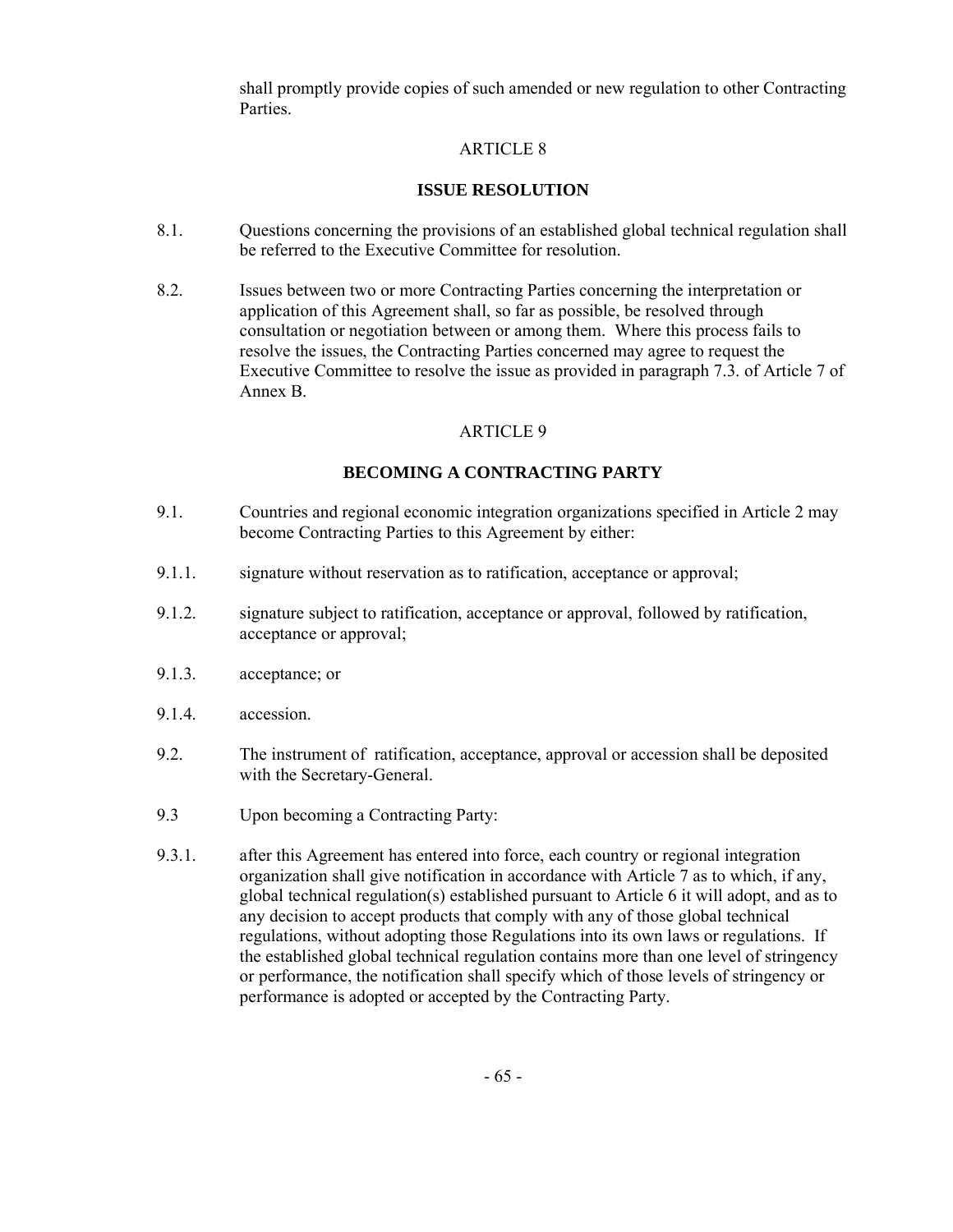shall promptly provide copies of such amended or new regulation to other Contracting Parties.

## ARTICLE 8

## **ISSUE RESOLUTION**

- 8.1. Questions concerning the provisions of an established global technical regulation shall be referred to the Executive Committee for resolution.
- 8.2. Issues between two or more Contracting Parties concerning the interpretation or application of this Agreement shall, so far as possible, be resolved through consultation or negotiation between or among them. Where this process fails to resolve the issues, the Contracting Parties concerned may agree to request the Executive Committee to resolve the issue as provided in paragraph 7.3. of Article 7 of Annex B.

## ARTICLE 9

## **BECOMING A CONTRACTING PARTY**

- 9.1. Countries and regional economic integration organizations specified in Article 2 may become Contracting Parties to this Agreement by either:
- 9.1.1. signature without reservation as to ratification, acceptance or approval;
- 9.1.2. signature subject to ratification, acceptance or approval, followed by ratification, acceptance or approval;
- 9.1.3. acceptance; or
- 9.1.4. accession.
- 9.2. The instrument of ratification, acceptance, approval or accession shall be deposited with the Secretary-General.
- 9.3 Upon becoming a Contracting Party:
- 9.3.1. after this Agreement has entered into force, each country or regional integration organization shall give notification in accordance with Article 7 as to which, if any, global technical regulation(s) established pursuant to Article 6 it will adopt, and as to any decision to accept products that comply with any of those global technical regulations, without adopting those Regulations into its own laws or regulations. If the established global technical regulation contains more than one level of stringency or performance, the notification shall specify which of those levels of stringency or performance is adopted or accepted by the Contracting Party.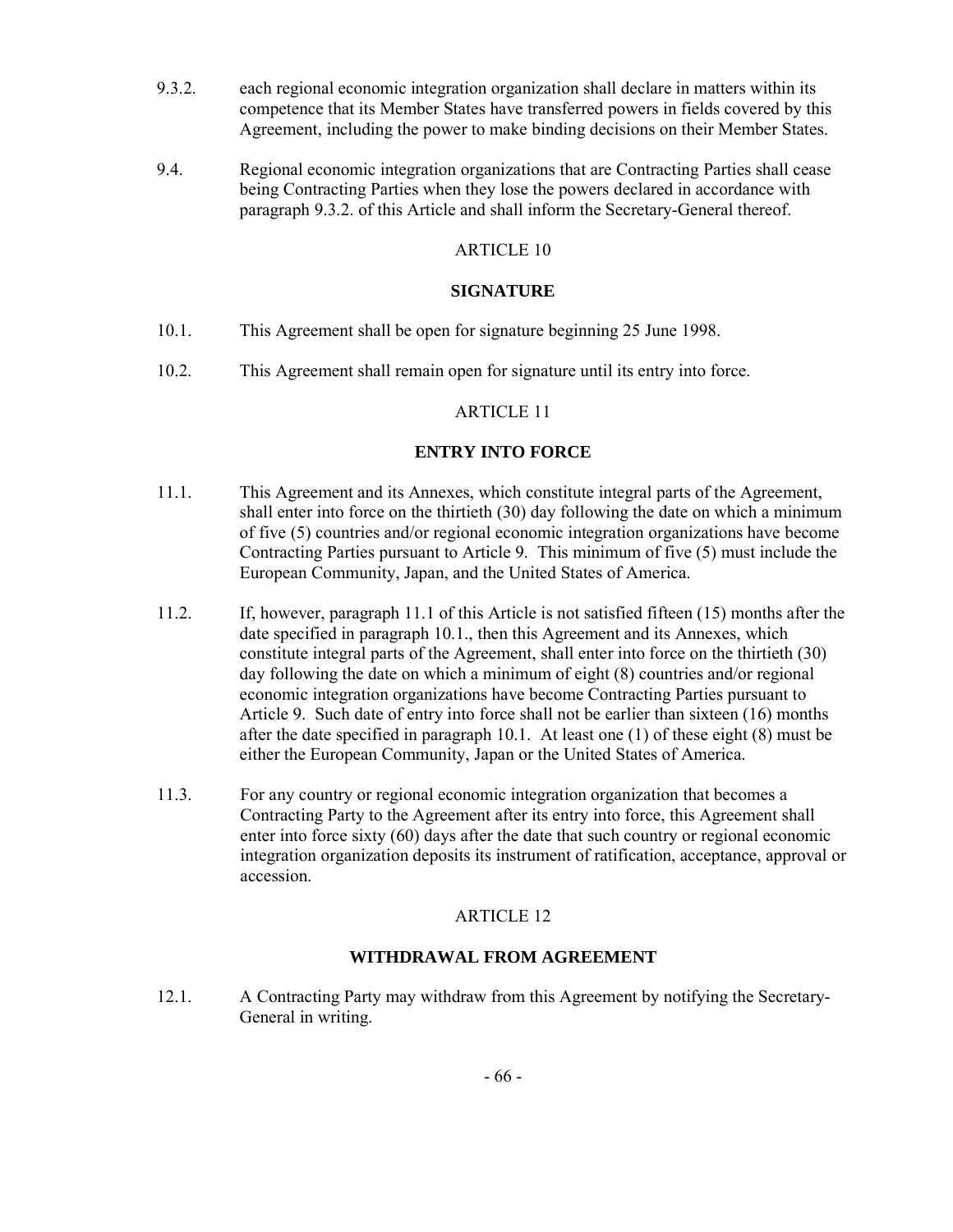- 9.3.2. each regional economic integration organization shall declare in matters within its competence that its Member States have transferred powers in fields covered by this Agreement, including the power to make binding decisions on their Member States.
- 9.4. Regional economic integration organizations that are Contracting Parties shall cease being Contracting Parties when they lose the powers declared in accordance with paragraph 9.3.2. of this Article and shall inform the Secretary-General thereof.

## **SIGNATURE**

- 10.1. This Agreement shall be open for signature beginning 25 June 1998.
- 10.2. This Agreement shall remain open for signature until its entry into force.

## ARTICLE 11

## **ENTRY INTO FORCE**

- 11.1. This Agreement and its Annexes, which constitute integral parts of the Agreement, shall enter into force on the thirtieth (30) day following the date on which a minimum of five (5) countries and/or regional economic integration organizations have become Contracting Parties pursuant to Article 9. This minimum of five (5) must include the European Community, Japan, and the United States of America.
- 11.2. If, however, paragraph 11.1 of this Article is not satisfied fifteen (15) months after the date specified in paragraph 10.1., then this Agreement and its Annexes, which constitute integral parts of the Agreement, shall enter into force on the thirtieth (30) day following the date on which a minimum of eight (8) countries and/or regional economic integration organizations have become Contracting Parties pursuant to Article 9. Such date of entry into force shall not be earlier than sixteen (16) months after the date specified in paragraph 10.1. At least one (1) of these eight (8) must be either the European Community, Japan or the United States of America.
- 11.3. For any country or regional economic integration organization that becomes a Contracting Party to the Agreement after its entry into force, this Agreement shall enter into force sixty (60) days after the date that such country or regional economic integration organization deposits its instrument of ratification, acceptance, approval or accession.

## ARTICLE 12

## **WITHDRAWAL FROM AGREEMENT**

12.1. A Contracting Party may withdraw from this Agreement by notifying the Secretary-General in writing.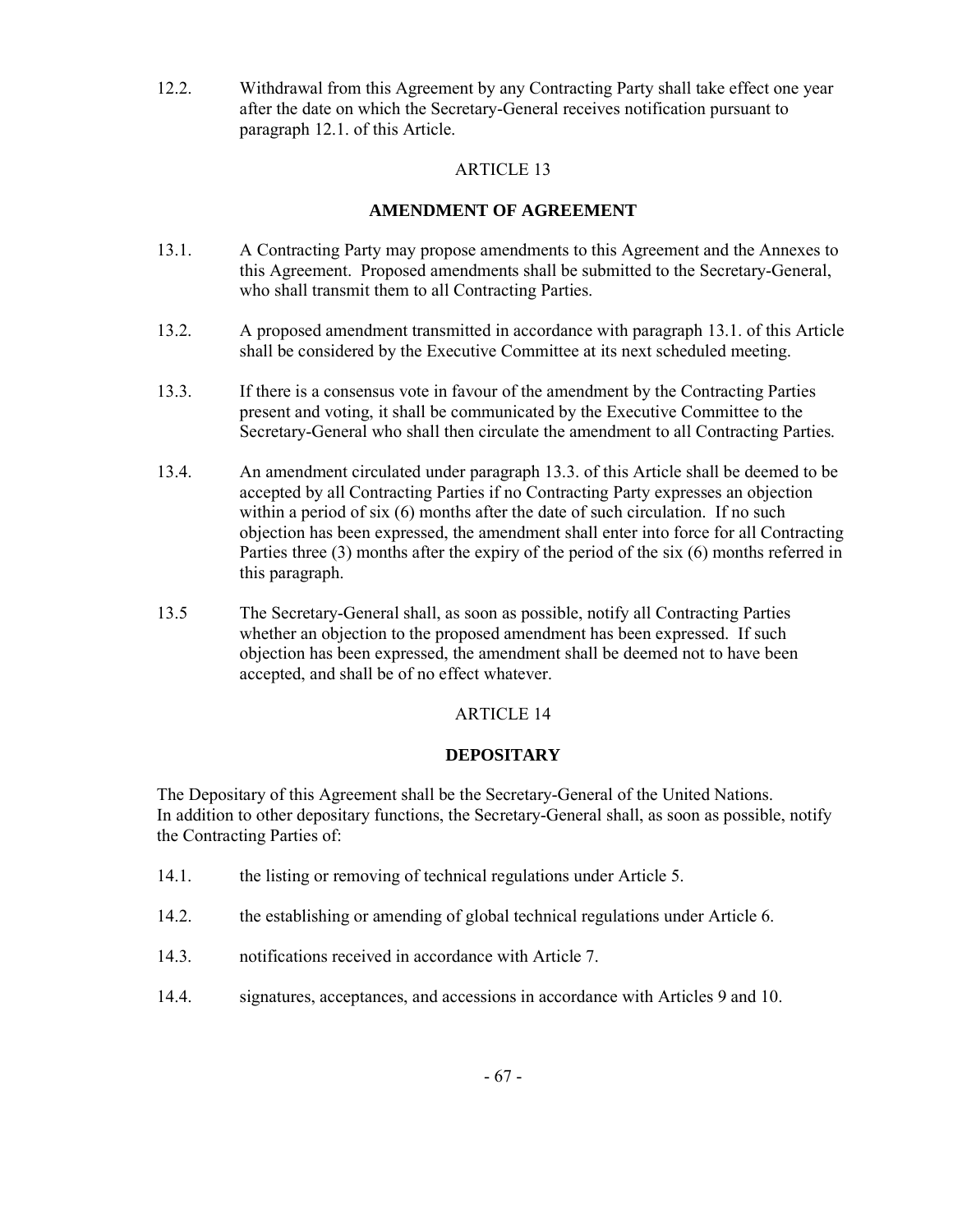12.2. Withdrawal from this Agreement by any Contracting Party shall take effect one year after the date on which the Secretary-General receives notification pursuant to paragraph 12.1. of this Article.

## ARTICLE 13

## **AMENDMENT OF AGREEMENT**

- 13.1. A Contracting Party may propose amendments to this Agreement and the Annexes to this Agreement. Proposed amendments shall be submitted to the Secretary-General, who shall transmit them to all Contracting Parties.
- 13.2. A proposed amendment transmitted in accordance with paragraph 13.1. of this Article shall be considered by the Executive Committee at its next scheduled meeting.
- 13.3. If there is a consensus vote in favour of the amendment by the Contracting Parties present and voting, it shall be communicated by the Executive Committee to the Secretary-General who shall then circulate the amendment to all Contracting Parties.
- 13.4. An amendment circulated under paragraph 13.3. of this Article shall be deemed to be accepted by all Contracting Parties if no Contracting Party expresses an objection within a period of six (6) months after the date of such circulation. If no such objection has been expressed, the amendment shall enter into force for all Contracting Parties three (3) months after the expiry of the period of the six (6) months referred in this paragraph.
- 13.5 The Secretary-General shall, as soon as possible, notify all Contracting Parties whether an objection to the proposed amendment has been expressed. If such objection has been expressed, the amendment shall be deemed not to have been accepted, and shall be of no effect whatever.

## ARTICLE 14

## **DEPOSITARY**

The Depositary of this Agreement shall be the Secretary-General of the United Nations. In addition to other depositary functions, the Secretary-General shall, as soon as possible, notify the Contracting Parties of:

- 14.1. the listing or removing of technical regulations under Article 5.
- 14.2. the establishing or amending of global technical regulations under Article 6.
- 14.3. notifications received in accordance with Article 7.
- 14.4. signatures, acceptances, and accessions in accordance with Articles 9 and 10.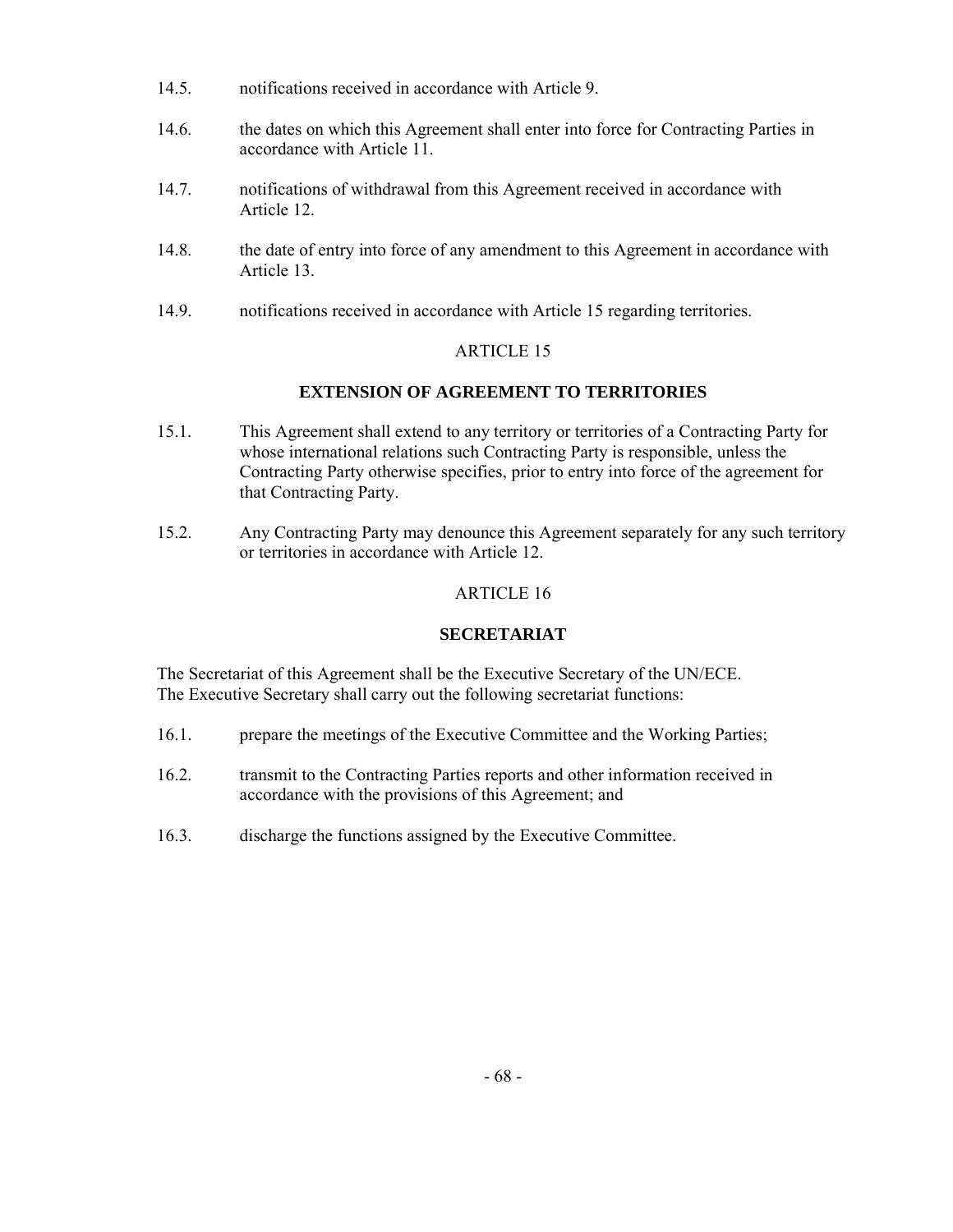- 14.5. notifications received in accordance with Article 9.
- 14.6. the dates on which this Agreement shall enter into force for Contracting Parties in accordance with Article 11.
- 14.7. notifications of withdrawal from this Agreement received in accordance with Article 12.
- 14.8. the date of entry into force of any amendment to this Agreement in accordance with Article 13.
- 14.9. notifications received in accordance with Article 15 regarding territories.

## **EXTENSION OF AGREEMENT TO TERRITORIES**

- 15.1. This Agreement shall extend to any territory or territories of a Contracting Party for whose international relations such Contracting Party is responsible, unless the Contracting Party otherwise specifies, prior to entry into force of the agreement for that Contracting Party.
- 15.2. Any Contracting Party may denounce this Agreement separately for any such territory or territories in accordance with Article 12.

## ARTICLE 16

## **SECRETARIAT**

The Secretariat of this Agreement shall be the Executive Secretary of the UN/ECE. The Executive Secretary shall carry out the following secretariat functions:

- 16.1. prepare the meetings of the Executive Committee and the Working Parties;
- 16.2. transmit to the Contracting Parties reports and other information received in accordance with the provisions of this Agreement; and
- 16.3. discharge the functions assigned by the Executive Committee.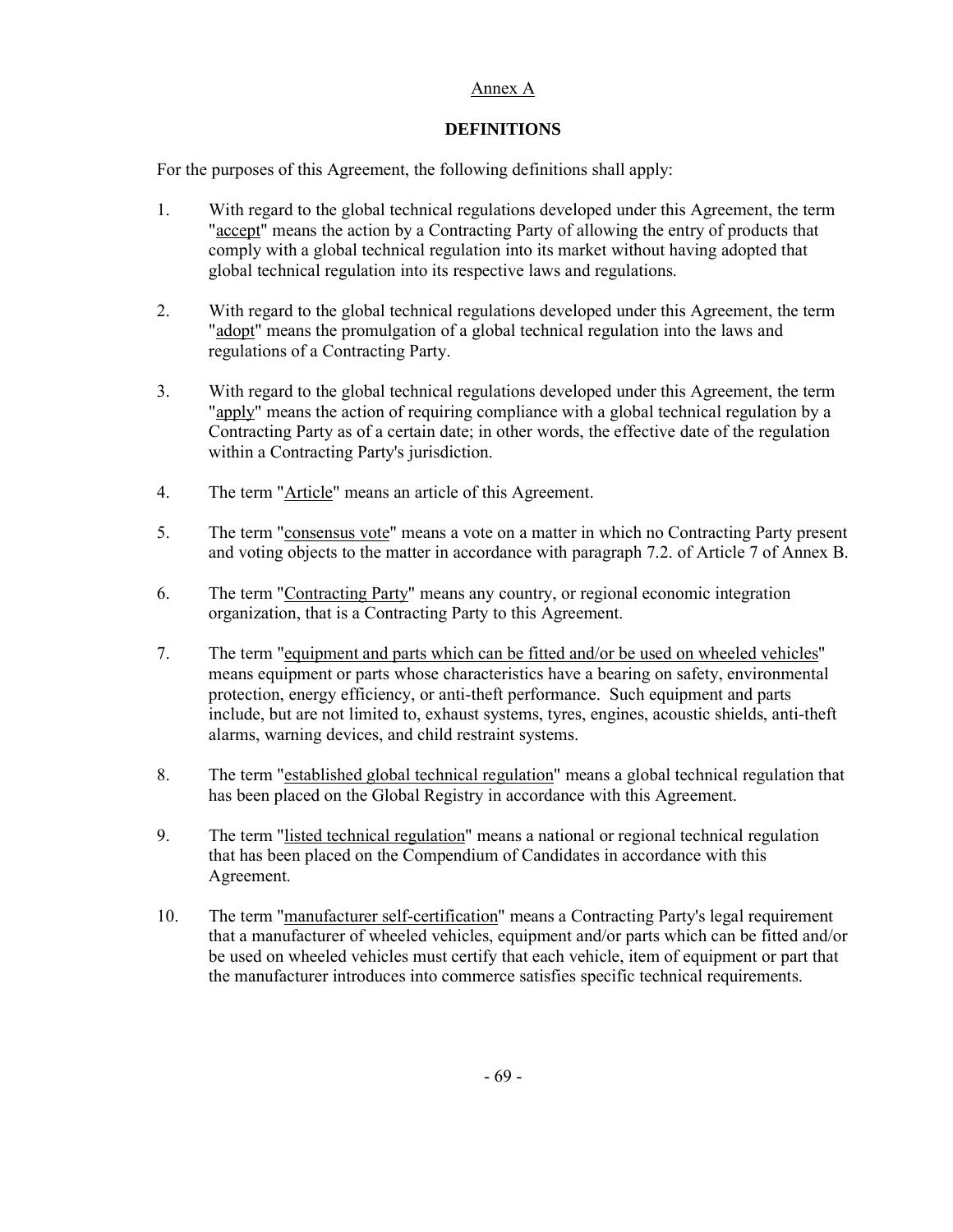## Annex A

## **DEFINITIONS**

For the purposes of this Agreement, the following definitions shall apply:

- 1. With regard to the global technical regulations developed under this Agreement, the term "accept" means the action by a Contracting Party of allowing the entry of products that comply with a global technical regulation into its market without having adopted that global technical regulation into its respective laws and regulations.
- 2. With regard to the global technical regulations developed under this Agreement, the term "adopt" means the promulgation of a global technical regulation into the laws and regulations of a Contracting Party.
- 3. With regard to the global technical regulations developed under this Agreement, the term "apply" means the action of requiring compliance with a global technical regulation by a Contracting Party as of a certain date; in other words, the effective date of the regulation within a Contracting Party's jurisdiction.
- 4. The term "Article" means an article of this Agreement.
- 5. The term "consensus vote" means a vote on a matter in which no Contracting Party present and voting objects to the matter in accordance with paragraph 7.2. of Article 7 of Annex B.
- 6. The term "Contracting Party" means any country, or regional economic integration organization, that is a Contracting Party to this Agreement.
- 7. The term "equipment and parts which can be fitted and/or be used on wheeled vehicles" means equipment or parts whose characteristics have a bearing on safety, environmental protection, energy efficiency, or anti-theft performance. Such equipment and parts include, but are not limited to, exhaust systems, tyres, engines, acoustic shields, anti-theft alarms, warning devices, and child restraint systems.
- 8. The term "established global technical regulation" means a global technical regulation that has been placed on the Global Registry in accordance with this Agreement.
- 9. The term "listed technical regulation" means a national or regional technical regulation that has been placed on the Compendium of Candidates in accordance with this Agreement.
- 10. The term "manufacturer self-certification" means a Contracting Party's legal requirement that a manufacturer of wheeled vehicles, equipment and/or parts which can be fitted and/or be used on wheeled vehicles must certify that each vehicle, item of equipment or part that the manufacturer introduces into commerce satisfies specific technical requirements.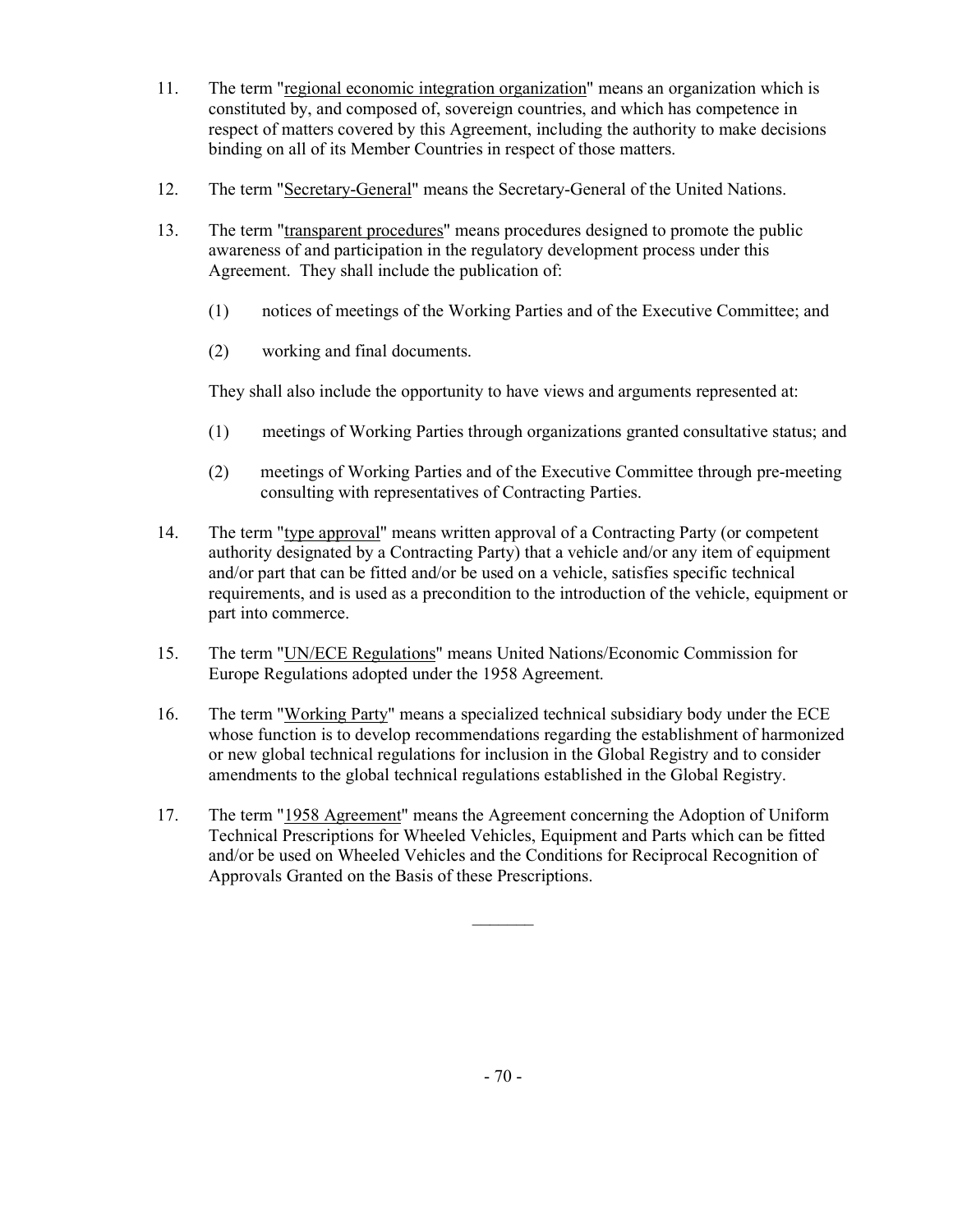- 11. The term "regional economic integration organization" means an organization which is constituted by, and composed of, sovereign countries, and which has competence in respect of matters covered by this Agreement, including the authority to make decisions binding on all of its Member Countries in respect of those matters.
- 12. The term "Secretary-General" means the Secretary-General of the United Nations.
- 13. The term "transparent procedures" means procedures designed to promote the public awareness of and participation in the regulatory development process under this Agreement. They shall include the publication of:
	- (1) notices of meetings of the Working Parties and of the Executive Committee; and
	- (2) working and final documents.

They shall also include the opportunity to have views and arguments represented at:

- (1) meetings of Working Parties through organizations granted consultative status; and
- (2) meetings of Working Parties and of the Executive Committee through pre-meeting consulting with representatives of Contracting Parties.
- 14. The term "type approval" means written approval of a Contracting Party (or competent authority designated by a Contracting Party) that a vehicle and/or any item of equipment and/or part that can be fitted and/or be used on a vehicle, satisfies specific technical requirements, and is used as a precondition to the introduction of the vehicle, equipment or part into commerce.
- 15. The term "UN/ECE Regulations" means United Nations/Economic Commission for Europe Regulations adopted under the 1958 Agreement.
- 16. The term "Working Party" means a specialized technical subsidiary body under the ECE whose function is to develop recommendations regarding the establishment of harmonized or new global technical regulations for inclusion in the Global Registry and to consider amendments to the global technical regulations established in the Global Registry.
- 17. The term "1958 Agreement" means the Agreement concerning the Adoption of Uniform Technical Prescriptions for Wheeled Vehicles, Equipment and Parts which can be fitted and/or be used on Wheeled Vehicles and the Conditions for Reciprocal Recognition of Approvals Granted on the Basis of these Prescriptions.

 $\frac{1}{2}$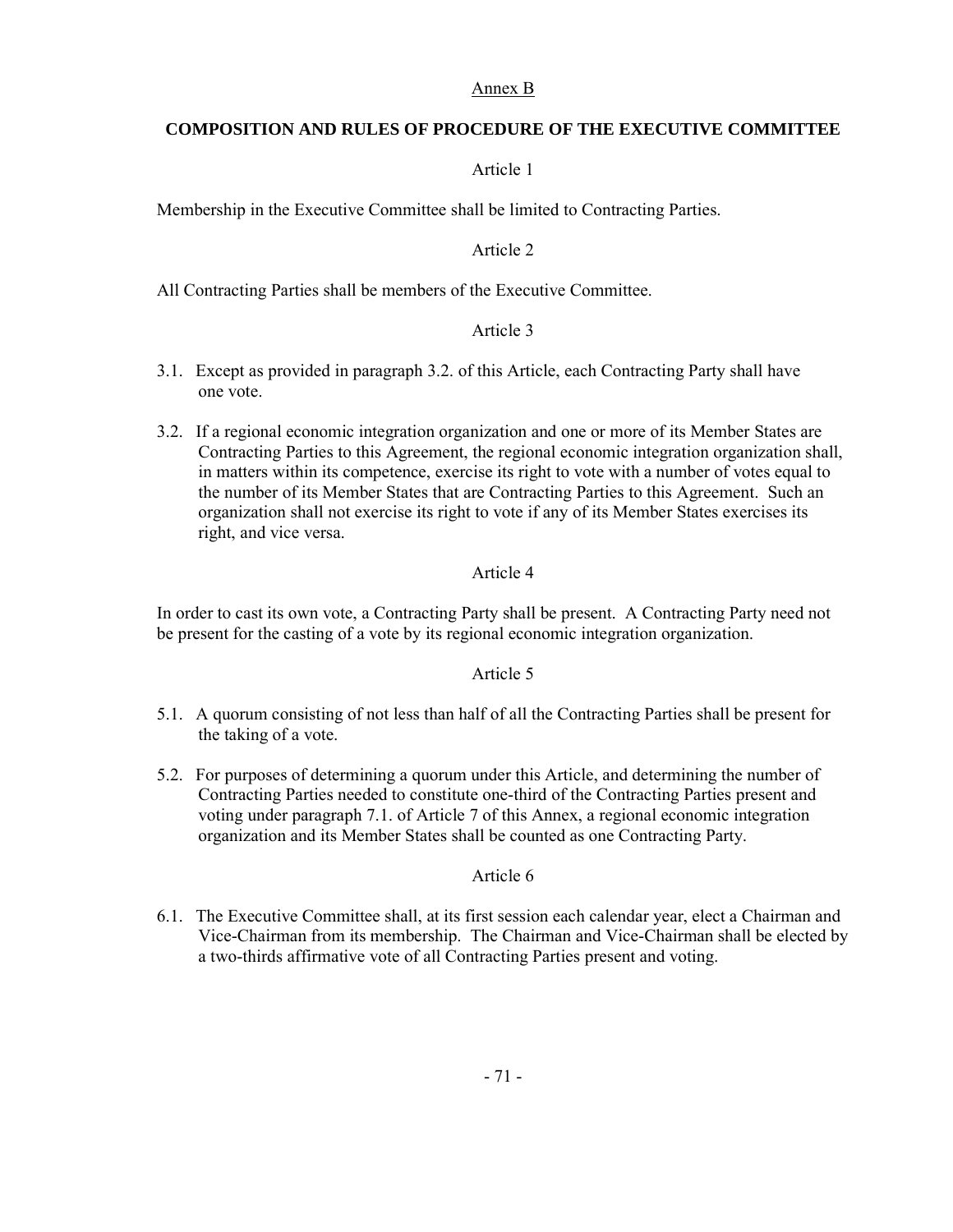### Annex B

# **COMPOSITION AND RULES OF PROCEDURE OF THE EXECUTIVE COMMITTEE**

# Article 1

Membership in the Executive Committee shall be limited to Contracting Parties.

# Article 2

All Contracting Parties shall be members of the Executive Committee.

# Article 3

- 3.1. Except as provided in paragraph 3.2. of this Article, each Contracting Party shall have one vote.
- 3.2. If a regional economic integration organization and one or more of its Member States are Contracting Parties to this Agreement, the regional economic integration organization shall, in matters within its competence, exercise its right to vote with a number of votes equal to the number of its Member States that are Contracting Parties to this Agreement. Such an organization shall not exercise its right to vote if any of its Member States exercises its right, and vice versa.

# Article 4

In order to cast its own vote, a Contracting Party shall be present. A Contracting Party need not be present for the casting of a vote by its regional economic integration organization.

### Article 5

- 5.1. A quorum consisting of not less than half of all the Contracting Parties shall be present for the taking of a vote.
- 5.2. For purposes of determining a quorum under this Article, and determining the number of Contracting Parties needed to constitute one-third of the Contracting Parties present and voting under paragraph 7.1. of Article 7 of this Annex, a regional economic integration organization and its Member States shall be counted as one Contracting Party.

### Article 6

6.1. The Executive Committee shall, at its first session each calendar year, elect a Chairman and Vice-Chairman from its membership. The Chairman and Vice-Chairman shall be elected by a two-thirds affirmative vote of all Contracting Parties present and voting.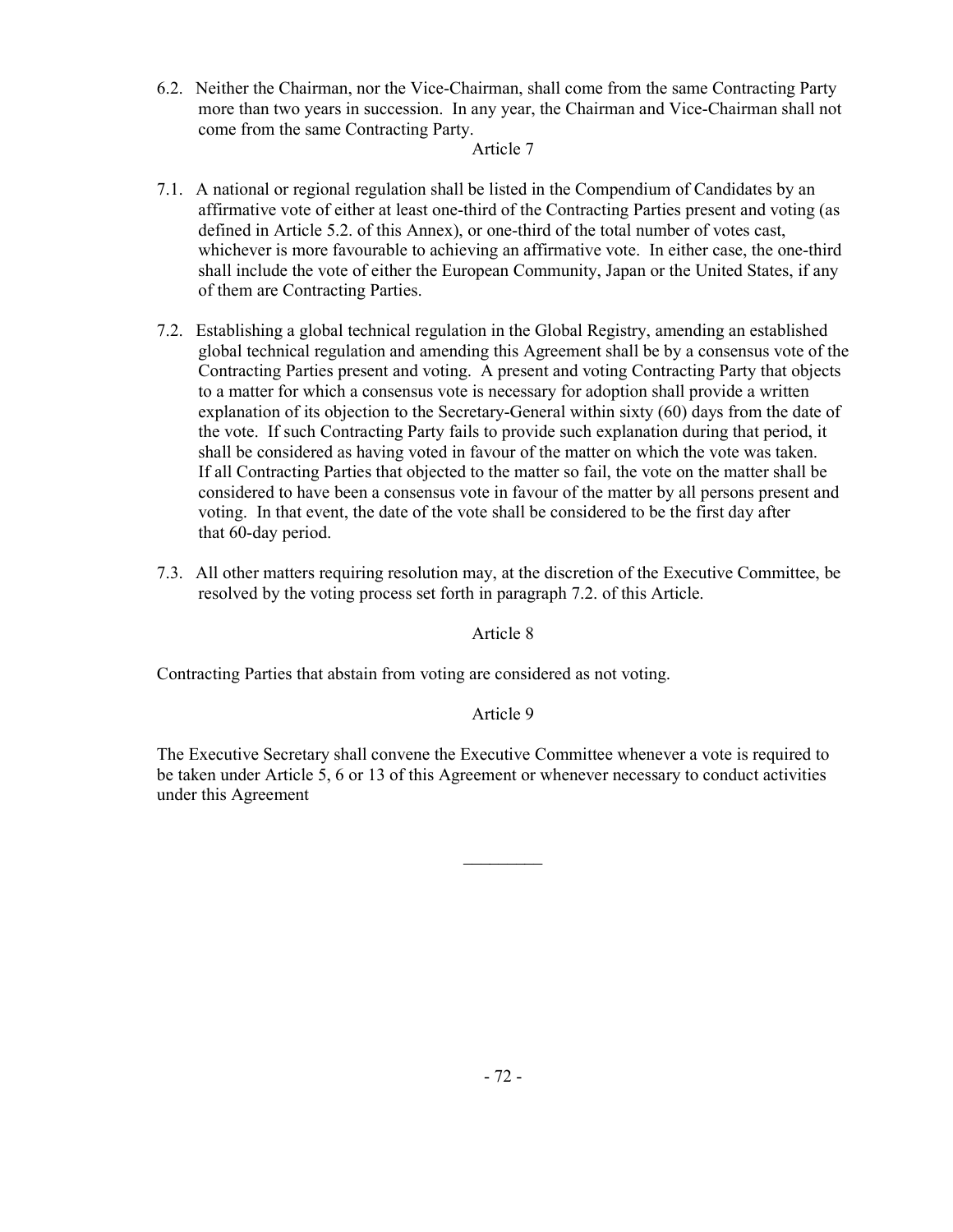6.2. Neither the Chairman, nor the Vice-Chairman, shall come from the same Contracting Party more than two years in succession. In any year, the Chairman and Vice-Chairman shall not come from the same Contracting Party.

### Article 7

- 7.1. A national or regional regulation shall be listed in the Compendium of Candidates by an affirmative vote of either at least one-third of the Contracting Parties present and voting (as defined in Article 5.2. of this Annex), or one-third of the total number of votes cast, whichever is more favourable to achieving an affirmative vote. In either case, the one-third shall include the vote of either the European Community, Japan or the United States, if any of them are Contracting Parties.
- 7.2. Establishing a global technical regulation in the Global Registry, amending an established global technical regulation and amending this Agreement shall be by a consensus vote of the Contracting Parties present and voting. A present and voting Contracting Party that objects to a matter for which a consensus vote is necessary for adoption shall provide a written explanation of its objection to the Secretary-General within sixty (60) days from the date of the vote. If such Contracting Party fails to provide such explanation during that period, it shall be considered as having voted in favour of the matter on which the vote was taken. If all Contracting Parties that objected to the matter so fail, the vote on the matter shall be considered to have been a consensus vote in favour of the matter by all persons present and voting. In that event, the date of the vote shall be considered to be the first day after that 60-day period.
- 7.3. All other matters requiring resolution may, at the discretion of the Executive Committee, be resolved by the voting process set forth in paragraph 7.2. of this Article.

Article 8

Contracting Parties that abstain from voting are considered as not voting.

# Article 9

The Executive Secretary shall convene the Executive Committee whenever a vote is required to be taken under Article 5, 6 or 13 of this Agreement or whenever necessary to conduct activities under this Agreement

 $\frac{1}{2}$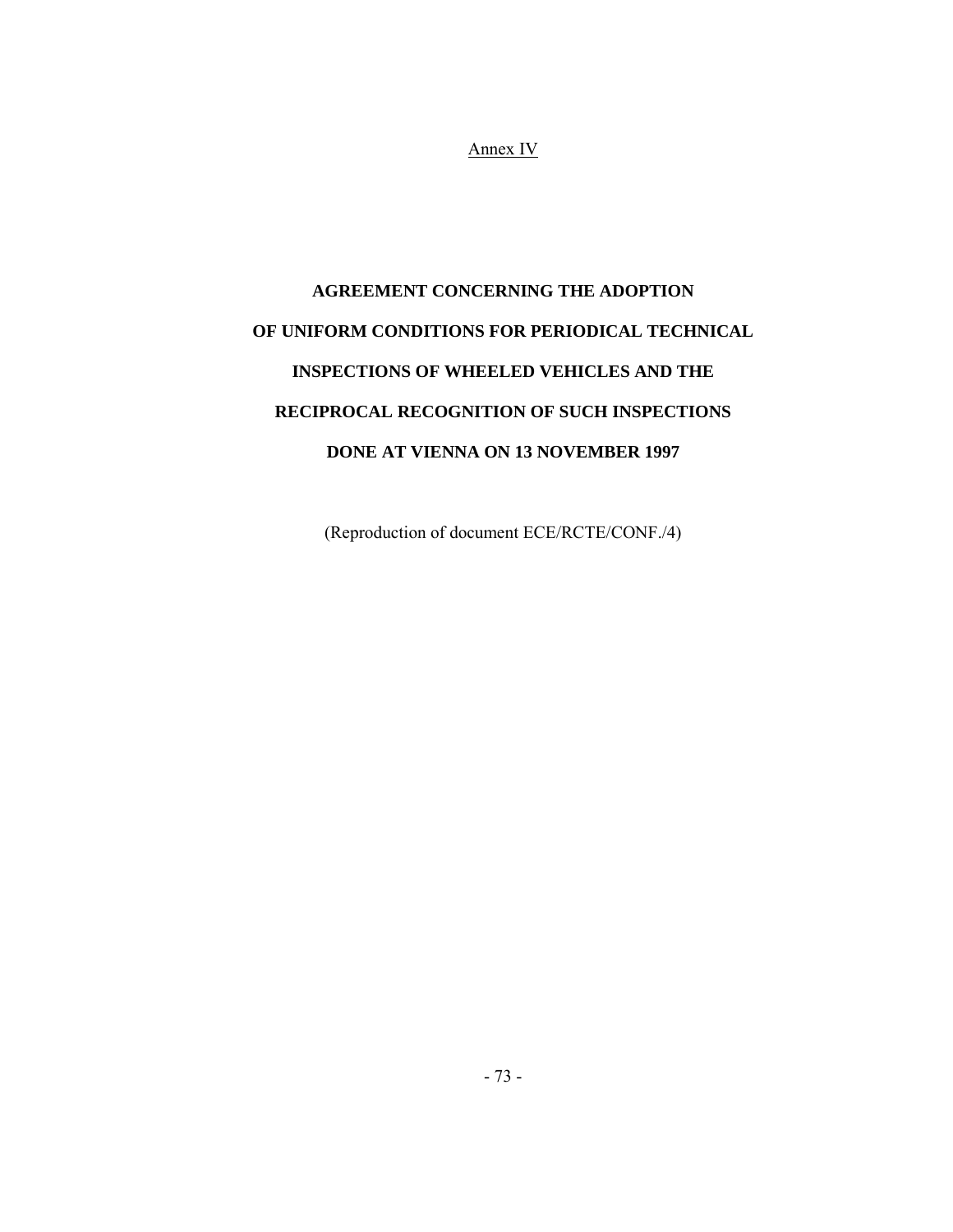Annex IV

# **AGREEMENT CONCERNING THE ADOPTION OF UNIFORM CONDITIONS FOR PERIODICAL TECHNICAL INSPECTIONS OF WHEELED VEHICLES AND THE RECIPROCAL RECOGNITION OF SUCH INSPECTIONS DONE AT VIENNA ON 13 NOVEMBER 1997**

(Reproduction of document ECE/RCTE/CONF./4)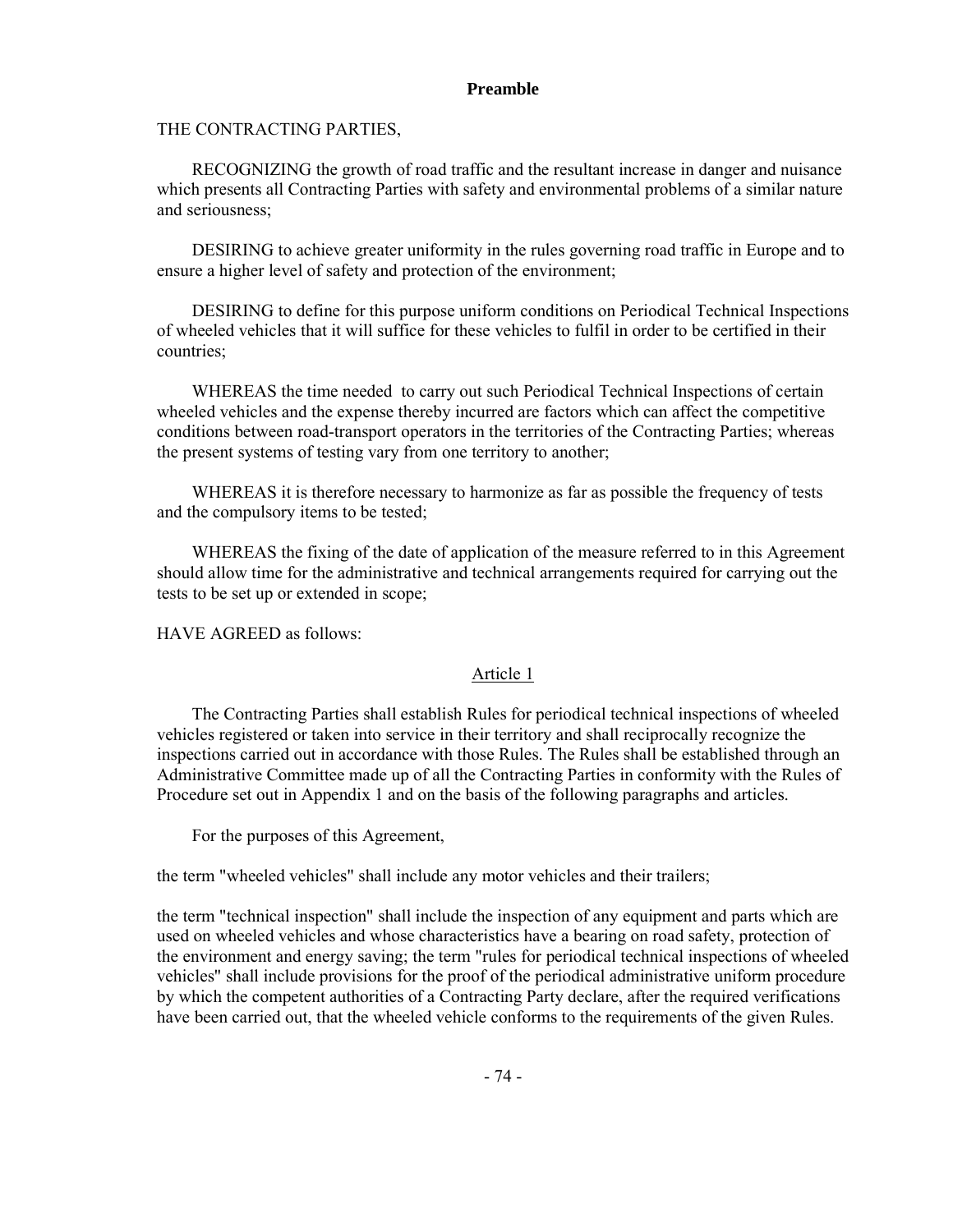#### **Preamble**

THE CONTRACTING PARTIES,

 RECOGNIZING the growth of road traffic and the resultant increase in danger and nuisance which presents all Contracting Parties with safety and environmental problems of a similar nature and seriousness;

 DESIRING to achieve greater uniformity in the rules governing road traffic in Europe and to ensure a higher level of safety and protection of the environment;

 DESIRING to define for this purpose uniform conditions on Periodical Technical Inspections of wheeled vehicles that it will suffice for these vehicles to fulfil in order to be certified in their countries;

 WHEREAS the time needed to carry out such Periodical Technical Inspections of certain wheeled vehicles and the expense thereby incurred are factors which can affect the competitive conditions between road-transport operators in the territories of the Contracting Parties; whereas the present systems of testing vary from one territory to another;

 WHEREAS it is therefore necessary to harmonize as far as possible the frequency of tests and the compulsory items to be tested;

 WHEREAS the fixing of the date of application of the measure referred to in this Agreement should allow time for the administrative and technical arrangements required for carrying out the tests to be set up or extended in scope;

HAVE AGREED as follows:

### Article 1

 The Contracting Parties shall establish Rules for periodical technical inspections of wheeled vehicles registered or taken into service in their territory and shall reciprocally recognize the inspections carried out in accordance with those Rules. The Rules shall be established through an Administrative Committee made up of all the Contracting Parties in conformity with the Rules of Procedure set out in Appendix 1 and on the basis of the following paragraphs and articles.

For the purposes of this Agreement,

the term "wheeled vehicles" shall include any motor vehicles and their trailers;

the term "technical inspection" shall include the inspection of any equipment and parts which are used on wheeled vehicles and whose characteristics have a bearing on road safety, protection of the environment and energy saving; the term "rules for periodical technical inspections of wheeled vehicles" shall include provisions for the proof of the periodical administrative uniform procedure by which the competent authorities of a Contracting Party declare, after the required verifications have been carried out, that the wheeled vehicle conforms to the requirements of the given Rules.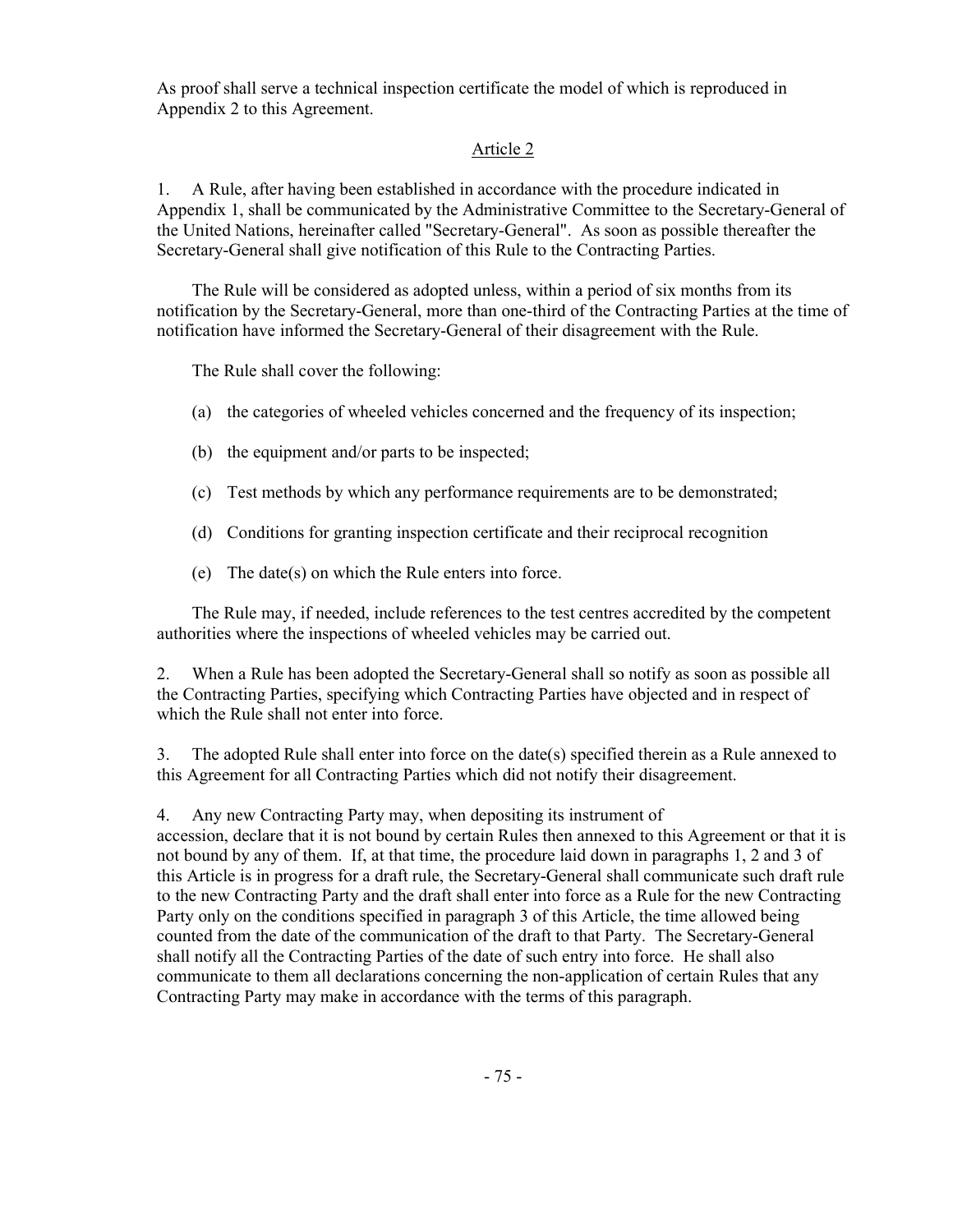As proof shall serve a technical inspection certificate the model of which is reproduced in Appendix 2 to this Agreement.

### Article 2

1. A Rule, after having been established in accordance with the procedure indicated in Appendix 1, shall be communicated by the Administrative Committee to the Secretary-General of the United Nations, hereinafter called "Secretary-General". As soon as possible thereafter the Secretary-General shall give notification of this Rule to the Contracting Parties.

 The Rule will be considered as adopted unless, within a period of six months from its notification by the Secretary-General, more than one-third of the Contracting Parties at the time of notification have informed the Secretary-General of their disagreement with the Rule.

The Rule shall cover the following:

- (a) the categories of wheeled vehicles concerned and the frequency of its inspection;
- (b) the equipment and/or parts to be inspected;
- (c) Test methods by which any performance requirements are to be demonstrated;
- (d) Conditions for granting inspection certificate and their reciprocal recognition
- (e) The date(s) on which the Rule enters into force.

 The Rule may, if needed, include references to the test centres accredited by the competent authorities where the inspections of wheeled vehicles may be carried out.

2. When a Rule has been adopted the Secretary-General shall so notify as soon as possible all the Contracting Parties, specifying which Contracting Parties have objected and in respect of which the Rule shall not enter into force.

3. The adopted Rule shall enter into force on the date(s) specified therein as a Rule annexed to this Agreement for all Contracting Parties which did not notify their disagreement.

4. Any new Contracting Party may, when depositing its instrument of

accession, declare that it is not bound by certain Rules then annexed to this Agreement or that it is not bound by any of them. If, at that time, the procedure laid down in paragraphs 1, 2 and 3 of this Article is in progress for a draft rule, the Secretary-General shall communicate such draft rule to the new Contracting Party and the draft shall enter into force as a Rule for the new Contracting Party only on the conditions specified in paragraph 3 of this Article, the time allowed being counted from the date of the communication of the draft to that Party. The Secretary-General shall notify all the Contracting Parties of the date of such entry into force. He shall also communicate to them all declarations concerning the non-application of certain Rules that any Contracting Party may make in accordance with the terms of this paragraph.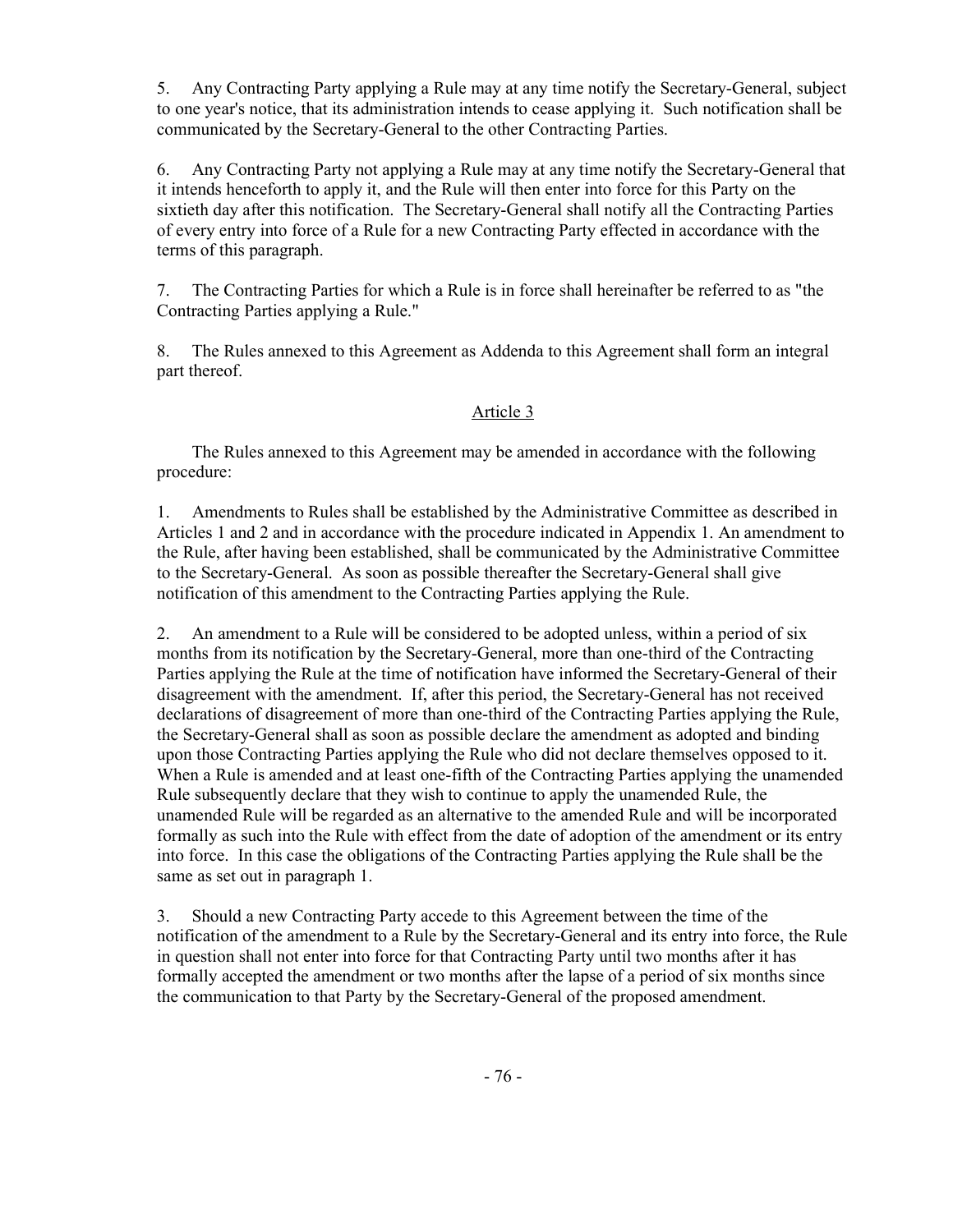5. Any Contracting Party applying a Rule may at any time notify the Secretary-General, subject to one year's notice, that its administration intends to cease applying it. Such notification shall be communicated by the Secretary-General to the other Contracting Parties.

6. Any Contracting Party not applying a Rule may at any time notify the Secretary-General that it intends henceforth to apply it, and the Rule will then enter into force for this Party on the sixtieth day after this notification. The Secretary-General shall notify all the Contracting Parties of every entry into force of a Rule for a new Contracting Party effected in accordance with the terms of this paragraph.

7. The Contracting Parties for which a Rule is in force shall hereinafter be referred to as "the Contracting Parties applying a Rule."

8. The Rules annexed to this Agreement as Addenda to this Agreement shall form an integral part thereof.

### Article 3

 The Rules annexed to this Agreement may be amended in accordance with the following procedure:

1. Amendments to Rules shall be established by the Administrative Committee as described in Articles 1 and 2 and in accordance with the procedure indicated in Appendix 1. An amendment to the Rule, after having been established, shall be communicated by the Administrative Committee to the Secretary-General. As soon as possible thereafter the Secretary-General shall give notification of this amendment to the Contracting Parties applying the Rule.

2. An amendment to a Rule will be considered to be adopted unless, within a period of six months from its notification by the Secretary-General, more than one-third of the Contracting Parties applying the Rule at the time of notification have informed the Secretary-General of their disagreement with the amendment. If, after this period, the Secretary-General has not received declarations of disagreement of more than one-third of the Contracting Parties applying the Rule, the Secretary-General shall as soon as possible declare the amendment as adopted and binding upon those Contracting Parties applying the Rule who did not declare themselves opposed to it. When a Rule is amended and at least one-fifth of the Contracting Parties applying the unamended Rule subsequently declare that they wish to continue to apply the unamended Rule, the unamended Rule will be regarded as an alternative to the amended Rule and will be incorporated formally as such into the Rule with effect from the date of adoption of the amendment or its entry into force. In this case the obligations of the Contracting Parties applying the Rule shall be the same as set out in paragraph 1.

3. Should a new Contracting Party accede to this Agreement between the time of the notification of the amendment to a Rule by the Secretary-General and its entry into force, the Rule in question shall not enter into force for that Contracting Party until two months after it has formally accepted the amendment or two months after the lapse of a period of six months since the communication to that Party by the Secretary-General of the proposed amendment.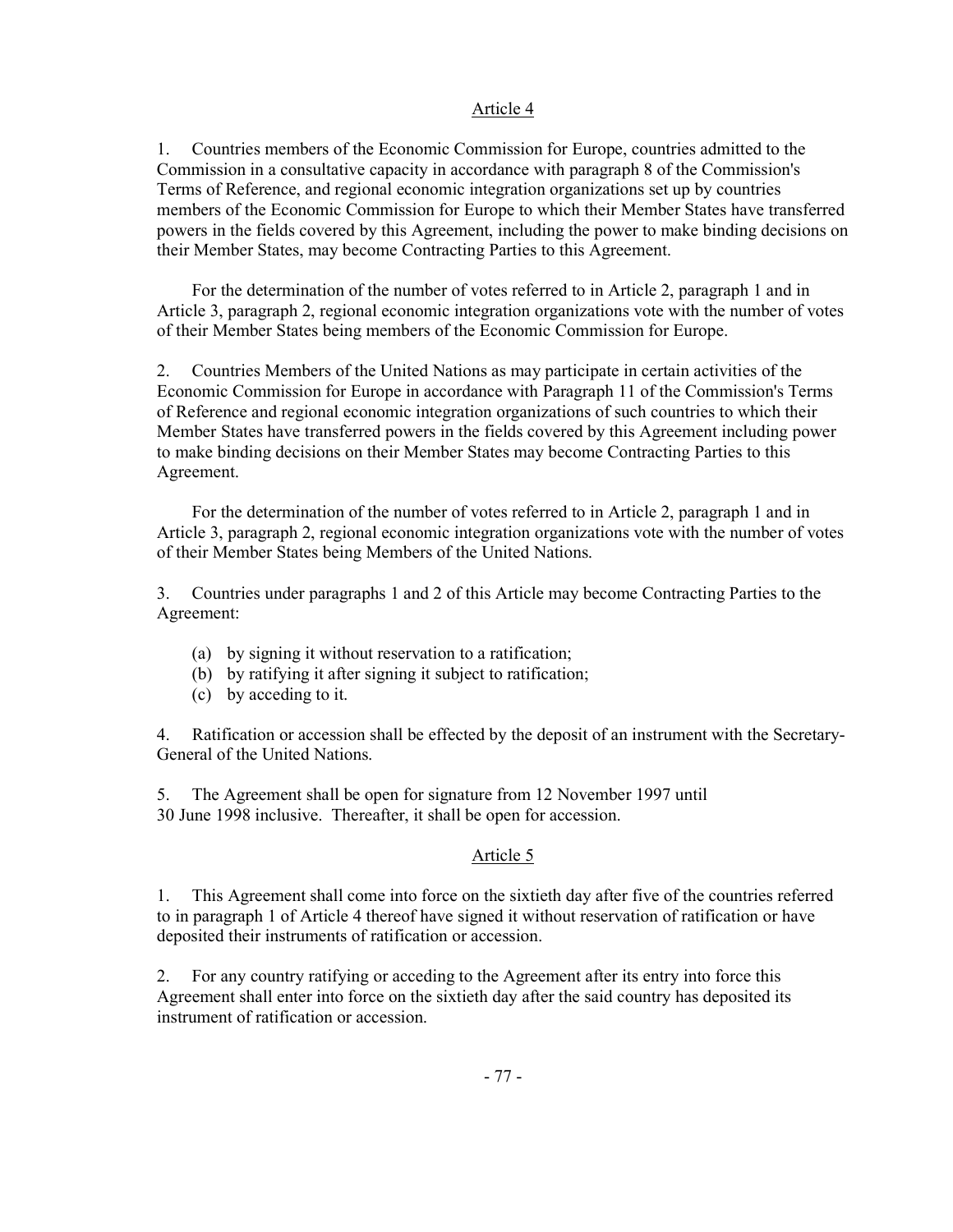### Article 4

1. Countries members of the Economic Commission for Europe, countries admitted to the Commission in a consultative capacity in accordance with paragraph 8 of the Commission's Terms of Reference, and regional economic integration organizations set up by countries members of the Economic Commission for Europe to which their Member States have transferred powers in the fields covered by this Agreement, including the power to make binding decisions on their Member States, may become Contracting Parties to this Agreement.

 For the determination of the number of votes referred to in Article 2, paragraph 1 and in Article 3, paragraph 2, regional economic integration organizations vote with the number of votes of their Member States being members of the Economic Commission for Europe.

2. Countries Members of the United Nations as may participate in certain activities of the Economic Commission for Europe in accordance with Paragraph 11 of the Commission's Terms of Reference and regional economic integration organizations of such countries to which their Member States have transferred powers in the fields covered by this Agreement including power to make binding decisions on their Member States may become Contracting Parties to this Agreement.

 For the determination of the number of votes referred to in Article 2, paragraph 1 and in Article 3, paragraph 2, regional economic integration organizations vote with the number of votes of their Member States being Members of the United Nations.

3. Countries under paragraphs 1 and 2 of this Article may become Contracting Parties to the Agreement:

- (a) by signing it without reservation to a ratification;
- (b) by ratifying it after signing it subject to ratification;
- (c) by acceding to it.

4. Ratification or accession shall be effected by the deposit of an instrument with the Secretary-General of the United Nations.

5. The Agreement shall be open for signature from 12 November 1997 until 30 June 1998 inclusive. Thereafter, it shall be open for accession.

# Article 5

1. This Agreement shall come into force on the sixtieth day after five of the countries referred to in paragraph 1 of Article 4 thereof have signed it without reservation of ratification or have deposited their instruments of ratification or accession.

2. For any country ratifying or acceding to the Agreement after its entry into force this Agreement shall enter into force on the sixtieth day after the said country has deposited its instrument of ratification or accession.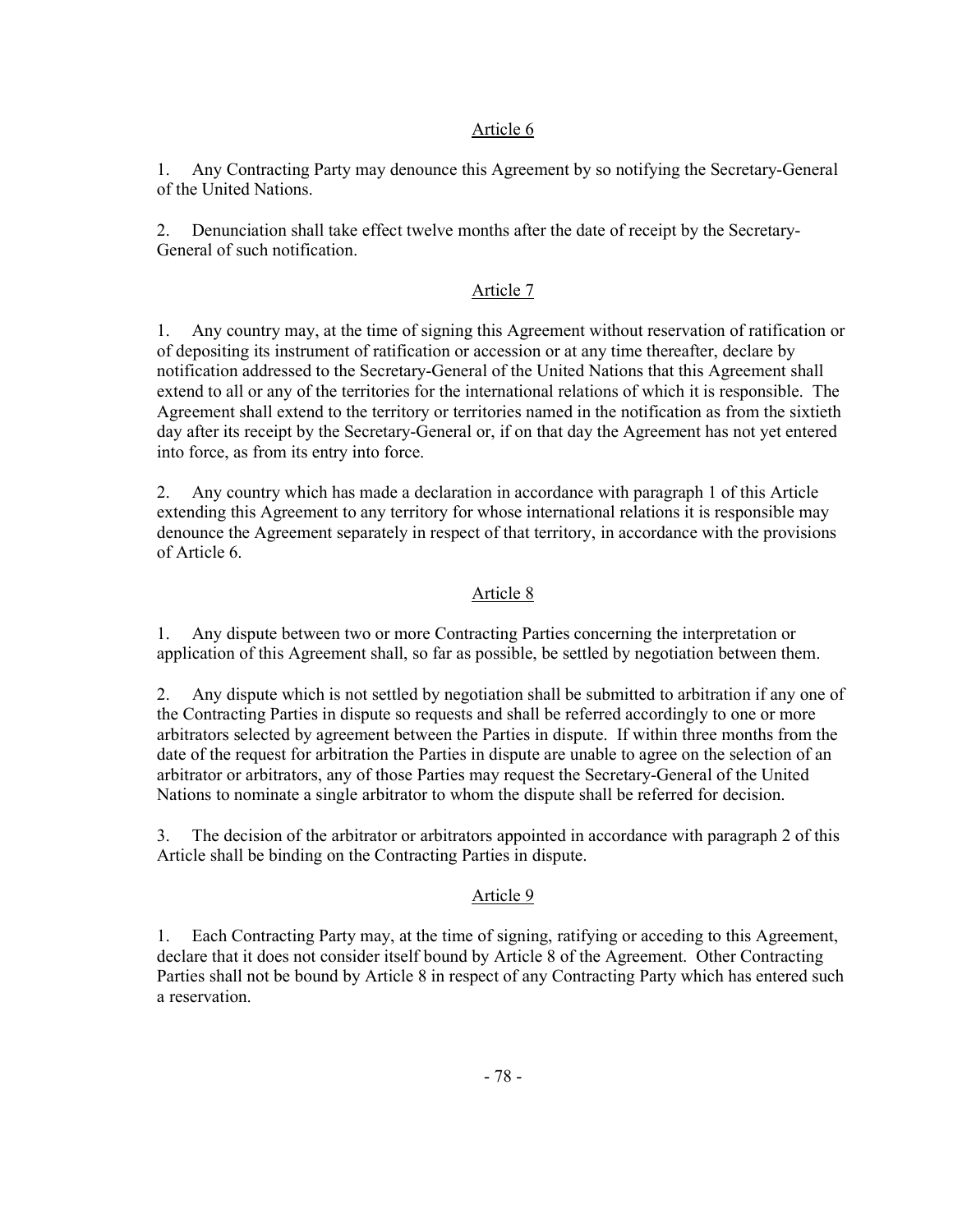### Article 6

1. Any Contracting Party may denounce this Agreement by so notifying the Secretary-General of the United Nations.

2. Denunciation shall take effect twelve months after the date of receipt by the Secretary-General of such notification.

# Article 7

1. Any country may, at the time of signing this Agreement without reservation of ratification or of depositing its instrument of ratification or accession or at any time thereafter, declare by notification addressed to the Secretary-General of the United Nations that this Agreement shall extend to all or any of the territories for the international relations of which it is responsible. The Agreement shall extend to the territory or territories named in the notification as from the sixtieth day after its receipt by the Secretary-General or, if on that day the Agreement has not yet entered into force, as from its entry into force.

2. Any country which has made a declaration in accordance with paragraph 1 of this Article extending this Agreement to any territory for whose international relations it is responsible may denounce the Agreement separately in respect of that territory, in accordance with the provisions of Article 6.

# Article 8

1. Any dispute between two or more Contracting Parties concerning the interpretation or application of this Agreement shall, so far as possible, be settled by negotiation between them.

2. Any dispute which is not settled by negotiation shall be submitted to arbitration if any one of the Contracting Parties in dispute so requests and shall be referred accordingly to one or more arbitrators selected by agreement between the Parties in dispute. If within three months from the date of the request for arbitration the Parties in dispute are unable to agree on the selection of an arbitrator or arbitrators, any of those Parties may request the Secretary-General of the United Nations to nominate a single arbitrator to whom the dispute shall be referred for decision.

3. The decision of the arbitrator or arbitrators appointed in accordance with paragraph 2 of this Article shall be binding on the Contracting Parties in dispute.

### Article 9

1. Each Contracting Party may, at the time of signing, ratifying or acceding to this Agreement, declare that it does not consider itself bound by Article 8 of the Agreement. Other Contracting Parties shall not be bound by Article 8 in respect of any Contracting Party which has entered such a reservation.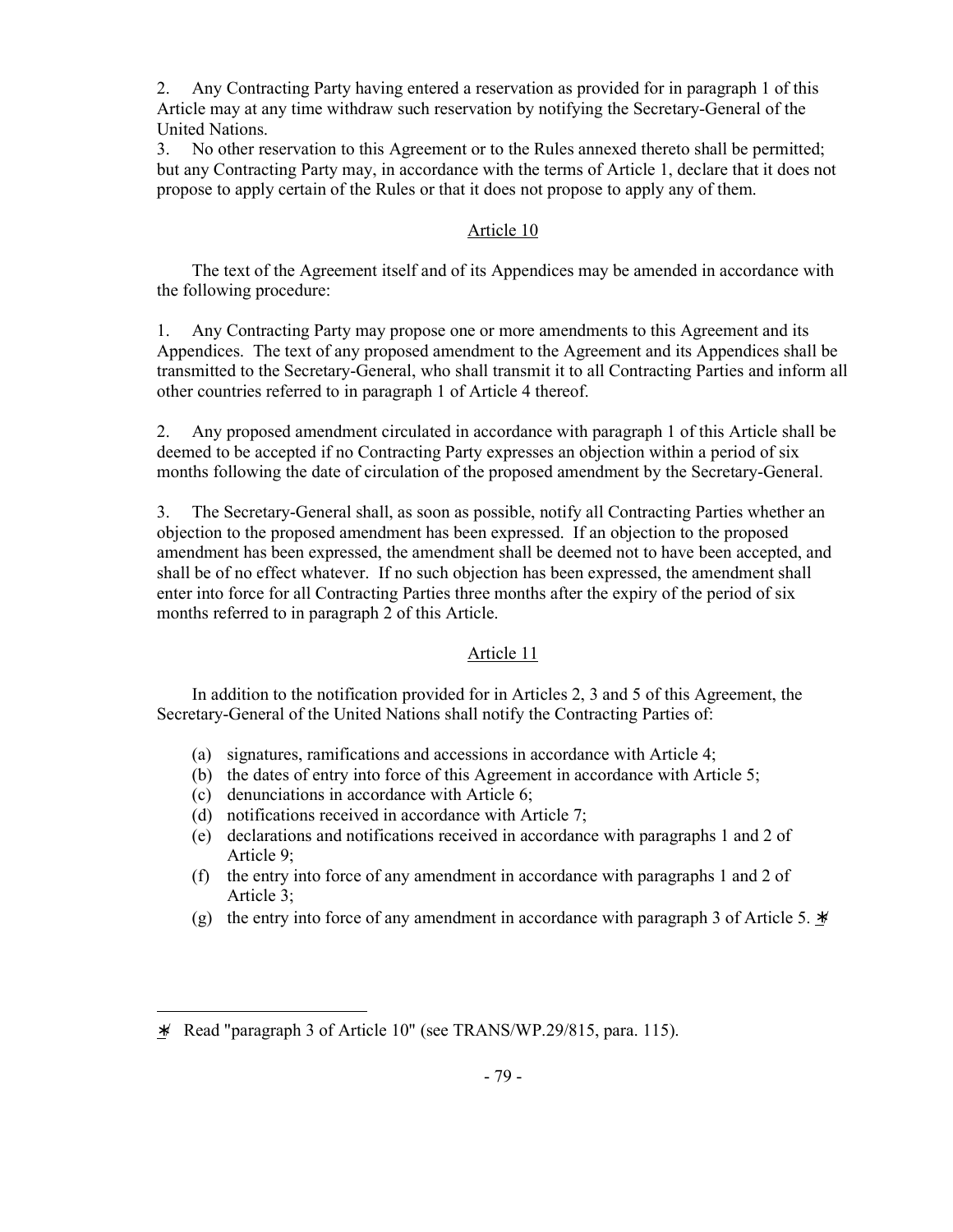2. Any Contracting Party having entered a reservation as provided for in paragraph 1 of this Article may at any time withdraw such reservation by notifying the Secretary-General of the United Nations.

3. No other reservation to this Agreement or to the Rules annexed thereto shall be permitted; but any Contracting Party may, in accordance with the terms of Article 1, declare that it does not propose to apply certain of the Rules or that it does not propose to apply any of them.

# Article 10

 The text of the Agreement itself and of its Appendices may be amended in accordance with the following procedure:

1. Any Contracting Party may propose one or more amendments to this Agreement and its Appendices. The text of any proposed amendment to the Agreement and its Appendices shall be transmitted to the Secretary-General, who shall transmit it to all Contracting Parties and inform all other countries referred to in paragraph 1 of Article 4 thereof.

2. Any proposed amendment circulated in accordance with paragraph 1 of this Article shall be deemed to be accepted if no Contracting Party expresses an objection within a period of six months following the date of circulation of the proposed amendment by the Secretary-General.

3. The Secretary-General shall, as soon as possible, notify all Contracting Parties whether an objection to the proposed amendment has been expressed. If an objection to the proposed amendment has been expressed, the amendment shall be deemed not to have been accepted, and shall be of no effect whatever. If no such objection has been expressed, the amendment shall enter into force for all Contracting Parties three months after the expiry of the period of six months referred to in paragraph 2 of this Article.

### Article 11

 In addition to the notification provided for in Articles 2, 3 and 5 of this Agreement, the Secretary-General of the United Nations shall notify the Contracting Parties of:

- (a) signatures, ramifications and accessions in accordance with Article 4;
- (b) the dates of entry into force of this Agreement in accordance with Article 5;
- (c) denunciations in accordance with Article 6;
- (d) notifications received in accordance with Article 7;
- (e) declarations and notifications received in accordance with paragraphs 1 and 2 of Article 9;
- (f) the entry into force of any amendment in accordance with paragraphs 1 and 2 of Article 3;
- (g) the entry into force of any amendment in accordance with paragraph 3 of Article 5. ∗/

<sup>∗</sup>/ Read "paragraph 3 of Article 10" (see TRANS/WP.29/815, para. 115).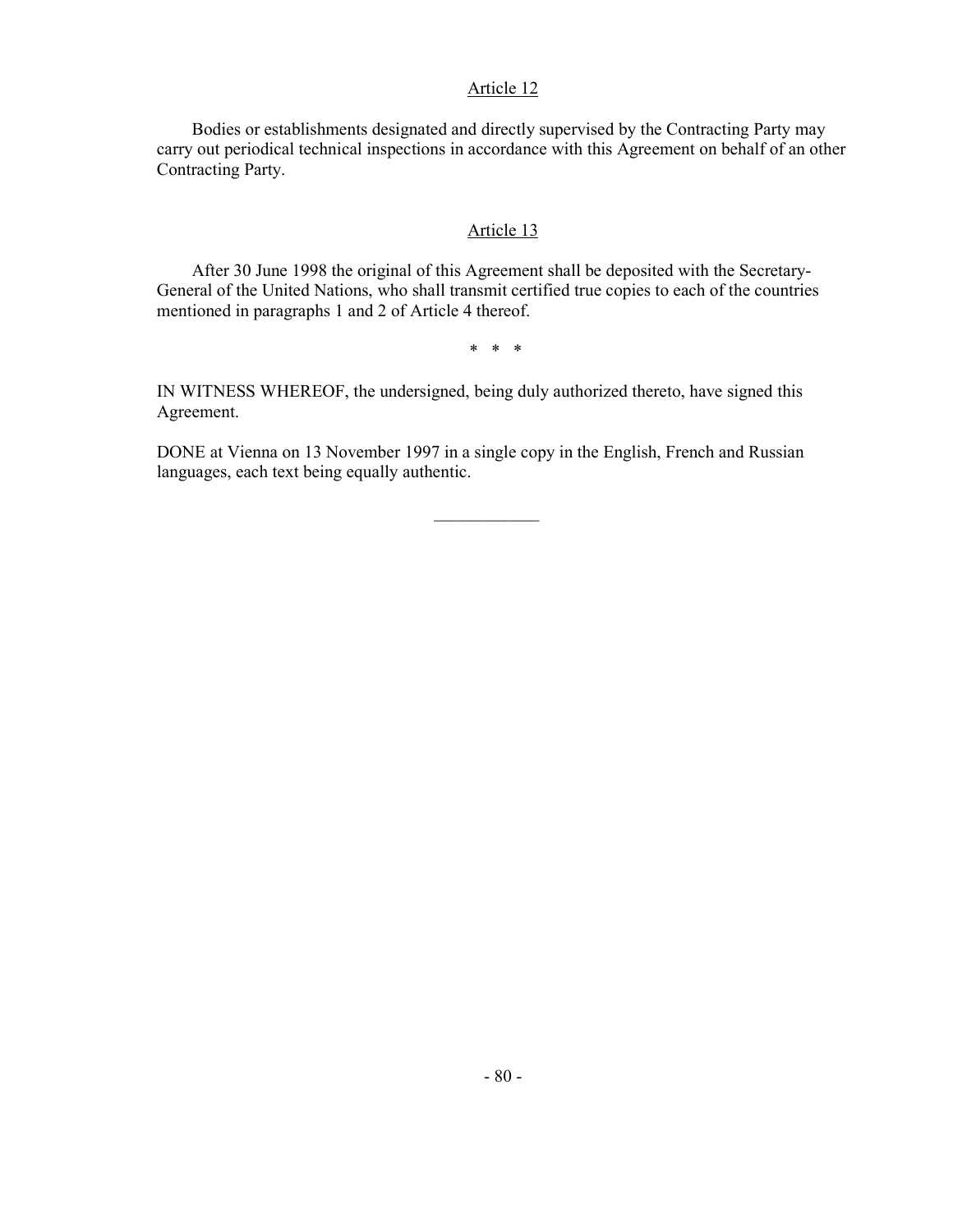### Article 12

 Bodies or establishments designated and directly supervised by the Contracting Party may carry out periodical technical inspections in accordance with this Agreement on behalf of an other Contracting Party.

### Article 13

 After 30 June 1998 the original of this Agreement shall be deposited with the Secretary-General of the United Nations, who shall transmit certified true copies to each of the countries mentioned in paragraphs 1 and 2 of Article 4 thereof.

\* \* \*

IN WITNESS WHEREOF, the undersigned, being duly authorized thereto, have signed this Agreement.

DONE at Vienna on 13 November 1997 in a single copy in the English, French and Russian languages, each text being equally authentic.

 $\mathcal{L}_\text{max}$  and  $\mathcal{L}_\text{max}$  are the set of  $\mathcal{L}_\text{max}$  . The set of  $\mathcal{L}_\text{max}$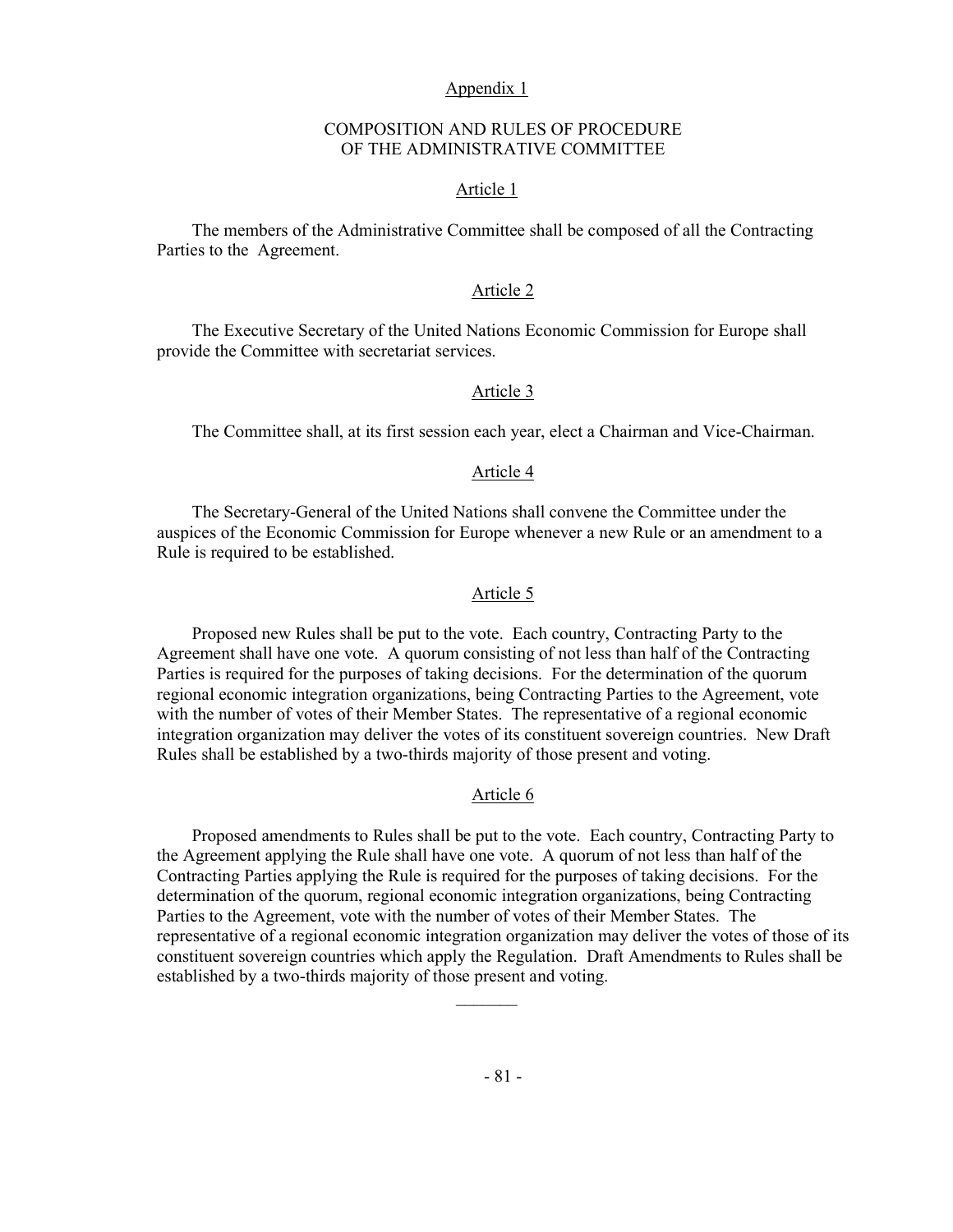#### Appendix 1

### COMPOSITION AND RULES OF PROCEDURE OF THE ADMINISTRATIVE COMMITTEE

#### Article 1

 The members of the Administrative Committee shall be composed of all the Contracting Parties to the Agreement.

### Article 2

 The Executive Secretary of the United Nations Economic Commission for Europe shall provide the Committee with secretariat services.

#### Article 3

The Committee shall, at its first session each year, elect a Chairman and Vice-Chairman.

#### Article 4

 The Secretary-General of the United Nations shall convene the Committee under the auspices of the Economic Commission for Europe whenever a new Rule or an amendment to a Rule is required to be established.

### Article 5

 Proposed new Rules shall be put to the vote. Each country, Contracting Party to the Agreement shall have one vote. A quorum consisting of not less than half of the Contracting Parties is required for the purposes of taking decisions. For the determination of the quorum regional economic integration organizations, being Contracting Parties to the Agreement, vote with the number of votes of their Member States. The representative of a regional economic integration organization may deliver the votes of its constituent sovereign countries. New Draft Rules shall be established by a two-thirds majority of those present and voting.

# Article 6

 Proposed amendments to Rules shall be put to the vote. Each country, Contracting Party to the Agreement applying the Rule shall have one vote. A quorum of not less than half of the Contracting Parties applying the Rule is required for the purposes of taking decisions. For the determination of the quorum, regional economic integration organizations, being Contracting Parties to the Agreement, vote with the number of votes of their Member States. The representative of a regional economic integration organization may deliver the votes of those of its constituent sovereign countries which apply the Regulation. Draft Amendments to Rules shall be established by a two-thirds majority of those present and voting.

 $\mathcal{L}_\text{max}$  and  $\mathcal{L}_\text{max}$  and  $\mathcal{L}_\text{max}$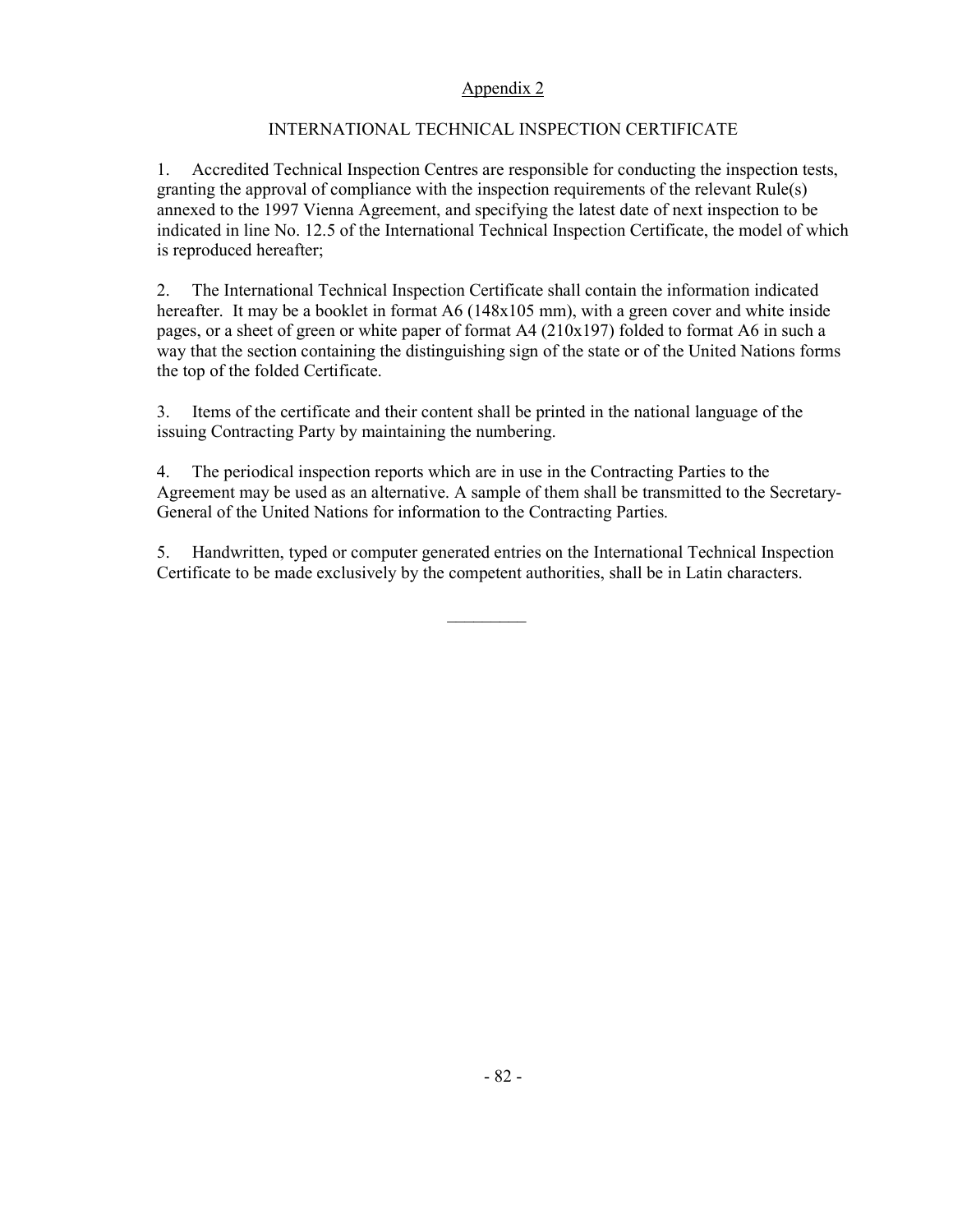# Appendix 2

# INTERNATIONAL TECHNICAL INSPECTION CERTIFICATE

1. Accredited Technical Inspection Centres are responsible for conducting the inspection tests, granting the approval of compliance with the inspection requirements of the relevant Rule(s) annexed to the 1997 Vienna Agreement, and specifying the latest date of next inspection to be indicated in line No. 12.5 of the International Technical Inspection Certificate, the model of which is reproduced hereafter;

2. The International Technical Inspection Certificate shall contain the information indicated hereafter. It may be a booklet in format A6 (148x105 mm), with a green cover and white inside pages, or a sheet of green or white paper of format A4 (210x197) folded to format A6 in such a way that the section containing the distinguishing sign of the state or of the United Nations forms the top of the folded Certificate.

3. Items of the certificate and their content shall be printed in the national language of the issuing Contracting Party by maintaining the numbering.

4. The periodical inspection reports which are in use in the Contracting Parties to the Agreement may be used as an alternative. A sample of them shall be transmitted to the Secretary-General of the United Nations for information to the Contracting Parties.

5. Handwritten, typed or computer generated entries on the International Technical Inspection Certificate to be made exclusively by the competent authorities, shall be in Latin characters.

 $\mathcal{L}_\text{max}$  and  $\mathcal{L}_\text{max}$  and  $\mathcal{L}_\text{max}$  and  $\mathcal{L}_\text{max}$  and  $\mathcal{L}_\text{max}$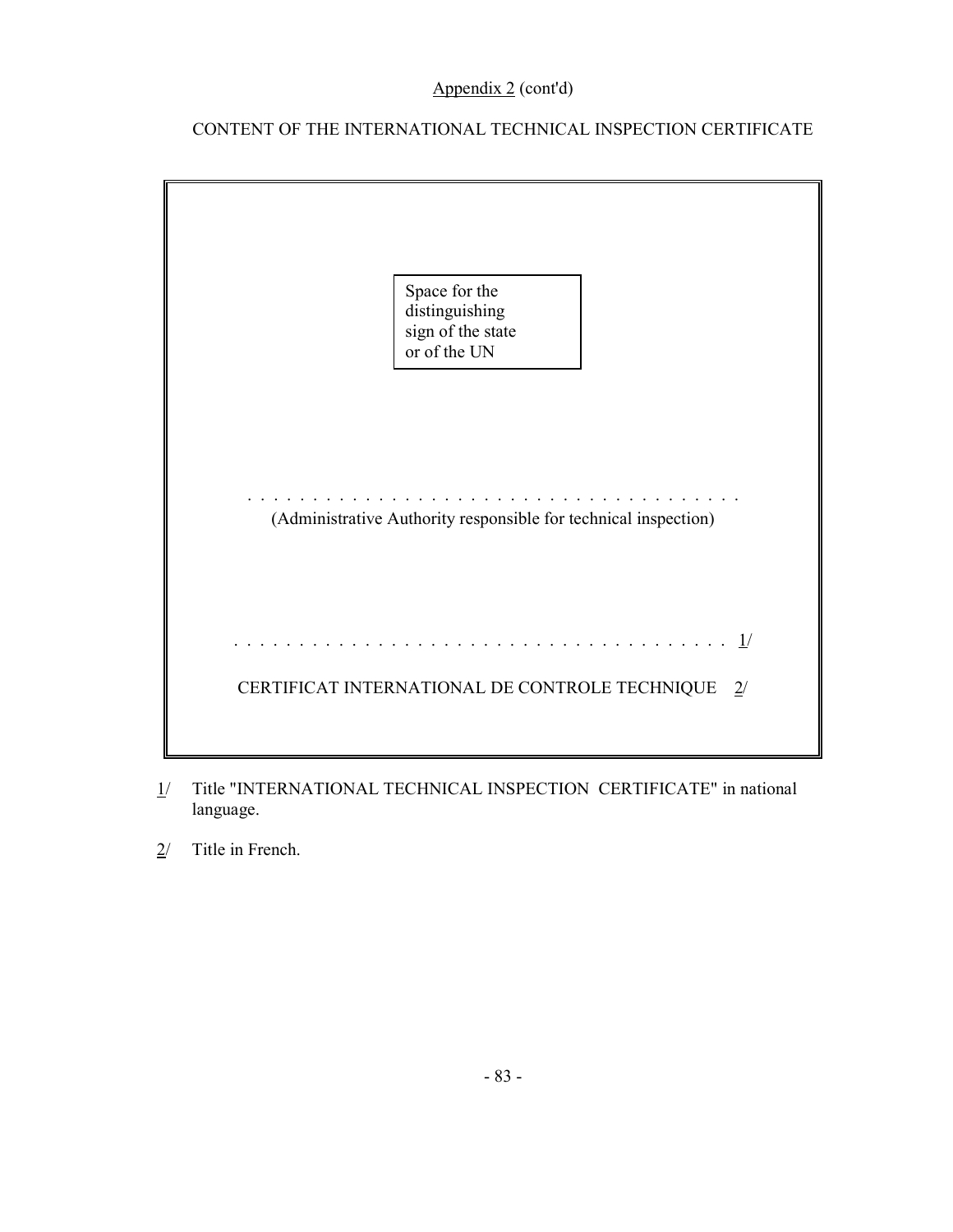# Appendix 2 (cont'd)

# CONTENT OF THE INTERNATIONAL TECHNICAL INSPECTION CERTIFICATE



- 1/ Title "INTERNATIONAL TECHNICAL INSPECTION CERTIFICATE" in national language.
- 2/ Title in French.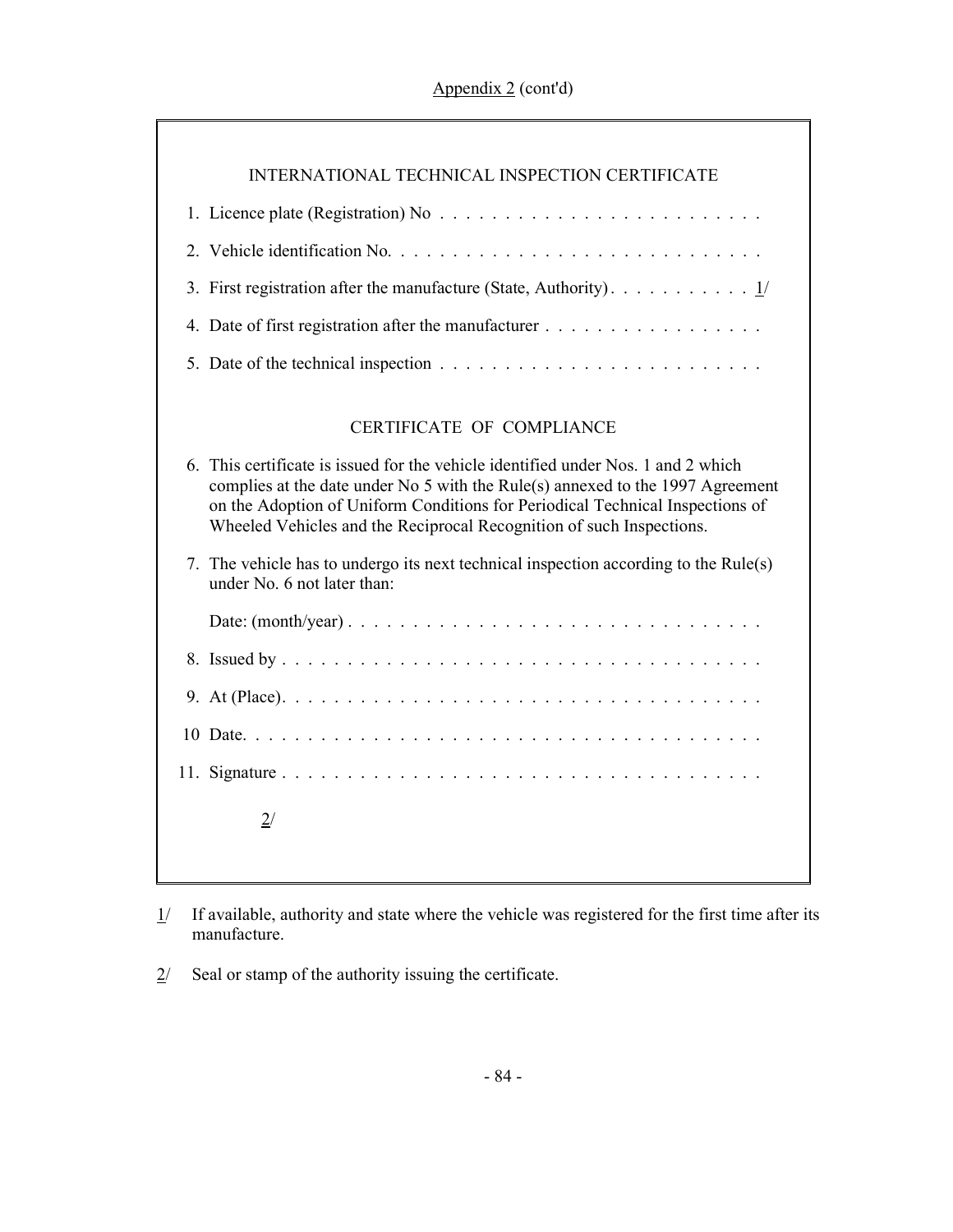| INTERNATIONAL TECHNICAL INSPECTION CERTIFICATE |
|------------------------------------------------|
|                                                |
|                                                |
|                                                |
|                                                |
|                                                |

# CERTIFICATE OF COMPLIANCE

| 6. This certificate is issued for the vehicle identified under Nos. 1 and 2 which<br>complies at the date under No 5 with the Rule(s) annexed to the 1997 Agreement<br>on the Adoption of Uniform Conditions for Periodical Technical Inspections of<br>Wheeled Vehicles and the Reciprocal Recognition of such Inspections. |  |  |
|------------------------------------------------------------------------------------------------------------------------------------------------------------------------------------------------------------------------------------------------------------------------------------------------------------------------------|--|--|
| 7. The vehicle has to undergo its next technical inspection according to the Rule(s)<br>under No 6 not later than:                                                                                                                                                                                                           |  |  |
|                                                                                                                                                                                                                                                                                                                              |  |  |
|                                                                                                                                                                                                                                                                                                                              |  |  |
|                                                                                                                                                                                                                                                                                                                              |  |  |
|                                                                                                                                                                                                                                                                                                                              |  |  |
|                                                                                                                                                                                                                                                                                                                              |  |  |
| 2/                                                                                                                                                                                                                                                                                                                           |  |  |

- $1/$  If available, authority and state where the vehicle was registered for the first time after its manufacture.
- $2$  Seal or stamp of the authority issuing the certificate.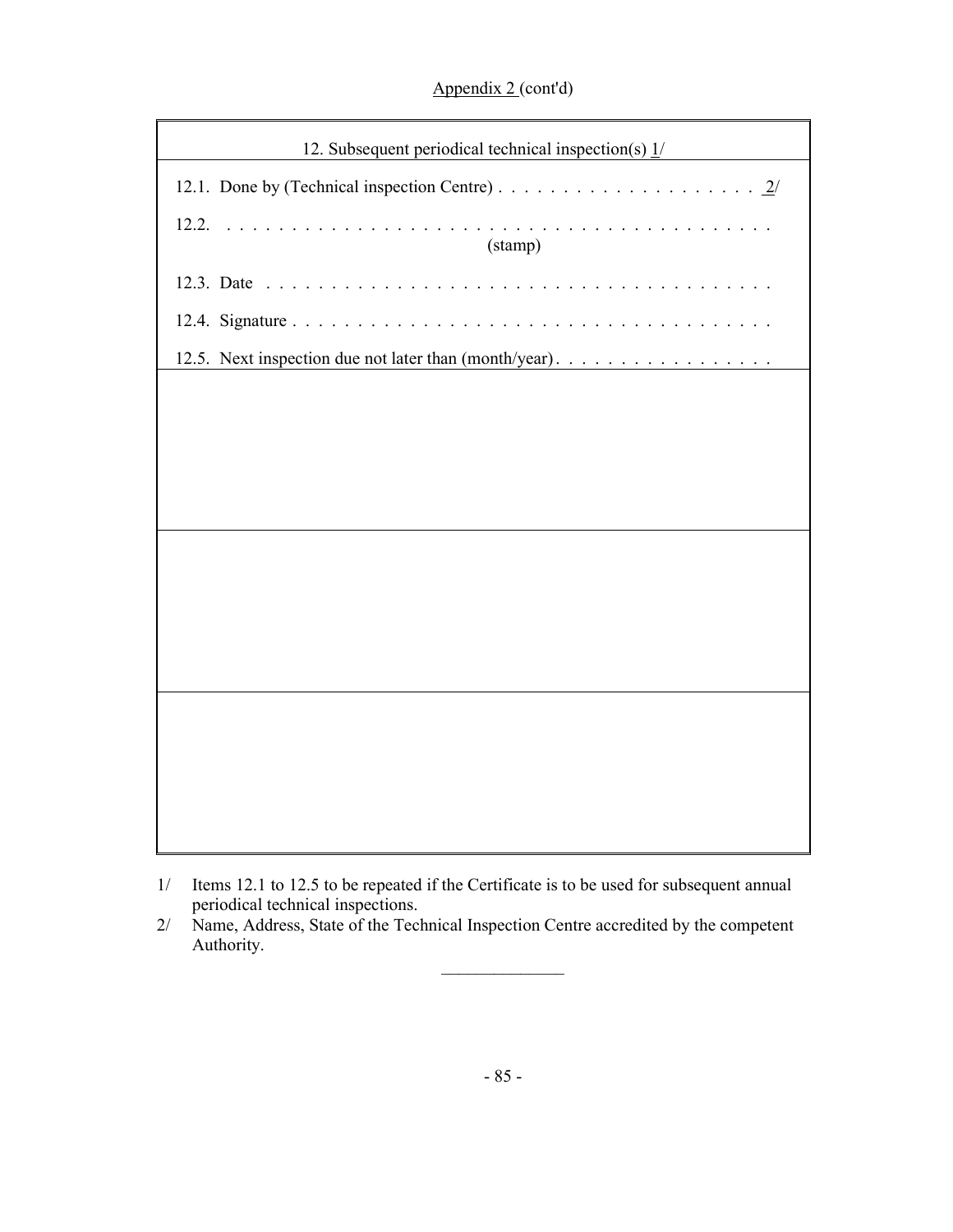Appendix 2 (cont'd)

| 12. Subsequent periodical technical inspection(s) $\frac{1}{1}$ |
|-----------------------------------------------------------------|
|                                                                 |
| 12.2.<br>.<br>(stamp)                                           |
|                                                                 |
|                                                                 |
| 12.5. Next inspection due not later than (month/year).          |
|                                                                 |
|                                                                 |
|                                                                 |
|                                                                 |
|                                                                 |
|                                                                 |
|                                                                 |
|                                                                 |
|                                                                 |
|                                                                 |
|                                                                 |
|                                                                 |
|                                                                 |

 $\mathcal{L}_\text{max}$ 

<sup>1/</sup> Items 12.1 to 12.5 to be repeated if the Certificate is to be used for subsequent annual periodical technical inspections.

<sup>2/</sup> Name, Address, State of the Technical Inspection Centre accredited by the competent Authority.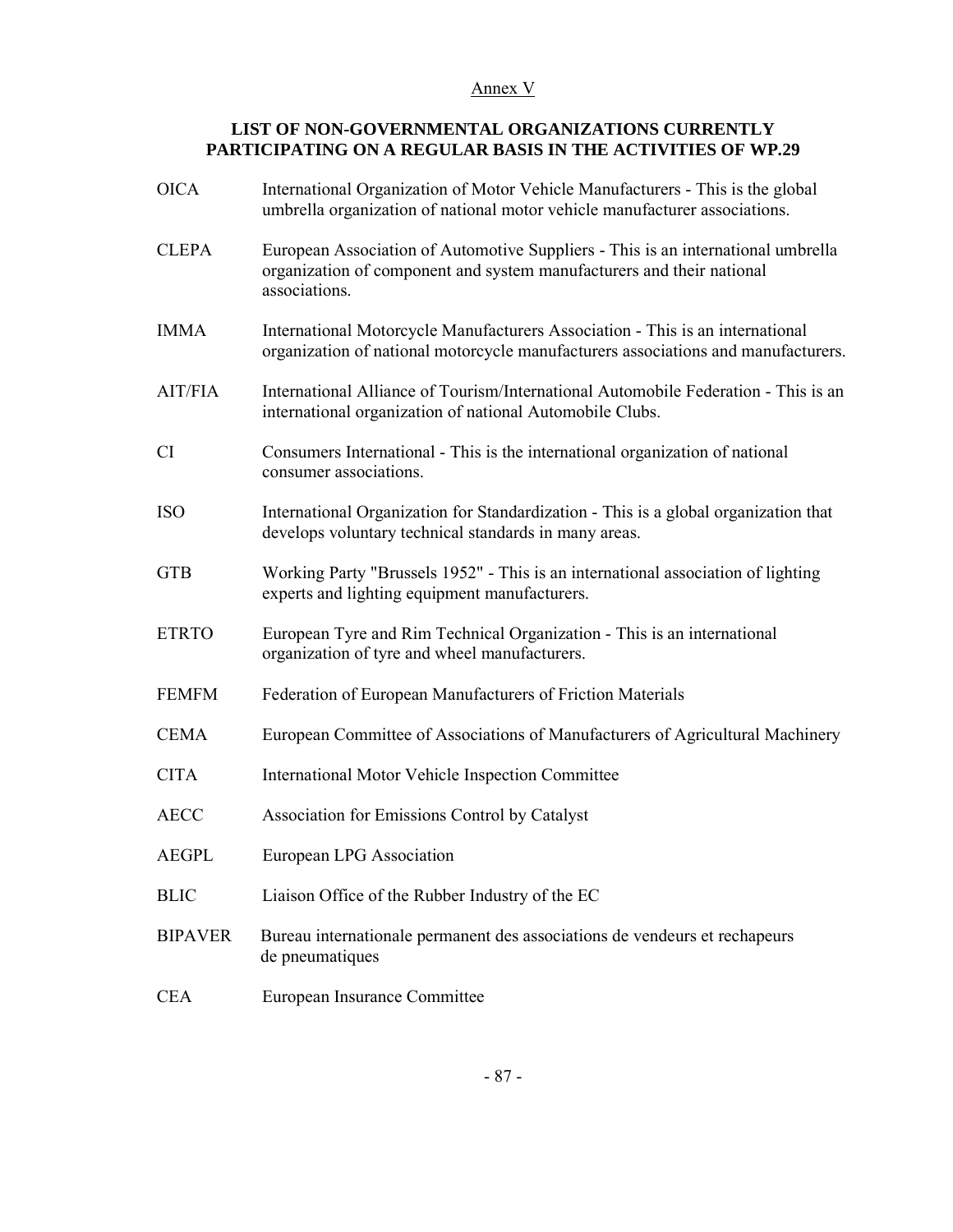### Annex V

# **LIST OF NON-GOVERNMENTAL ORGANIZATIONS CURRENTLY PARTICIPATING ON A REGULAR BASIS IN THE ACTIVITIES OF WP.29**

| <b>OICA</b>    | International Organization of Motor Vehicle Manufacturers - This is the global<br>umbrella organization of national motor vehicle manufacturer associations.               |
|----------------|----------------------------------------------------------------------------------------------------------------------------------------------------------------------------|
| <b>CLEPA</b>   | European Association of Automotive Suppliers - This is an international umbrella<br>organization of component and system manufacturers and their national<br>associations. |
| <b>IMMA</b>    | International Motorcycle Manufacturers Association - This is an international<br>organization of national motorcycle manufacturers associations and manufacturers.         |
| <b>AIT/FIA</b> | International Alliance of Tourism/International Automobile Federation - This is an<br>international organization of national Automobile Clubs.                             |
| <b>CI</b>      | Consumers International - This is the international organization of national<br>consumer associations.                                                                     |
| <b>ISO</b>     | International Organization for Standardization - This is a global organization that<br>develops voluntary technical standards in many areas.                               |
| <b>GTB</b>     | Working Party "Brussels 1952" - This is an international association of lighting<br>experts and lighting equipment manufacturers.                                          |
| <b>ETRTO</b>   | European Tyre and Rim Technical Organization - This is an international<br>organization of tyre and wheel manufacturers.                                                   |
| <b>FEMFM</b>   | Federation of European Manufacturers of Friction Materials                                                                                                                 |
| <b>CEMA</b>    | European Committee of Associations of Manufacturers of Agricultural Machinery                                                                                              |
| <b>CITA</b>    | International Motor Vehicle Inspection Committee                                                                                                                           |
| <b>AECC</b>    | Association for Emissions Control by Catalyst                                                                                                                              |
| <b>AEGPL</b>   | European LPG Association                                                                                                                                                   |
| <b>BLIC</b>    | Liaison Office of the Rubber Industry of the EC                                                                                                                            |
| <b>BIPAVER</b> | Bureau internationale permanent des associations de vendeurs et rechapeurs<br>de pneumatiques                                                                              |
| <b>CEA</b>     | European Insurance Committee                                                                                                                                               |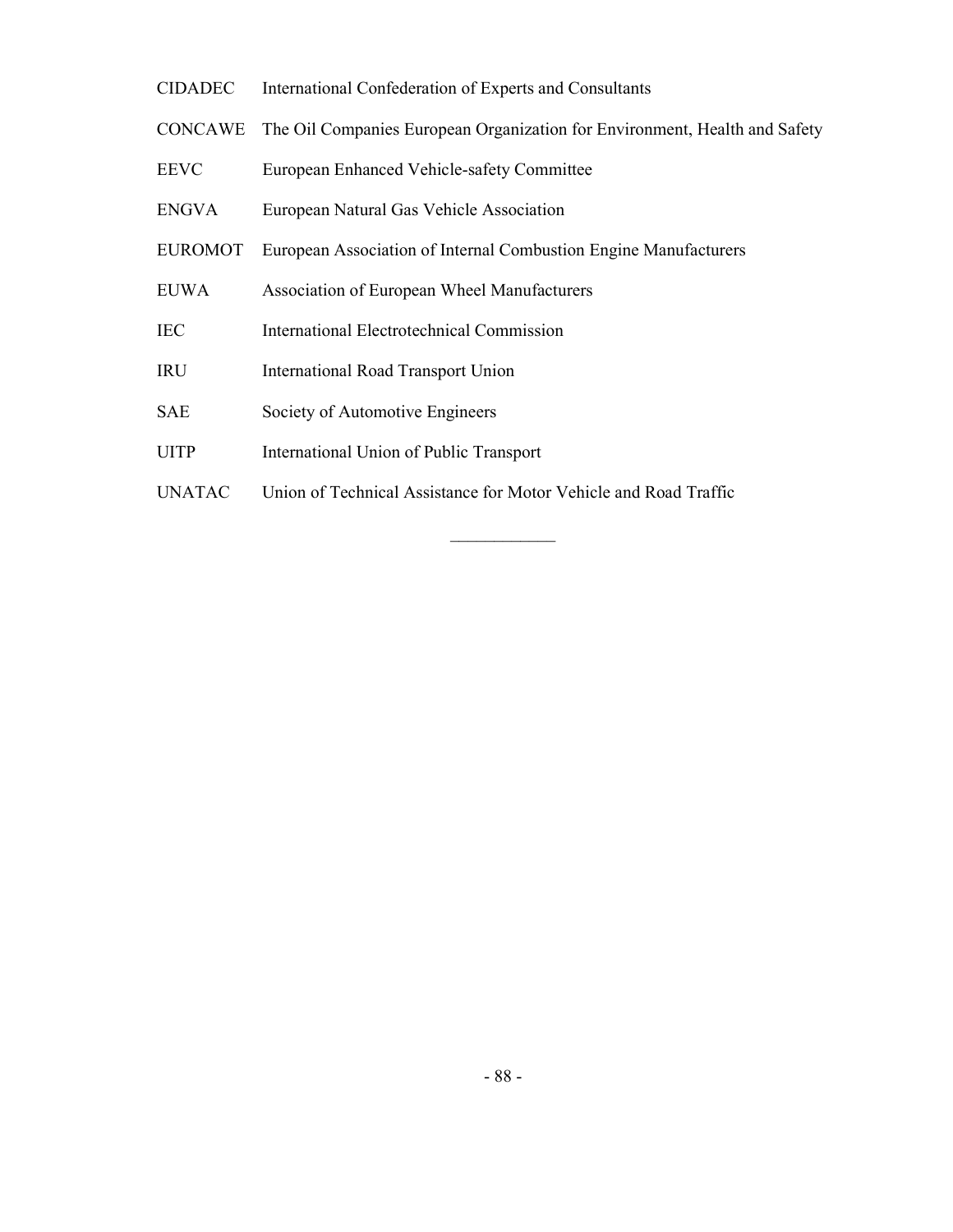- CIDADEC International Confederation of Experts and Consultants
- CONCAWE The Oil Companies European Organization for Environment, Health and Safety
- EEVC European Enhanced Vehicle-safety Committee
- ENGVA European Natural Gas Vehicle Association
- EUROMOT European Association of Internal Combustion Engine Manufacturers
- EUWA Association of European Wheel Manufacturers
- IEC International Electrotechnical Commission
- IRU International Road Transport Union
- SAE Society of Automotive Engineers
- UITP International Union of Public Transport
- UNATAC Union of Technical Assistance for Motor Vehicle and Road Traffic

 $\mathcal{L}_\text{max}$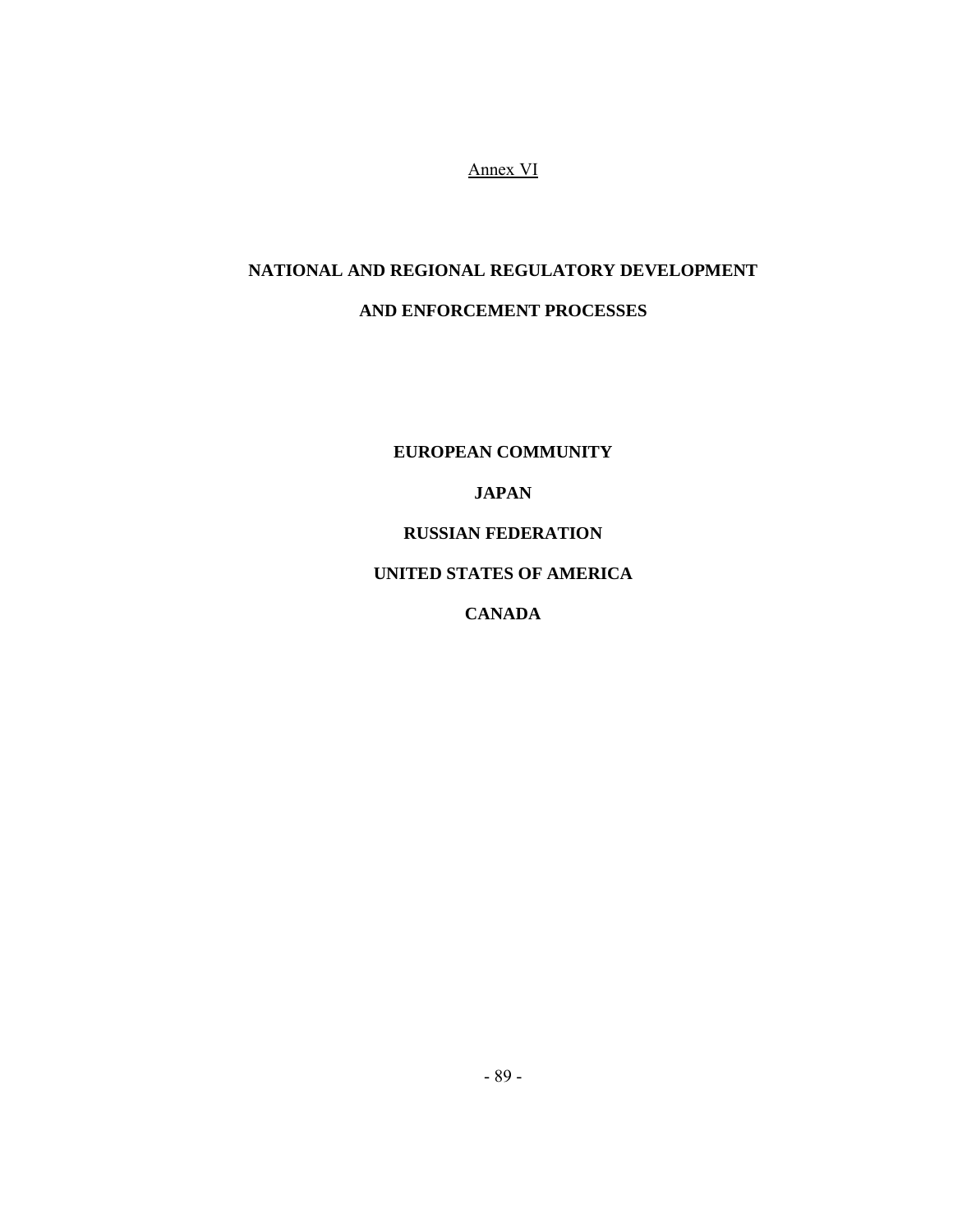Annex VI

# **NATIONAL AND REGIONAL REGULATORY DEVELOPMENT**

# **AND ENFORCEMENT PROCESSES**

**EUROPEAN COMMUNITY** 

# **JAPAN**

# **RUSSIAN FEDERATION**

# **UNITED STATES OF AMERICA**

# **CANADA**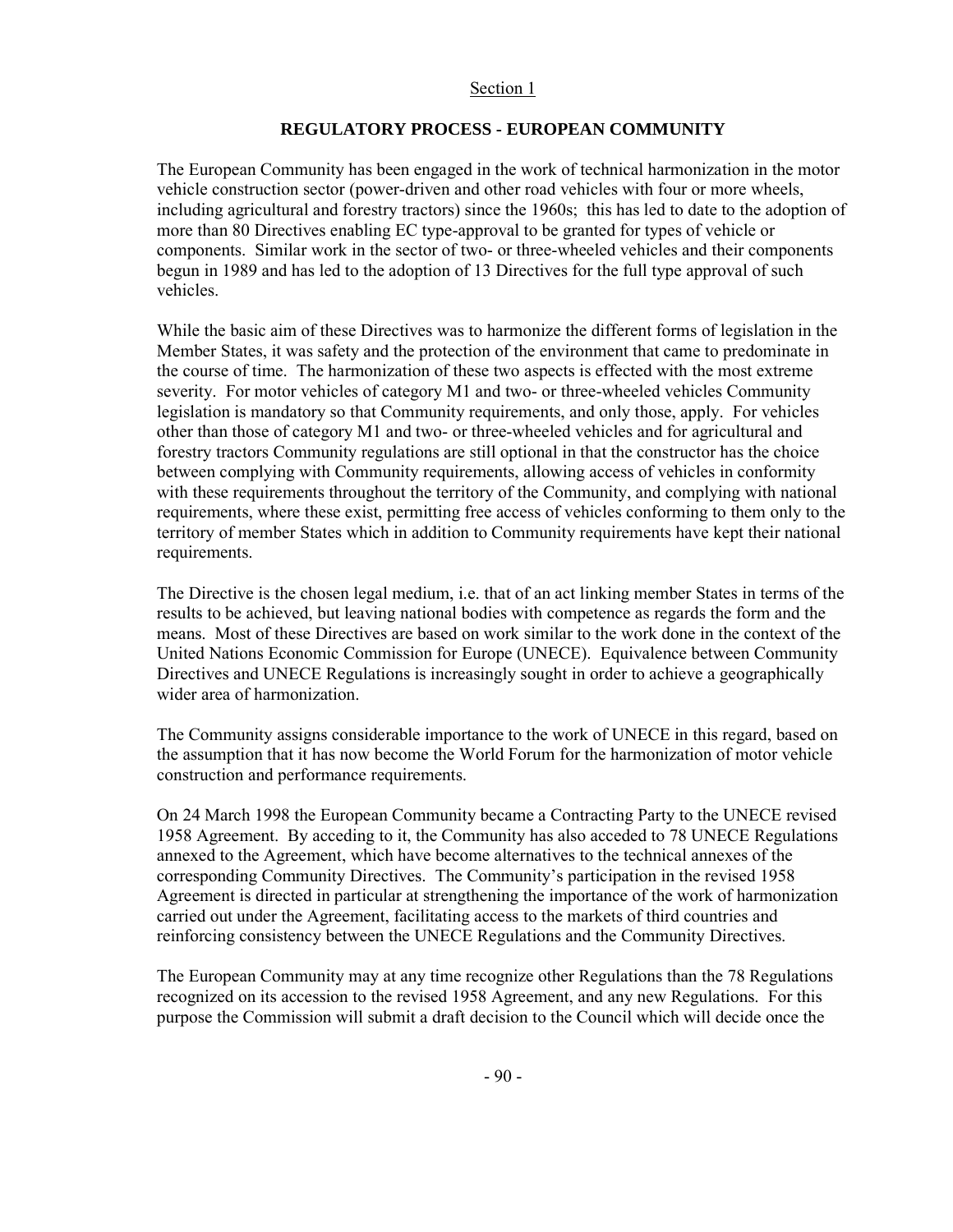#### Section 1

# **REGULATORY PROCESS - EUROPEAN COMMUNITY**

The European Community has been engaged in the work of technical harmonization in the motor vehicle construction sector (power-driven and other road vehicles with four or more wheels, including agricultural and forestry tractors) since the 1960s; this has led to date to the adoption of more than 80 Directives enabling EC type-approval to be granted for types of vehicle or components. Similar work in the sector of two- or three-wheeled vehicles and their components begun in 1989 and has led to the adoption of 13 Directives for the full type approval of such vehicles.

While the basic aim of these Directives was to harmonize the different forms of legislation in the Member States, it was safety and the protection of the environment that came to predominate in the course of time. The harmonization of these two aspects is effected with the most extreme severity. For motor vehicles of category M1 and two- or three-wheeled vehicles Community legislation is mandatory so that Community requirements, and only those, apply. For vehicles other than those of category M1 and two- or three-wheeled vehicles and for agricultural and forestry tractors Community regulations are still optional in that the constructor has the choice between complying with Community requirements, allowing access of vehicles in conformity with these requirements throughout the territory of the Community, and complying with national requirements, where these exist, permitting free access of vehicles conforming to them only to the territory of member States which in addition to Community requirements have kept their national requirements.

The Directive is the chosen legal medium, i.e. that of an act linking member States in terms of the results to be achieved, but leaving national bodies with competence as regards the form and the means. Most of these Directives are based on work similar to the work done in the context of the United Nations Economic Commission for Europe (UNECE). Equivalence between Community Directives and UNECE Regulations is increasingly sought in order to achieve a geographically wider area of harmonization.

The Community assigns considerable importance to the work of UNECE in this regard, based on the assumption that it has now become the World Forum for the harmonization of motor vehicle construction and performance requirements.

On 24 March 1998 the European Community became a Contracting Party to the UNECE revised 1958 Agreement. By acceding to it, the Community has also acceded to 78 UNECE Regulations annexed to the Agreement, which have become alternatives to the technical annexes of the corresponding Community Directives. The Community's participation in the revised 1958 Agreement is directed in particular at strengthening the importance of the work of harmonization carried out under the Agreement, facilitating access to the markets of third countries and reinforcing consistency between the UNECE Regulations and the Community Directives.

The European Community may at any time recognize other Regulations than the 78 Regulations recognized on its accession to the revised 1958 Agreement, and any new Regulations. For this purpose the Commission will submit a draft decision to the Council which will decide once the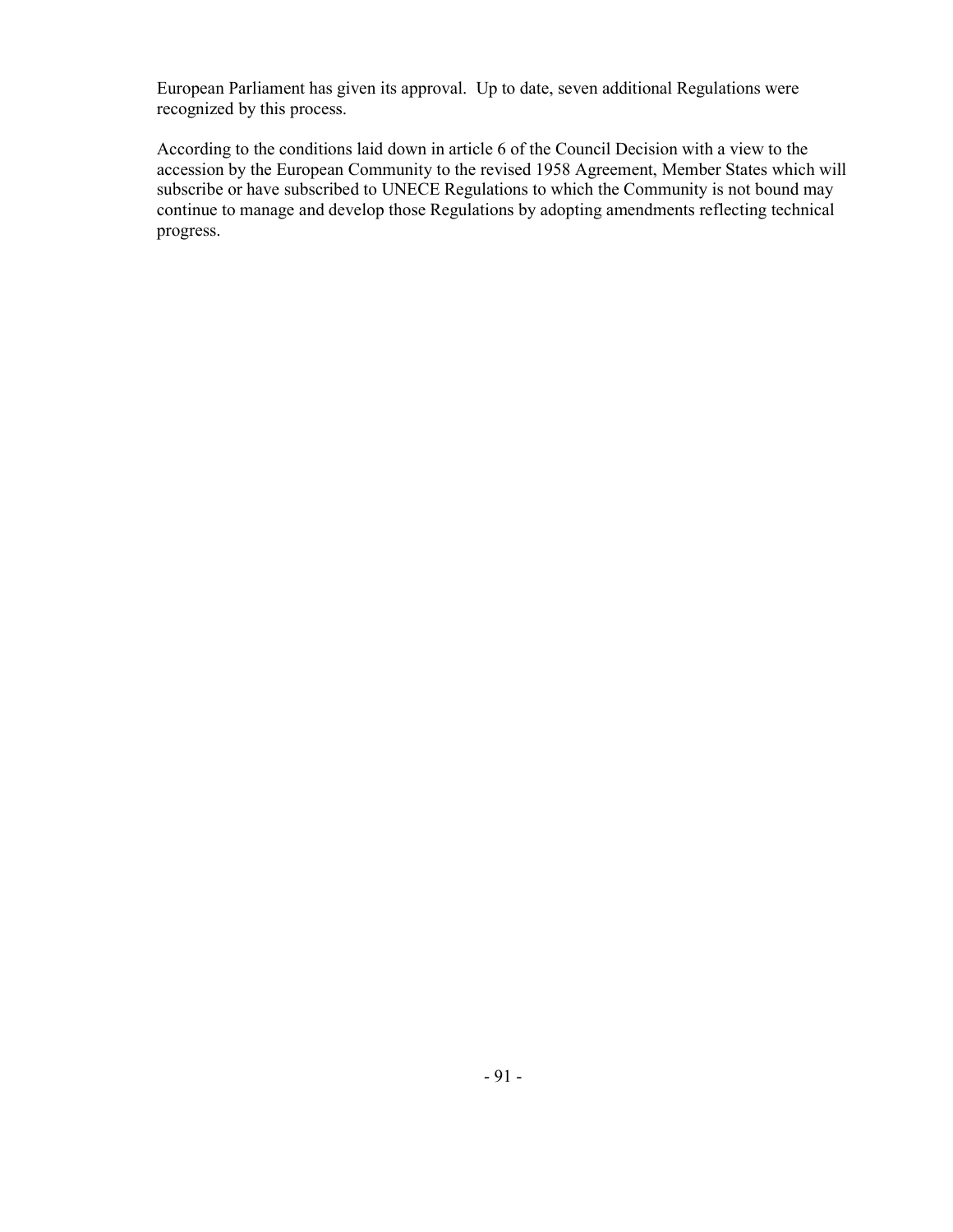European Parliament has given its approval. Up to date, seven additional Regulations were recognized by this process.

According to the conditions laid down in article 6 of the Council Decision with a view to the accession by the European Community to the revised 1958 Agreement, Member States which will subscribe or have subscribed to UNECE Regulations to which the Community is not bound may continue to manage and develop those Regulations by adopting amendments reflecting technical progress.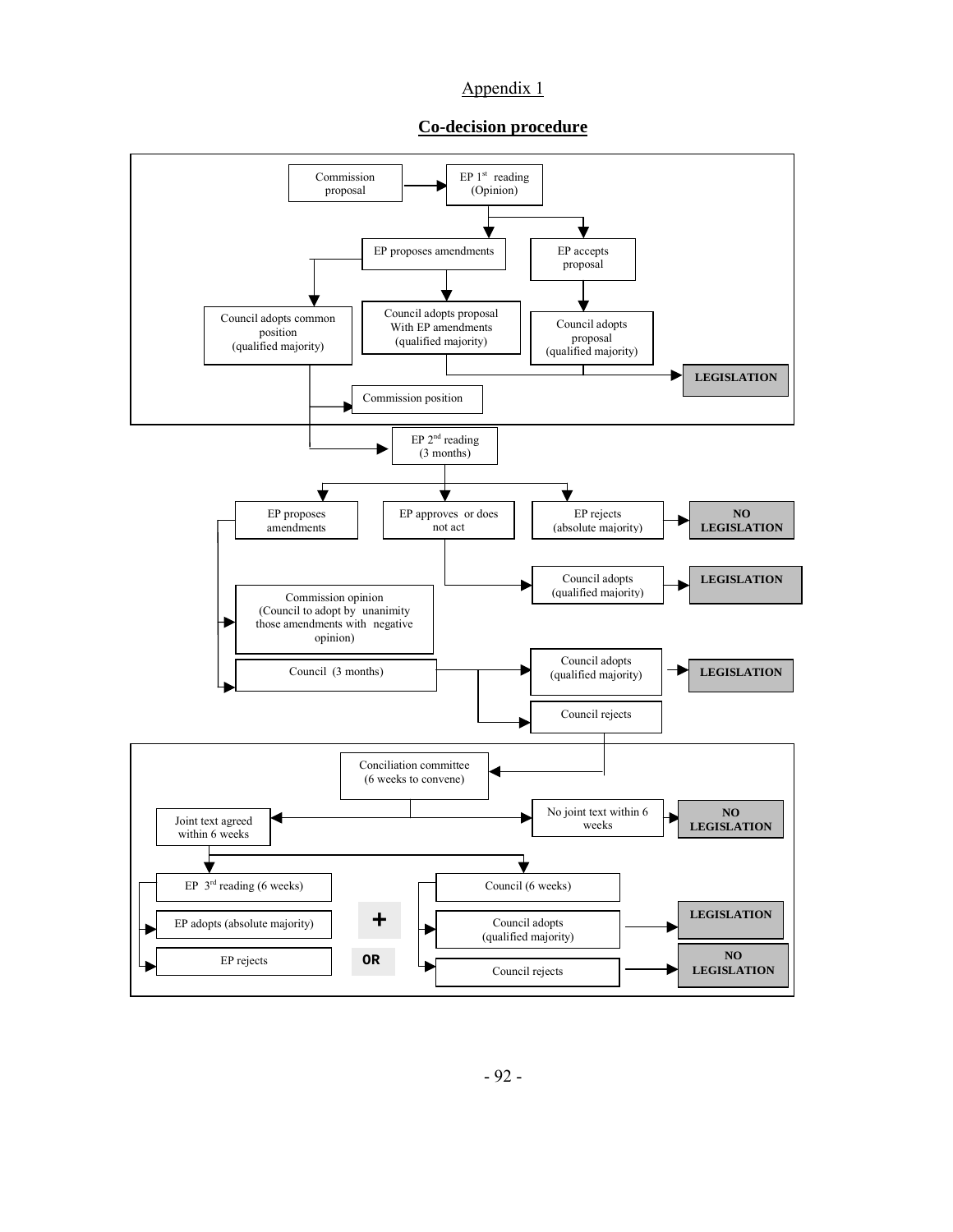### Appendix 1

#### **Co-decision procedure**

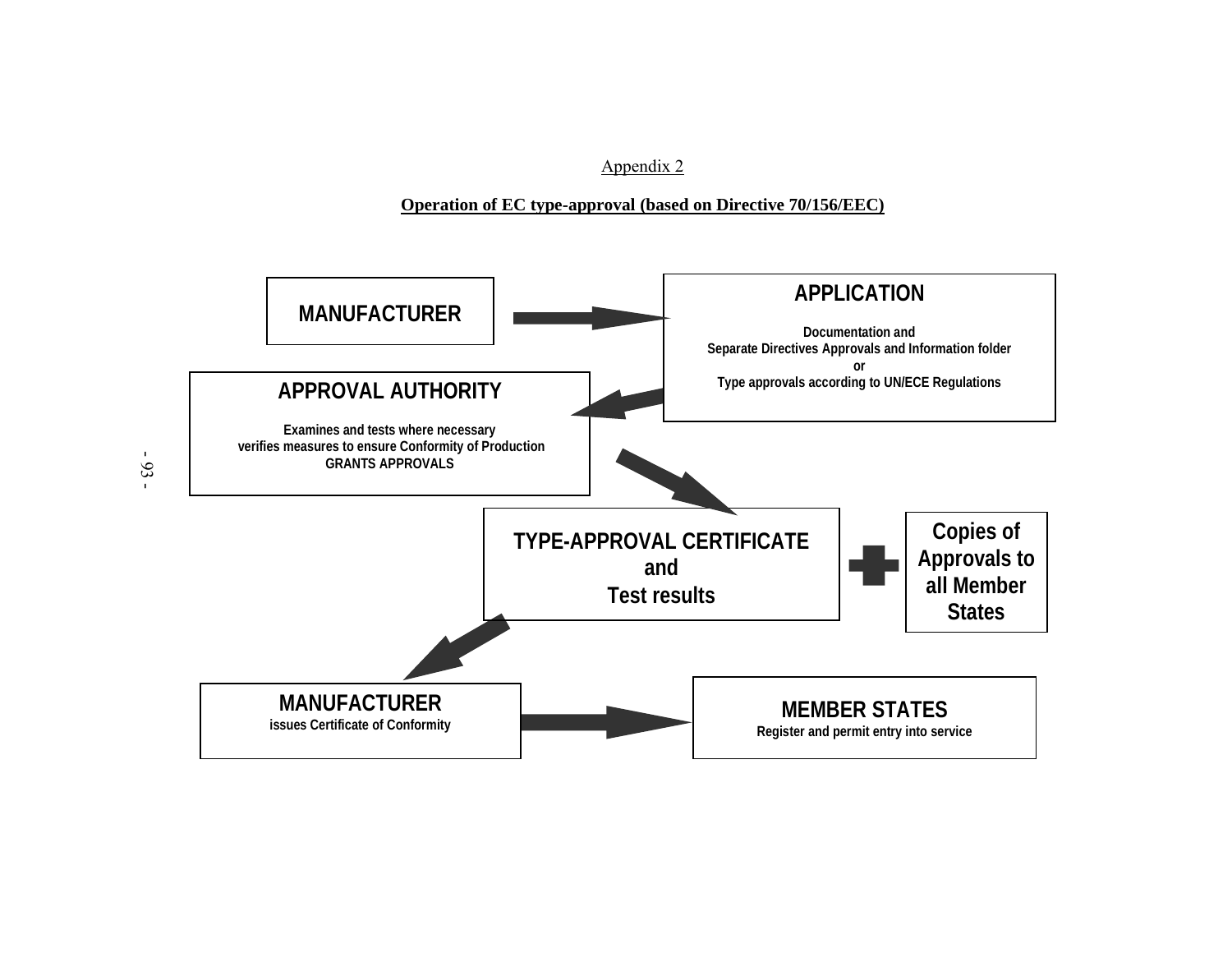Appendix 2

# **Operation of EC type-approval (based on Directive 70/156/EEC)**



- 93 -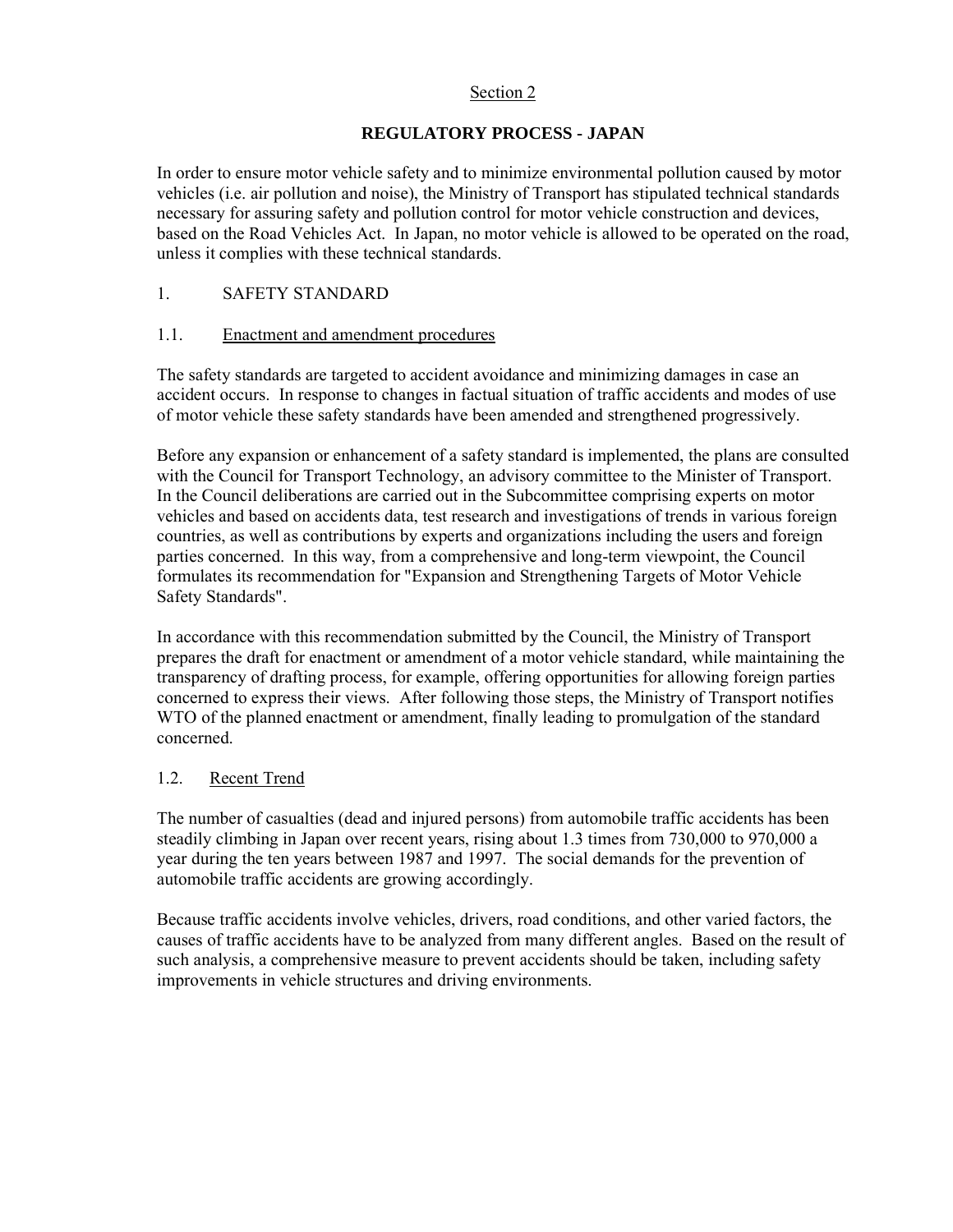### Section 2

# **REGULATORY PROCESS - JAPAN**

In order to ensure motor vehicle safety and to minimize environmental pollution caused by motor vehicles (i.e. air pollution and noise), the Ministry of Transport has stipulated technical standards necessary for assuring safety and pollution control for motor vehicle construction and devices, based on the Road Vehicles Act. In Japan, no motor vehicle is allowed to be operated on the road, unless it complies with these technical standards.

# 1. SAFETY STANDARD

# 1.1. Enactment and amendment procedures

The safety standards are targeted to accident avoidance and minimizing damages in case an accident occurs. In response to changes in factual situation of traffic accidents and modes of use of motor vehicle these safety standards have been amended and strengthened progressively.

Before any expansion or enhancement of a safety standard is implemented, the plans are consulted with the Council for Transport Technology, an advisory committee to the Minister of Transport. In the Council deliberations are carried out in the Subcommittee comprising experts on motor vehicles and based on accidents data, test research and investigations of trends in various foreign countries, as well as contributions by experts and organizations including the users and foreign parties concerned. In this way, from a comprehensive and long-term viewpoint, the Council formulates its recommendation for "Expansion and Strengthening Targets of Motor Vehicle Safety Standards".

In accordance with this recommendation submitted by the Council, the Ministry of Transport prepares the draft for enactment or amendment of a motor vehicle standard, while maintaining the transparency of drafting process, for example, offering opportunities for allowing foreign parties concerned to express their views. After following those steps, the Ministry of Transport notifies WTO of the planned enactment or amendment, finally leading to promulgation of the standard concerned.

# 1.2. Recent Trend

The number of casualties (dead and injured persons) from automobile traffic accidents has been steadily climbing in Japan over recent years, rising about 1.3 times from 730,000 to 970,000 a year during the ten years between 1987 and 1997. The social demands for the prevention of automobile traffic accidents are growing accordingly.

Because traffic accidents involve vehicles, drivers, road conditions, and other varied factors, the causes of traffic accidents have to be analyzed from many different angles. Based on the result of such analysis, a comprehensive measure to prevent accidents should be taken, including safety improvements in vehicle structures and driving environments.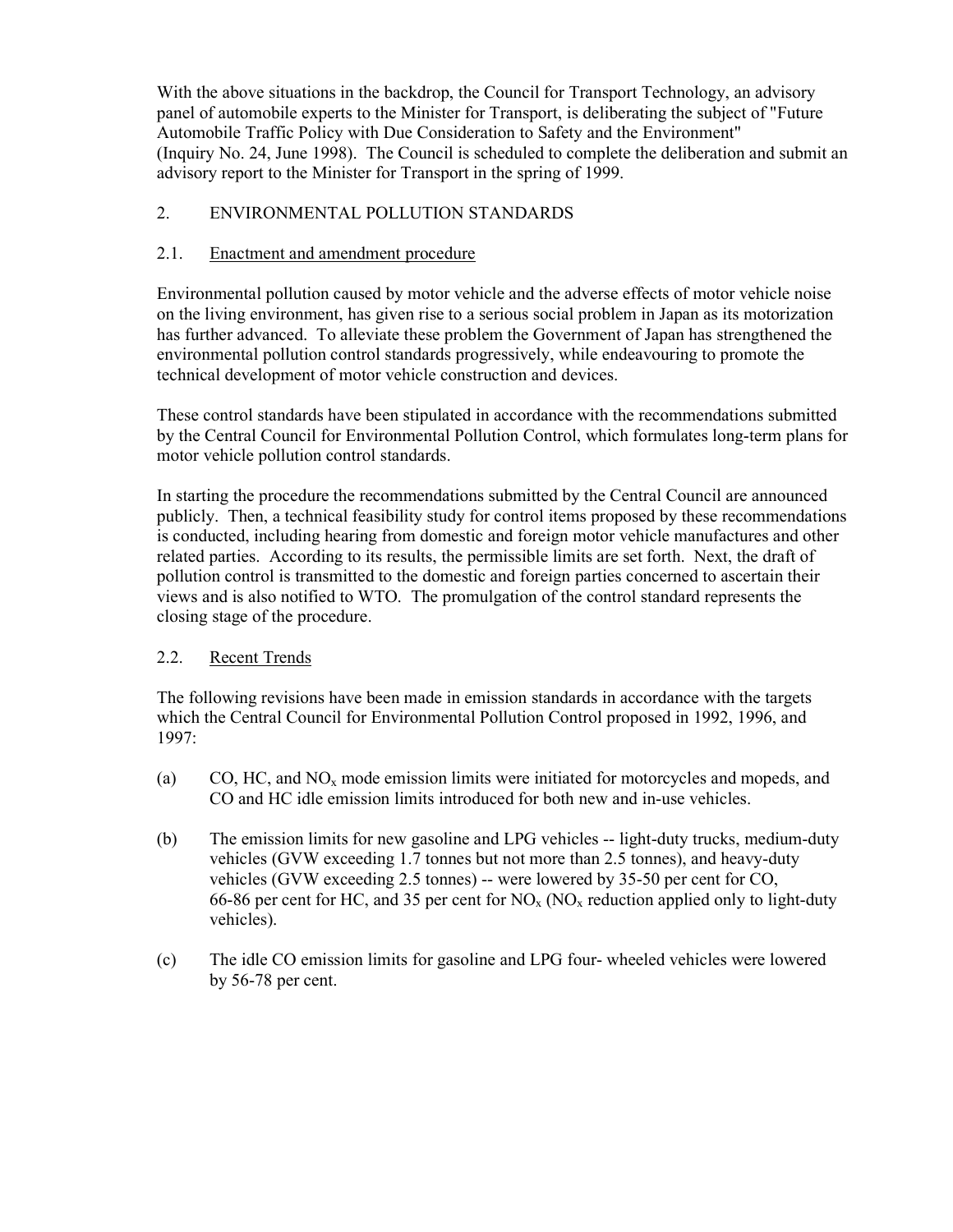With the above situations in the backdrop, the Council for Transport Technology, an advisory panel of automobile experts to the Minister for Transport, is deliberating the subject of "Future Automobile Traffic Policy with Due Consideration to Safety and the Environment" (Inquiry No. 24, June 1998). The Council is scheduled to complete the deliberation and submit an advisory report to the Minister for Transport in the spring of 1999.

# 2. ENVIRONMENTAL POLLUTION STANDARDS

# 2.1. Enactment and amendment procedure

Environmental pollution caused by motor vehicle and the adverse effects of motor vehicle noise on the living environment, has given rise to a serious social problem in Japan as its motorization has further advanced. To alleviate these problem the Government of Japan has strengthened the environmental pollution control standards progressively, while endeavouring to promote the technical development of motor vehicle construction and devices.

These control standards have been stipulated in accordance with the recommendations submitted by the Central Council for Environmental Pollution Control, which formulates long-term plans for motor vehicle pollution control standards.

In starting the procedure the recommendations submitted by the Central Council are announced publicly. Then, a technical feasibility study for control items proposed by these recommendations is conducted, including hearing from domestic and foreign motor vehicle manufactures and other related parties. According to its results, the permissible limits are set forth. Next, the draft of pollution control is transmitted to the domestic and foreign parties concerned to ascertain their views and is also notified to WTO. The promulgation of the control standard represents the closing stage of the procedure.

# 2.2. Recent Trends

The following revisions have been made in emission standards in accordance with the targets which the Central Council for Environmental Pollution Control proposed in 1992, 1996, and 1997:

- (a) CO, HC, and  $NO<sub>x</sub>$  mode emission limits were initiated for motorcycles and mopeds, and CO and HC idle emission limits introduced for both new and in-use vehicles.
- (b) The emission limits for new gasoline and LPG vehicles -- light-duty trucks, medium-duty vehicles (GVW exceeding 1.7 tonnes but not more than 2.5 tonnes), and heavy-duty vehicles (GVW exceeding 2.5 tonnes) -- were lowered by 35-50 per cent for CO, 66-86 per cent for HC, and 35 per cent for  $NO<sub>x</sub>$  (NO<sub>x</sub> reduction applied only to light-duty vehicles).
- (c) The idle CO emission limits for gasoline and LPG four- wheeled vehicles were lowered by 56-78 per cent.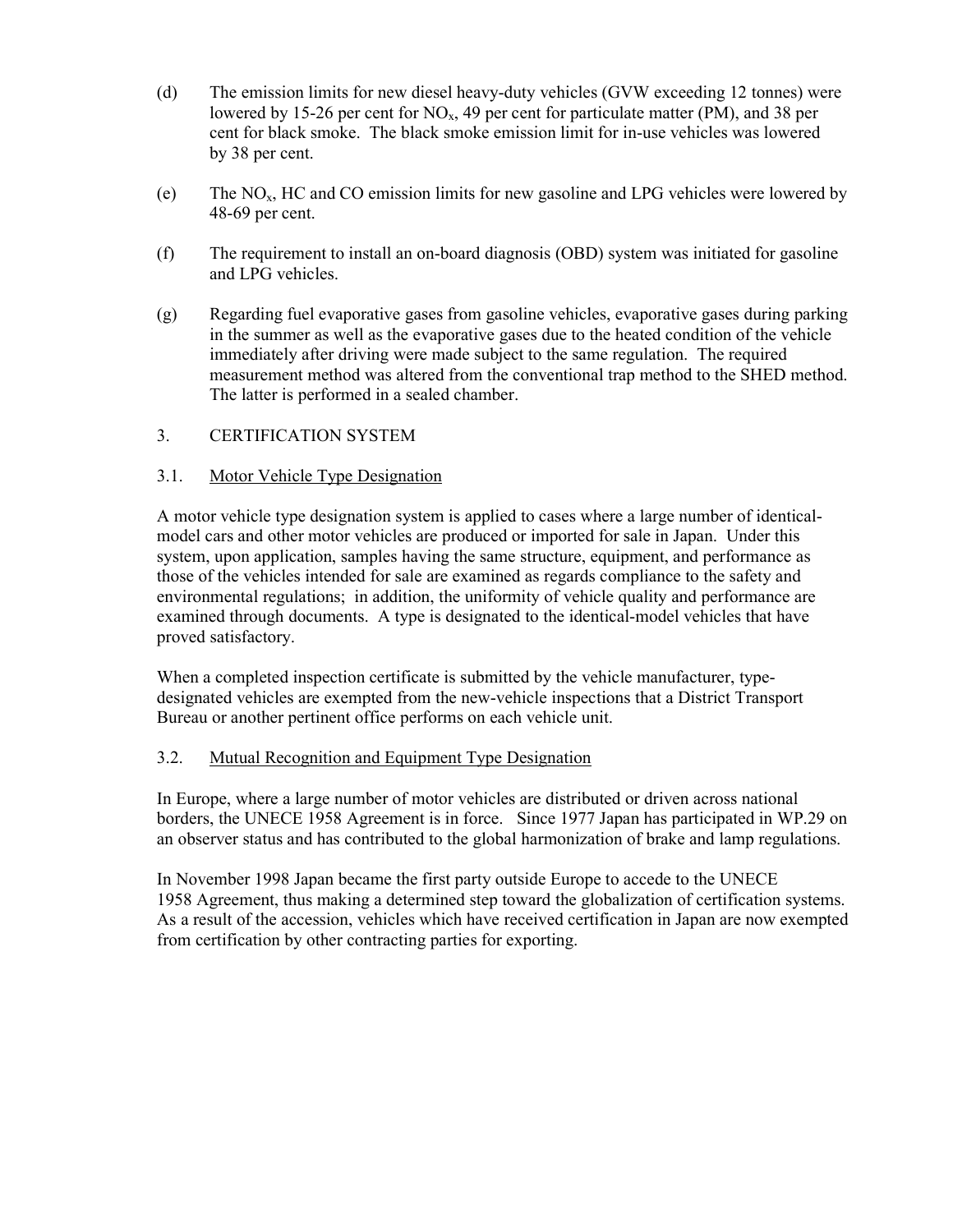- (d) The emission limits for new diesel heavy-duty vehicles (GVW exceeding 12 tonnes) were lowered by 15-26 per cent for  $NO<sub>x</sub>$ , 49 per cent for particulate matter (PM), and 38 per cent for black smoke. The black smoke emission limit for in-use vehicles was lowered by 38 per cent.
- (e) The NOx, HC and CO emission limits for new gasoline and LPG vehicles were lowered by 48-69 per cent.
- (f) The requirement to install an on-board diagnosis (OBD) system was initiated for gasoline and LPG vehicles.
- (g) Regarding fuel evaporative gases from gasoline vehicles, evaporative gases during parking in the summer as well as the evaporative gases due to the heated condition of the vehicle immediately after driving were made subject to the same regulation. The required measurement method was altered from the conventional trap method to the SHED method. The latter is performed in a sealed chamber.

# 3. CERTIFICATION SYSTEM

### 3.1. Motor Vehicle Type Designation

A motor vehicle type designation system is applied to cases where a large number of identicalmodel cars and other motor vehicles are produced or imported for sale in Japan. Under this system, upon application, samples having the same structure, equipment, and performance as those of the vehicles intended for sale are examined as regards compliance to the safety and environmental regulations; in addition, the uniformity of vehicle quality and performance are examined through documents. A type is designated to the identical-model vehicles that have proved satisfactory.

When a completed inspection certificate is submitted by the vehicle manufacturer, typedesignated vehicles are exempted from the new-vehicle inspections that a District Transport Bureau or another pertinent office performs on each vehicle unit.

### 3.2. Mutual Recognition and Equipment Type Designation

In Europe, where a large number of motor vehicles are distributed or driven across national borders, the UNECE 1958 Agreement is in force. Since 1977 Japan has participated in WP.29 on an observer status and has contributed to the global harmonization of brake and lamp regulations.

In November 1998 Japan became the first party outside Europe to accede to the UNECE 1958 Agreement, thus making a determined step toward the globalization of certification systems. As a result of the accession, vehicles which have received certification in Japan are now exempted from certification by other contracting parties for exporting.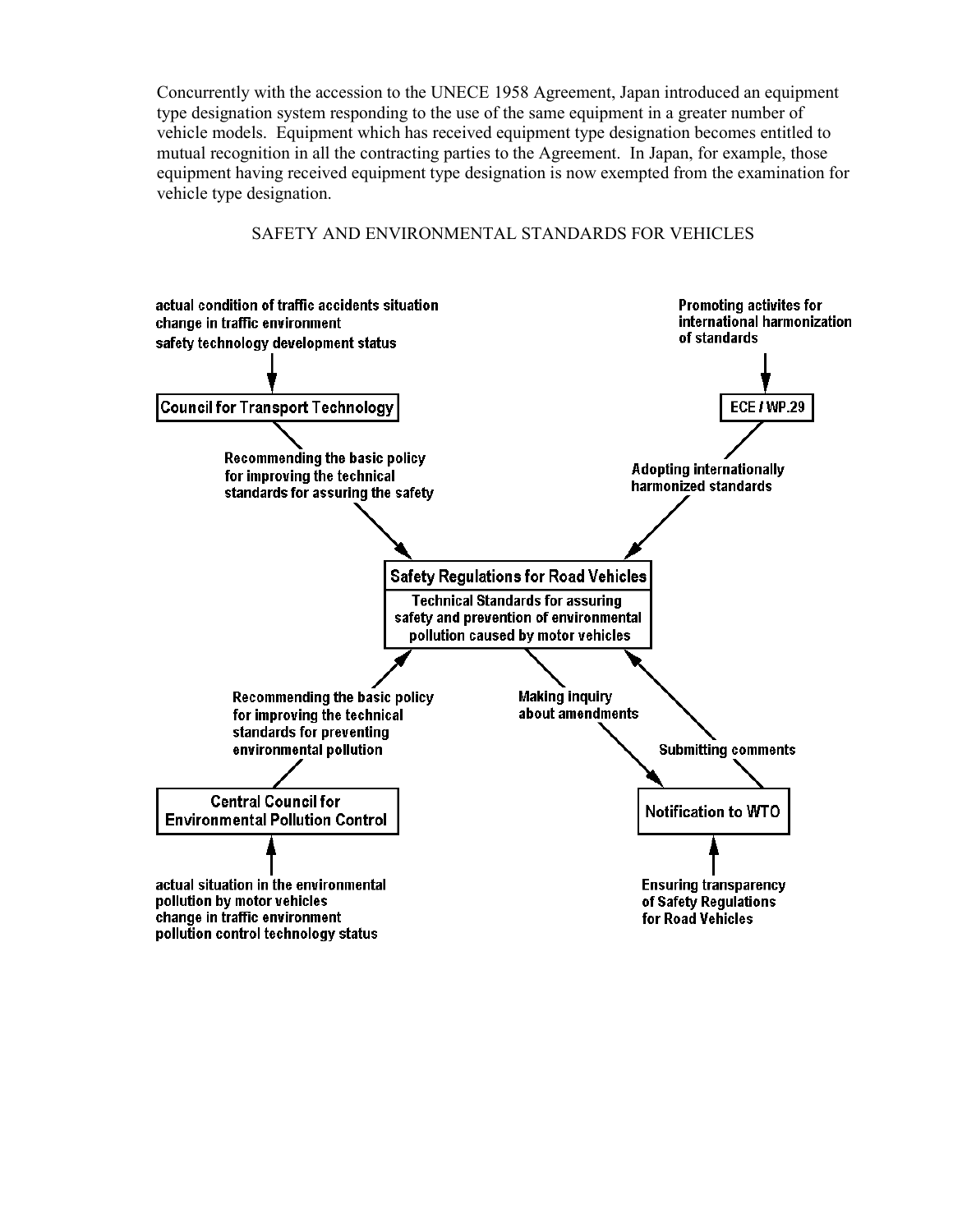Concurrently with the accession to the UNECE 1958 Agreement, Japan introduced an equipment type designation system responding to the use of the same equipment in a greater number of vehicle models. Equipment which has received equipment type designation becomes entitled to mutual recognition in all the contracting parties to the Agreement. In Japan, for example, those equipment having received equipment type designation is now exempted from the examination for vehicle type designation.

# SAFETY AND ENVIRONMENTAL STANDARDS FOR VEHICLES

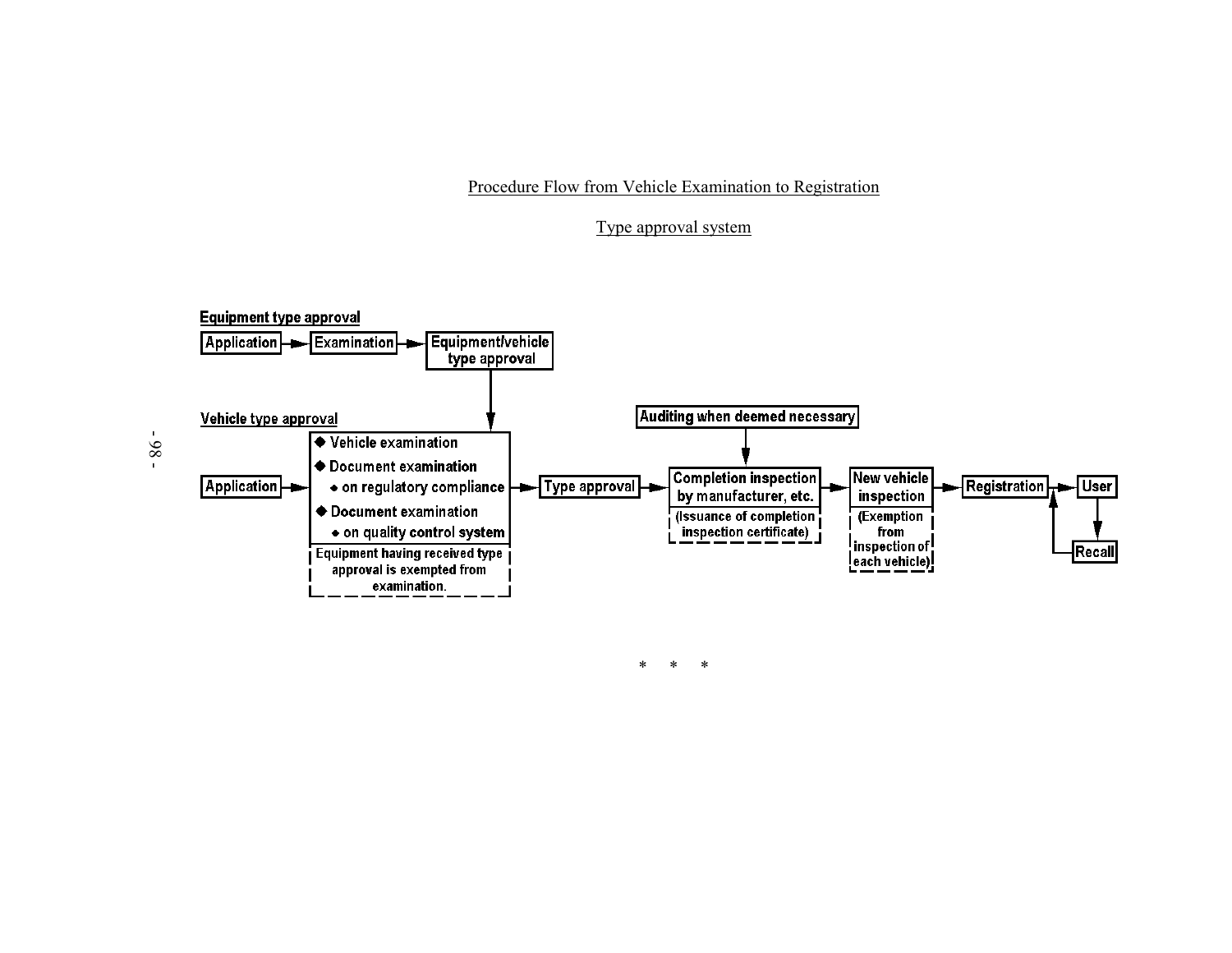Procedure Flow from Vehicle Examination to Registration

# Type approval system



\* \* \*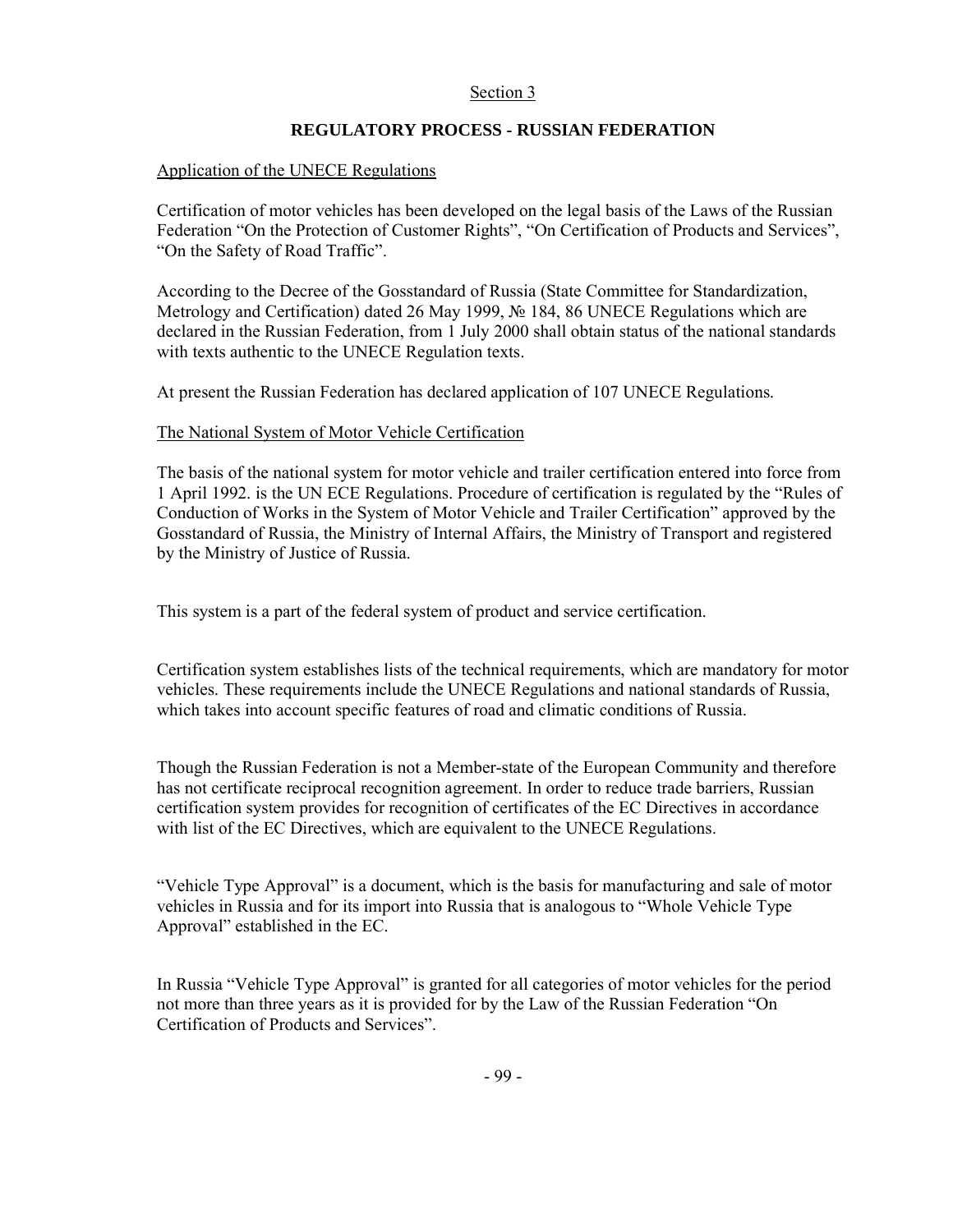### Section 3

### **REGULATORY PROCESS - RUSSIAN FEDERATION**

### Application of the UNECE Regulations

Certification of motor vehicles has been developed on the legal basis of the Laws of the Russian Federation "On the Protection of Customer Rights", "On Certification of Products and Services", "On the Safety of Road Traffic".

According to the Decree of the Gosstandard of Russia (State Committee for Standardization, Metrology and Certification) dated 26 May 1999, № 184, 86 UNECE Regulations which are declared in the Russian Federation, from 1 July 2000 shall obtain status of the national standards with texts authentic to the UNECE Regulation texts.

At present the Russian Federation has declared application of 107 UNECE Regulations.

### The National System of Motor Vehicle Certification

The basis of the national system for motor vehicle and trailer certification entered into force from 1 April 1992. is the UN ECE Regulations. Procedure of certification is regulated by the "Rules of Conduction of Works in the System of Motor Vehicle and Trailer Certification" approved by the Gosstandard of Russia, the Ministry of Internal Affairs, the Ministry of Transport and registered by the Ministry of Justice of Russia.

This system is a part of the federal system of product and service certification.

Certification system establishes lists of the technical requirements, which are mandatory for motor vehicles. These requirements include the UNECE Regulations and national standards of Russia, which takes into account specific features of road and climatic conditions of Russia.

Though the Russian Federation is not a Member-state of the European Community and therefore has not certificate reciprocal recognition agreement. In order to reduce trade barriers, Russian certification system provides for recognition of certificates of the EC Directives in accordance with list of the EC Directives, which are equivalent to the UNECE Regulations.

"Vehicle Type Approval" is a document, which is the basis for manufacturing and sale of motor vehicles in Russia and for its import into Russia that is analogous to "Whole Vehicle Type Approval" established in the EC.

In Russia "Vehicle Type Approval" is granted for all categories of motor vehicles for the period not more than three years as it is provided for by the Law of the Russian Federation "On Certification of Products and Services".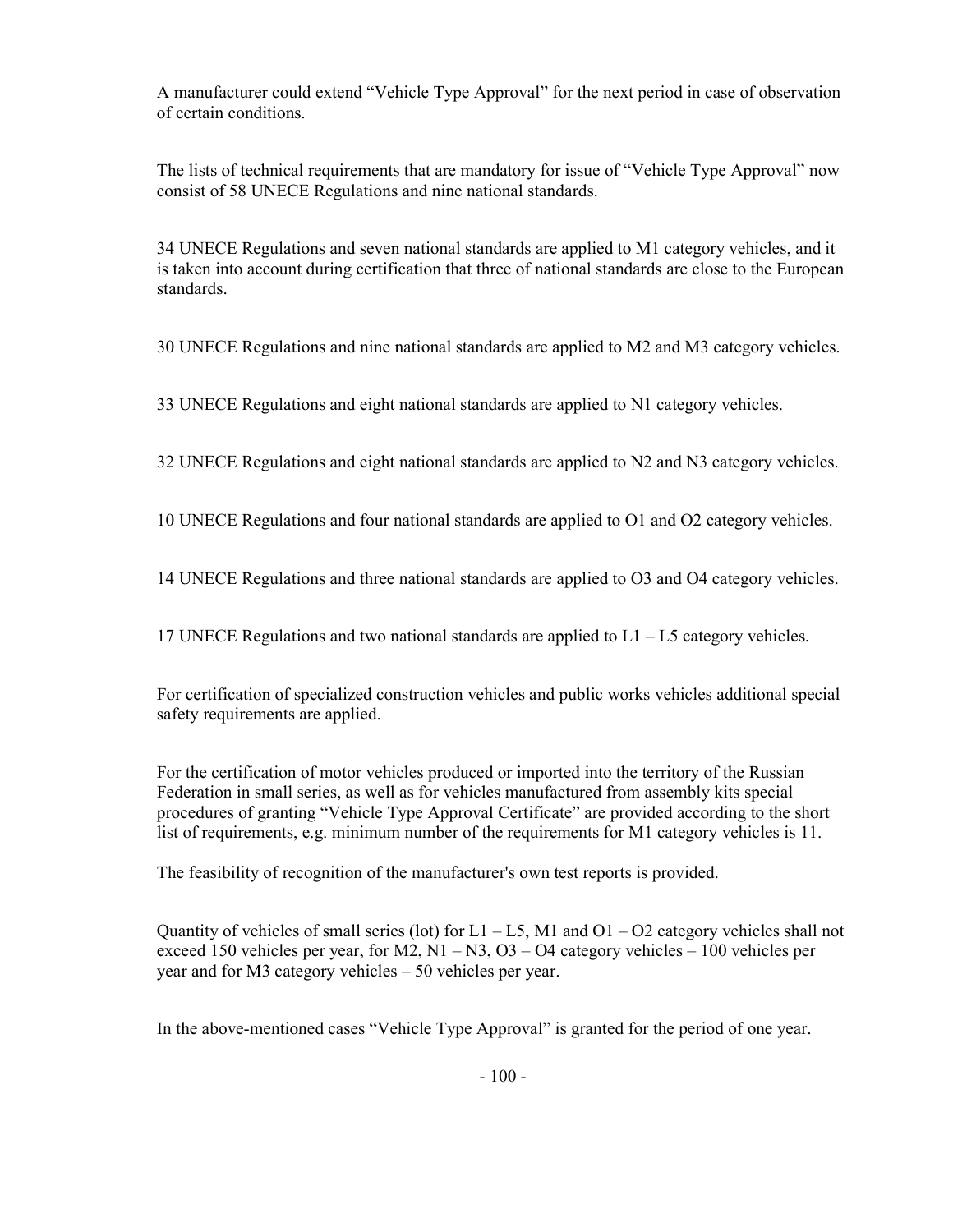A manufacturer could extend "Vehicle Type Approval" for the next period in case of observation of certain conditions.

The lists of technical requirements that are mandatory for issue of "Vehicle Type Approval" now consist of 58 UNECE Regulations and nine national standards.

34 UNECE Regulations and seven national standards are applied to M1 category vehicles, and it is taken into account during certification that three of national standards are close to the European standards.

30 UNECE Regulations and nine national standards are applied to M2 and M3 category vehicles.

33 UNECE Regulations and eight national standards are applied to N1 category vehicles.

32 UNECE Regulations and eight national standards are applied to N2 and N3 category vehicles.

10 UNECE Regulations and four national standards are applied to O1 and O2 category vehicles.

14 UNECE Regulations and three national standards are applied to O3 and O4 category vehicles.

17 UNECE Regulations and two national standards are applied to L1 – L5 category vehicles.

For certification of specialized construction vehicles and public works vehicles additional special safety requirements are applied.

For the certification of motor vehicles produced or imported into the territory of the Russian Federation in small series, as well as for vehicles manufactured from assembly kits special procedures of granting "Vehicle Type Approval Certificate" are provided according to the short list of requirements, e.g. minimum number of the requirements for M1 category vehicles is 11.

The feasibility of recognition of the manufacturer's own test reports is provided.

Quantity of vehicles of small series (lot) for  $L1 - L5$ , M1 and  $O1 - O2$  category vehicles shall not exceed 150 vehicles per year, for M2,  $N1 - N3$ ,  $O3 - O4$  category vehicles – 100 vehicles per year and for M3 category vehicles – 50 vehicles per year.

In the above-mentioned cases "Vehicle Type Approval" is granted for the period of one year.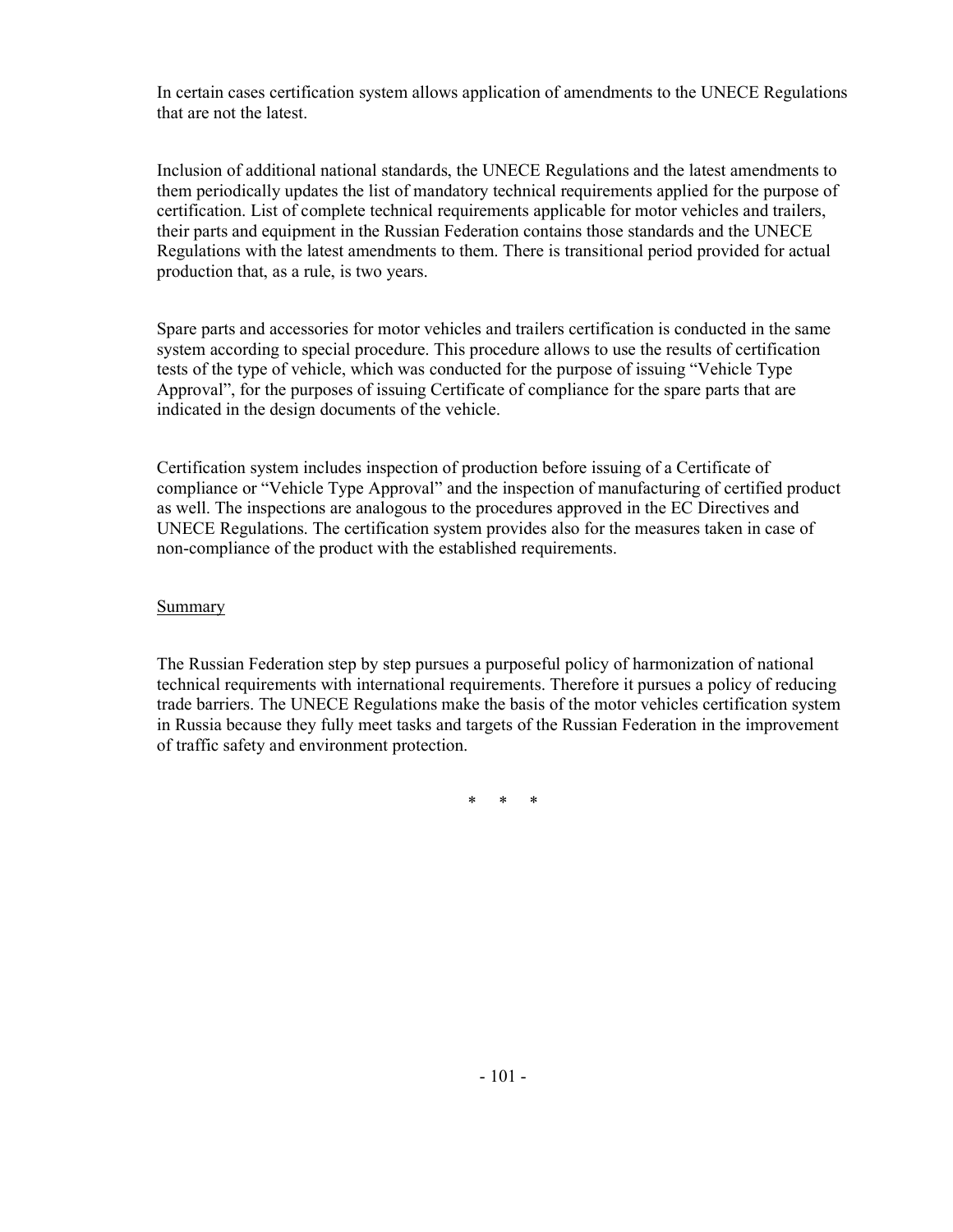In certain cases certification system allows application of amendments to the UNECE Regulations that are not the latest.

Inclusion of additional national standards, the UNECE Regulations and the latest amendments to them periodically updates the list of mandatory technical requirements applied for the purpose of certification. List of complete technical requirements applicable for motor vehicles and trailers, their parts and equipment in the Russian Federation contains those standards and the UNECE Regulations with the latest amendments to them. There is transitional period provided for actual production that, as a rule, is two years.

Spare parts and accessories for motor vehicles and trailers certification is conducted in the same system according to special procedure. This procedure allows to use the results of certification tests of the type of vehicle, which was conducted for the purpose of issuing "Vehicle Type Approval", for the purposes of issuing Certificate of compliance for the spare parts that are indicated in the design documents of the vehicle.

Certification system includes inspection of production before issuing of a Certificate of compliance or "Vehicle Type Approval" and the inspection of manufacturing of certified product as well. The inspections are analogous to the procedures approved in the EC Directives and UNECE Regulations. The certification system provides also for the measures taken in case of non-compliance of the product with the established requirements.

Summary

The Russian Federation step by step pursues a purposeful policy of harmonization of national technical requirements with international requirements. Therefore it pursues a policy of reducing trade barriers. The UNECE Regulations make the basis of the motor vehicles certification system in Russia because they fully meet tasks and targets of the Russian Federation in the improvement of traffic safety and environment protection.

\* \* \*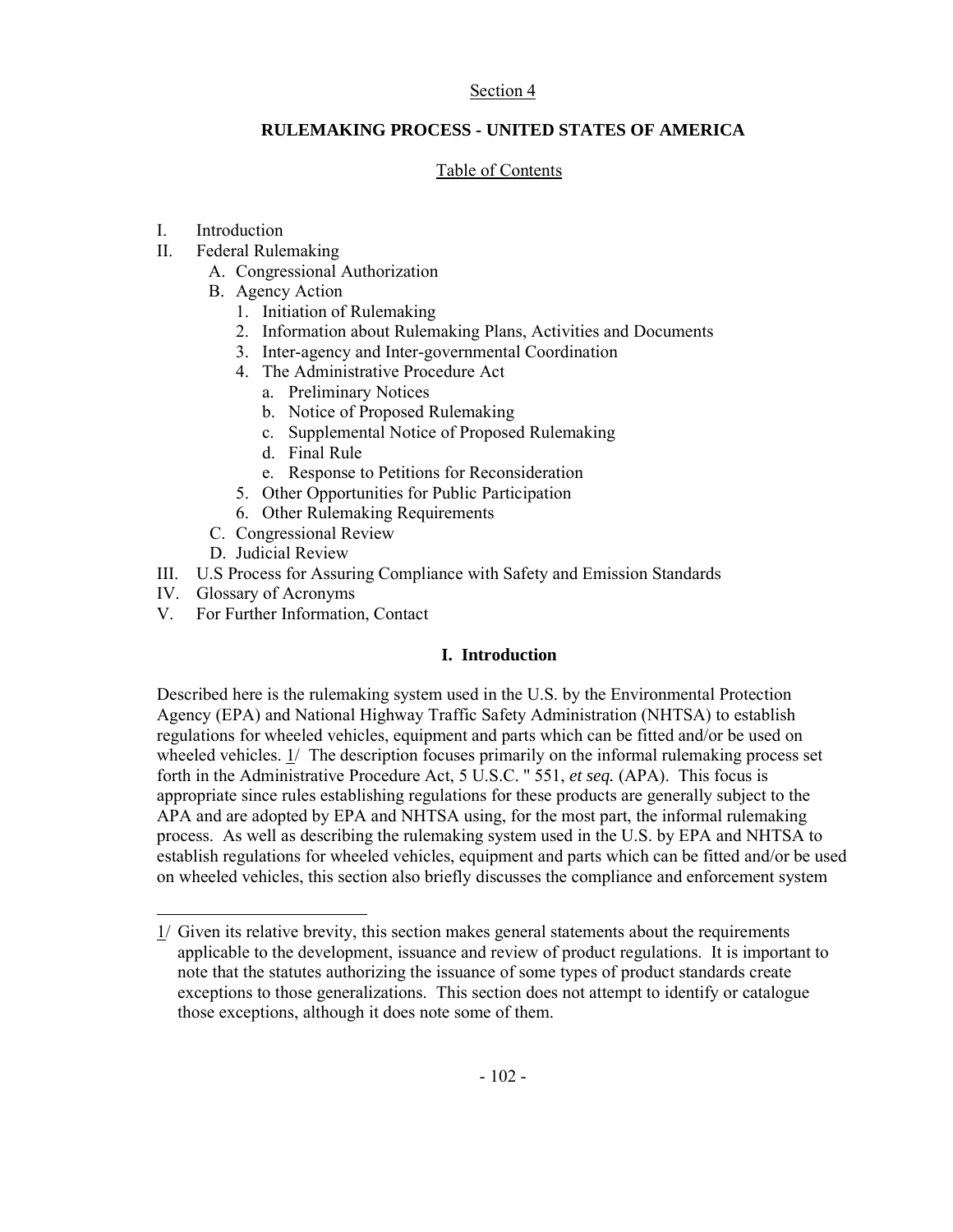### Section 4

# **RULEMAKING PROCESS - UNITED STATES OF AMERICA**

# Table of Contents

# I. Introduction

- II. Federal Rulemaking
	- A. Congressional Authorization
	- B. Agency Action
		- 1. Initiation of Rulemaking
		- 2. Information about Rulemaking Plans, Activities and Documents
		- 3. Inter-agency and Inter-governmental Coordination
		- 4. The Administrative Procedure Act
			- a. Preliminary Notices
			- b. Notice of Proposed Rulemaking
			- c. Supplemental Notice of Proposed Rulemaking
			- d. Final Rule
			- e. Response to Petitions for Reconsideration
		- 5. Other Opportunities for Public Participation
		- 6. Other Rulemaking Requirements
	- C. Congressional Review
	- D. Judicial Review
- III. U.S Process for Assuring Compliance with Safety and Emission Standards
- IV. Glossary of Acronyms
- V. For Further Information, Contact

# **I. Introduction**

Described here is the rulemaking system used in the U.S. by the Environmental Protection Agency (EPA) and National Highway Traffic Safety Administration (NHTSA) to establish regulations for wheeled vehicles, equipment and parts which can be fitted and/or be used on wheeled vehicles. 1/ The description focuses primarily on the informal rulemaking process set forth in the Administrative Procedure Act, 5 U.S.C. '' 551, *et seq.* (APA). This focus is appropriate since rules establishing regulations for these products are generally subject to the APA and are adopted by EPA and NHTSA using, for the most part, the informal rulemaking process. As well as describing the rulemaking system used in the U.S. by EPA and NHTSA to establish regulations for wheeled vehicles, equipment and parts which can be fitted and/or be used on wheeled vehicles, this section also briefly discusses the compliance and enforcement system

 $1/$  Given its relative brevity, this section makes general statements about the requirements applicable to the development, issuance and review of product regulations. It is important to note that the statutes authorizing the issuance of some types of product standards create exceptions to those generalizations. This section does not attempt to identify or catalogue those exceptions, although it does note some of them.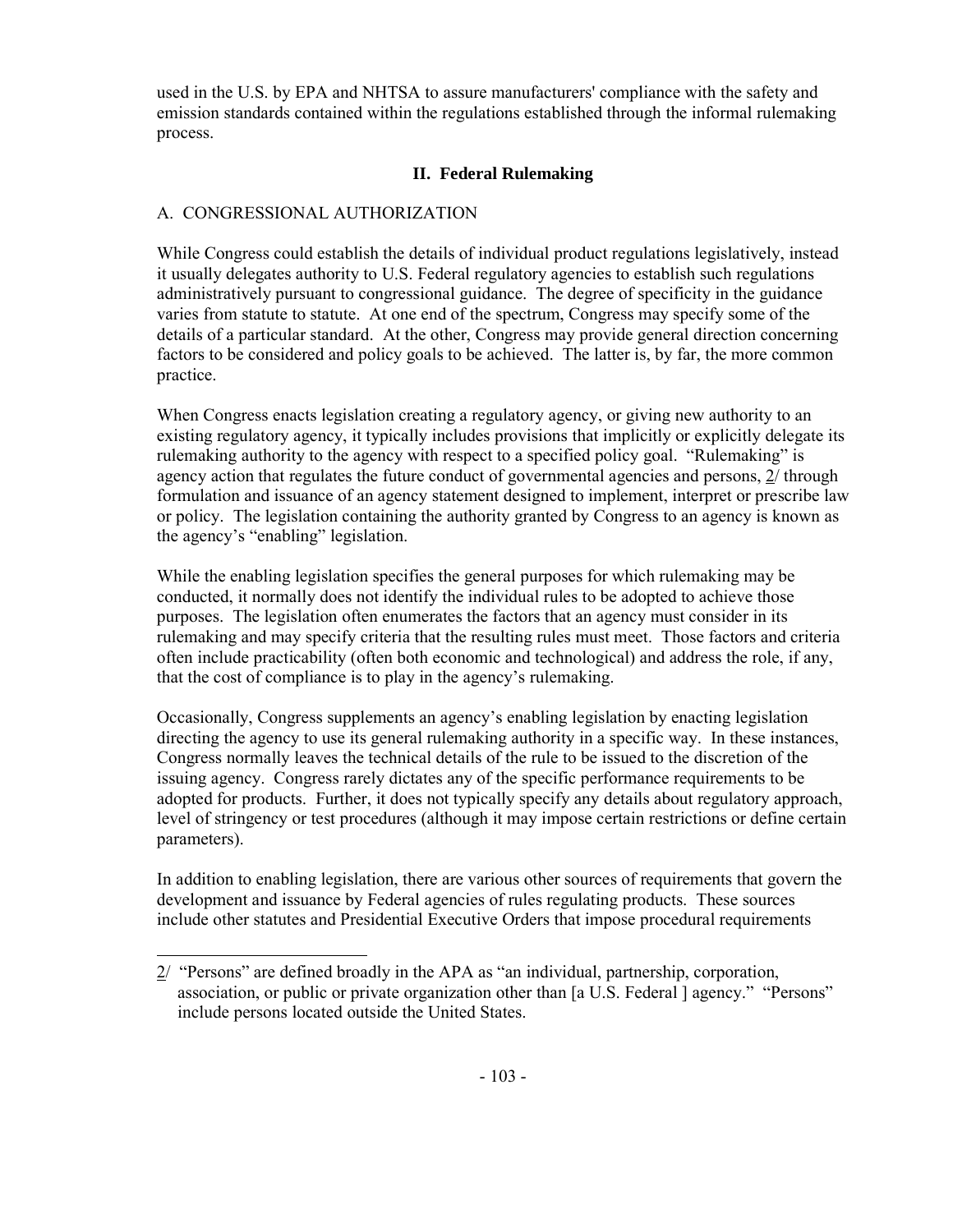used in the U.S. by EPA and NHTSA to assure manufacturers' compliance with the safety and emission standards contained within the regulations established through the informal rulemaking process.

# **II. Federal Rulemaking**

# A. CONGRESSIONAL AUTHORIZATION

While Congress could establish the details of individual product regulations legislatively, instead it usually delegates authority to U.S. Federal regulatory agencies to establish such regulations administratively pursuant to congressional guidance. The degree of specificity in the guidance varies from statute to statute. At one end of the spectrum, Congress may specify some of the details of a particular standard. At the other, Congress may provide general direction concerning factors to be considered and policy goals to be achieved. The latter is, by far, the more common practice.

When Congress enacts legislation creating a regulatory agency, or giving new authority to an existing regulatory agency, it typically includes provisions that implicitly or explicitly delegate its rulemaking authority to the agency with respect to a specified policy goal. "Rulemaking" is agency action that regulates the future conduct of governmental agencies and persons, 2/ through formulation and issuance of an agency statement designed to implement, interpret or prescribe law or policy. The legislation containing the authority granted by Congress to an agency is known as the agency's "enabling" legislation.

While the enabling legislation specifies the general purposes for which rulemaking may be conducted, it normally does not identify the individual rules to be adopted to achieve those purposes. The legislation often enumerates the factors that an agency must consider in its rulemaking and may specify criteria that the resulting rules must meet. Those factors and criteria often include practicability (often both economic and technological) and address the role, if any, that the cost of compliance is to play in the agency's rulemaking.

Occasionally, Congress supplements an agency's enabling legislation by enacting legislation directing the agency to use its general rulemaking authority in a specific way. In these instances, Congress normally leaves the technical details of the rule to be issued to the discretion of the issuing agency. Congress rarely dictates any of the specific performance requirements to be adopted for products. Further, it does not typically specify any details about regulatory approach, level of stringency or test procedures (although it may impose certain restrictions or define certain parameters).

In addition to enabling legislation, there are various other sources of requirements that govern the development and issuance by Federal agencies of rules regulating products. These sources include other statutes and Presidential Executive Orders that impose procedural requirements

<sup>2/ &</sup>quot;Persons" are defined broadly in the APA as "an individual, partnership, corporation, association, or public or private organization other than [a U.S. Federal ] agency." "Persons" include persons located outside the United States.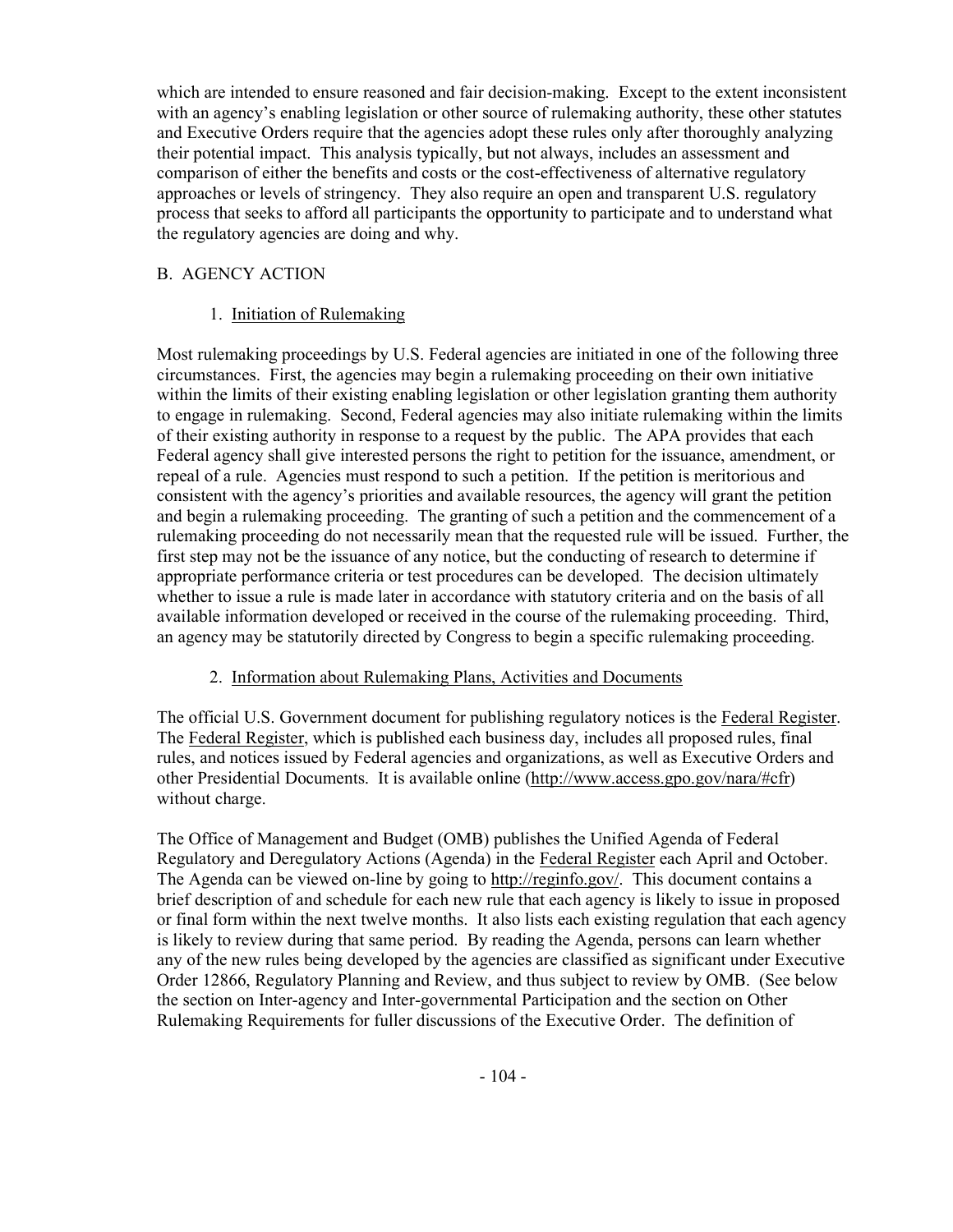which are intended to ensure reasoned and fair decision-making. Except to the extent inconsistent with an agency's enabling legislation or other source of rulemaking authority, these other statutes and Executive Orders require that the agencies adopt these rules only after thoroughly analyzing their potential impact. This analysis typically, but not always, includes an assessment and comparison of either the benefits and costs or the cost-effectiveness of alternative regulatory approaches or levels of stringency. They also require an open and transparent U.S. regulatory process that seeks to afford all participants the opportunity to participate and to understand what the regulatory agencies are doing and why.

# B. AGENCY ACTION

# 1. Initiation of Rulemaking

Most rulemaking proceedings by U.S. Federal agencies are initiated in one of the following three circumstances. First, the agencies may begin a rulemaking proceeding on their own initiative within the limits of their existing enabling legislation or other legislation granting them authority to engage in rulemaking. Second, Federal agencies may also initiate rulemaking within the limits of their existing authority in response to a request by the public. The APA provides that each Federal agency shall give interested persons the right to petition for the issuance, amendment, or repeal of a rule. Agencies must respond to such a petition. If the petition is meritorious and consistent with the agency's priorities and available resources, the agency will grant the petition and begin a rulemaking proceeding. The granting of such a petition and the commencement of a rulemaking proceeding do not necessarily mean that the requested rule will be issued. Further, the first step may not be the issuance of any notice, but the conducting of research to determine if appropriate performance criteria or test procedures can be developed. The decision ultimately whether to issue a rule is made later in accordance with statutory criteria and on the basis of all available information developed or received in the course of the rulemaking proceeding. Third, an agency may be statutorily directed by Congress to begin a specific rulemaking proceeding.

### 2. Information about Rulemaking Plans, Activities and Documents

The official U.S. Government document for publishing regulatory notices is the Federal Register. The Federal Register, which is published each business day, includes all proposed rules, final rules, and notices issued by Federal agencies and organizations, as well as Executive Orders and other Presidential Documents. It is available online (http://www.access.gpo.gov/nara/#cfr) without charge.

The Office of Management and Budget (OMB) publishes the Unified Agenda of Federal Regulatory and Deregulatory Actions (Agenda) in the Federal Register each April and October. The Agenda can be viewed on-line by going to http://reginfo.gov/. This document contains a brief description of and schedule for each new rule that each agency is likely to issue in proposed or final form within the next twelve months. It also lists each existing regulation that each agency is likely to review during that same period. By reading the Agenda, persons can learn whether any of the new rules being developed by the agencies are classified as significant under Executive Order 12866, Regulatory Planning and Review, and thus subject to review by OMB. (See below the section on Inter-agency and Inter-governmental Participation and the section on Other Rulemaking Requirements for fuller discussions of the Executive Order. The definition of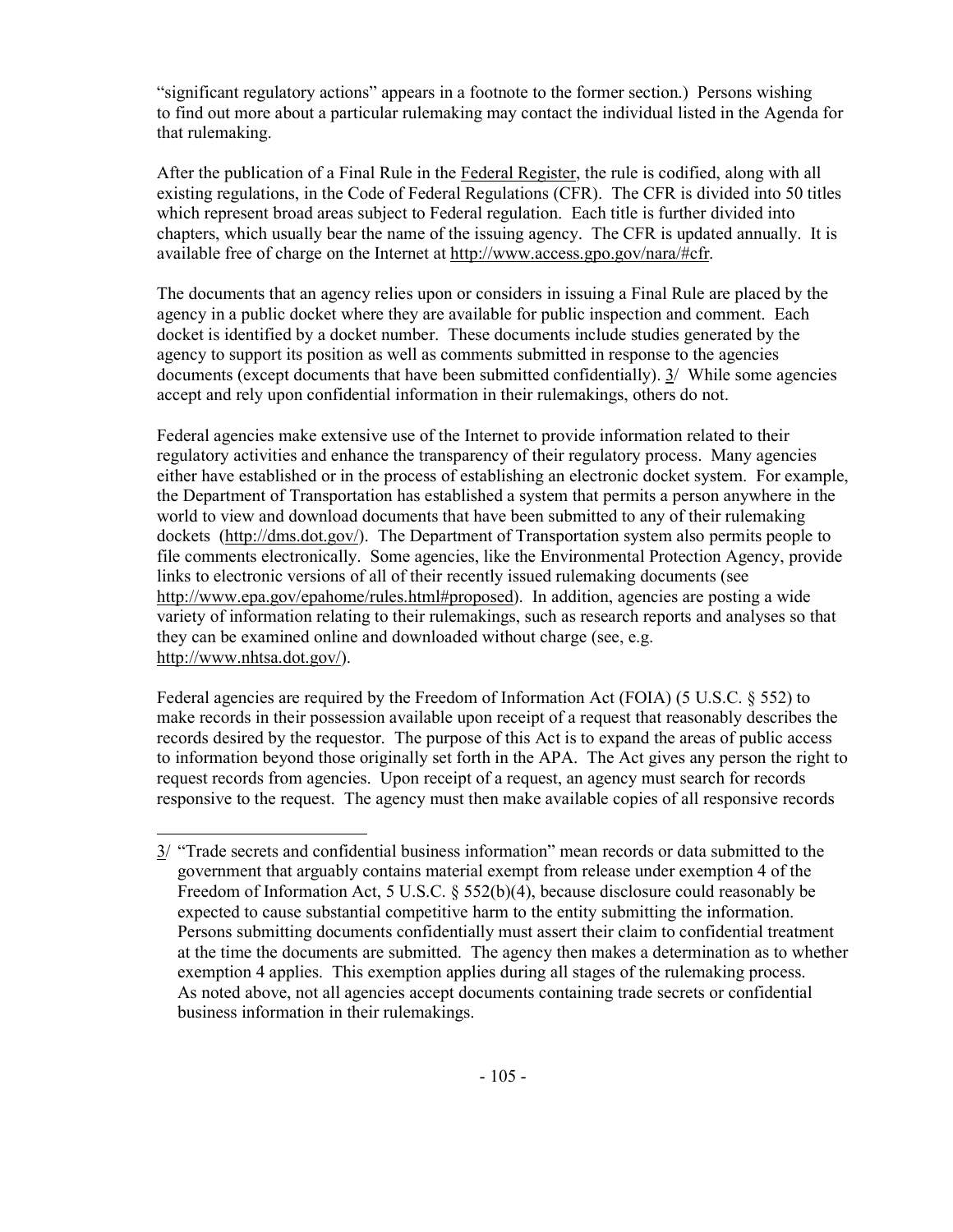"significant regulatory actions" appears in a footnote to the former section.) Persons wishing to find out more about a particular rulemaking may contact the individual listed in the Agenda for that rulemaking.

After the publication of a Final Rule in the Federal Register, the rule is codified, along with all existing regulations, in the Code of Federal Regulations (CFR). The CFR is divided into 50 titles which represent broad areas subject to Federal regulation. Each title is further divided into chapters, which usually bear the name of the issuing agency. The CFR is updated annually. It is available free of charge on the Internet at http://www.access.gpo.gov/nara/#cfr.

The documents that an agency relies upon or considers in issuing a Final Rule are placed by the agency in a public docket where they are available for public inspection and comment. Each docket is identified by a docket number. These documents include studies generated by the agency to support its position as well as comments submitted in response to the agencies documents (except documents that have been submitted confidentially). 3/ While some agencies accept and rely upon confidential information in their rulemakings, others do not.

Federal agencies make extensive use of the Internet to provide information related to their regulatory activities and enhance the transparency of their regulatory process. Many agencies either have established or in the process of establishing an electronic docket system. For example, the Department of Transportation has established a system that permits a person anywhere in the world to view and download documents that have been submitted to any of their rulemaking dockets (http://dms.dot.gov/). The Department of Transportation system also permits people to file comments electronically. Some agencies, like the Environmental Protection Agency, provide links to electronic versions of all of their recently issued rulemaking documents (see http://www.epa.gov/epahome/rules.html#proposed). In addition, agencies are posting a wide variety of information relating to their rulemakings, such as research reports and analyses so that they can be examined online and downloaded without charge (see, e.g. http://www.nhtsa.dot.gov/).

Federal agencies are required by the Freedom of Information Act (FOIA) (5 U.S.C. § 552) to make records in their possession available upon receipt of a request that reasonably describes the records desired by the requestor. The purpose of this Act is to expand the areas of public access to information beyond those originally set forth in the APA. The Act gives any person the right to request records from agencies. Upon receipt of a request, an agency must search for records responsive to the request. The agency must then make available copies of all responsive records

<sup>3/ &</sup>quot;Trade secrets and confidential business information" mean records or data submitted to the government that arguably contains material exempt from release under exemption 4 of the Freedom of Information Act, 5 U.S.C. § 552(b)(4), because disclosure could reasonably be expected to cause substantial competitive harm to the entity submitting the information. Persons submitting documents confidentially must assert their claim to confidential treatment at the time the documents are submitted. The agency then makes a determination as to whether exemption 4 applies. This exemption applies during all stages of the rulemaking process. As noted above, not all agencies accept documents containing trade secrets or confidential business information in their rulemakings.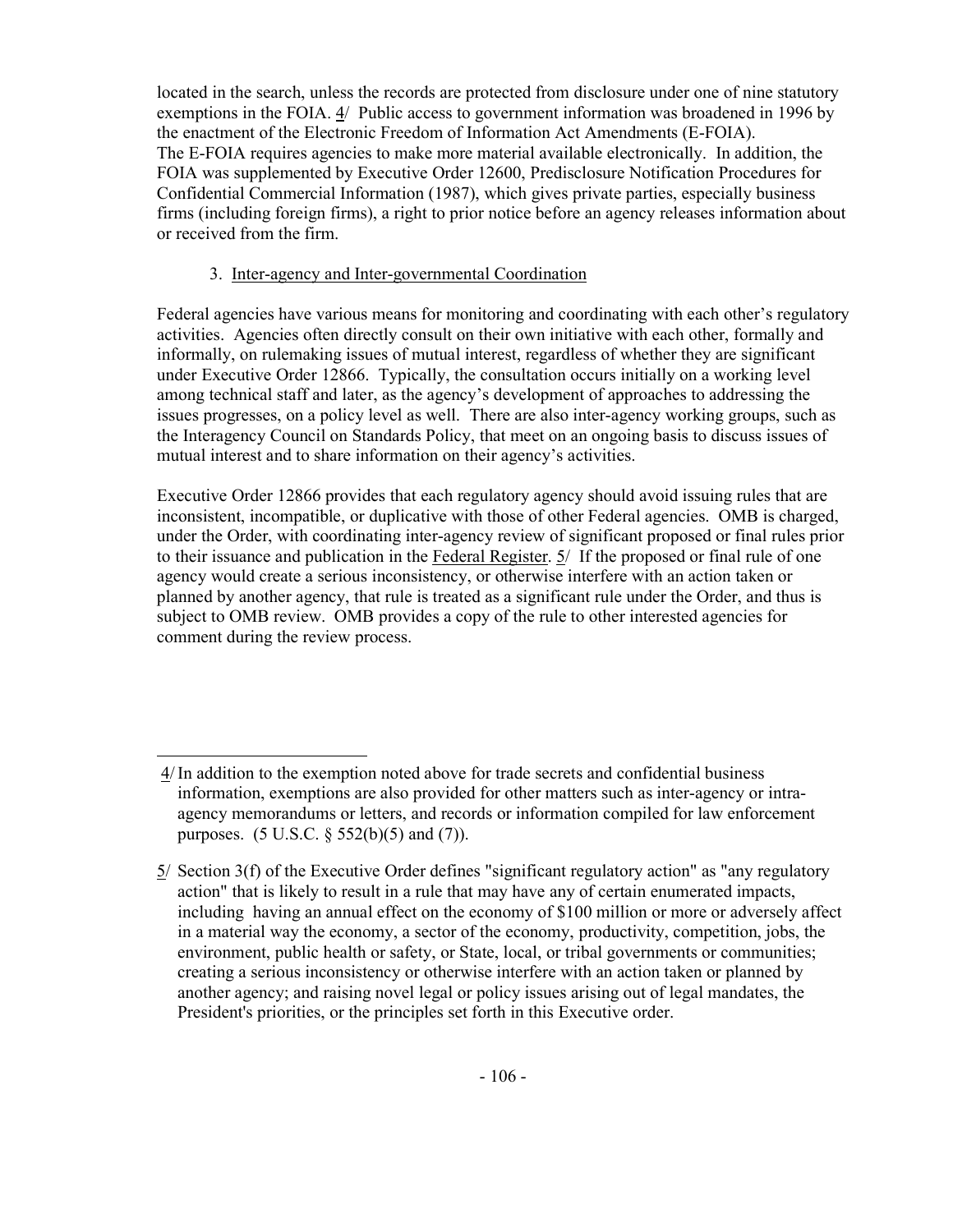located in the search, unless the records are protected from disclosure under one of nine statutory exemptions in the FOIA. 4/ Public access to government information was broadened in 1996 by the enactment of the Electronic Freedom of Information Act Amendments (E-FOIA). The E-FOIA requires agencies to make more material available electronically. In addition, the FOIA was supplemented by Executive Order 12600, Predisclosure Notification Procedures for Confidential Commercial Information (1987), which gives private parties, especially business firms (including foreign firms), a right to prior notice before an agency releases information about or received from the firm.

# 3. Inter-agency and Inter-governmental Coordination

Federal agencies have various means for monitoring and coordinating with each other's regulatory activities. Agencies often directly consult on their own initiative with each other, formally and informally, on rulemaking issues of mutual interest, regardless of whether they are significant under Executive Order 12866. Typically, the consultation occurs initially on a working level among technical staff and later, as the agency's development of approaches to addressing the issues progresses, on a policy level as well. There are also inter-agency working groups, such as the Interagency Council on Standards Policy, that meet on an ongoing basis to discuss issues of mutual interest and to share information on their agency's activities.

Executive Order 12866 provides that each regulatory agency should avoid issuing rules that are inconsistent, incompatible, or duplicative with those of other Federal agencies. OMB is charged, under the Order, with coordinating inter-agency review of significant proposed or final rules prior to their issuance and publication in the Federal Register. 5/ If the proposed or final rule of one agency would create a serious inconsistency, or otherwise interfere with an action taken or planned by another agency, that rule is treated as a significant rule under the Order, and thus is subject to OMB review. OMB provides a copy of the rule to other interested agencies for comment during the review process.

 <sup>4/</sup> In addition to the exemption noted above for trade secrets and confidential business information, exemptions are also provided for other matters such as inter-agency or intraagency memorandums or letters, and records or information compiled for law enforcement purposes. (5 U.S.C. § 552(b)(5) and (7)).

<sup>5/</sup> Section 3(f) of the Executive Order defines "significant regulatory action" as "any regulatory action" that is likely to result in a rule that may have any of certain enumerated impacts, including having an annual effect on the economy of \$100 million or more or adversely affect in a material way the economy, a sector of the economy, productivity, competition, jobs, the environment, public health or safety, or State, local, or tribal governments or communities; creating a serious inconsistency or otherwise interfere with an action taken or planned by another agency; and raising novel legal or policy issues arising out of legal mandates, the President's priorities, or the principles set forth in this Executive order.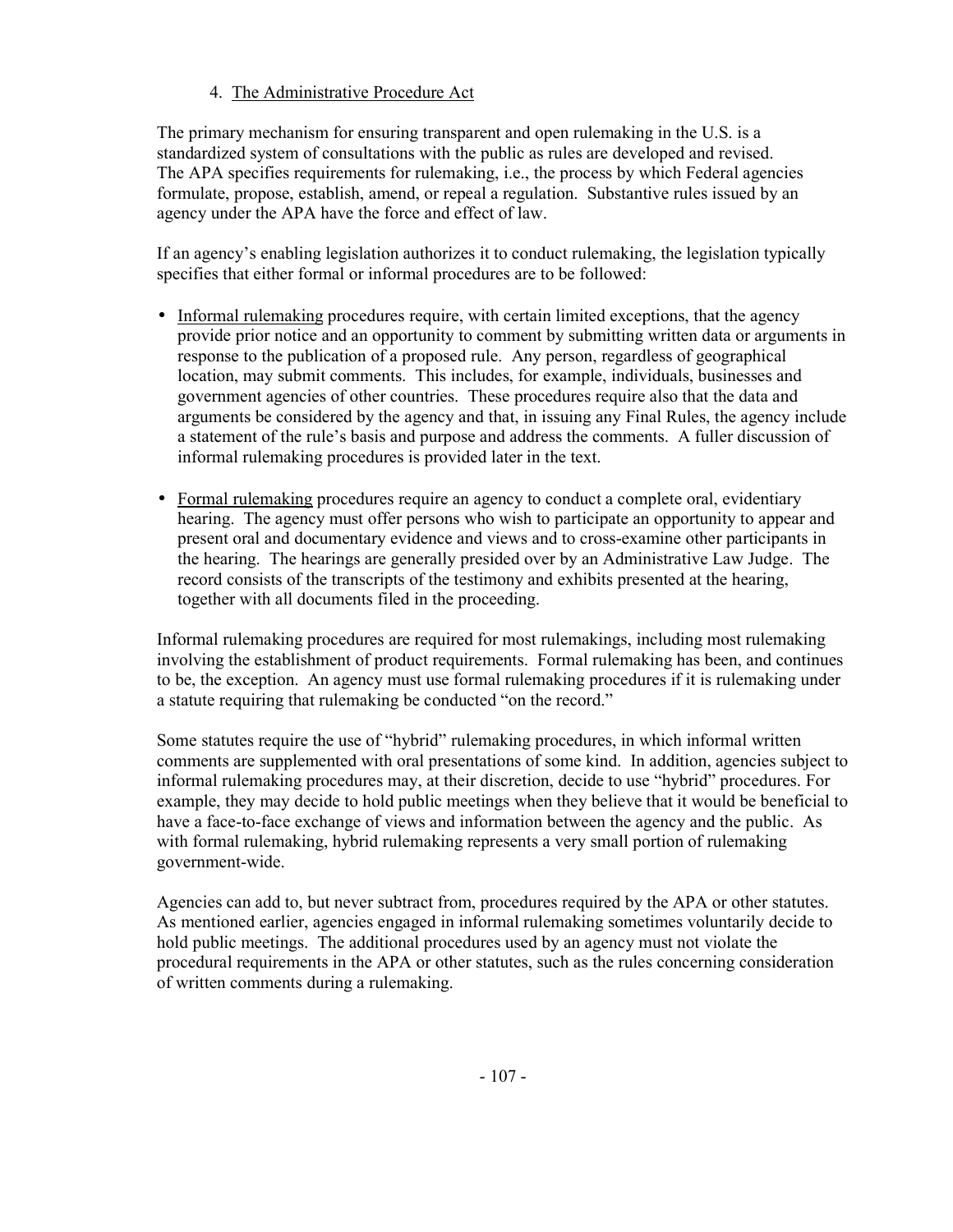# 4. The Administrative Procedure Act

The primary mechanism for ensuring transparent and open rulemaking in the U.S. is a standardized system of consultations with the public as rules are developed and revised. The APA specifies requirements for rulemaking, i.e., the process by which Federal agencies formulate, propose, establish, amend, or repeal a regulation. Substantive rules issued by an agency under the APA have the force and effect of law.

If an agency's enabling legislation authorizes it to conduct rulemaking, the legislation typically specifies that either formal or informal procedures are to be followed:

- Informal rulemaking procedures require, with certain limited exceptions, that the agency provide prior notice and an opportunity to comment by submitting written data or arguments in response to the publication of a proposed rule. Any person, regardless of geographical location, may submit comments. This includes, for example, individuals, businesses and government agencies of other countries. These procedures require also that the data and arguments be considered by the agency and that, in issuing any Final Rules, the agency include a statement of the rule's basis and purpose and address the comments. A fuller discussion of informal rulemaking procedures is provided later in the text.
- Formal rulemaking procedures require an agency to conduct a complete oral, evidentiary hearing. The agency must offer persons who wish to participate an opportunity to appear and present oral and documentary evidence and views and to cross-examine other participants in the hearing. The hearings are generally presided over by an Administrative Law Judge. The record consists of the transcripts of the testimony and exhibits presented at the hearing, together with all documents filed in the proceeding.

Informal rulemaking procedures are required for most rulemakings, including most rulemaking involving the establishment of product requirements. Formal rulemaking has been, and continues to be, the exception. An agency must use formal rulemaking procedures if it is rulemaking under a statute requiring that rulemaking be conducted "on the record."

Some statutes require the use of "hybrid" rulemaking procedures, in which informal written comments are supplemented with oral presentations of some kind. In addition, agencies subject to informal rulemaking procedures may, at their discretion, decide to use "hybrid" procedures. For example, they may decide to hold public meetings when they believe that it would be beneficial to have a face-to-face exchange of views and information between the agency and the public. As with formal rulemaking, hybrid rulemaking represents a very small portion of rulemaking government-wide.

Agencies can add to, but never subtract from, procedures required by the APA or other statutes. As mentioned earlier, agencies engaged in informal rulemaking sometimes voluntarily decide to hold public meetings. The additional procedures used by an agency must not violate the procedural requirements in the APA or other statutes, such as the rules concerning consideration of written comments during a rulemaking.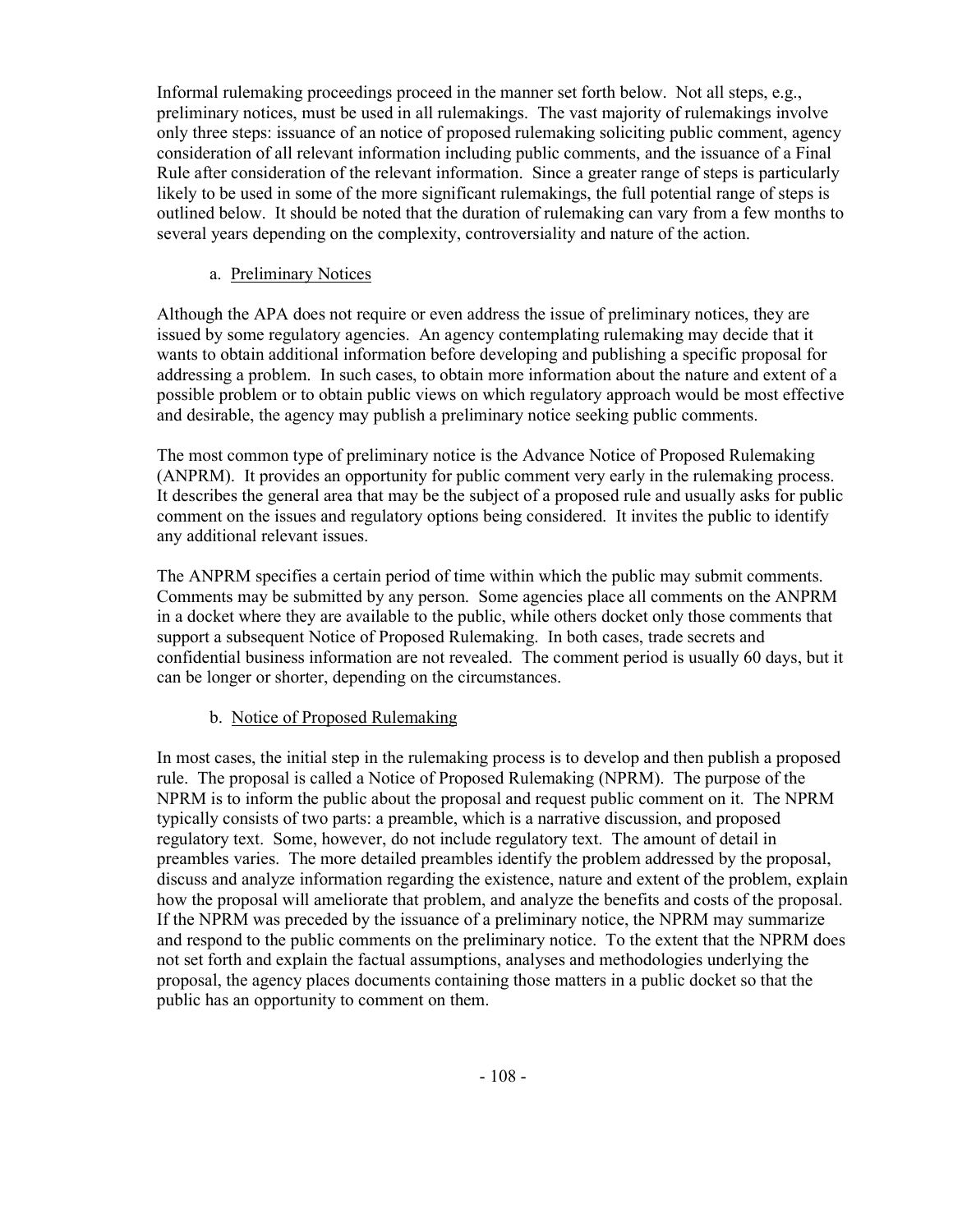Informal rulemaking proceedings proceed in the manner set forth below. Not all steps, e.g., preliminary notices, must be used in all rulemakings. The vast majority of rulemakings involve only three steps: issuance of an notice of proposed rulemaking soliciting public comment, agency consideration of all relevant information including public comments, and the issuance of a Final Rule after consideration of the relevant information. Since a greater range of steps is particularly likely to be used in some of the more significant rulemakings, the full potential range of steps is outlined below. It should be noted that the duration of rulemaking can vary from a few months to several years depending on the complexity, controversiality and nature of the action.

### a. Preliminary Notices

Although the APA does not require or even address the issue of preliminary notices, they are issued by some regulatory agencies. An agency contemplating rulemaking may decide that it wants to obtain additional information before developing and publishing a specific proposal for addressing a problem. In such cases, to obtain more information about the nature and extent of a possible problem or to obtain public views on which regulatory approach would be most effective and desirable, the agency may publish a preliminary notice seeking public comments.

The most common type of preliminary notice is the Advance Notice of Proposed Rulemaking (ANPRM). It provides an opportunity for public comment very early in the rulemaking process. It describes the general area that may be the subject of a proposed rule and usually asks for public comment on the issues and regulatory options being considered. It invites the public to identify any additional relevant issues.

The ANPRM specifies a certain period of time within which the public may submit comments. Comments may be submitted by any person. Some agencies place all comments on the ANPRM in a docket where they are available to the public, while others docket only those comments that support a subsequent Notice of Proposed Rulemaking. In both cases, trade secrets and confidential business information are not revealed. The comment period is usually 60 days, but it can be longer or shorter, depending on the circumstances.

# b. Notice of Proposed Rulemaking

In most cases, the initial step in the rulemaking process is to develop and then publish a proposed rule. The proposal is called a Notice of Proposed Rulemaking (NPRM). The purpose of the NPRM is to inform the public about the proposal and request public comment on it. The NPRM typically consists of two parts: a preamble, which is a narrative discussion, and proposed regulatory text. Some, however, do not include regulatory text. The amount of detail in preambles varies. The more detailed preambles identify the problem addressed by the proposal, discuss and analyze information regarding the existence, nature and extent of the problem, explain how the proposal will ameliorate that problem, and analyze the benefits and costs of the proposal. If the NPRM was preceded by the issuance of a preliminary notice, the NPRM may summarize and respond to the public comments on the preliminary notice. To the extent that the NPRM does not set forth and explain the factual assumptions, analyses and methodologies underlying the proposal, the agency places documents containing those matters in a public docket so that the public has an opportunity to comment on them.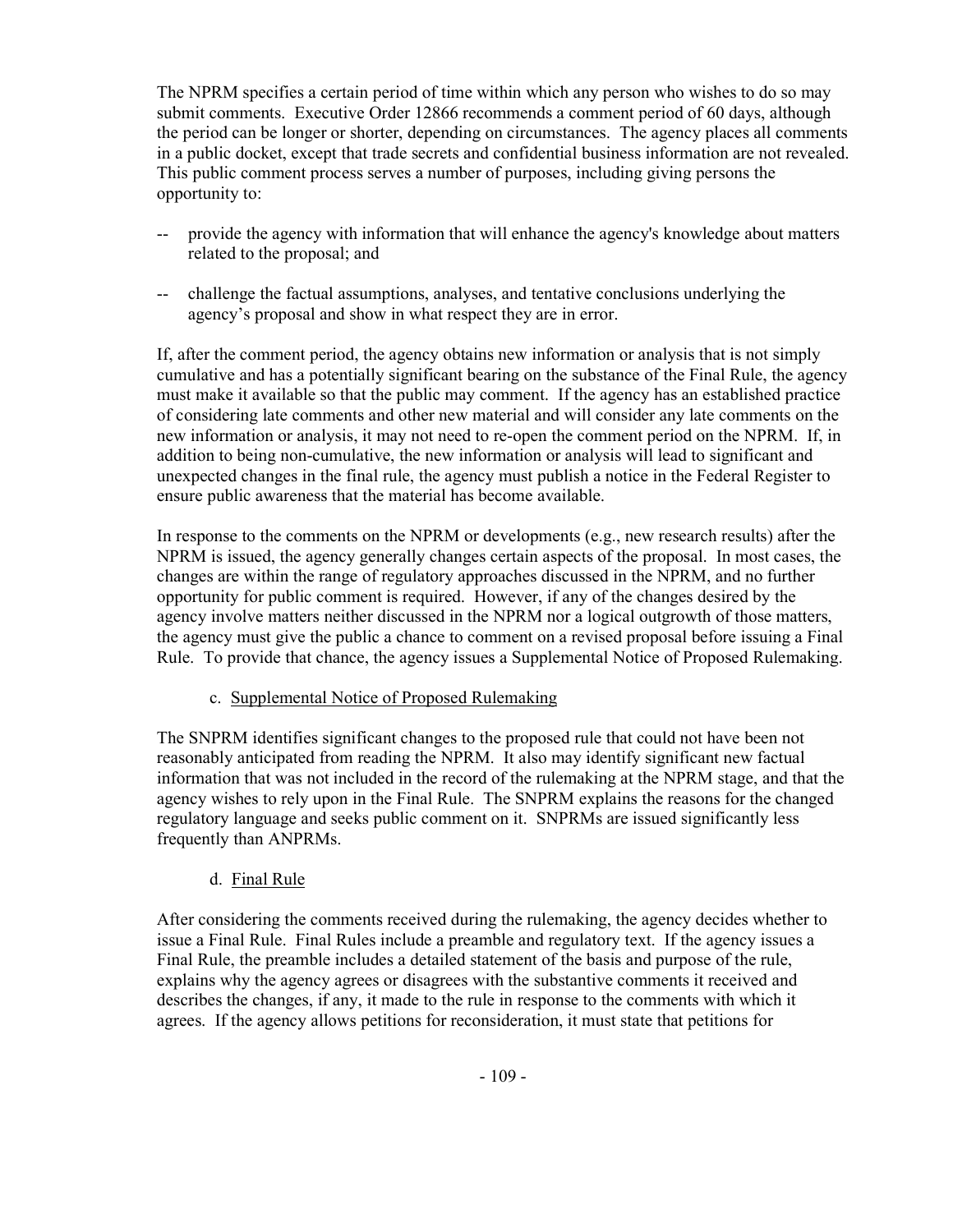The NPRM specifies a certain period of time within which any person who wishes to do so may submit comments. Executive Order 12866 recommends a comment period of 60 days, although the period can be longer or shorter, depending on circumstances. The agency places all comments in a public docket, except that trade secrets and confidential business information are not revealed. This public comment process serves a number of purposes, including giving persons the opportunity to:

- -- provide the agency with information that will enhance the agency's knowledge about matters related to the proposal; and
- -- challenge the factual assumptions, analyses, and tentative conclusions underlying the agency's proposal and show in what respect they are in error.

If, after the comment period, the agency obtains new information or analysis that is not simply cumulative and has a potentially significant bearing on the substance of the Final Rule, the agency must make it available so that the public may comment. If the agency has an established practice of considering late comments and other new material and will consider any late comments on the new information or analysis, it may not need to re-open the comment period on the NPRM. If, in addition to being non-cumulative, the new information or analysis will lead to significant and unexpected changes in the final rule, the agency must publish a notice in the Federal Register to ensure public awareness that the material has become available.

In response to the comments on the NPRM or developments (e.g., new research results) after the NPRM is issued, the agency generally changes certain aspects of the proposal. In most cases, the changes are within the range of regulatory approaches discussed in the NPRM, and no further opportunity for public comment is required. However, if any of the changes desired by the agency involve matters neither discussed in the NPRM nor a logical outgrowth of those matters, the agency must give the public a chance to comment on a revised proposal before issuing a Final Rule. To provide that chance, the agency issues a Supplemental Notice of Proposed Rulemaking.

c. Supplemental Notice of Proposed Rulemaking

The SNPRM identifies significant changes to the proposed rule that could not have been not reasonably anticipated from reading the NPRM. It also may identify significant new factual information that was not included in the record of the rulemaking at the NPRM stage, and that the agency wishes to rely upon in the Final Rule. The SNPRM explains the reasons for the changed regulatory language and seeks public comment on it. SNPRMs are issued significantly less frequently than ANPRMs.

# d. Final Rule

After considering the comments received during the rulemaking, the agency decides whether to issue a Final Rule. Final Rules include a preamble and regulatory text. If the agency issues a Final Rule, the preamble includes a detailed statement of the basis and purpose of the rule, explains why the agency agrees or disagrees with the substantive comments it received and describes the changes, if any, it made to the rule in response to the comments with which it agrees. If the agency allows petitions for reconsideration, it must state that petitions for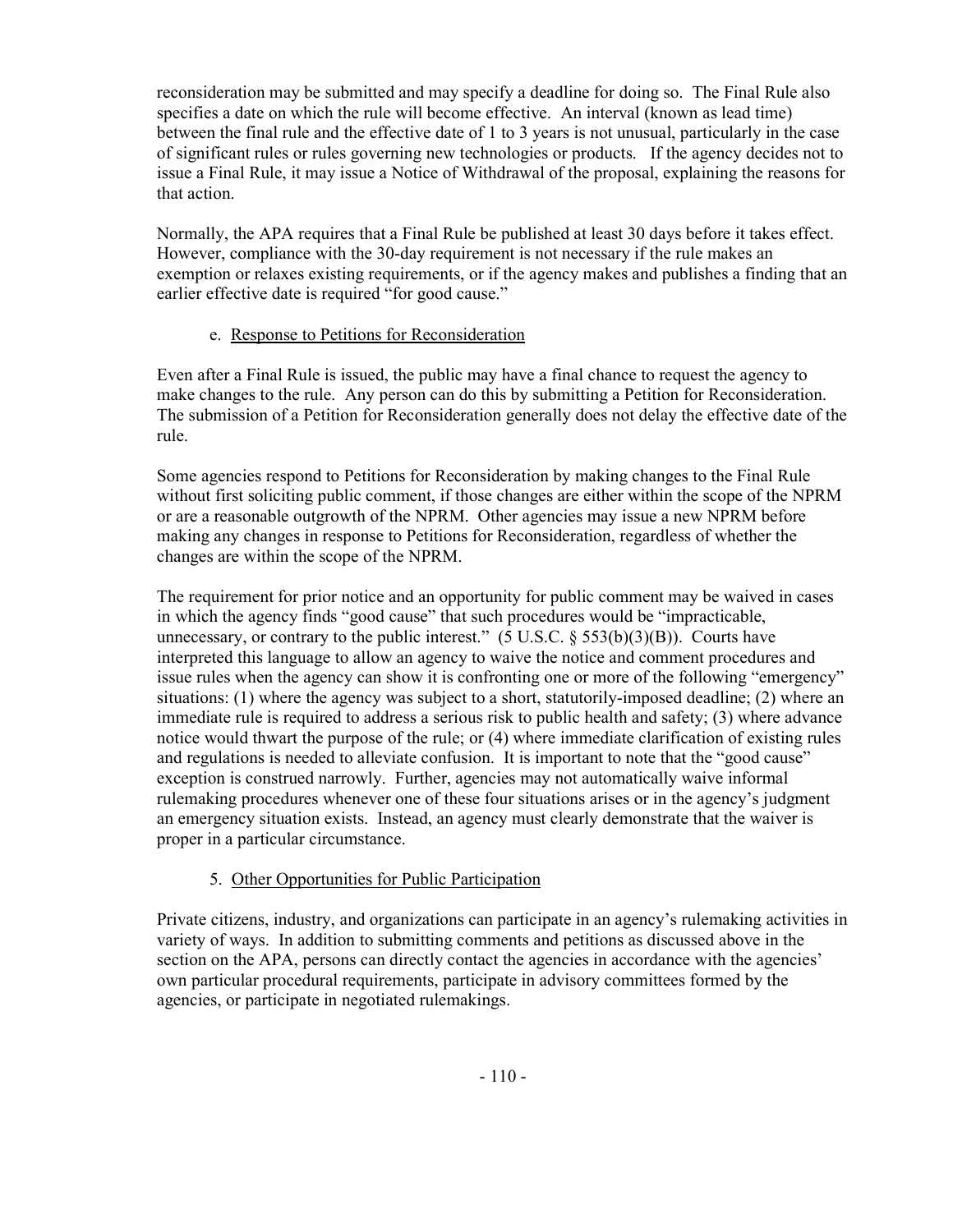reconsideration may be submitted and may specify a deadline for doing so. The Final Rule also specifies a date on which the rule will become effective. An interval (known as lead time) between the final rule and the effective date of 1 to 3 years is not unusual, particularly in the case of significant rules or rules governing new technologies or products. If the agency decides not to issue a Final Rule, it may issue a Notice of Withdrawal of the proposal, explaining the reasons for that action.

Normally, the APA requires that a Final Rule be published at least 30 days before it takes effect. However, compliance with the 30-day requirement is not necessary if the rule makes an exemption or relaxes existing requirements, or if the agency makes and publishes a finding that an earlier effective date is required "for good cause."

# e. Response to Petitions for Reconsideration

Even after a Final Rule is issued, the public may have a final chance to request the agency to make changes to the rule. Any person can do this by submitting a Petition for Reconsideration. The submission of a Petition for Reconsideration generally does not delay the effective date of the rule.

Some agencies respond to Petitions for Reconsideration by making changes to the Final Rule without first soliciting public comment, if those changes are either within the scope of the NPRM or are a reasonable outgrowth of the NPRM. Other agencies may issue a new NPRM before making any changes in response to Petitions for Reconsideration, regardless of whether the changes are within the scope of the NPRM.

The requirement for prior notice and an opportunity for public comment may be waived in cases in which the agency finds "good cause" that such procedures would be "impracticable, unnecessary, or contrary to the public interest."  $(5 \text{ U.S.C. } \S 553(b)(3)(B))$ . Courts have interpreted this language to allow an agency to waive the notice and comment procedures and issue rules when the agency can show it is confronting one or more of the following "emergency" situations: (1) where the agency was subject to a short, statutorily-imposed deadline; (2) where an immediate rule is required to address a serious risk to public health and safety; (3) where advance notice would thwart the purpose of the rule; or (4) where immediate clarification of existing rules and regulations is needed to alleviate confusion. It is important to note that the "good cause" exception is construed narrowly. Further, agencies may not automatically waive informal rulemaking procedures whenever one of these four situations arises or in the agency's judgment an emergency situation exists. Instead, an agency must clearly demonstrate that the waiver is proper in a particular circumstance.

# 5. Other Opportunities for Public Participation

Private citizens, industry, and organizations can participate in an agency's rulemaking activities in variety of ways. In addition to submitting comments and petitions as discussed above in the section on the APA, persons can directly contact the agencies in accordance with the agencies' own particular procedural requirements, participate in advisory committees formed by the agencies, or participate in negotiated rulemakings.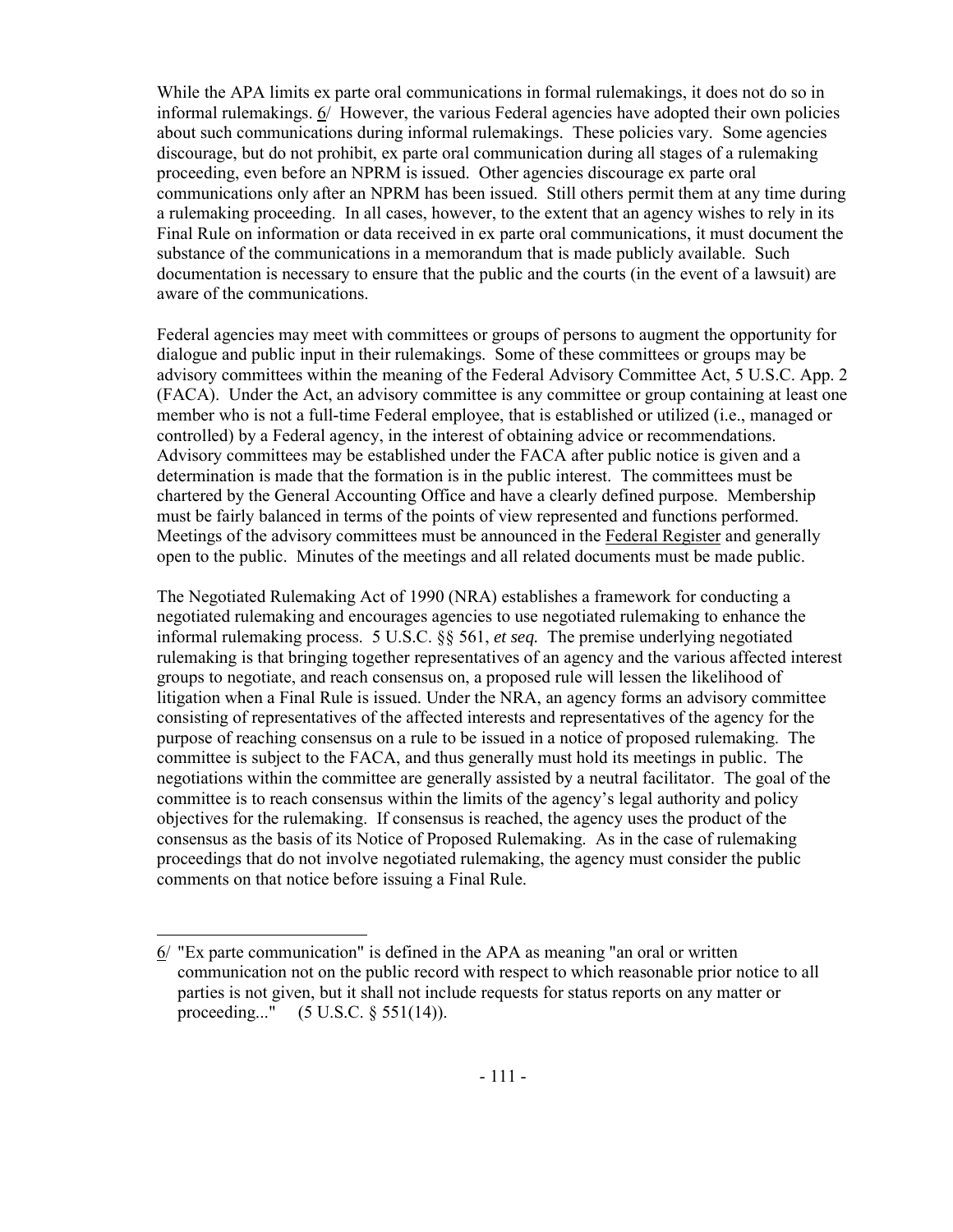While the APA limits ex parte oral communications in formal rulemakings, it does not do so in informal rulemakings. 6/ However, the various Federal agencies have adopted their own policies about such communications during informal rulemakings. These policies vary. Some agencies discourage, but do not prohibit, ex parte oral communication during all stages of a rulemaking proceeding, even before an NPRM is issued. Other agencies discourage ex parte oral communications only after an NPRM has been issued. Still others permit them at any time during a rulemaking proceeding. In all cases, however, to the extent that an agency wishes to rely in its Final Rule on information or data received in ex parte oral communications, it must document the substance of the communications in a memorandum that is made publicly available. Such documentation is necessary to ensure that the public and the courts (in the event of a lawsuit) are aware of the communications.

Federal agencies may meet with committees or groups of persons to augment the opportunity for dialogue and public input in their rulemakings. Some of these committees or groups may be advisory committees within the meaning of the Federal Advisory Committee Act, 5 U.S.C. App. 2 (FACA). Under the Act, an advisory committee is any committee or group containing at least one member who is not a full-time Federal employee, that is established or utilized (i.e., managed or controlled) by a Federal agency, in the interest of obtaining advice or recommendations. Advisory committees may be established under the FACA after public notice is given and a determination is made that the formation is in the public interest. The committees must be chartered by the General Accounting Office and have a clearly defined purpose. Membership must be fairly balanced in terms of the points of view represented and functions performed. Meetings of the advisory committees must be announced in the Federal Register and generally open to the public. Minutes of the meetings and all related documents must be made public.

The Negotiated Rulemaking Act of 1990 (NRA) establishes a framework for conducting a negotiated rulemaking and encourages agencies to use negotiated rulemaking to enhance the informal rulemaking process. 5 U.S.C. §§ 561, *et seq.* The premise underlying negotiated rulemaking is that bringing together representatives of an agency and the various affected interest groups to negotiate, and reach consensus on, a proposed rule will lessen the likelihood of litigation when a Final Rule is issued. Under the NRA, an agency forms an advisory committee consisting of representatives of the affected interests and representatives of the agency for the purpose of reaching consensus on a rule to be issued in a notice of proposed rulemaking. The committee is subject to the FACA, and thus generally must hold its meetings in public. The negotiations within the committee are generally assisted by a neutral facilitator. The goal of the committee is to reach consensus within the limits of the agency's legal authority and policy objectives for the rulemaking. If consensus is reached, the agency uses the product of the consensus as the basis of its Notice of Proposed Rulemaking. As in the case of rulemaking proceedings that do not involve negotiated rulemaking, the agency must consider the public comments on that notice before issuing a Final Rule.

<sup>6/ &</sup>quot;Ex parte communication" is defined in the APA as meaning "an oral or written communication not on the public record with respect to which reasonable prior notice to all parties is not given, but it shall not include requests for status reports on any matter or proceeding..." (5 U.S.C. § 551(14)).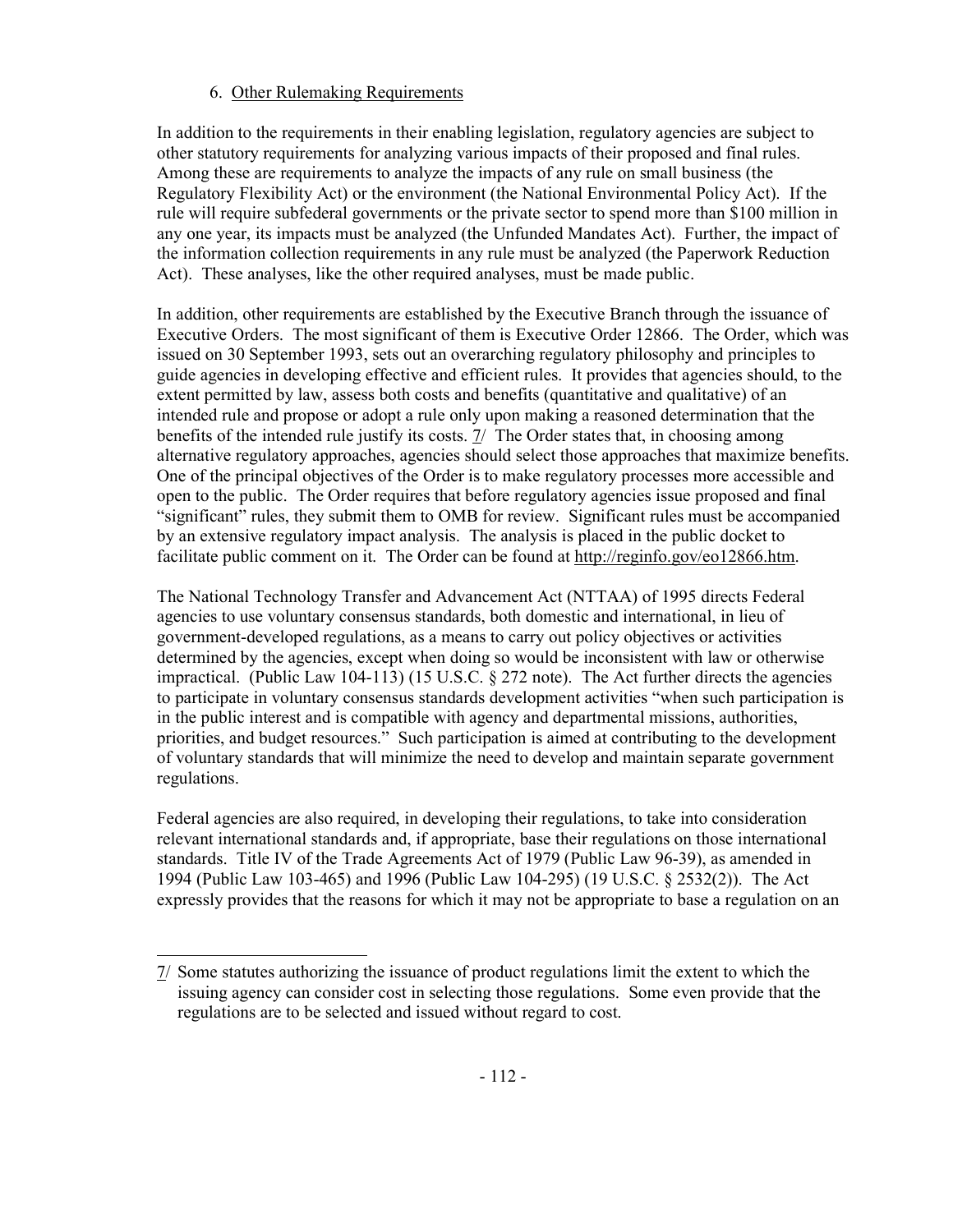# 6. Other Rulemaking Requirements

In addition to the requirements in their enabling legislation, regulatory agencies are subject to other statutory requirements for analyzing various impacts of their proposed and final rules. Among these are requirements to analyze the impacts of any rule on small business (the Regulatory Flexibility Act) or the environment (the National Environmental Policy Act). If the rule will require subfederal governments or the private sector to spend more than \$100 million in any one year, its impacts must be analyzed (the Unfunded Mandates Act). Further, the impact of the information collection requirements in any rule must be analyzed (the Paperwork Reduction Act). These analyses, like the other required analyses, must be made public.

In addition, other requirements are established by the Executive Branch through the issuance of Executive Orders. The most significant of them is Executive Order 12866. The Order, which was issued on 30 September 1993, sets out an overarching regulatory philosophy and principles to guide agencies in developing effective and efficient rules. It provides that agencies should, to the extent permitted by law, assess both costs and benefits (quantitative and qualitative) of an intended rule and propose or adopt a rule only upon making a reasoned determination that the benefits of the intended rule justify its costs.  $\frac{7}{1}$  The Order states that, in choosing among alternative regulatory approaches, agencies should select those approaches that maximize benefits. One of the principal objectives of the Order is to make regulatory processes more accessible and open to the public. The Order requires that before regulatory agencies issue proposed and final "significant" rules, they submit them to OMB for review. Significant rules must be accompanied by an extensive regulatory impact analysis. The analysis is placed in the public docket to facilitate public comment on it. The Order can be found at http://reginfo.gov/eo12866.htm.

The National Technology Transfer and Advancement Act (NTTAA) of 1995 directs Federal agencies to use voluntary consensus standards, both domestic and international, in lieu of government-developed regulations, as a means to carry out policy objectives or activities determined by the agencies, except when doing so would be inconsistent with law or otherwise impractical. (Public Law 104-113) (15 U.S.C. § 272 note). The Act further directs the agencies to participate in voluntary consensus standards development activities "when such participation is in the public interest and is compatible with agency and departmental missions, authorities, priorities, and budget resources." Such participation is aimed at contributing to the development of voluntary standards that will minimize the need to develop and maintain separate government regulations.

Federal agencies are also required, in developing their regulations, to take into consideration relevant international standards and, if appropriate, base their regulations on those international standards. Title IV of the Trade Agreements Act of 1979 (Public Law 96-39), as amended in 1994 (Public Law 103-465) and 1996 (Public Law 104-295) (19 U.S.C. § 2532(2)). The Act expressly provides that the reasons for which it may not be appropriate to base a regulation on an

<sup>7/</sup> Some statutes authorizing the issuance of product regulations limit the extent to which the issuing agency can consider cost in selecting those regulations. Some even provide that the regulations are to be selected and issued without regard to cost.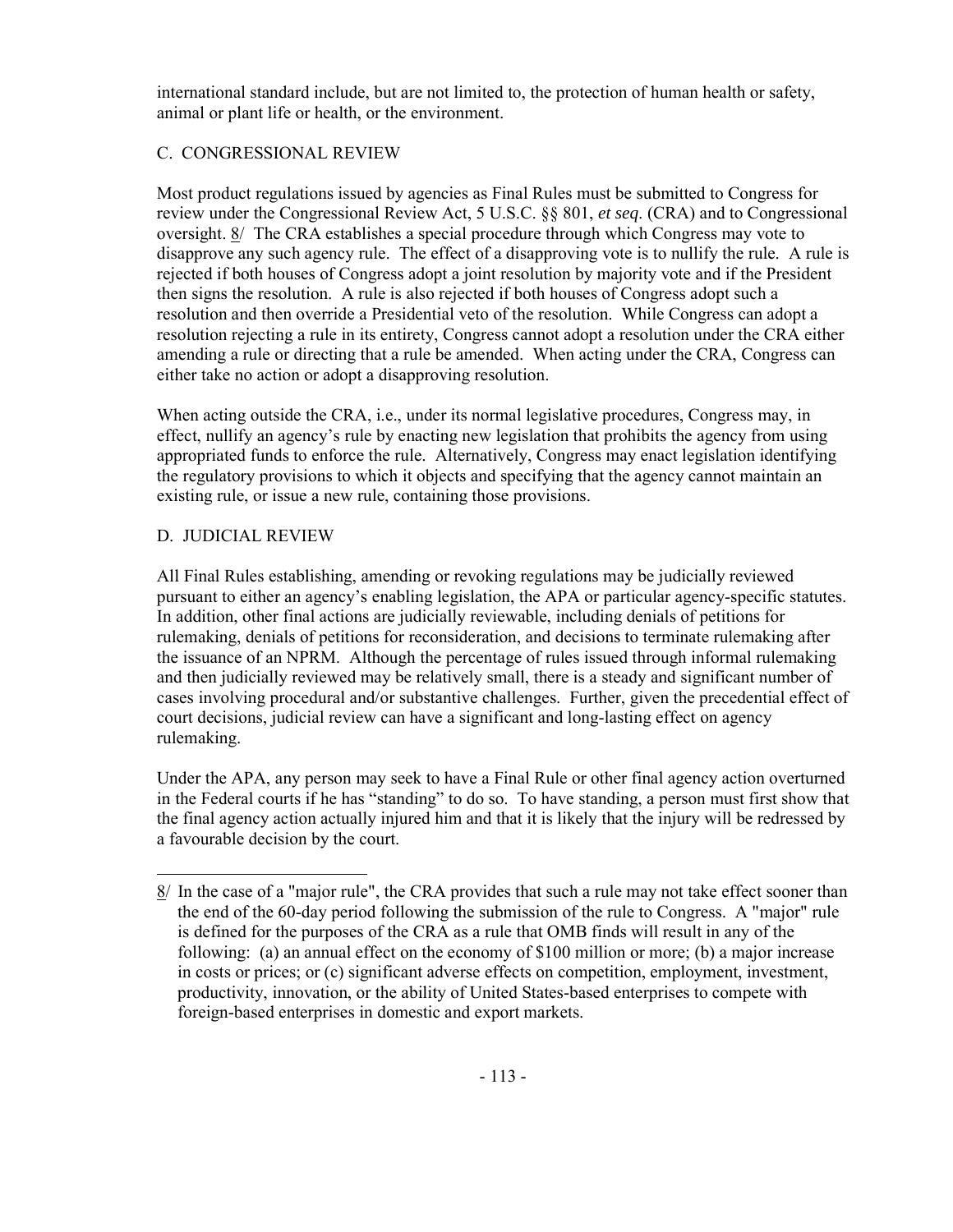international standard include, but are not limited to, the protection of human health or safety, animal or plant life or health, or the environment.

# C. CONGRESSIONAL REVIEW

Most product regulations issued by agencies as Final Rules must be submitted to Congress for review under the Congressional Review Act, 5 U.S.C. §§ 801, *et seq*. (CRA) and to Congressional oversight. 8/ The CRA establishes a special procedure through which Congress may vote to disapprove any such agency rule. The effect of a disapproving vote is to nullify the rule. A rule is rejected if both houses of Congress adopt a joint resolution by majority vote and if the President then signs the resolution. A rule is also rejected if both houses of Congress adopt such a resolution and then override a Presidential veto of the resolution. While Congress can adopt a resolution rejecting a rule in its entirety, Congress cannot adopt a resolution under the CRA either amending a rule or directing that a rule be amended. When acting under the CRA, Congress can either take no action or adopt a disapproving resolution.

When acting outside the CRA, i.e., under its normal legislative procedures, Congress may, in effect, nullify an agency's rule by enacting new legislation that prohibits the agency from using appropriated funds to enforce the rule. Alternatively, Congress may enact legislation identifying the regulatory provisions to which it objects and specifying that the agency cannot maintain an existing rule, or issue a new rule, containing those provisions.

# D. JUDICIAL REVIEW

All Final Rules establishing, amending or revoking regulations may be judicially reviewed pursuant to either an agency's enabling legislation, the APA or particular agency-specific statutes. In addition, other final actions are judicially reviewable, including denials of petitions for rulemaking, denials of petitions for reconsideration, and decisions to terminate rulemaking after the issuance of an NPRM. Although the percentage of rules issued through informal rulemaking and then judicially reviewed may be relatively small, there is a steady and significant number of cases involving procedural and/or substantive challenges. Further, given the precedential effect of court decisions, judicial review can have a significant and long-lasting effect on agency rulemaking.

Under the APA, any person may seek to have a Final Rule or other final agency action overturned in the Federal courts if he has "standing" to do so. To have standing, a person must first show that the final agency action actually injured him and that it is likely that the injury will be redressed by a favourable decision by the court.

<sup>8/</sup> In the case of a "major rule", the CRA provides that such a rule may not take effect sooner than the end of the 60-day period following the submission of the rule to Congress. A "major" rule is defined for the purposes of the CRA as a rule that OMB finds will result in any of the following: (a) an annual effect on the economy of \$100 million or more; (b) a major increase in costs or prices; or (c) significant adverse effects on competition, employment, investment, productivity, innovation, or the ability of United States-based enterprises to compete with foreign-based enterprises in domestic and export markets.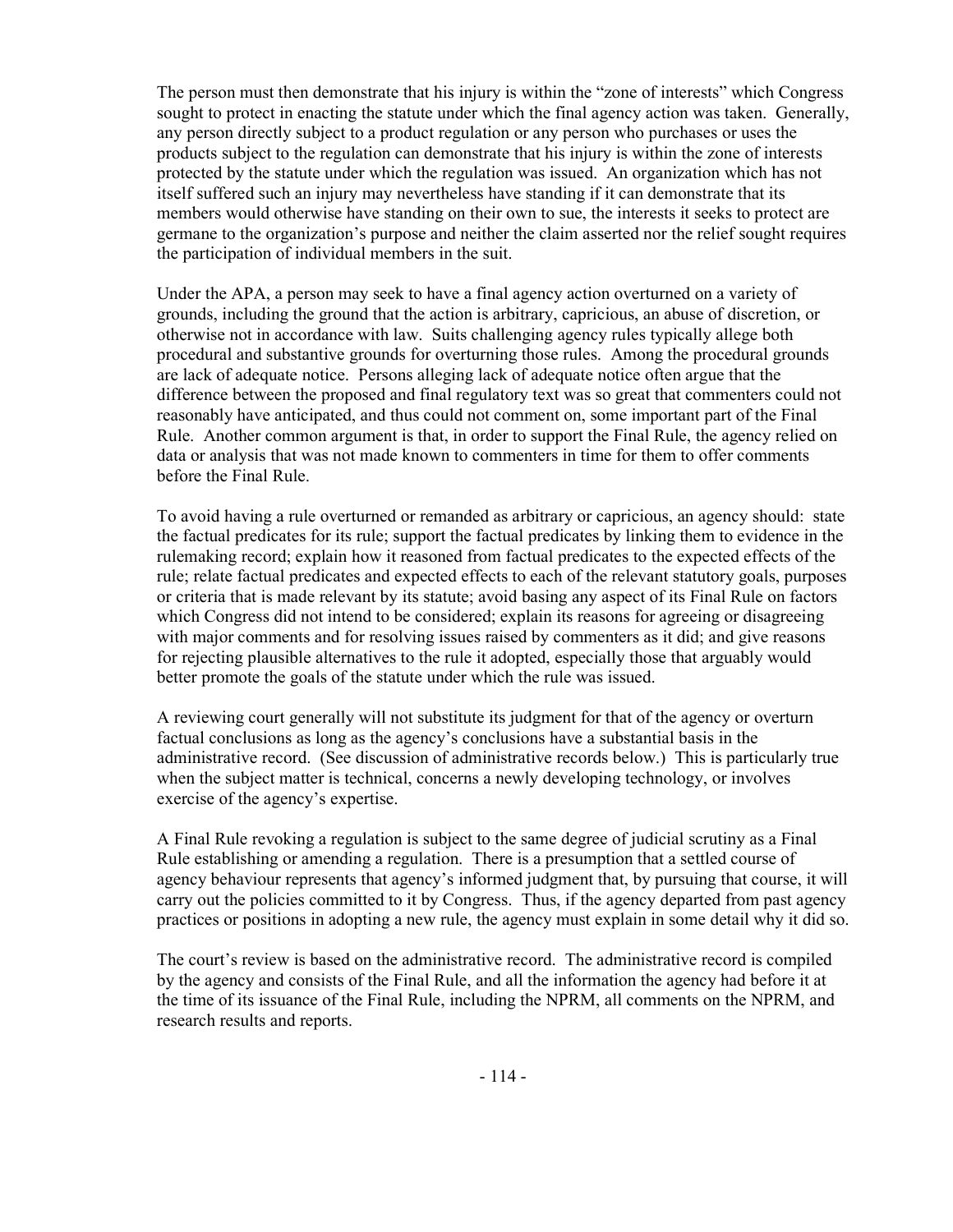The person must then demonstrate that his injury is within the "zone of interests" which Congress sought to protect in enacting the statute under which the final agency action was taken. Generally, any person directly subject to a product regulation or any person who purchases or uses the products subject to the regulation can demonstrate that his injury is within the zone of interests protected by the statute under which the regulation was issued. An organization which has not itself suffered such an injury may nevertheless have standing if it can demonstrate that its members would otherwise have standing on their own to sue, the interests it seeks to protect are germane to the organization's purpose and neither the claim asserted nor the relief sought requires the participation of individual members in the suit.

Under the APA, a person may seek to have a final agency action overturned on a variety of grounds, including the ground that the action is arbitrary, capricious, an abuse of discretion, or otherwise not in accordance with law. Suits challenging agency rules typically allege both procedural and substantive grounds for overturning those rules. Among the procedural grounds are lack of adequate notice. Persons alleging lack of adequate notice often argue that the difference between the proposed and final regulatory text was so great that commenters could not reasonably have anticipated, and thus could not comment on, some important part of the Final Rule. Another common argument is that, in order to support the Final Rule, the agency relied on data or analysis that was not made known to commenters in time for them to offer comments before the Final Rule.

To avoid having a rule overturned or remanded as arbitrary or capricious, an agency should: state the factual predicates for its rule; support the factual predicates by linking them to evidence in the rulemaking record; explain how it reasoned from factual predicates to the expected effects of the rule; relate factual predicates and expected effects to each of the relevant statutory goals, purposes or criteria that is made relevant by its statute; avoid basing any aspect of its Final Rule on factors which Congress did not intend to be considered; explain its reasons for agreeing or disagreeing with major comments and for resolving issues raised by commenters as it did; and give reasons for rejecting plausible alternatives to the rule it adopted, especially those that arguably would better promote the goals of the statute under which the rule was issued.

A reviewing court generally will not substitute its judgment for that of the agency or overturn factual conclusions as long as the agency's conclusions have a substantial basis in the administrative record. (See discussion of administrative records below.) This is particularly true when the subject matter is technical, concerns a newly developing technology, or involves exercise of the agency's expertise.

A Final Rule revoking a regulation is subject to the same degree of judicial scrutiny as a Final Rule establishing or amending a regulation. There is a presumption that a settled course of agency behaviour represents that agency's informed judgment that, by pursuing that course, it will carry out the policies committed to it by Congress. Thus, if the agency departed from past agency practices or positions in adopting a new rule, the agency must explain in some detail why it did so.

The court's review is based on the administrative record. The administrative record is compiled by the agency and consists of the Final Rule, and all the information the agency had before it at the time of its issuance of the Final Rule, including the NPRM, all comments on the NPRM, and research results and reports.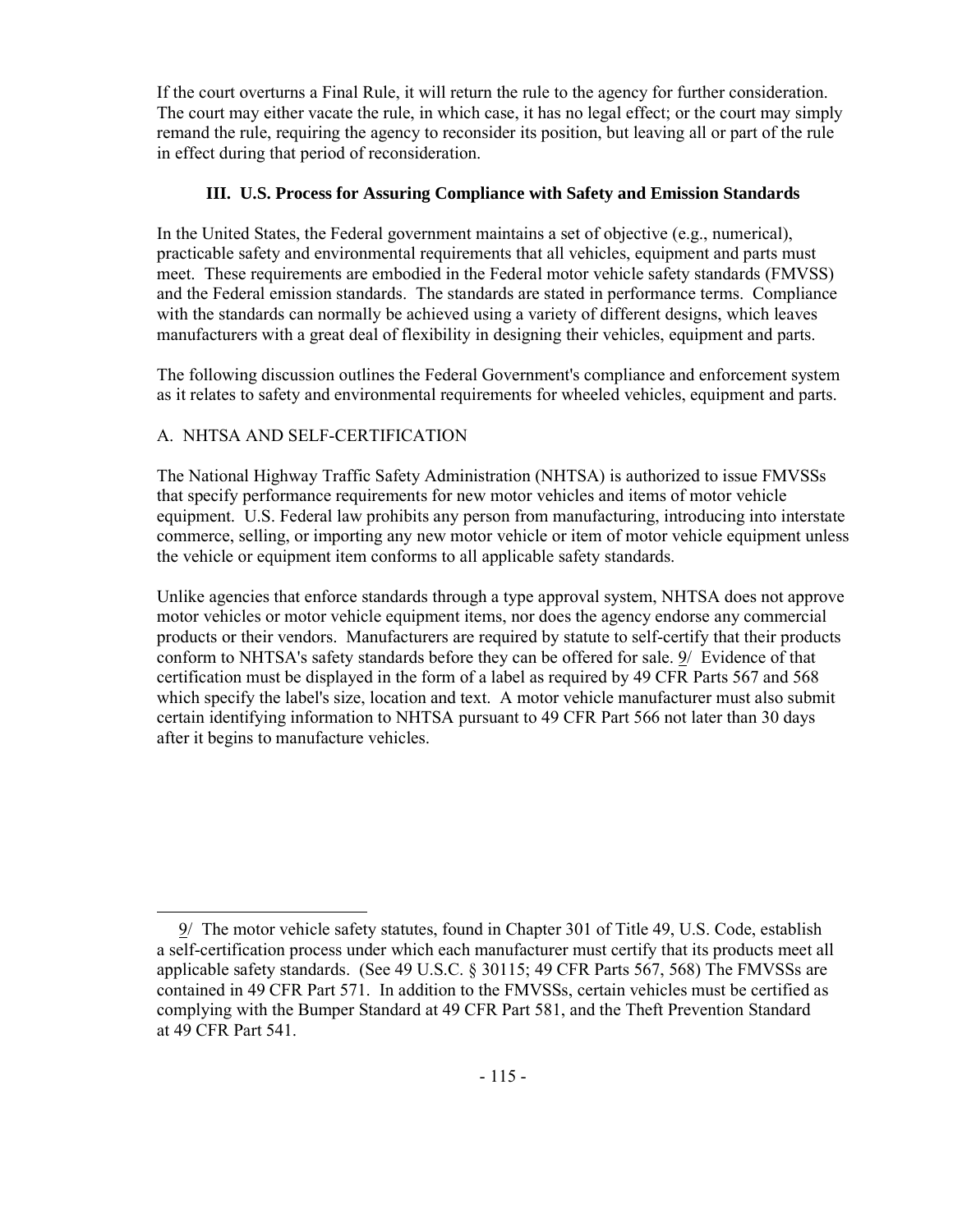If the court overturns a Final Rule, it will return the rule to the agency for further consideration. The court may either vacate the rule, in which case, it has no legal effect; or the court may simply remand the rule, requiring the agency to reconsider its position, but leaving all or part of the rule in effect during that period of reconsideration.

# **III. U.S. Process for Assuring Compliance with Safety and Emission Standards**

In the United States, the Federal government maintains a set of objective (e.g., numerical), practicable safety and environmental requirements that all vehicles, equipment and parts must meet. These requirements are embodied in the Federal motor vehicle safety standards (FMVSS) and the Federal emission standards. The standards are stated in performance terms. Compliance with the standards can normally be achieved using a variety of different designs, which leaves manufacturers with a great deal of flexibility in designing their vehicles, equipment and parts.

The following discussion outlines the Federal Government's compliance and enforcement system as it relates to safety and environmental requirements for wheeled vehicles, equipment and parts.

# A. NHTSA AND SELF-CERTIFICATION

The National Highway Traffic Safety Administration (NHTSA) is authorized to issue FMVSSs that specify performance requirements for new motor vehicles and items of motor vehicle equipment. U.S. Federal law prohibits any person from manufacturing, introducing into interstate commerce, selling, or importing any new motor vehicle or item of motor vehicle equipment unless the vehicle or equipment item conforms to all applicable safety standards.

Unlike agencies that enforce standards through a type approval system, NHTSA does not approve motor vehicles or motor vehicle equipment items, nor does the agency endorse any commercial products or their vendors. Manufacturers are required by statute to self-certify that their products conform to NHTSA's safety standards before they can be offered for sale. 9/ Evidence of that certification must be displayed in the form of a label as required by 49 CFR Parts 567 and 568 which specify the label's size, location and text. A motor vehicle manufacturer must also submit certain identifying information to NHTSA pursuant to 49 CFR Part 566 not later than 30 days after it begins to manufacture vehicles.

 <sup>9/</sup> The motor vehicle safety statutes, found in Chapter 301 of Title 49, U.S. Code, establish a self-certification process under which each manufacturer must certify that its products meet all applicable safety standards. (See 49 U.S.C. § 30115; 49 CFR Parts 567, 568) The FMVSSs are contained in 49 CFR Part 571. In addition to the FMVSSs, certain vehicles must be certified as complying with the Bumper Standard at 49 CFR Part 581, and the Theft Prevention Standard at 49 CFR Part 541.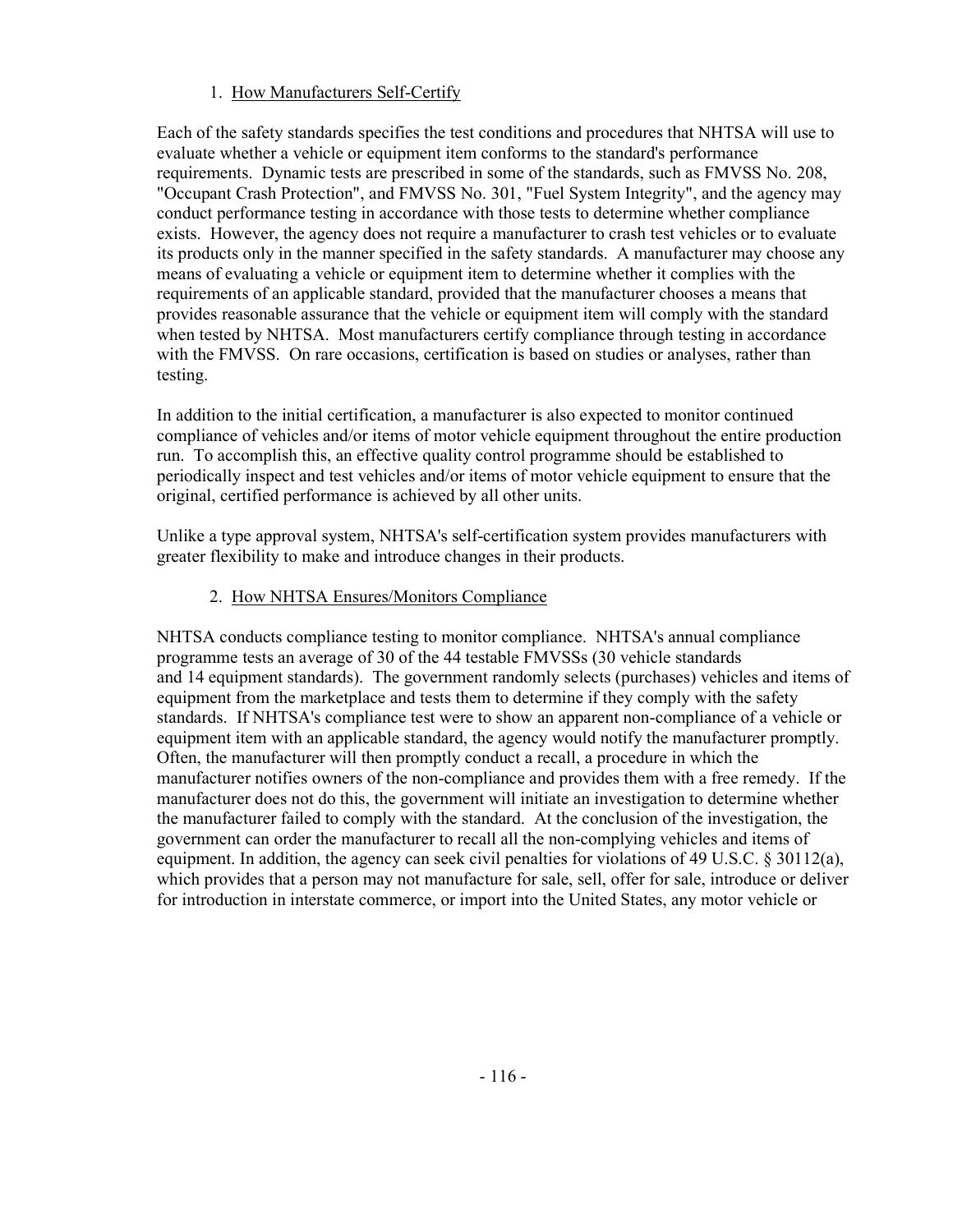# 1.How Manufacturers Self-Certify

Each of the safety standards specifies the test conditions and procedures that NHTSA will use to evaluate whether a vehicle or equipment item conforms to the standard's performance requirements. Dynamic tests are prescribed in some of the standards, such as FMVSS No. 208, "Occupant Crash Protection", and FMVSS No. 301, "Fuel System Integrity", and the agency may conduct performance testing in accordance with those tests to determine whether compliance exists. However, the agency does not require a manufacturer to crash test vehicles or to evaluate its products only in the manner specified in the safety standards. A manufacturer may choose any means of evaluating a vehicle or equipment item to determine whether it complies with the requirements of an applicable standard, provided that the manufacturer chooses a means that provides reasonable assurance that the vehicle or equipment item will comply with the standard when tested by NHTSA. Most manufacturers certify compliance through testing in accordance with the FMVSS. On rare occasions, certification is based on studies or analyses, rather than testing.

In addition to the initial certification, a manufacturer is also expected to monitor continued compliance of vehicles and/or items of motor vehicle equipment throughout the entire production run. To accomplish this, an effective quality control programme should be established to periodically inspect and test vehicles and/or items of motor vehicle equipment to ensure that the original, certified performance is achieved by all other units.

Unlike a type approval system, NHTSA's self-certification system provides manufacturers with greater flexibility to make and introduce changes in their products.

# 2.How NHTSA Ensures/Monitors Compliance

NHTSA conducts compliance testing to monitor compliance. NHTSA's annual compliance programme tests an average of 30 of the 44 testable FMVSSs (30 vehicle standards and 14 equipment standards). The government randomly selects (purchases) vehicles and items of equipment from the marketplace and tests them to determine if they comply with the safety standards. If NHTSA's compliance test were to show an apparent non-compliance of a vehicle or equipment item with an applicable standard, the agency would notify the manufacturer promptly. Often, the manufacturer will then promptly conduct a recall, a procedure in which the manufacturer notifies owners of the non-compliance and provides them with a free remedy. If the manufacturer does not do this, the government will initiate an investigation to determine whether the manufacturer failed to comply with the standard. At the conclusion of the investigation, the government can order the manufacturer to recall all the non-complying vehicles and items of equipment. In addition, the agency can seek civil penalties for violations of 49 U.S.C.  $\&$  30112(a), which provides that a person may not manufacture for sale, sell, offer for sale, introduce or deliver for introduction in interstate commerce, or import into the United States, any motor vehicle or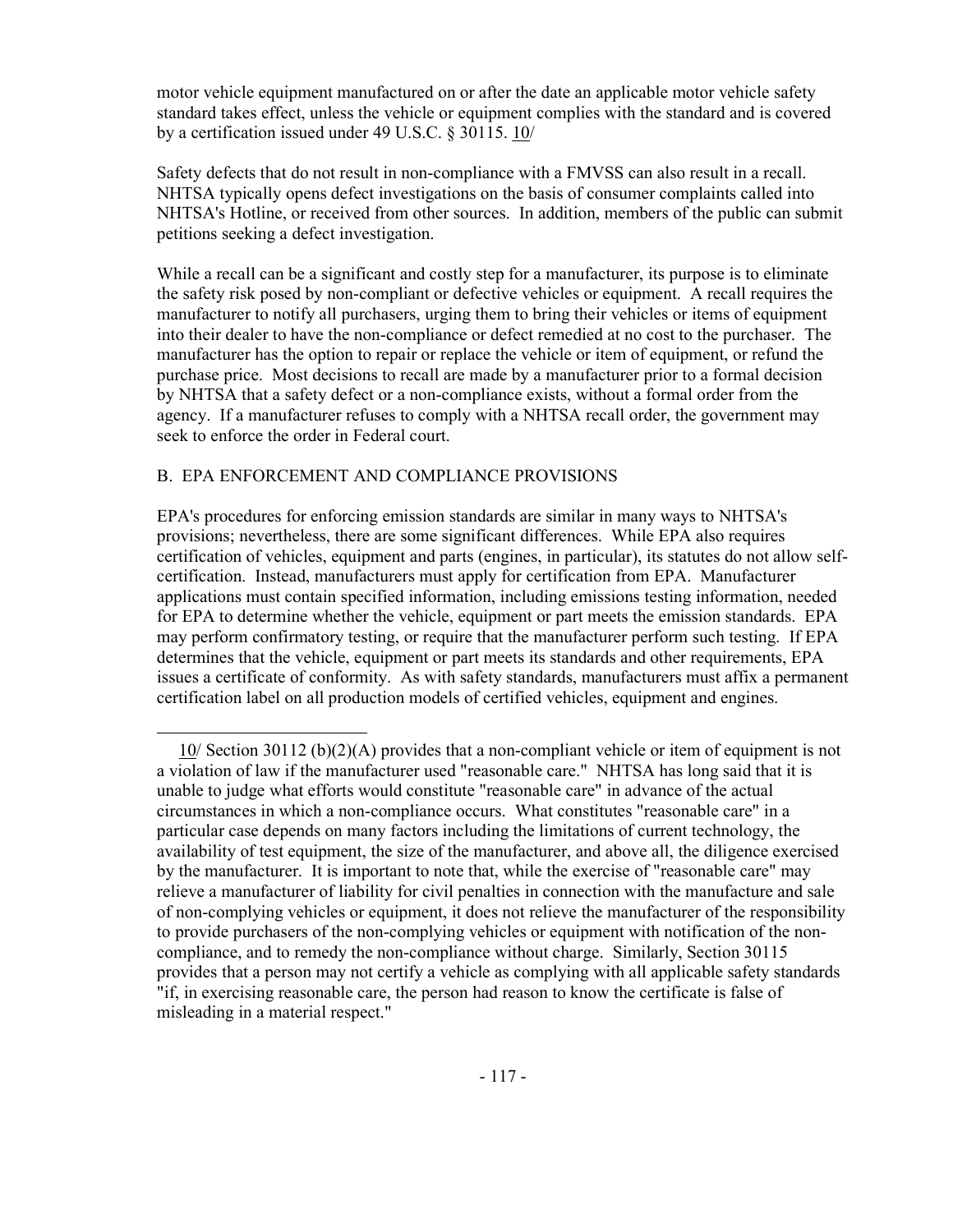motor vehicle equipment manufactured on or after the date an applicable motor vehicle safety standard takes effect, unless the vehicle or equipment complies with the standard and is covered by a certification issued under 49 U.S.C. § 30115. 10/

Safety defects that do not result in non-compliance with a FMVSS can also result in a recall. NHTSA typically opens defect investigations on the basis of consumer complaints called into NHTSA's Hotline, or received from other sources. In addition, members of the public can submit petitions seeking a defect investigation.

While a recall can be a significant and costly step for a manufacturer, its purpose is to eliminate the safety risk posed by non-compliant or defective vehicles or equipment. A recall requires the manufacturer to notify all purchasers, urging them to bring their vehicles or items of equipment into their dealer to have the non-compliance or defect remedied at no cost to the purchaser. The manufacturer has the option to repair or replace the vehicle or item of equipment, or refund the purchase price. Most decisions to recall are made by a manufacturer prior to a formal decision by NHTSA that a safety defect or a non-compliance exists, without a formal order from the agency. If a manufacturer refuses to comply with a NHTSA recall order, the government may seek to enforce the order in Federal court.

### B. EPA ENFORCEMENT AND COMPLIANCE PROVISIONS

EPA's procedures for enforcing emission standards are similar in many ways to NHTSA's provisions; nevertheless, there are some significant differences. While EPA also requires certification of vehicles, equipment and parts (engines, in particular), its statutes do not allow selfcertification. Instead, manufacturers must apply for certification from EPA. Manufacturer applications must contain specified information, including emissions testing information, needed for EPA to determine whether the vehicle, equipment or part meets the emission standards. EPA may perform confirmatory testing, or require that the manufacturer perform such testing. If EPA determines that the vehicle, equipment or part meets its standards and other requirements, EPA issues a certificate of conformity. As with safety standards, manufacturers must affix a permanent certification label on all production models of certified vehicles, equipment and engines.

 <sup>10/</sup> Section 30112 (b)(2)(A) provides that a non-compliant vehicle or item of equipment is not a violation of law if the manufacturer used "reasonable care." NHTSA has long said that it is unable to judge what efforts would constitute "reasonable care" in advance of the actual circumstances in which a non-compliance occurs. What constitutes "reasonable care" in a particular case depends on many factors including the limitations of current technology, the availability of test equipment, the size of the manufacturer, and above all, the diligence exercised by the manufacturer. It is important to note that, while the exercise of "reasonable care" may relieve a manufacturer of liability for civil penalties in connection with the manufacture and sale of non-complying vehicles or equipment, it does not relieve the manufacturer of the responsibility to provide purchasers of the non-complying vehicles or equipment with notification of the noncompliance, and to remedy the non-compliance without charge. Similarly, Section 30115 provides that a person may not certify a vehicle as complying with all applicable safety standards "if, in exercising reasonable care, the person had reason to know the certificate is false of misleading in a material respect."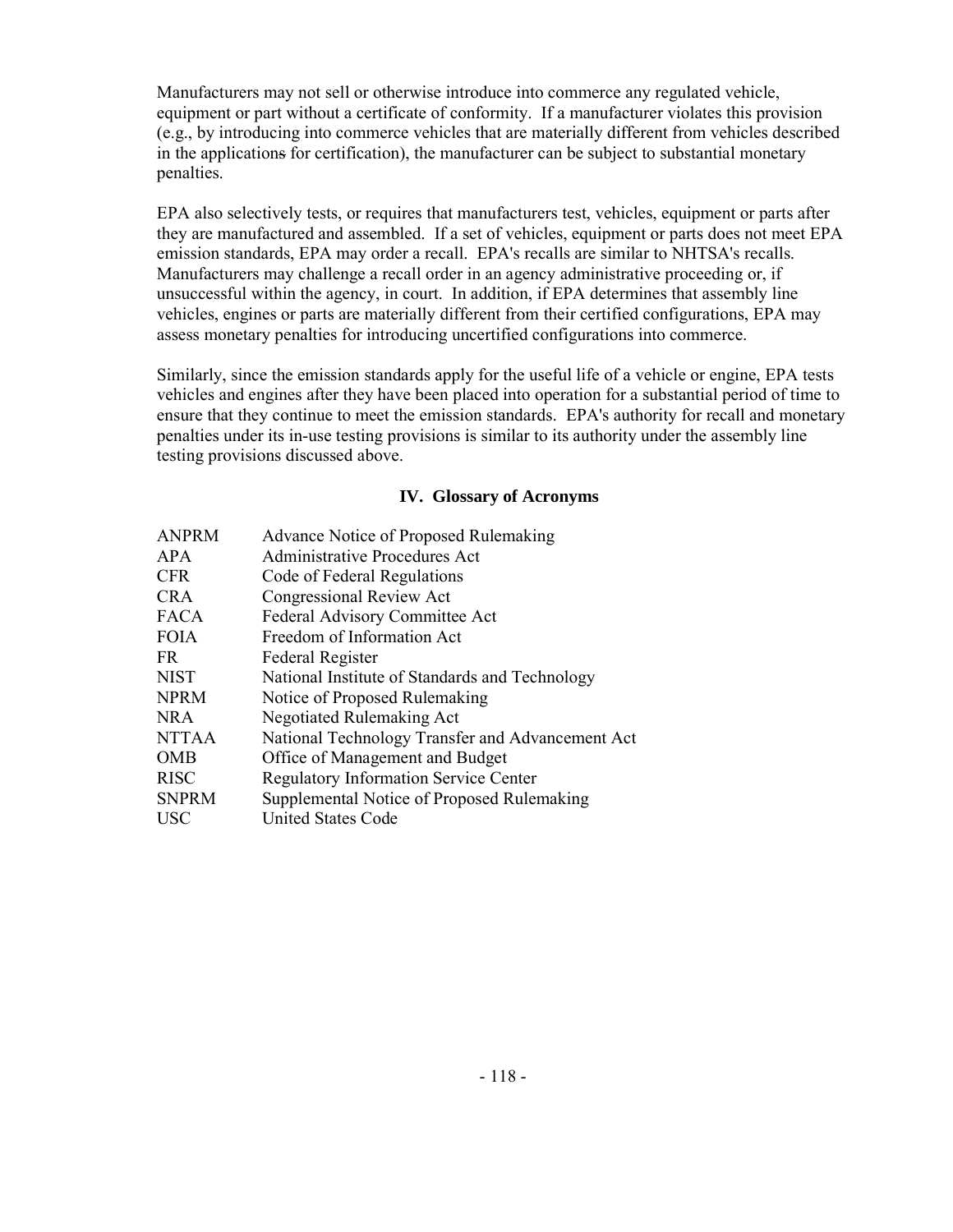Manufacturers may not sell or otherwise introduce into commerce any regulated vehicle, equipment or part without a certificate of conformity. If a manufacturer violates this provision (e.g., by introducing into commerce vehicles that are materially different from vehicles described in the applications for certification), the manufacturer can be subject to substantial monetary penalties.

EPA also selectively tests, or requires that manufacturers test, vehicles, equipment or parts after they are manufactured and assembled. If a set of vehicles, equipment or parts does not meet EPA emission standards, EPA may order a recall. EPA's recalls are similar to NHTSA's recalls. Manufacturers may challenge a recall order in an agency administrative proceeding or, if unsuccessful within the agency, in court. In addition, if EPA determines that assembly line vehicles, engines or parts are materially different from their certified configurations, EPA may assess monetary penalties for introducing uncertified configurations into commerce.

Similarly, since the emission standards apply for the useful life of a vehicle or engine, EPA tests vehicles and engines after they have been placed into operation for a substantial period of time to ensure that they continue to meet the emission standards. EPA's authority for recall and monetary penalties under its in-use testing provisions is similar to its authority under the assembly line testing provisions discussed above.

### **IV. Glossary of Acronyms**

| <b>ANPRM</b> | Advance Notice of Proposed Rulemaking            |
|--------------|--------------------------------------------------|
| <b>APA</b>   | <b>Administrative Procedures Act</b>             |
| <b>CFR</b>   | Code of Federal Regulations                      |
| <b>CRA</b>   | <b>Congressional Review Act</b>                  |
| <b>FACA</b>  | <b>Federal Advisory Committee Act</b>            |
| <b>FOIA</b>  | Freedom of Information Act                       |
| FR.          | Federal Register                                 |
| <b>NIST</b>  | National Institute of Standards and Technology   |
| <b>NPRM</b>  | Notice of Proposed Rulemaking                    |
| <b>NRA</b>   | Negotiated Rulemaking Act                        |
| <b>NTTAA</b> | National Technology Transfer and Advancement Act |
| <b>OMB</b>   | Office of Management and Budget                  |
| <b>RISC</b>  | <b>Regulatory Information Service Center</b>     |
| <b>SNPRM</b> | Supplemental Notice of Proposed Rulemaking       |
| <b>USC</b>   | <b>United States Code</b>                        |
|              |                                                  |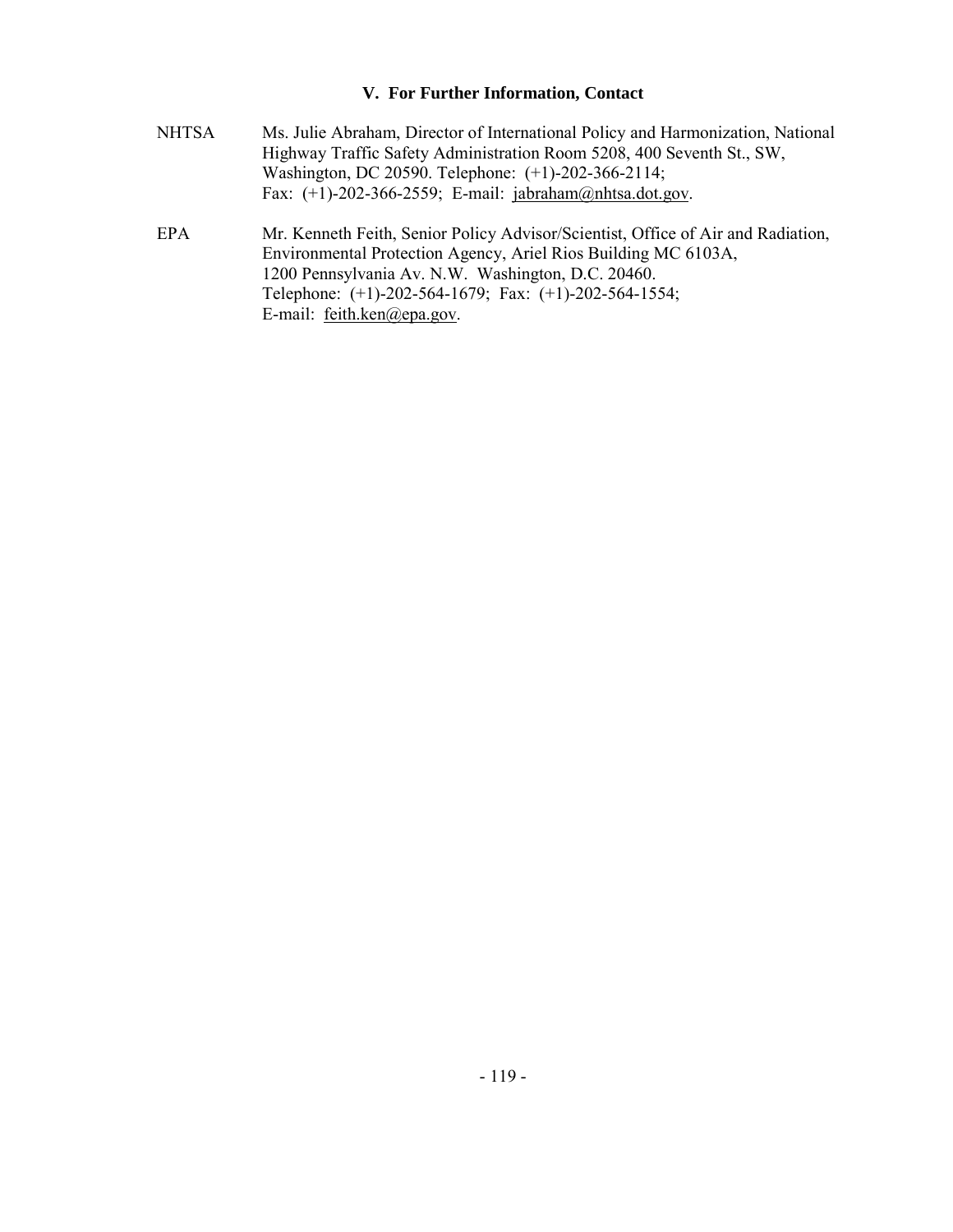#### **V. For Further Information, Contact**

- NHTSA Ms. Julie Abraham, Director of International Policy and Harmonization, National Highway Traffic Safety Administration Room 5208, 400 Seventh St., SW, Washington, DC 20590. Telephone: (+1)-202-366-2114; Fax: (+1)-202-366-2559; E-mail: jabraham@nhtsa.dot.gov.
- EPA Mr. Kenneth Feith, Senior Policy Advisor/Scientist, Office of Air and Radiation, Environmental Protection Agency, Ariel Rios Building MC 6103A, 1200 Pennsylvania Av. N.W. Washington, D.C. 20460. Telephone: (+1)-202-564-1679; Fax: (+1)-202-564-1554; E-mail: feith.ken@epa.gov.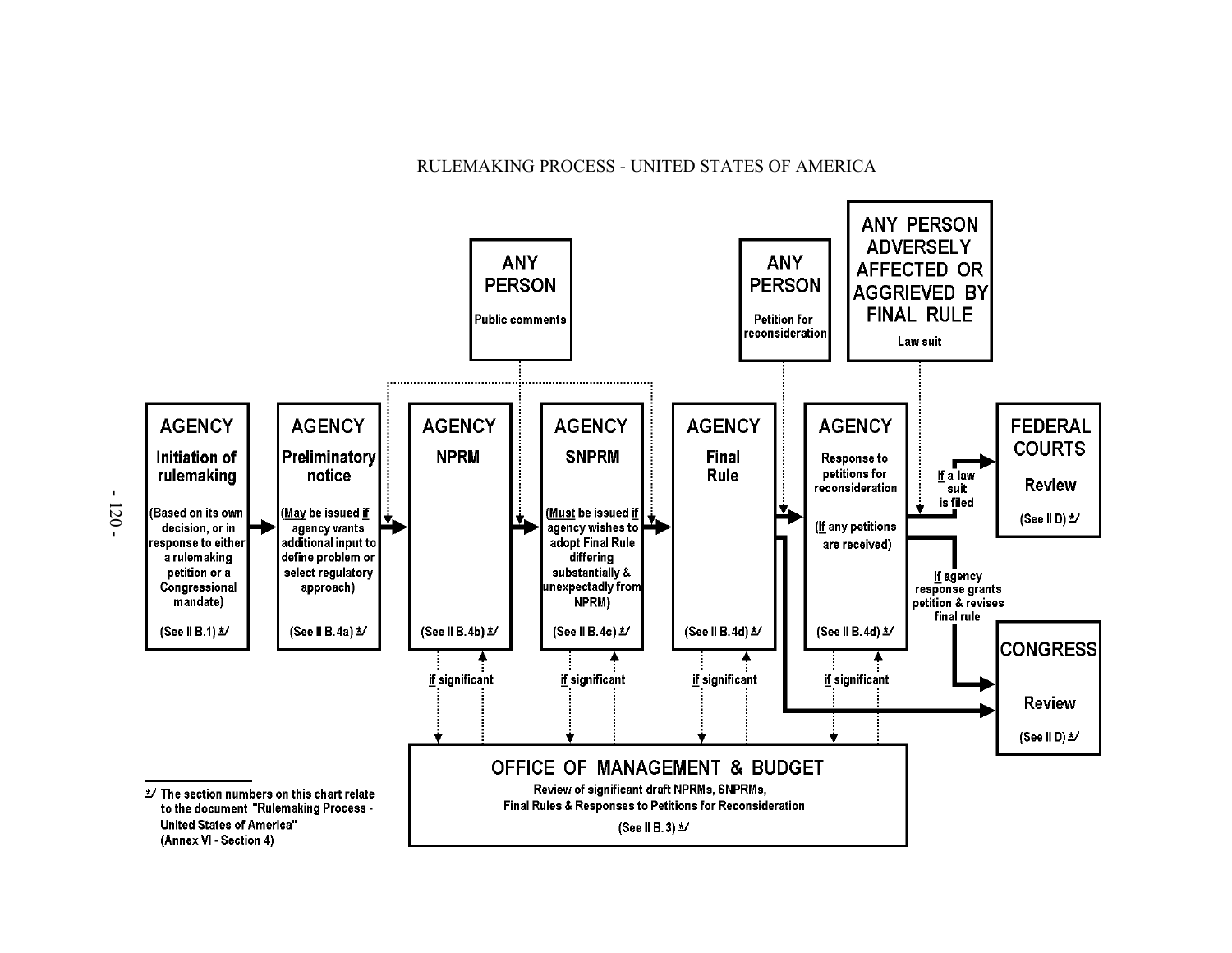#### RULEMAKING PROCESS - UNITED STATES OF AMERICA

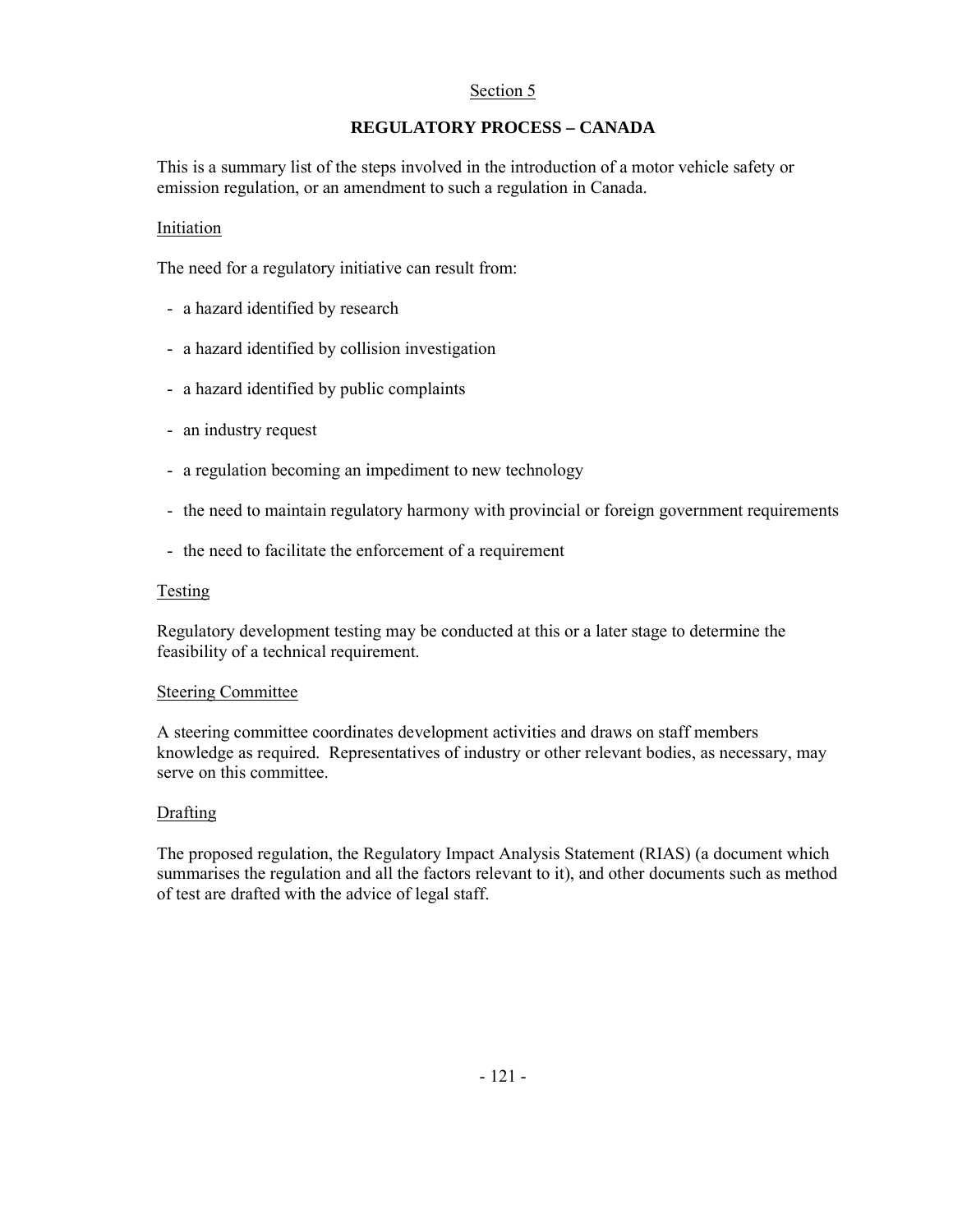### Section 5

# **REGULATORY PROCESS – CANADA**

This is a summary list of the steps involved in the introduction of a motor vehicle safety or emission regulation, or an amendment to such a regulation in Canada.

#### Initiation

The need for a regulatory initiative can result from:

- a hazard identified by research
- a hazard identified by collision investigation
- a hazard identified by public complaints
- an industry request
- a regulation becoming an impediment to new technology
- the need to maintain regulatory harmony with provincial or foreign government requirements
- the need to facilitate the enforcement of a requirement

#### **Testing**

Regulatory development testing may be conducted at this or a later stage to determine the feasibility of a technical requirement.

#### Steering Committee

A steering committee coordinates development activities and draws on staff members knowledge as required. Representatives of industry or other relevant bodies, as necessary, may serve on this committee.

#### **Drafting**

The proposed regulation, the Regulatory Impact Analysis Statement (RIAS) (a document which summarises the regulation and all the factors relevant to it), and other documents such as method of test are drafted with the advice of legal staff.